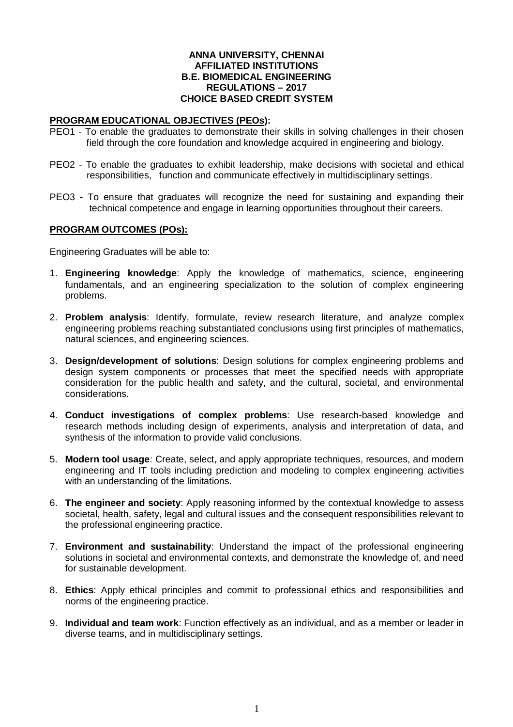#### **ANNA UNIVERSITY, CHENNAI AFFILIATED INSTITUTIONS B.E. BIOMEDICAL ENGINEERING REGULATIONS – 2017 CHOICE BASED CREDIT SYSTEM**

#### **PROGRAM EDUCATIONAL OBJECTIVES (PEOs):**

- PEO1 To enable the graduates to demonstrate their skills in solving challenges in their chosen field through the core foundation and knowledge acquired in engineering and biology.
- PEO2 To enable the graduates to exhibit leadership, make decisions with societal and ethical responsibilities, function and communicate effectively in multidisciplinary settings.
- PEO3 To ensure that graduates will recognize the need for sustaining and expanding their technical competence and engage in learning opportunities throughout their careers.

#### **PROGRAM OUTCOMES (POs):**

Engineering Graduates will be able to:

- 1. **Engineering knowledge**: Apply the knowledge of mathematics, science, engineering fundamentals, and an engineering specialization to the solution of complex engineering problems.
- 2. **Problem analysis**: Identify, formulate, review research literature, and analyze complex engineering problems reaching substantiated conclusions using first principles of mathematics, natural sciences, and engineering sciences.
- 3. **Design/development of solutions**: Design solutions for complex engineering problems and design system components or processes that meet the specified needs with appropriate consideration for the public health and safety, and the cultural, societal, and environmental considerations.
- 4. **Conduct investigations of complex problems**: Use research-based knowledge and research methods including design of experiments, analysis and interpretation of data, and synthesis of the information to provide valid conclusions.
- 5. **Modern tool usage**: Create, select, and apply appropriate techniques, resources, and modern engineering and IT tools including prediction and modeling to complex engineering activities with an understanding of the limitations.
- 6. **The engineer and society**: Apply reasoning informed by the contextual knowledge to assess societal, health, safety, legal and cultural issues and the consequent responsibilities relevant to the professional engineering practice.
- 7. **Environment and sustainability**: Understand the impact of the professional engineering solutions in societal and environmental contexts, and demonstrate the knowledge of, and need for sustainable development.
- 8. **Ethics**: Apply ethical principles and commit to professional ethics and responsibilities and norms of the engineering practice.
- 9. **Individual and team work**: Function effectively as an individual, and as a member or leader in diverse teams, and in multidisciplinary settings.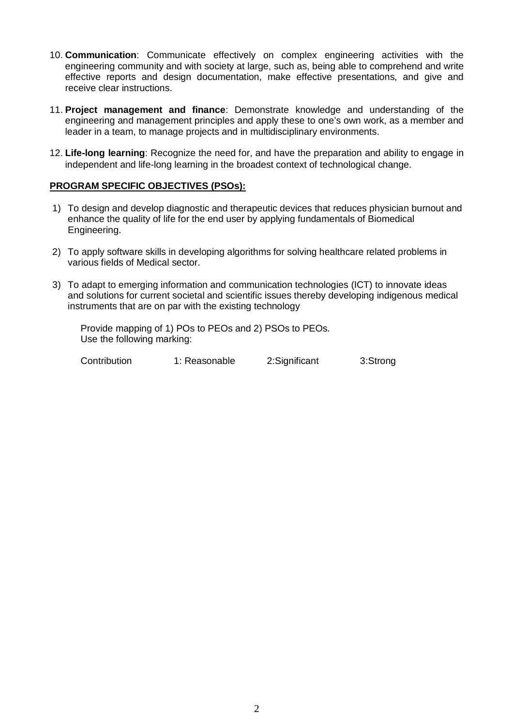- 10. **Communication**: Communicate effectively on complex engineering activities with the engineering community and with society at large, such as, being able to comprehend and write effective reports and design documentation, make effective presentations, and give and receive clear instructions.
- 11. **Project management and finance**: Demonstrate knowledge and understanding of the engineering and management principles and apply these to one's own work, as a member and leader in a team, to manage projects and in multidisciplinary environments.
- 12. **Life-long learning**: Recognize the need for, and have the preparation and ability to engage in independent and life-long learning in the broadest context of technological change.

## **PROGRAM SPECIFIC OBJECTIVES (PSOs):**

- 1) To design and develop diagnostic and therapeutic devices that reduces physician burnout and enhance the quality of life for the end user by applying fundamentals of Biomedical Engineering.
- 2) To apply software skills in developing algorithms for solving healthcare related problems in various fields of Medical sector.
- 3) To adapt to emerging information and communication technologies (ICT) to innovate ideas and solutions for current societal and scientific issues thereby developing indigenous medical instruments that are on par with the existing technology

Provide mapping of 1) POs to PEOs and 2) PSOs to PEOs. Use the following marking:

Contribution 1: Reasonable 2:Significant 3:Strong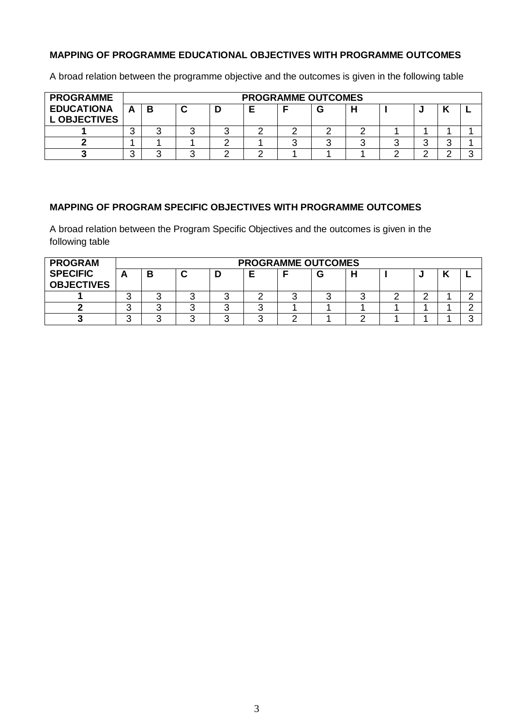# **MAPPING OF PROGRAMME EDUCATIONAL OBJECTIVES WITH PROGRAMME OUTCOMES**

A broad relation between the programme objective and the outcomes is given in the following table

| <b>PROGRAMME</b>                         |   |  |  | <b>PROGRAMME OUTCOMES</b> |  |  |  |
|------------------------------------------|---|--|--|---------------------------|--|--|--|
| <b>EDUCATIONA</b><br><b>L OBJECTIVES</b> | в |  |  |                           |  |  |  |
|                                          |   |  |  |                           |  |  |  |
|                                          |   |  |  |                           |  |  |  |
|                                          |   |  |  |                           |  |  |  |

# **MAPPING OF PROGRAM SPECIFIC OBJECTIVES WITH PROGRAMME OUTCOMES**

A broad relation between the Program Specific Objectives and the outcomes is given in the following table

| <b>PROGRAM</b>                       |        |   |   |  | <b>PROGRAMME OUTCOMES</b> |  |  |  |
|--------------------------------------|--------|---|---|--|---------------------------|--|--|--|
| <b>SPECIFIC</b><br><b>OBJECTIVES</b> |        | в | ◠ |  | u                         |  |  |  |
|                                      | ື      |   |   |  |                           |  |  |  |
|                                      | ⌒<br>◡ |   |   |  |                           |  |  |  |
|                                      |        |   |   |  |                           |  |  |  |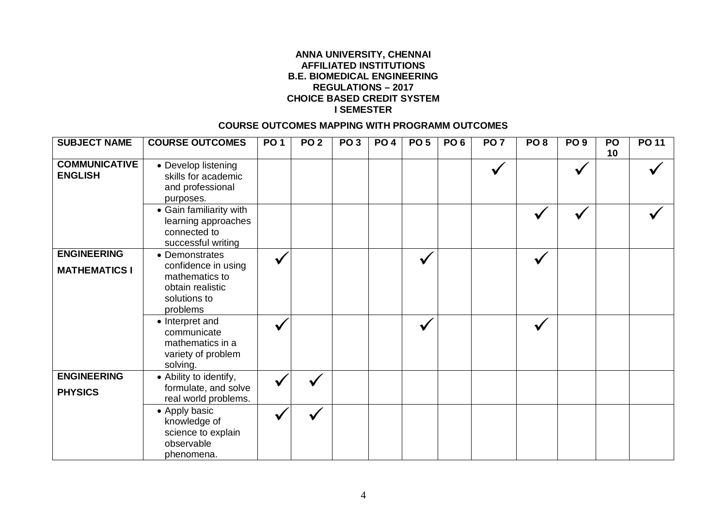## **ANNA UNIVERSITY, CHENNAI AFFILIATED INSTITUTIONS B.E. BIOMEDICAL ENGINEERING REGULATIONS – 2017 CHOICE BASED CREDIT SYSTEM I SEMESTER**

## **COURSE OUTCOMES MAPPING WITH PROGRAMM OUTCOMES**

| <b>SUBJECT NAME</b>                        | <b>COURSE OUTCOMES</b>                                                                                  | <b>PO1</b> | PO <sub>2</sub> | PO <sub>3</sub> | <b>PO 4</b> | PO <sub>5</sub> | PO <sub>6</sub> | PO <sub>7</sub> | PO <sub>8</sub> | PO <sub>9</sub> | <b>PO</b><br>10 | <b>PO 11</b> |
|--------------------------------------------|---------------------------------------------------------------------------------------------------------|------------|-----------------|-----------------|-------------|-----------------|-----------------|-----------------|-----------------|-----------------|-----------------|--------------|
| <b>COMMUNICATIVE</b><br><b>ENGLISH</b>     | • Develop listening<br>skills for academic<br>and professional<br>purposes.                             |            |                 |                 |             |                 |                 |                 |                 |                 |                 |              |
|                                            | • Gain familiarity with<br>learning approaches<br>connected to<br>successful writing                    |            |                 |                 |             |                 |                 |                 | V               |                 |                 |              |
| <b>ENGINEERING</b><br><b>MATHEMATICS I</b> | • Demonstrates<br>confidence in using<br>mathematics to<br>obtain realistic<br>solutions to<br>problems |            |                 |                 |             | V               |                 |                 | $\checkmark$    |                 |                 |              |
|                                            | • Interpret and<br>communicate<br>mathematics in a<br>variety of problem<br>solving.                    |            |                 |                 |             |                 |                 |                 |                 |                 |                 |              |
| <b>ENGINEERING</b><br><b>PHYSICS</b>       | • Ability to identify,<br>formulate, and solve<br>real world problems.                                  |            |                 |                 |             |                 |                 |                 |                 |                 |                 |              |
|                                            | • Apply basic<br>knowledge of<br>science to explain<br>observable<br>phenomena.                         |            |                 |                 |             |                 |                 |                 |                 |                 |                 |              |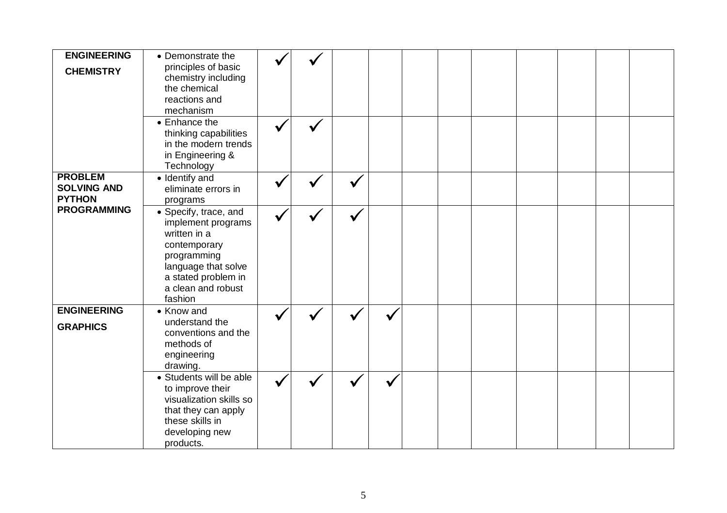| <b>ENGINEERING</b> | • Demonstrate the       |  |  |  |  |  |  |
|--------------------|-------------------------|--|--|--|--|--|--|
| <b>CHEMISTRY</b>   | principles of basic     |  |  |  |  |  |  |
|                    | chemistry including     |  |  |  |  |  |  |
|                    | the chemical            |  |  |  |  |  |  |
|                    |                         |  |  |  |  |  |  |
|                    | reactions and           |  |  |  |  |  |  |
|                    | mechanism               |  |  |  |  |  |  |
|                    | • Enhance the           |  |  |  |  |  |  |
|                    | thinking capabilities   |  |  |  |  |  |  |
|                    |                         |  |  |  |  |  |  |
|                    | in the modern trends    |  |  |  |  |  |  |
|                    | in Engineering &        |  |  |  |  |  |  |
|                    | Technology              |  |  |  |  |  |  |
| <b>PROBLEM</b>     | • Identify and          |  |  |  |  |  |  |
| <b>SOLVING AND</b> | eliminate errors in     |  |  |  |  |  |  |
| <b>PYTHON</b>      |                         |  |  |  |  |  |  |
|                    | programs                |  |  |  |  |  |  |
| <b>PROGRAMMING</b> | • Specify, trace, and   |  |  |  |  |  |  |
|                    | implement programs      |  |  |  |  |  |  |
|                    | written in a            |  |  |  |  |  |  |
|                    | contemporary            |  |  |  |  |  |  |
|                    |                         |  |  |  |  |  |  |
|                    | programming             |  |  |  |  |  |  |
|                    | language that solve     |  |  |  |  |  |  |
|                    | a stated problem in     |  |  |  |  |  |  |
|                    | a clean and robust      |  |  |  |  |  |  |
|                    | fashion                 |  |  |  |  |  |  |
| <b>ENGINEERING</b> | • Know and              |  |  |  |  |  |  |
|                    |                         |  |  |  |  |  |  |
| <b>GRAPHICS</b>    | understand the          |  |  |  |  |  |  |
|                    | conventions and the     |  |  |  |  |  |  |
|                    | methods of              |  |  |  |  |  |  |
|                    | engineering             |  |  |  |  |  |  |
|                    | drawing.                |  |  |  |  |  |  |
|                    | • Students will be able |  |  |  |  |  |  |
|                    |                         |  |  |  |  |  |  |
|                    | to improve their        |  |  |  |  |  |  |
|                    | visualization skills so |  |  |  |  |  |  |
|                    | that they can apply     |  |  |  |  |  |  |
|                    | these skills in         |  |  |  |  |  |  |
|                    | developing new          |  |  |  |  |  |  |
|                    |                         |  |  |  |  |  |  |
|                    | products.               |  |  |  |  |  |  |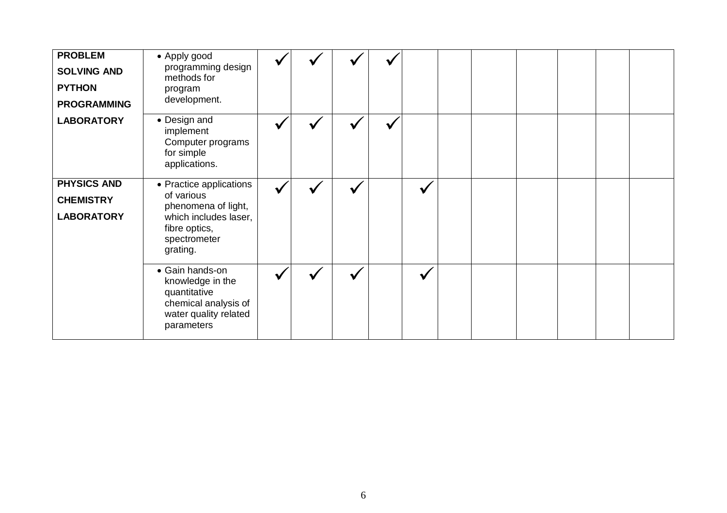| <b>PROBLEM</b><br><b>SOLVING AND</b><br><b>PYTHON</b><br><b>PROGRAMMING</b> | • Apply good<br>programming design<br>methods for<br>program<br>development.                                                       |  |  |  |  |  |  |
|-----------------------------------------------------------------------------|------------------------------------------------------------------------------------------------------------------------------------|--|--|--|--|--|--|
| <b>LABORATORY</b>                                                           | • Design and<br>implement<br>Computer programs<br>for simple<br>applications.                                                      |  |  |  |  |  |  |
| <b>PHYSICS AND</b><br><b>CHEMISTRY</b><br><b>LABORATORY</b>                 | • Practice applications<br>of various<br>phenomena of light,<br>which includes laser,<br>fibre optics,<br>spectrometer<br>grating. |  |  |  |  |  |  |
|                                                                             | • Gain hands-on<br>knowledge in the<br>quantitative<br>chemical analysis of<br>water quality related<br>parameters                 |  |  |  |  |  |  |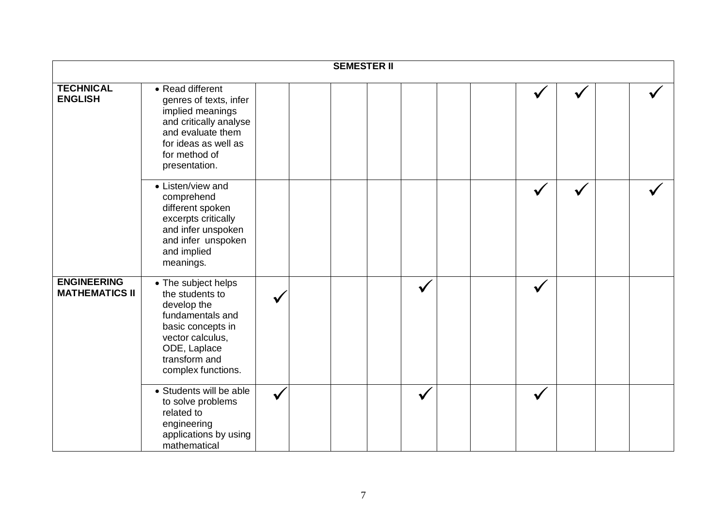|                                             |                                                                                                                                                                           |  | <b>SEMESTER II</b> |              |  |              |  |  |
|---------------------------------------------|---------------------------------------------------------------------------------------------------------------------------------------------------------------------------|--|--------------------|--------------|--|--------------|--|--|
| <b>TECHNICAL</b><br><b>ENGLISH</b>          | • Read different<br>genres of texts, infer<br>implied meanings<br>and critically analyse<br>and evaluate them<br>for ideas as well as<br>for method of<br>presentation.   |  |                    |              |  |              |  |  |
|                                             | • Listen/view and<br>comprehend<br>different spoken<br>excerpts critically<br>and infer unspoken<br>and infer unspoken<br>and implied<br>meanings.                        |  |                    |              |  |              |  |  |
| <b>ENGINEERING</b><br><b>MATHEMATICS II</b> | • The subject helps<br>the students to<br>develop the<br>fundamentals and<br>basic concepts in<br>vector calculus,<br>ODE, Laplace<br>transform and<br>complex functions. |  |                    |              |  |              |  |  |
|                                             | • Students will be able<br>to solve problems<br>related to<br>engineering<br>applications by using<br>mathematical                                                        |  |                    | $\checkmark$ |  | $\checkmark$ |  |  |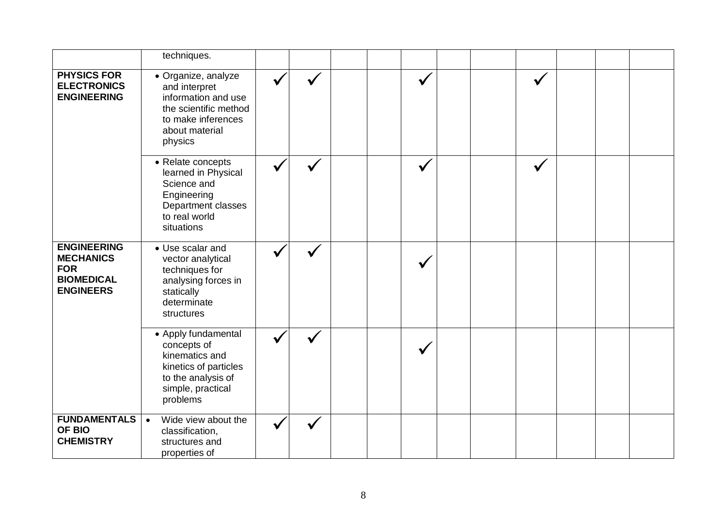|                                                                                               | techniques.                                                                                                                             |  |  |  |  |  |  |
|-----------------------------------------------------------------------------------------------|-----------------------------------------------------------------------------------------------------------------------------------------|--|--|--|--|--|--|
| <b>PHYSICS FOR</b><br><b>ELECTRONICS</b><br><b>ENGINEERING</b>                                | · Organize, analyze<br>and interpret<br>information and use<br>the scientific method<br>to make inferences<br>about material<br>physics |  |  |  |  |  |  |
|                                                                                               | • Relate concepts<br>learned in Physical<br>Science and<br>Engineering<br>Department classes<br>to real world<br>situations             |  |  |  |  |  |  |
| <b>ENGINEERING</b><br><b>MECHANICS</b><br><b>FOR</b><br><b>BIOMEDICAL</b><br><b>ENGINEERS</b> | • Use scalar and<br>vector analytical<br>techniques for<br>analysing forces in<br>statically<br>determinate<br>structures               |  |  |  |  |  |  |
|                                                                                               | • Apply fundamental<br>concepts of<br>kinematics and<br>kinetics of particles<br>to the analysis of<br>simple, practical<br>problems    |  |  |  |  |  |  |
| <b>FUNDAMENTALS</b><br>OF BIO<br><b>CHEMISTRY</b>                                             | Wide view about the<br>$\bullet$<br>classification,<br>structures and<br>properties of                                                  |  |  |  |  |  |  |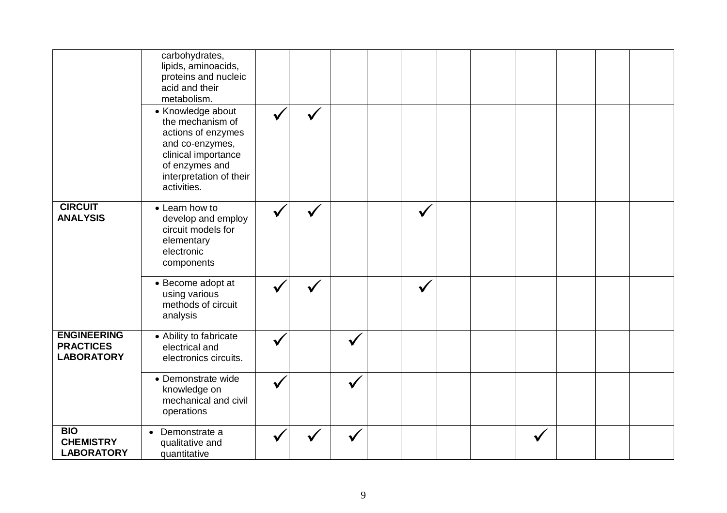|                                                             | carbohydrates,<br>lipids, aminoacids,<br>proteins and nucleic<br>acid and their<br>metabolism.<br>• Knowledge about<br>the mechanism of<br>actions of enzymes<br>and co-enzymes,<br>clinical importance<br>of enzymes and<br>interpretation of their<br>activities. |  |  |  |  |  |  |
|-------------------------------------------------------------|---------------------------------------------------------------------------------------------------------------------------------------------------------------------------------------------------------------------------------------------------------------------|--|--|--|--|--|--|
| <b>CIRCUIT</b><br><b>ANALYSIS</b>                           | • Learn how to<br>develop and employ<br>circuit models for<br>elementary<br>electronic<br>components                                                                                                                                                                |  |  |  |  |  |  |
|                                                             | • Become adopt at<br>using various<br>methods of circuit<br>analysis                                                                                                                                                                                                |  |  |  |  |  |  |
| <b>ENGINEERING</b><br><b>PRACTICES</b><br><b>LABORATORY</b> | • Ability to fabricate<br>electrical and<br>electronics circuits.                                                                                                                                                                                                   |  |  |  |  |  |  |
|                                                             | • Demonstrate wide<br>knowledge on<br>mechanical and civil<br>operations                                                                                                                                                                                            |  |  |  |  |  |  |
| <b>BIO</b><br><b>CHEMISTRY</b><br><b>LABORATORY</b>         | Demonstrate a<br>$\bullet$<br>qualitative and<br>quantitative                                                                                                                                                                                                       |  |  |  |  |  |  |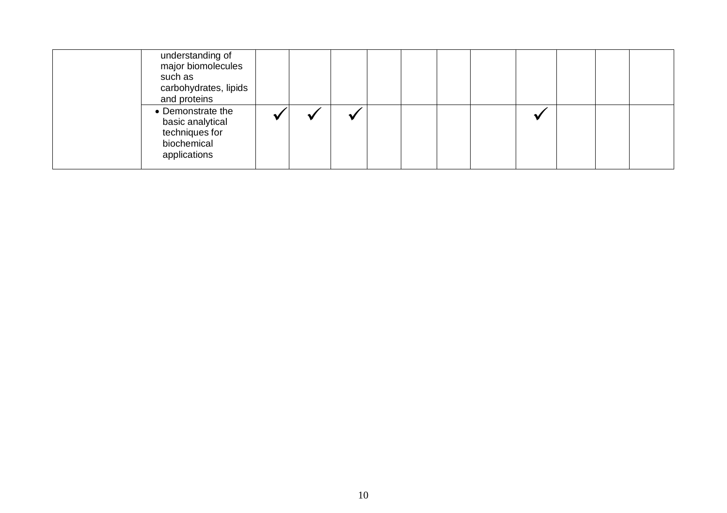| understanding of<br>major biomolecules<br>such as<br>carbohydrates, lipids<br>and proteins |  |  |  |  |  |  |
|--------------------------------------------------------------------------------------------|--|--|--|--|--|--|
| • Demonstrate the<br>basic analytical<br>techniques for<br>biochemical<br>applications     |  |  |  |  |  |  |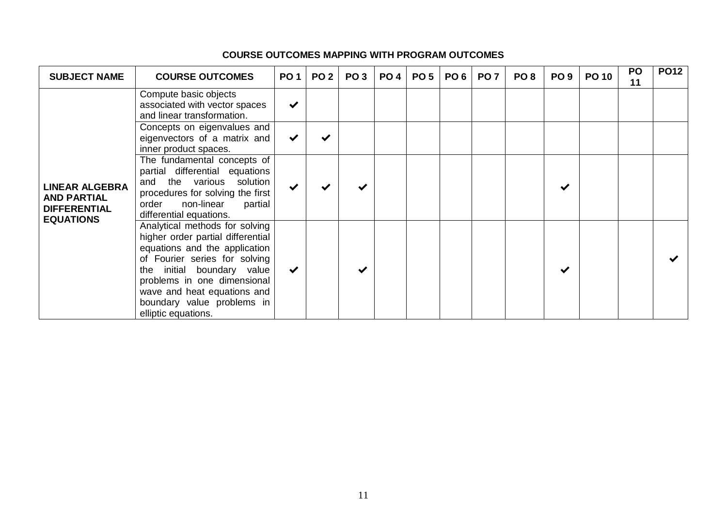| <b>SUBJECT NAME</b>                                                                    | <b>COURSE OUTCOMES</b>                                                                                                                                                                                                                                                                 | <b>PO1</b>   | PO <sub>2</sub> | PO <sub>3</sub> | PO <sub>4</sub> | <b>PO 5</b> | PO <sub>6</sub> | <b>PO 7</b> | PO <sub>8</sub> | PO <sub>9</sub> | <b>PO 10</b> | <b>PO</b><br>11 | <b>PO12</b> |
|----------------------------------------------------------------------------------------|----------------------------------------------------------------------------------------------------------------------------------------------------------------------------------------------------------------------------------------------------------------------------------------|--------------|-----------------|-----------------|-----------------|-------------|-----------------|-------------|-----------------|-----------------|--------------|-----------------|-------------|
|                                                                                        | Compute basic objects<br>associated with vector spaces<br>and linear transformation.                                                                                                                                                                                                   | $\checkmark$ |                 |                 |                 |             |                 |             |                 |                 |              |                 |             |
|                                                                                        | Concepts on eigenvalues and<br>eigenvectors of a matrix and<br>inner product spaces.                                                                                                                                                                                                   | $\checkmark$ |                 |                 |                 |             |                 |             |                 |                 |              |                 |             |
| <b>LINEAR ALGEBRA</b><br><b>AND PARTIAL</b><br><b>DIFFERENTIAL</b><br><b>EQUATIONS</b> | The fundamental concepts of<br>partial differential equations<br>and the various<br>solution<br>procedures for solving the first<br>non-linear<br>order<br>partial<br>differential equations.                                                                                          |              |                 |                 |                 |             |                 |             |                 |                 |              |                 |             |
|                                                                                        | Analytical methods for solving<br>higher order partial differential<br>equations and the application<br>of Fourier series for solving<br>the initial boundary value<br>problems in one dimensional<br>wave and heat equations and<br>boundary value problems in<br>elliptic equations. | $\checkmark$ |                 |                 |                 |             |                 |             |                 |                 |              |                 |             |

### **COURSE OUTCOMES MAPPING WITH PROGRAM OUTCOMES**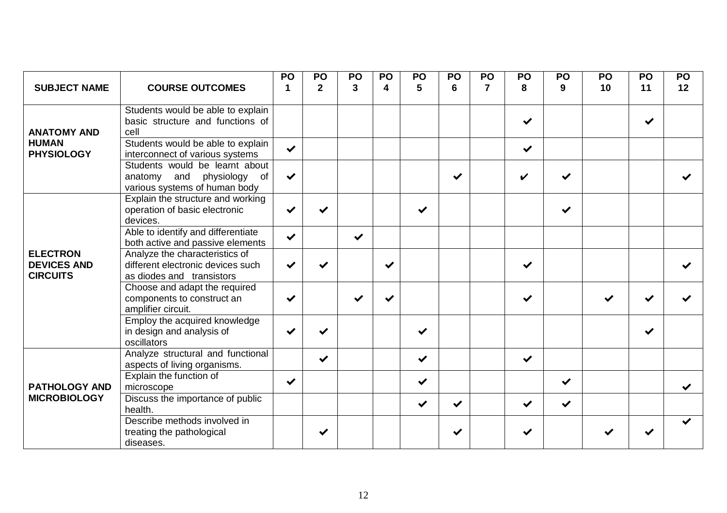|                                                          |                                                                                                    | PO           | PO           | PO           | PO               | PO           | PO           | PO | PO                 | PO           | PO | PO           | PO |
|----------------------------------------------------------|----------------------------------------------------------------------------------------------------|--------------|--------------|--------------|------------------|--------------|--------------|----|--------------------|--------------|----|--------------|----|
| <b>SUBJECT NAME</b>                                      | <b>COURSE OUTCOMES</b>                                                                             |              | $\mathbf 2$  | 3            | $\boldsymbol{4}$ | 5            | 6            | 7  | 8                  | 9            | 10 | 11           | 12 |
| <b>ANATOMY AND</b>                                       | Students would be able to explain<br>basic structure and functions of<br>cell                      |              |              |              |                  |              |              |    | $\checkmark$       |              |    | $\checkmark$ |    |
| <b>HUMAN</b><br><b>PHYSIOLOGY</b>                        | Students would be able to explain<br>interconnect of various systems                               | $\checkmark$ |              |              |                  |              |              |    | $\checkmark$       |              |    |              |    |
|                                                          | Students would be learnt about<br>and physiology<br>of<br>anatomy<br>various systems of human body | $\checkmark$ |              |              |                  |              | ✔            |    | $\boldsymbol{\nu}$ | $\checkmark$ |    |              |    |
|                                                          | Explain the structure and working<br>operation of basic electronic<br>devices.                     | ✔            |              |              |                  | $\checkmark$ |              |    |                    | $\checkmark$ |    |              |    |
|                                                          | Able to identify and differentiate<br>both active and passive elements                             | $\checkmark$ |              | $\checkmark$ |                  |              |              |    |                    |              |    |              |    |
| <b>ELECTRON</b><br><b>DEVICES AND</b><br><b>CIRCUITS</b> | Analyze the characteristics of<br>different electronic devices such<br>as diodes and transistors   |              |              |              | ✔                |              |              |    | $\checkmark$       |              |    |              |    |
|                                                          | Choose and adapt the required<br>components to construct an<br>amplifier circuit.                  | ✔            |              | $\checkmark$ | ✔                |              |              |    | ✔                  |              | ✔  |              |    |
|                                                          | Employ the acquired knowledge<br>in design and analysis of<br>oscillators                          |              | $\checkmark$ |              |                  | $\checkmark$ |              |    |                    |              |    | $\checkmark$ |    |
|                                                          | Analyze structural and functional<br>aspects of living organisms.                                  |              | $\checkmark$ |              |                  | $\checkmark$ |              |    | $\checkmark$       |              |    |              |    |
| <b>PATHOLOGY AND</b>                                     | Explain the function of<br>microscope                                                              | $\checkmark$ |              |              |                  | $\checkmark$ |              |    |                    | $\checkmark$ |    |              | ✔  |
| <b>MICROBIOLOGY</b>                                      | Discuss the importance of public<br>health.                                                        |              |              |              |                  | $\checkmark$ | $\checkmark$ |    | ✔                  | $\checkmark$ |    |              |    |
|                                                          | Describe methods involved in<br>treating the pathological<br>diseases.                             |              | ✔            |              |                  |              | ✔            |    | ✔                  |              |    |              |    |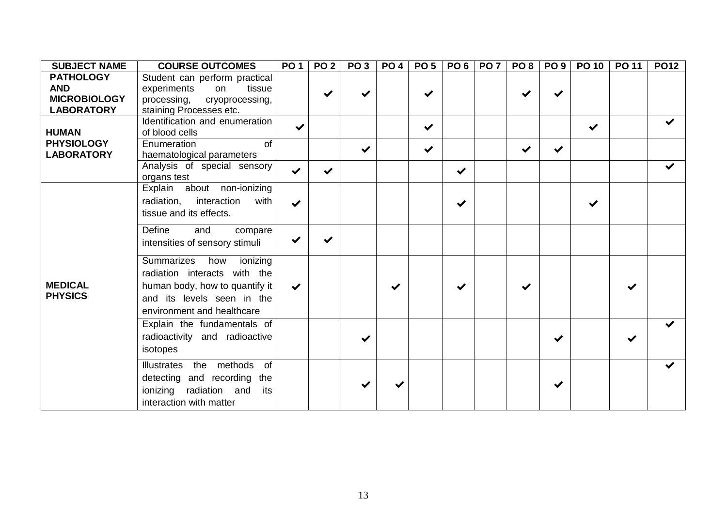| <b>SUBJECT NAME</b> | <b>COURSE OUTCOMES</b>               | PO 1                 | PO <sub>2</sub> | PO <sub>3</sub> | <b>PO 4</b> | PO <sub>5</sub> | PO <sub>6</sub> | <b>PO 7</b> | PO <sub>8</sub> | PO <sub>9</sub> | <b>PO 10</b> | <b>PO 11</b> | <b>PO12</b>          |
|---------------------|--------------------------------------|----------------------|-----------------|-----------------|-------------|-----------------|-----------------|-------------|-----------------|-----------------|--------------|--------------|----------------------|
| <b>PATHOLOGY</b>    | Student can perform practical        |                      |                 |                 |             |                 |                 |             |                 |                 |              |              |                      |
| <b>AND</b>          | tissue<br>experiments<br>on          |                      |                 |                 |             | $\checkmark$    |                 |             |                 | $\checkmark$    |              |              |                      |
| <b>MICROBIOLOGY</b> | processing, cryoprocessing,          |                      |                 |                 |             |                 |                 |             |                 |                 |              |              |                      |
| <b>LABORATORY</b>   | staining Processes etc.              |                      |                 |                 |             |                 |                 |             |                 |                 |              |              |                      |
|                     | Identification and enumeration       | $\checkmark$         |                 |                 |             | $\checkmark$    |                 |             |                 |                 | $\checkmark$ |              | ✔                    |
| <b>HUMAN</b>        | of blood cells                       |                      |                 |                 |             |                 |                 |             |                 |                 |              |              |                      |
| <b>PHYSIOLOGY</b>   | $\overline{of}$<br>Enumeration       |                      |                 |                 |             | $\checkmark$    |                 |             | $\checkmark$    | $\checkmark$    |              |              |                      |
| <b>LABORATORY</b>   | haematological parameters            |                      |                 |                 |             |                 |                 |             |                 |                 |              |              |                      |
|                     | Analysis of special sensory          | $\blacktriangledown$ |                 |                 |             |                 | $\checkmark$    |             |                 |                 |              |              | $\checkmark$         |
|                     | organs test                          |                      |                 |                 |             |                 |                 |             |                 |                 |              |              |                      |
|                     | Explain about non-ionizing           |                      |                 |                 |             |                 |                 |             |                 |                 |              |              |                      |
|                     | radiation,<br>interaction<br>with    | $\checkmark$         |                 |                 |             |                 | $\checkmark$    |             |                 |                 | ✔            |              |                      |
|                     | tissue and its effects.              |                      |                 |                 |             |                 |                 |             |                 |                 |              |              |                      |
|                     | Define<br>and<br>compare             |                      |                 |                 |             |                 |                 |             |                 |                 |              |              |                      |
|                     | intensities of sensory stimuli       | ✔                    |                 |                 |             |                 |                 |             |                 |                 |              |              |                      |
|                     |                                      |                      |                 |                 |             |                 |                 |             |                 |                 |              |              |                      |
|                     | <b>Summarizes</b><br>ionizing<br>how |                      |                 |                 |             |                 |                 |             |                 |                 |              |              |                      |
|                     | radiation interacts with the         |                      |                 |                 |             |                 |                 |             |                 |                 |              |              |                      |
| <b>MEDICAL</b>      | human body, how to quantify it       | $\checkmark$         |                 |                 |             |                 |                 |             |                 |                 |              | ✔            |                      |
| <b>PHYSICS</b>      | and its levels seen in the           |                      |                 |                 |             |                 |                 |             |                 |                 |              |              |                      |
|                     | environment and healthcare           |                      |                 |                 |             |                 |                 |             |                 |                 |              |              |                      |
|                     |                                      |                      |                 |                 |             |                 |                 |             |                 |                 |              |              |                      |
|                     | Explain the fundamentals of          |                      |                 |                 |             |                 |                 |             |                 |                 |              |              | $\blacktriangledown$ |
|                     | radioactivity and radioactive        |                      |                 |                 |             |                 |                 |             |                 | ✔               |              | ✔            |                      |
|                     | isotopes                             |                      |                 |                 |             |                 |                 |             |                 |                 |              |              |                      |
|                     | the methods of<br>Illustrates        |                      |                 |                 |             |                 |                 |             |                 |                 |              |              | $\checkmark$         |
|                     | detecting and recording the          |                      |                 |                 |             |                 |                 |             |                 |                 |              |              |                      |
|                     | its                                  |                      |                 |                 |             |                 |                 |             |                 |                 |              |              |                      |
|                     | ionizing radiation and               |                      |                 |                 |             |                 |                 |             |                 |                 |              |              |                      |
|                     | interaction with matter              |                      |                 |                 |             |                 |                 |             |                 |                 |              |              |                      |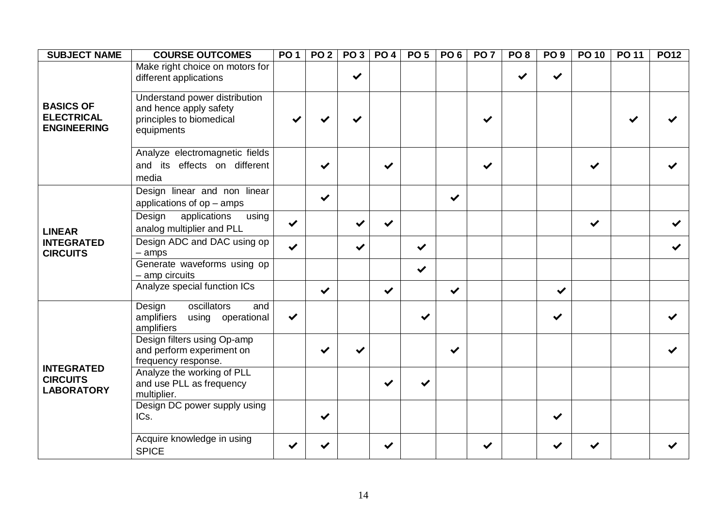| <b>SUBJECT NAME</b>                                         | <b>COURSE OUTCOMES</b>                                                                            | <b>PO1</b>   | <b>PO 2</b>  | PO3          |              | <b>PO 4 PO 5</b> | PO <sub>6</sub> | PO <sub>7</sub> | PO <sub>8</sub> | PO <sub>9</sub> | $\overline{PO10}$ | PO 11 | <b>PO12</b> |
|-------------------------------------------------------------|---------------------------------------------------------------------------------------------------|--------------|--------------|--------------|--------------|------------------|-----------------|-----------------|-----------------|-----------------|-------------------|-------|-------------|
|                                                             | Make right choice on motors for<br>different applications                                         |              |              | $\checkmark$ |              |                  |                 |                 | ✔               | ✔               |                   |       |             |
| <b>BASICS OF</b><br><b>ELECTRICAL</b><br><b>ENGINEERING</b> | Understand power distribution<br>and hence apply safety<br>principles to biomedical<br>equipments |              |              |              |              |                  |                 | ✔               |                 |                 |                   |       |             |
|                                                             | Analyze electromagnetic fields<br>and its effects on different<br>media                           |              | $\checkmark$ |              | ✔            |                  |                 | ✔               |                 |                 |                   |       |             |
|                                                             | Design linear and non linear<br>applications of op - amps                                         |              | $\checkmark$ |              |              |                  | $\checkmark$    |                 |                 |                 |                   |       |             |
| <b>LINEAR</b>                                               | applications<br>Design<br>using<br>analog multiplier and PLL                                      | $\checkmark$ |              |              |              |                  |                 |                 |                 |                 | ✔                 |       |             |
| <b>INTEGRATED</b><br><b>CIRCUITS</b>                        | Design ADC and DAC using op<br>$-$ amps                                                           | $\checkmark$ |              | ✔            |              | $\checkmark$     |                 |                 |                 |                 |                   |       |             |
|                                                             | Generate waveforms using op<br>- amp circuits                                                     |              |              |              |              | $\checkmark$     |                 |                 |                 |                 |                   |       |             |
|                                                             | Analyze special function ICs                                                                      |              | $\checkmark$ |              | $\checkmark$ |                  | $\checkmark$    |                 |                 | $\checkmark$    |                   |       |             |
|                                                             | oscillators<br>Design<br>and<br>amplifiers<br>using operational<br>amplifiers                     | $\checkmark$ |              |              |              | ✔                |                 |                 |                 | ✔               |                   |       |             |
|                                                             | Design filters using Op-amp<br>and perform experiment on<br>frequency response.                   |              |              |              |              |                  | ✔               |                 |                 |                 |                   |       |             |
| <b>INTEGRATED</b><br><b>CIRCUITS</b><br><b>LABORATORY</b>   | Analyze the working of PLL<br>and use PLL as frequency<br>multiplier.                             |              |              |              | ✔            |                  |                 |                 |                 |                 |                   |       |             |
|                                                             | Design DC power supply using<br>ICs.                                                              |              |              |              |              |                  |                 |                 |                 | ✔               |                   |       |             |
|                                                             | Acquire knowledge in using<br><b>SPICE</b>                                                        |              |              |              | ✔            |                  |                 | $\checkmark$    |                 |                 |                   |       |             |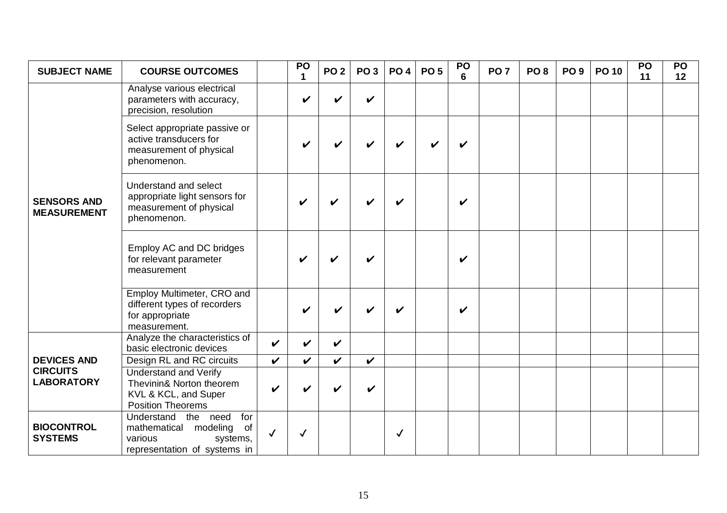| <b>SUBJECT NAME</b>                      | <b>COURSE OUTCOMES</b>                                                                                              |              | PO<br>$\mathbf 1$  | <b>PO 2</b>        | PO <sub>3</sub>    | <b>PO4</b> | <b>PO 5</b> | PO<br>$6\phantom{a}$ | PO <sub>7</sub> | PO <sub>8</sub> | PO <sub>9</sub> | <b>PO 10</b> | PO<br>11 | <b>PO</b><br>12 |
|------------------------------------------|---------------------------------------------------------------------------------------------------------------------|--------------|--------------------|--------------------|--------------------|------------|-------------|----------------------|-----------------|-----------------|-----------------|--------------|----------|-----------------|
|                                          | Analyse various electrical<br>parameters with accuracy,<br>precision, resolution                                    |              | V                  | V                  | $\boldsymbol{\nu}$ |            |             |                      |                 |                 |                 |              |          |                 |
|                                          | Select appropriate passive or<br>active transducers for<br>measurement of physical<br>phenomenon.                   |              |                    | V                  |                    |            |             | V                    |                 |                 |                 |              |          |                 |
| <b>SENSORS AND</b><br><b>MEASUREMENT</b> | Understand and select<br>appropriate light sensors for<br>measurement of physical<br>phenomenon.                    |              | $\boldsymbol{\nu}$ | V                  | ı                  | ✔          |             | V                    |                 |                 |                 |              |          |                 |
|                                          | Employ AC and DC bridges<br>for relevant parameter<br>measurement                                                   |              | V                  | V                  | ✔                  |            |             | V                    |                 |                 |                 |              |          |                 |
|                                          | Employ Multimeter, CRO and<br>different types of recorders<br>for appropriate<br>measurement.                       |              |                    | V                  |                    | ✔          |             | V                    |                 |                 |                 |              |          |                 |
|                                          | Analyze the characteristics of<br>basic electronic devices                                                          | $\checkmark$ | V                  | $\boldsymbol{\nu}$ |                    |            |             |                      |                 |                 |                 |              |          |                 |
| <b>DEVICES AND</b>                       | Design RL and RC circuits                                                                                           | V            | $\boldsymbol{\nu}$ | $\checkmark$       | $\boldsymbol{\nu}$ |            |             |                      |                 |                 |                 |              |          |                 |
| <b>CIRCUITS</b><br><b>LABORATORY</b>     | <b>Understand and Verify</b><br>Thevinin& Norton theorem<br>KVL & KCL, and Super<br><b>Position Theorems</b>        | V            |                    | V                  | ✓                  |            |             |                      |                 |                 |                 |              |          |                 |
| <b>BIOCONTROL</b><br><b>SYSTEMS</b>      | Understand the need<br>for<br>modeling<br>of<br>mathematical<br>various<br>systems,<br>representation of systems in | $\checkmark$ | $\checkmark$       |                    |                    | ✓          |             |                      |                 |                 |                 |              |          |                 |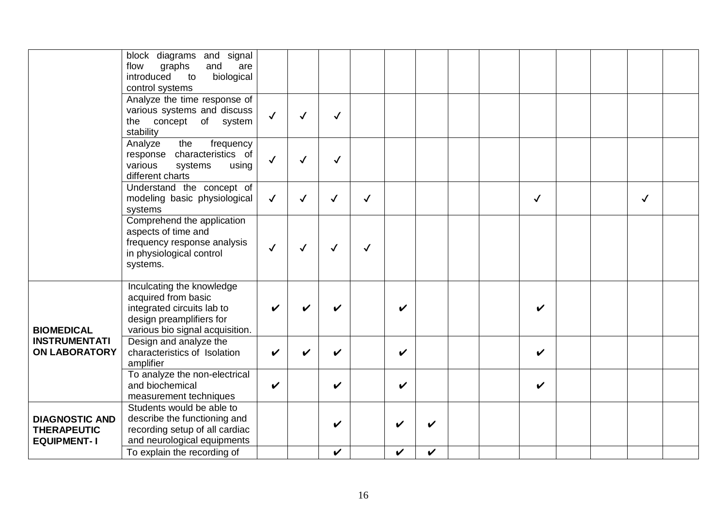|                                                                   | block diagrams and signal<br>flow<br>graphs<br>and<br>are<br>introduced<br>biological<br>to<br>control systems                                |              |              |              |              |              |   |  |              |  |              |  |
|-------------------------------------------------------------------|-----------------------------------------------------------------------------------------------------------------------------------------------|--------------|--------------|--------------|--------------|--------------|---|--|--------------|--|--------------|--|
|                                                                   | Analyze the time response of<br>various systems and discuss<br>the concept of system<br>stability                                             | $\checkmark$ | ✓            | $\checkmark$ |              |              |   |  |              |  |              |  |
|                                                                   | frequency<br>Analyze<br>the<br>response characteristics of<br>various<br>systems<br>using<br>different charts                                 | $\checkmark$ | ✓            | ✓            |              |              |   |  |              |  |              |  |
|                                                                   | Understand the concept of<br>modeling basic physiological<br>systems                                                                          | $\checkmark$ | $\checkmark$ | $\checkmark$ | $\checkmark$ |              |   |  | $\checkmark$ |  | $\checkmark$ |  |
|                                                                   | Comprehend the application<br>aspects of time and<br>frequency response analysis<br>in physiological control<br>systems.                      | $\checkmark$ | $\checkmark$ | $\checkmark$ | $\checkmark$ |              |   |  |              |  |              |  |
| <b>BIOMEDICAL</b>                                                 | Inculcating the knowledge<br>acquired from basic<br>integrated circuits lab to<br>design preamplifiers for<br>various bio signal acquisition. | ✔            |              | V            |              | V            |   |  | $\checkmark$ |  |              |  |
| <b>INSTRUMENTATI</b><br><b>ON LABORATORY</b>                      | Design and analyze the<br>characteristics of Isolation<br>amplifier                                                                           | V            |              | $\checkmark$ |              | V            |   |  | V            |  |              |  |
|                                                                   | To analyze the non-electrical<br>and biochemical<br>measurement techniques                                                                    | $\checkmark$ |              | V            |              | V            |   |  | V            |  |              |  |
| <b>DIAGNOSTIC AND</b><br><b>THERAPEUTIC</b><br><b>EQUIPMENT-1</b> | Students would be able to<br>describe the functioning and<br>recording setup of all cardiac<br>and neurological equipments                    |              |              | V            |              | V            |   |  |              |  |              |  |
|                                                                   | To explain the recording of                                                                                                                   |              |              | $\checkmark$ |              | $\checkmark$ | V |  |              |  |              |  |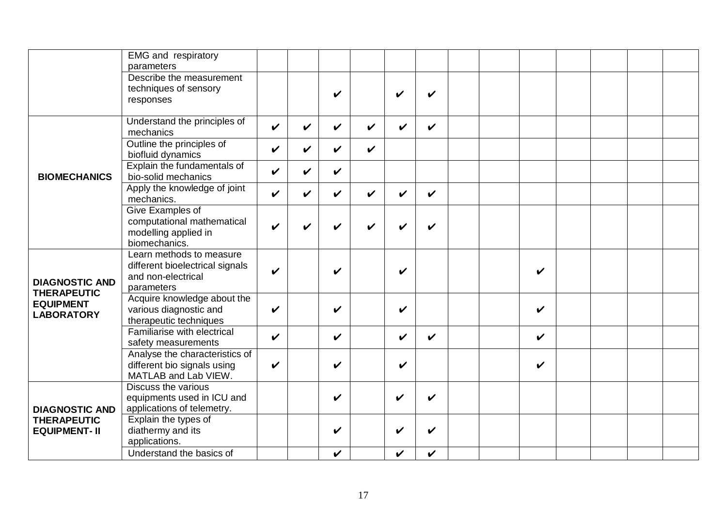|                       | <b>EMG</b> and respiratory                         |                    |                    |              |   |                            |                    |  |              |  |  |
|-----------------------|----------------------------------------------------|--------------------|--------------------|--------------|---|----------------------------|--------------------|--|--------------|--|--|
|                       | parameters<br>Describe the measurement             |                    |                    |              |   |                            |                    |  |              |  |  |
|                       | techniques of sensory                              |                    |                    |              |   |                            |                    |  |              |  |  |
|                       | responses                                          |                    |                    | V            |   | V                          | ✔                  |  |              |  |  |
|                       |                                                    |                    |                    |              |   |                            |                    |  |              |  |  |
|                       | Understand the principles of<br>mechanics          | $\checkmark$       | $\boldsymbol{\nu}$ | V            | V | V                          | ✔                  |  |              |  |  |
|                       | Outline the principles of<br>biofluid dynamics     | V                  | V                  | $\checkmark$ | V |                            |                    |  |              |  |  |
| <b>BIOMECHANICS</b>   | Explain the fundamentals of<br>bio-solid mechanics | V                  | V                  | $\checkmark$ |   |                            |                    |  |              |  |  |
|                       | Apply the knowledge of joint<br>mechanics.         | $\boldsymbol{\nu}$ | V                  | V            | V | V                          | ✔                  |  |              |  |  |
|                       | <b>Give Examples of</b>                            |                    |                    |              |   |                            |                    |  |              |  |  |
|                       | computational mathematical                         | V                  |                    | V            | ✔ | V                          | ✔                  |  |              |  |  |
|                       | modelling applied in<br>biomechanics.              |                    |                    |              |   |                            |                    |  |              |  |  |
|                       | Learn methods to measure                           |                    |                    |              |   |                            |                    |  |              |  |  |
|                       | different bioelectrical signals                    |                    |                    |              |   |                            |                    |  |              |  |  |
| <b>DIAGNOSTIC AND</b> | and non-electrical                                 | $\boldsymbol{\nu}$ |                    | V            |   | V                          |                    |  | V            |  |  |
| <b>THERAPEUTIC</b>    | parameters                                         |                    |                    |              |   |                            |                    |  |              |  |  |
| <b>EQUIPMENT</b>      | Acquire knowledge about the                        |                    |                    |              |   |                            |                    |  |              |  |  |
| <b>LABORATORY</b>     | various diagnostic and<br>therapeutic techniques   | $\checkmark$       |                    | V            |   | V                          |                    |  | V            |  |  |
|                       | Familiarise with electrical                        |                    |                    |              |   |                            |                    |  |              |  |  |
|                       | safety measurements                                | $\checkmark$       |                    | $\checkmark$ |   | $\checkmark$               | $\boldsymbol{\nu}$ |  | $\checkmark$ |  |  |
|                       | Analyse the characteristics of                     |                    |                    |              |   |                            |                    |  |              |  |  |
|                       | different bio signals using                        | V                  |                    | V            |   | V                          |                    |  | V            |  |  |
|                       | MATLAB and Lab VIEW.                               |                    |                    |              |   |                            |                    |  |              |  |  |
|                       | Discuss the various<br>equipments used in ICU and  |                    |                    | V            |   | V                          | $\boldsymbol{\nu}$ |  |              |  |  |
| <b>DIAGNOSTIC AND</b> | applications of telemetry.                         |                    |                    |              |   |                            |                    |  |              |  |  |
| <b>THERAPEUTIC</b>    | Explain the types of                               |                    |                    |              |   |                            |                    |  |              |  |  |
| <b>EQUIPMENT-II</b>   | diathermy and its                                  |                    |                    | V            |   | V                          | V                  |  |              |  |  |
|                       | applications.                                      |                    |                    |              |   |                            |                    |  |              |  |  |
|                       | Understand the basics of                           |                    |                    | $\checkmark$ |   | $\boldsymbol{\mathcal{U}}$ | V                  |  |              |  |  |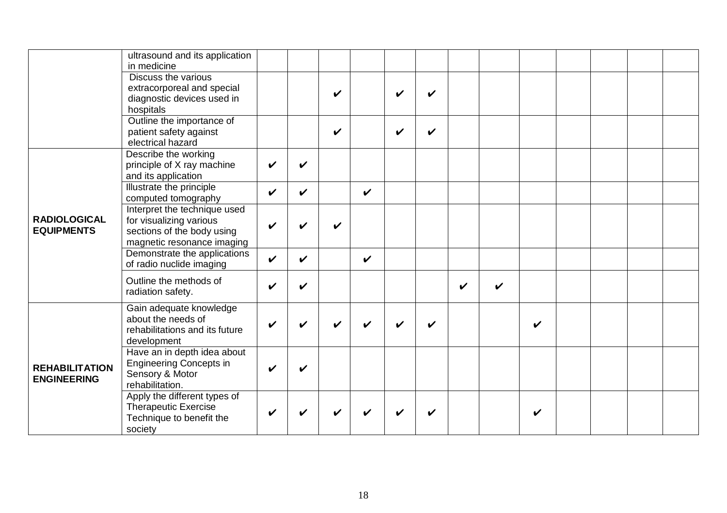|                                             | ultrasound and its application                                                                                      |                    |              |   |                    |   |   |              |   |   |  |  |
|---------------------------------------------|---------------------------------------------------------------------------------------------------------------------|--------------------|--------------|---|--------------------|---|---|--------------|---|---|--|--|
|                                             | in medicine<br>Discuss the various                                                                                  |                    |              |   |                    |   |   |              |   |   |  |  |
|                                             | extracorporeal and special<br>diagnostic devices used in<br>hospitals                                               |                    |              | V |                    | ✓ | ✔ |              |   |   |  |  |
|                                             | Outline the importance of<br>patient safety against<br>electrical hazard                                            |                    |              | V |                    | ✔ | V |              |   |   |  |  |
|                                             | Describe the working<br>principle of X ray machine<br>and its application                                           | ✔                  | V            |   |                    |   |   |              |   |   |  |  |
|                                             | Illustrate the principle<br>computed tomography                                                                     | V                  | $\checkmark$ |   | $\boldsymbol{\nu}$ |   |   |              |   |   |  |  |
| <b>RADIOLOGICAL</b><br><b>EQUIPMENTS</b>    | Interpret the technique used<br>for visualizing various<br>sections of the body using<br>magnetic resonance imaging | ✔                  | V            | ✔ |                    |   |   |              |   |   |  |  |
|                                             | Demonstrate the applications<br>of radio nuclide imaging                                                            | $\boldsymbol{\nu}$ | V            |   | $\boldsymbol{\nu}$ |   |   |              |   |   |  |  |
|                                             | Outline the methods of<br>radiation safety.                                                                         | ✔                  | V            |   |                    |   |   | $\checkmark$ | V |   |  |  |
|                                             | Gain adequate knowledge<br>about the needs of<br>rehabilitations and its future<br>development                      | ✔                  | V            |   |                    |   |   |              |   | V |  |  |
| <b>REHABILITATION</b><br><b>ENGINEERING</b> | Have an in depth idea about<br><b>Engineering Concepts in</b><br>Sensory & Motor<br>rehabilitation.                 | ✔                  | V            |   |                    |   |   |              |   |   |  |  |
|                                             | Apply the different types of<br><b>Therapeutic Exercise</b><br>Technique to benefit the<br>society                  |                    |              |   |                    |   |   |              |   | V |  |  |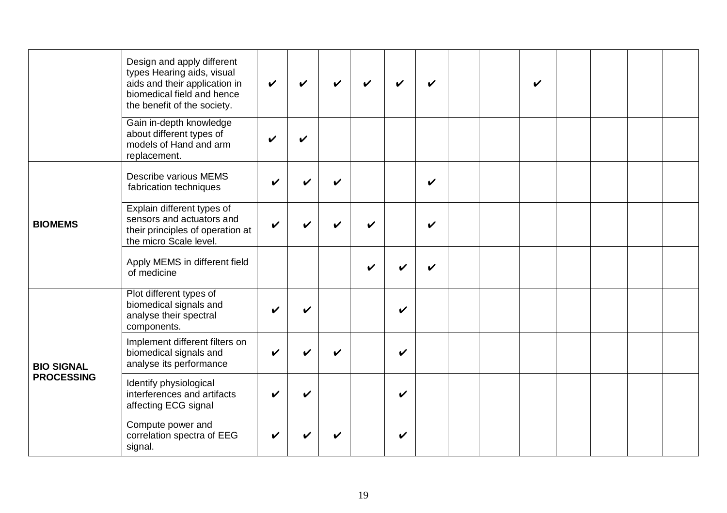|                   | Design and apply different<br>types Hearing aids, visual<br>aids and their application in<br>biomedical field and hence<br>the benefit of the society. | ✓ | $\boldsymbol{\mathcal{U}}$ | $\boldsymbol{\nu}$ | ✔ | ✔ | ✔                  |  | V |  |  |
|-------------------|--------------------------------------------------------------------------------------------------------------------------------------------------------|---|----------------------------|--------------------|---|---|--------------------|--|---|--|--|
|                   | Gain in-depth knowledge<br>about different types of<br>models of Hand and arm<br>replacement.                                                          | V | $\checkmark$               |                    |   |   |                    |  |   |  |  |
|                   | Describe various MEMS<br>fabrication techniques                                                                                                        | V |                            | V                  |   |   | ✔                  |  |   |  |  |
| <b>BIOMEMS</b>    | Explain different types of<br>sensors and actuators and<br>their principles of operation at<br>the micro Scale level.                                  | ✓ |                            | ✔                  |   |   | $\boldsymbol{\nu}$ |  |   |  |  |
|                   | Apply MEMS in different field<br>of medicine                                                                                                           |   |                            |                    |   |   |                    |  |   |  |  |
|                   | Plot different types of<br>biomedical signals and<br>analyse their spectral<br>components.                                                             |   |                            |                    |   | ✔ |                    |  |   |  |  |
| <b>BIO SIGNAL</b> | Implement different filters on<br>biomedical signals and<br>analyse its performance                                                                    | V |                            | V                  |   | V |                    |  |   |  |  |
| <b>PROCESSING</b> | Identify physiological<br>interferences and artifacts<br>affecting ECG signal                                                                          | ✔ |                            |                    |   | V |                    |  |   |  |  |
|                   | Compute power and<br>correlation spectra of EEG<br>signal.                                                                                             |   |                            |                    |   | ✔ |                    |  |   |  |  |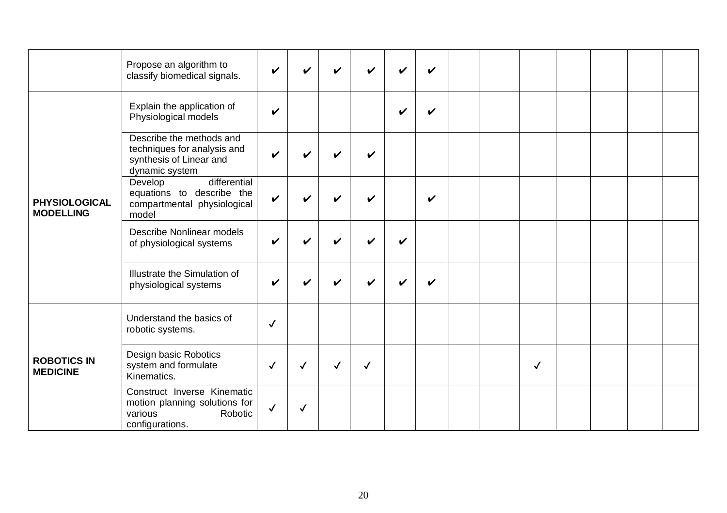|                                          | Propose an algorithm to<br>classify biomedical signals.                                               | ✓                  |              | ✔                  | V            | V                  | ✔ |  |              |  |  |
|------------------------------------------|-------------------------------------------------------------------------------------------------------|--------------------|--------------|--------------------|--------------|--------------------|---|--|--------------|--|--|
|                                          | Explain the application of<br>Physiological models                                                    | $\boldsymbol{\nu}$ |              |                    |              | V                  | ✔ |  |              |  |  |
|                                          | Describe the methods and<br>techniques for analysis and<br>synthesis of Linear and<br>dynamic system  | V                  |              | ✔                  |              |                    |   |  |              |  |  |
| <b>PHYSIOLOGICAL</b><br><b>MODELLING</b> | differential<br>Develop<br>equations to describe the<br>compartmental physiological<br>model          | $\checkmark$       |              | V                  |              |                    | V |  |              |  |  |
|                                          | Describe Nonlinear models<br>of physiological systems                                                 | V                  |              | $\boldsymbol{\nu}$ |              | $\boldsymbol{\nu}$ |   |  |              |  |  |
|                                          | Illustrate the Simulation of<br>physiological systems                                                 | $\mathbf v$        |              |                    |              | V                  |   |  |              |  |  |
|                                          | Understand the basics of<br>robotic systems.                                                          | $\checkmark$       |              |                    |              |                    |   |  |              |  |  |
| <b>ROBOTICS IN</b><br><b>MEDICINE</b>    | Design basic Robotics<br>system and formulate<br>Kinematics.                                          | $\checkmark$       | $\checkmark$ | ✓                  | $\checkmark$ |                    |   |  | $\checkmark$ |  |  |
|                                          | Construct Inverse Kinematic<br>motion planning solutions for<br>Robotic<br>various<br>configurations. | $\checkmark$       | $\checkmark$ |                    |              |                    |   |  |              |  |  |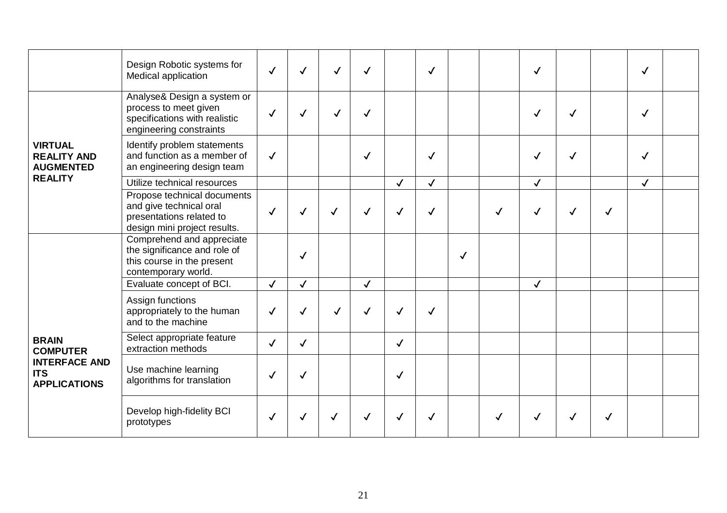|                                                           | Design Robotic systems for<br>Medical application                                                                  | $\checkmark$ | $\checkmark$ | √            | $\checkmark$ |              | $\checkmark$ |              |   | $\checkmark$ |              |              | $\checkmark$ |  |
|-----------------------------------------------------------|--------------------------------------------------------------------------------------------------------------------|--------------|--------------|--------------|--------------|--------------|--------------|--------------|---|--------------|--------------|--------------|--------------|--|
|                                                           | Analyse& Design a system or<br>process to meet given<br>specifications with realistic<br>engineering constraints   | $\checkmark$ | $\checkmark$ | $\checkmark$ | $\checkmark$ |              |              |              |   | $\checkmark$ | ✓            |              | $\checkmark$ |  |
| <b>VIRTUAL</b><br><b>REALITY AND</b><br><b>AUGMENTED</b>  | Identify problem statements<br>and function as a member of<br>an engineering design team                           | $\checkmark$ |              |              | $\checkmark$ |              | $\checkmark$ |              |   | $\checkmark$ | $\checkmark$ |              | $\checkmark$ |  |
| <b>REALITY</b>                                            | Utilize technical resources                                                                                        |              |              |              |              | $\checkmark$ | $\checkmark$ |              |   | $\checkmark$ |              |              | $\checkmark$ |  |
|                                                           | Propose technical documents<br>and give technical oral<br>presentations related to<br>design mini project results. | $\checkmark$ | $\checkmark$ | ✓            | $\checkmark$ | ✓            | $\checkmark$ |              | ✓ | $\checkmark$ | $\checkmark$ | $\checkmark$ |              |  |
|                                                           | Comprehend and appreciate<br>the significance and role of<br>this course in the present<br>contemporary world.     |              | $\checkmark$ |              |              |              |              | $\checkmark$ |   |              |              |              |              |  |
|                                                           | Evaluate concept of BCI.                                                                                           | $\checkmark$ | $\checkmark$ |              | $\checkmark$ |              |              |              |   | $\checkmark$ |              |              |              |  |
|                                                           | Assign functions<br>appropriately to the human<br>and to the machine                                               | $\checkmark$ | $\checkmark$ | $\checkmark$ | $\checkmark$ | ✓            | $\checkmark$ |              |   |              |              |              |              |  |
| <b>BRAIN</b><br><b>COMPUTER</b>                           | Select appropriate feature<br>extraction methods                                                                   | $\checkmark$ | $\checkmark$ |              |              | $\checkmark$ |              |              |   |              |              |              |              |  |
| <b>INTERFACE AND</b><br><b>ITS</b><br><b>APPLICATIONS</b> | Use machine learning<br>algorithms for translation                                                                 | $\checkmark$ | $\checkmark$ |              |              | $\checkmark$ |              |              |   |              |              |              |              |  |
|                                                           | Develop high-fidelity BCI<br>prototypes                                                                            | $\checkmark$ | $\checkmark$ |              |              |              |              |              | ✓ | $\checkmark$ | ✓            | √            |              |  |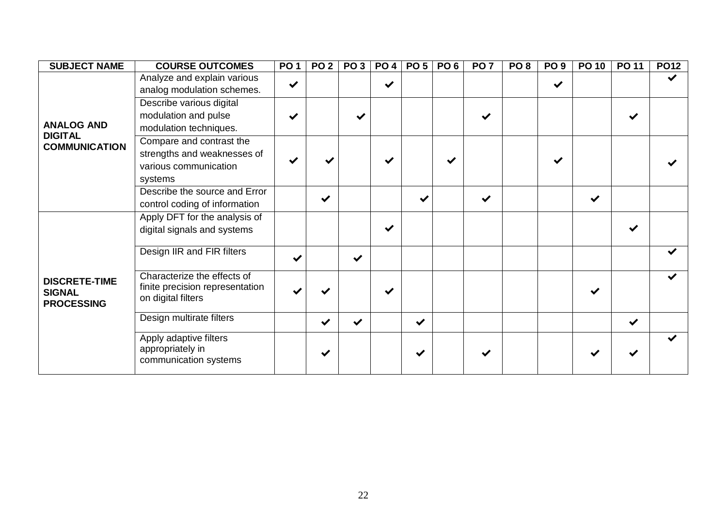| <b>SUBJECT NAME</b>                                        | <b>COURSE OUTCOMES</b>                                                               | <b>PO1</b>   | PO <sub>2</sub> | PO <sub>3</sub> | <b>PO 4</b>  | PO <sub>5</sub> | PO <sub>6</sub> | PO <sub>7</sub> | PO <sub>8</sub> | PO <sub>9</sub> | <b>PO 10</b> | <b>PO 11</b> | <b>PO12</b>          |
|------------------------------------------------------------|--------------------------------------------------------------------------------------|--------------|-----------------|-----------------|--------------|-----------------|-----------------|-----------------|-----------------|-----------------|--------------|--------------|----------------------|
|                                                            | Analyze and explain various                                                          | $\checkmark$ |                 |                 | $\checkmark$ |                 |                 |                 |                 |                 |              |              | $\blacktriangledown$ |
|                                                            | analog modulation schemes.                                                           |              |                 |                 |              |                 |                 |                 |                 | $\checkmark$    |              |              |                      |
|                                                            | Describe various digital                                                             |              |                 |                 |              |                 |                 |                 |                 |                 |              |              |                      |
|                                                            | modulation and pulse                                                                 | ✔            |                 |                 |              |                 |                 | ✔               |                 |                 |              | $\checkmark$ |                      |
| <b>ANALOG AND</b>                                          | modulation techniques.                                                               |              |                 |                 |              |                 |                 |                 |                 |                 |              |              |                      |
| <b>DIGITAL</b><br><b>COMMUNICATION</b>                     | Compare and contrast the                                                             |              |                 |                 |              |                 |                 |                 |                 |                 |              |              |                      |
|                                                            | strengths and weaknesses of                                                          |              |                 |                 |              |                 |                 |                 |                 |                 |              |              |                      |
|                                                            | various communication                                                                |              |                 |                 |              |                 |                 |                 |                 |                 |              |              |                      |
|                                                            | systems                                                                              |              |                 |                 |              |                 |                 |                 |                 |                 |              |              |                      |
|                                                            | Describe the source and Error                                                        |              |                 |                 |              |                 |                 |                 |                 |                 |              |              |                      |
|                                                            | control coding of information                                                        |              | $\checkmark$    |                 |              | $\checkmark$    |                 | $\checkmark$    |                 |                 | $\checkmark$ |              |                      |
|                                                            | Apply DFT for the analysis of                                                        |              |                 |                 |              |                 |                 |                 |                 |                 |              |              |                      |
|                                                            | digital signals and systems                                                          |              |                 |                 | ✔            |                 |                 |                 |                 |                 |              | $\checkmark$ |                      |
|                                                            |                                                                                      |              |                 |                 |              |                 |                 |                 |                 |                 |              |              |                      |
|                                                            | Design IIR and FIR filters                                                           | $\checkmark$ |                 | $\checkmark$    |              |                 |                 |                 |                 |                 |              |              | $\checkmark$         |
| <b>DISCRETE-TIME</b><br><b>SIGNAL</b><br><b>PROCESSING</b> | Characterize the effects of<br>finite precision representation<br>on digital filters |              |                 |                 | ✔            |                 |                 |                 |                 |                 | ✔            |              | $\blacktriangledown$ |
|                                                            | Design multirate filters                                                             |              | $\checkmark$    | $\checkmark$    |              | $\checkmark$    |                 |                 |                 |                 |              | $\checkmark$ |                      |
|                                                            | Apply adaptive filters<br>appropriately in<br>communication systems                  |              | $\checkmark$    |                 |              |                 |                 |                 |                 |                 |              |              | $\blacktriangledown$ |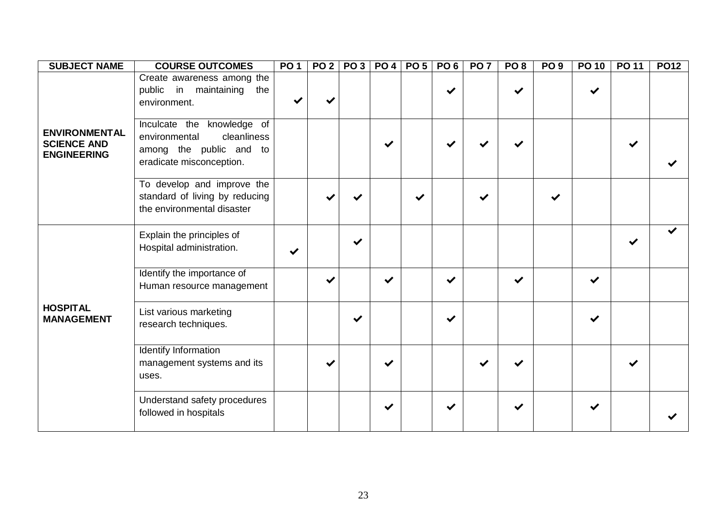| <b>SUBJECT NAME</b>                                              | <b>COURSE OUTCOMES</b>                                                                                            | PO <sub>1</sub> | PO <sub>2</sub> | <b>PO3</b>   | <b>PO 4</b> | PO <sub>5</sub> | PO6 | PO <sub>7</sub> | PO <sub>8</sub> | PO <sub>9</sub> | <b>PO 10</b> | PO 11 | <b>PO12</b> |
|------------------------------------------------------------------|-------------------------------------------------------------------------------------------------------------------|-----------------|-----------------|--------------|-------------|-----------------|-----|-----------------|-----------------|-----------------|--------------|-------|-------------|
|                                                                  | Create awareness among the<br>public in maintaining<br>the<br>environment.                                        |                 |                 |              |             |                 |     |                 |                 |                 |              |       |             |
| <b>ENVIRONMENTAL</b><br><b>SCIENCE AND</b><br><b>ENGINEERING</b> | Inculcate the knowledge of<br>cleanliness<br>environmental<br>among the public and to<br>eradicate misconception. |                 |                 |              |             |                 |     |                 |                 |                 |              | ✔     |             |
|                                                                  | To develop and improve the<br>standard of living by reducing<br>the environmental disaster                        |                 |                 |              |             |                 |     |                 |                 | ✔               |              |       |             |
|                                                                  | Explain the principles of<br>Hospital administration.                                                             |                 |                 | $\checkmark$ |             |                 |     |                 |                 |                 |              | ✔     |             |
|                                                                  | Identify the importance of<br>Human resource management                                                           |                 |                 |              | ✔           |                 | ✔   |                 |                 |                 | $\checkmark$ |       |             |
| <b>HOSPITAL</b><br><b>MANAGEMENT</b>                             | List various marketing<br>research techniques.                                                                    |                 |                 | $\checkmark$ |             |                 |     |                 |                 |                 |              |       |             |
|                                                                  | <b>Identify Information</b><br>management systems and its<br>uses.                                                |                 |                 |              | ✔           |                 |     |                 |                 |                 |              | ✔     |             |
|                                                                  | Understand safety procedures<br>followed in hospitals                                                             |                 |                 |              |             |                 |     |                 |                 |                 |              |       |             |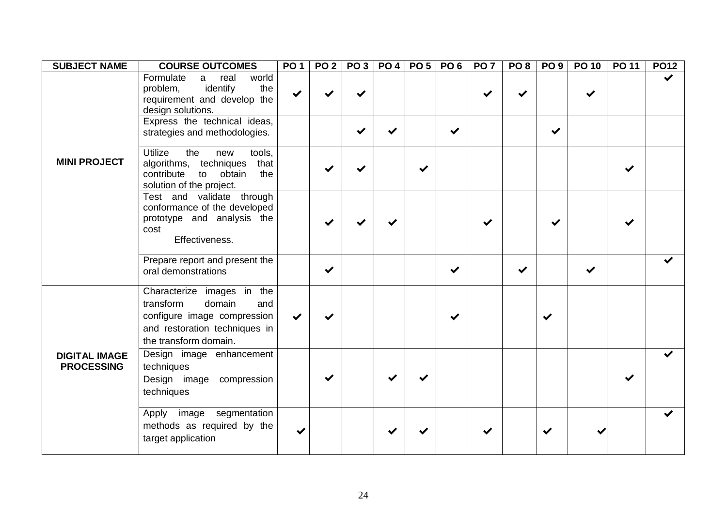| <b>SUBJECT NAME</b>                       | <b>COURSE OUTCOMES</b>                                                                                                                            | PO 1         |   | PO 2   PO 3   PO 4   PO 5 |  | PO <sub>6</sub> | PO <sub>7</sub> | PO <sub>8</sub> | PO <sub>9</sub> | <b>PO 10</b> | <b>PO 11</b> | <b>PO12</b> |
|-------------------------------------------|---------------------------------------------------------------------------------------------------------------------------------------------------|--------------|---|---------------------------|--|-----------------|-----------------|-----------------|-----------------|--------------|--------------|-------------|
|                                           | Formulate<br>real<br>world<br>a<br>identify<br>the<br>problem,<br>requirement and develop the<br>design solutions.                                | ✔            |   |                           |  |                 |                 |                 |                 |              |              |             |
|                                           | Express the technical ideas,<br>strategies and methodologies.                                                                                     |              |   |                           |  | $\checkmark$    |                 |                 | ✔               |              |              |             |
| <b>MINI PROJECT</b>                       | <b>Utilize</b><br>the<br>tools,<br>new<br>algorithms, techniques<br>that<br>contribute<br>to obtain<br>the<br>solution of the project.            |              |   |                           |  |                 |                 |                 |                 |              |              |             |
|                                           | Test and validate through<br>conformance of the developed<br>prototype and analysis the<br>cost<br>Effectiveness.                                 |              |   |                           |  |                 |                 |                 |                 |              |              |             |
|                                           | Prepare report and present the<br>oral demonstrations                                                                                             |              | ✔ |                           |  | ✔               |                 | ✔               |                 |              |              |             |
|                                           | Characterize images in the<br>transform<br>domain<br>and<br>configure image compression<br>and restoration techniques in<br>the transform domain. | $\checkmark$ |   |                           |  |                 |                 |                 | ✔               |              |              |             |
| <b>DIGITAL IMAGE</b><br><b>PROCESSING</b> | Design image enhancement<br>techniques<br>Design image compression<br>techniques                                                                  |              |   |                           |  |                 |                 |                 |                 |              |              |             |
|                                           | Apply image segmentation<br>methods as required by the<br>target application                                                                      |              |   |                           |  |                 |                 |                 |                 |              |              |             |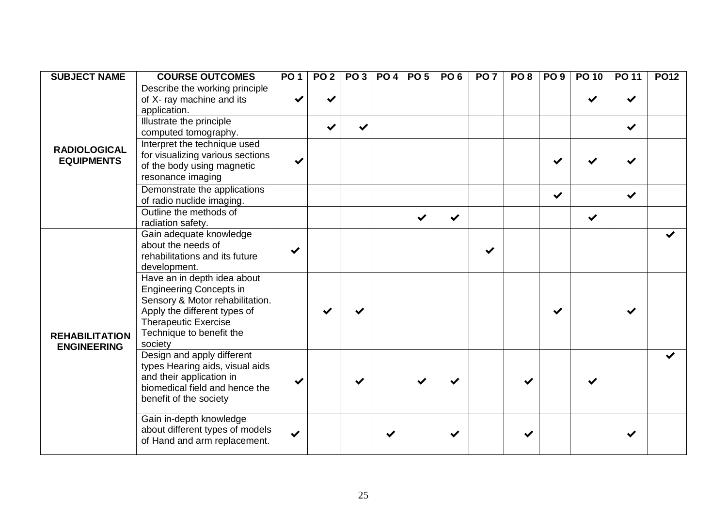| <b>SUBJECT NAME</b>                         | <b>COURSE OUTCOMES</b>                                                                                                                                                                          | <b>PO1</b>   | PO <sub>2</sub> | PO <sub>3</sub> |   | <b>PO 4 PO 5</b>     | PO <sub>6</sub> | PO <sub>7</sub> | PO <sub>8</sub> | PO <sub>9</sub> | <b>PO 10</b> | <b>PO 11</b> | <b>PO12</b> |
|---------------------------------------------|-------------------------------------------------------------------------------------------------------------------------------------------------------------------------------------------------|--------------|-----------------|-----------------|---|----------------------|-----------------|-----------------|-----------------|-----------------|--------------|--------------|-------------|
|                                             | Describe the working principle<br>of X- ray machine and its<br>application.                                                                                                                     |              |                 |                 |   |                      |                 |                 |                 |                 |              |              |             |
|                                             | <b>Illustrate the principle</b><br>computed tomography.                                                                                                                                         |              |                 | ✔               |   |                      |                 |                 |                 |                 |              | $\checkmark$ |             |
| <b>RADIOLOGICAL</b><br><b>EQUIPMENTS</b>    | Interpret the technique used<br>for visualizing various sections<br>of the body using magnetic<br>resonance imaging                                                                             | ✔            |                 |                 |   |                      |                 |                 |                 |                 |              |              |             |
|                                             | Demonstrate the applications<br>of radio nuclide imaging.                                                                                                                                       |              |                 |                 |   |                      |                 |                 |                 | $\checkmark$    |              | ✔            |             |
|                                             | Outline the methods of<br>radiation safety.                                                                                                                                                     |              |                 |                 |   | $\blacktriangledown$ | $\checkmark$    |                 |                 |                 | $\checkmark$ |              |             |
|                                             | Gain adequate knowledge<br>about the needs of<br>rehabilitations and its future<br>development.                                                                                                 | ✔            |                 |                 |   |                      |                 |                 |                 |                 |              |              |             |
| <b>REHABILITATION</b><br><b>ENGINEERING</b> | Have an in depth idea about<br><b>Engineering Concepts in</b><br>Sensory & Motor rehabilitation.<br>Apply the different types of<br>Therapeutic Exercise<br>Technique to benefit the<br>society |              |                 |                 |   |                      |                 |                 |                 |                 |              |              |             |
|                                             | Design and apply different<br>types Hearing aids, visual aids<br>and their application in<br>biomedical field and hence the<br>benefit of the society                                           |              |                 |                 |   |                      |                 |                 |                 |                 |              |              |             |
|                                             | Gain in-depth knowledge<br>about different types of models<br>of Hand and arm replacement.                                                                                                      | $\checkmark$ |                 |                 | ✔ |                      |                 |                 |                 |                 |              |              |             |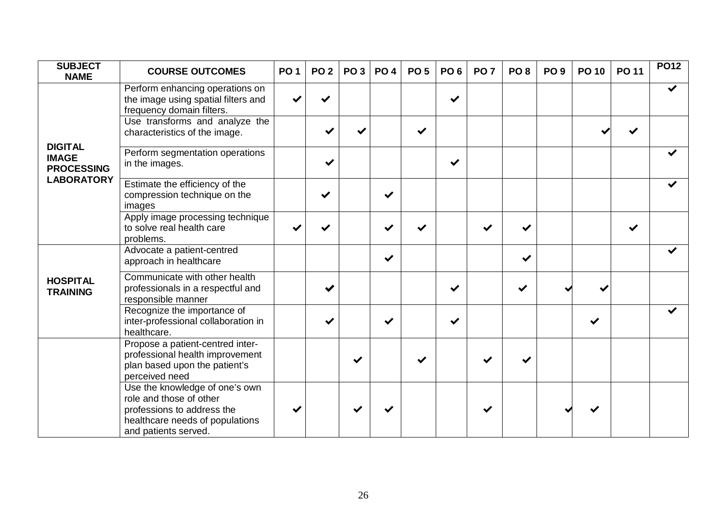| <b>SUBJECT</b><br><b>NAME</b>                       | <b>COURSE OUTCOMES</b>                                                                                                                             | <b>PO1</b> | <b>PO 2</b> | PO <sub>3</sub> | <b>PO 4</b>  | <b>PO 5</b> | PO <sub>6</sub> | PO <sub>7</sub> | PO <sub>8</sub> | PO <sub>9</sub> | <b>PO 10</b> | <b>PO 11</b> | <b>PO12</b> |
|-----------------------------------------------------|----------------------------------------------------------------------------------------------------------------------------------------------------|------------|-------------|-----------------|--------------|-------------|-----------------|-----------------|-----------------|-----------------|--------------|--------------|-------------|
|                                                     | Perform enhancing operations on<br>the image using spatial filters and<br>frequency domain filters.                                                |            |             |                 |              |             | ✔               |                 |                 |                 |              |              |             |
|                                                     | Use transforms and analyze the<br>characteristics of the image.                                                                                    |            |             |                 |              | ✔           |                 |                 |                 |                 |              |              |             |
| <b>DIGITAL</b><br><b>IMAGE</b><br><b>PROCESSING</b> | Perform segmentation operations<br>in the images.                                                                                                  |            |             |                 |              |             | $\checkmark$    |                 |                 |                 |              |              |             |
| <b>LABORATORY</b>                                   | Estimate the efficiency of the<br>compression technique on the<br>images                                                                           |            | ✔           |                 | ✔            |             |                 |                 |                 |                 |              |              |             |
|                                                     | Apply image processing technique<br>to solve real health care<br>problems.                                                                         |            |             |                 | ✔            | ✔           |                 | ✔               |                 |                 |              | $\checkmark$ |             |
|                                                     | Advocate a patient-centred<br>approach in healthcare                                                                                               |            |             |                 | $\checkmark$ |             |                 |                 | ✔               |                 |              |              |             |
| <b>HOSPITAL</b><br><b>TRAINING</b>                  | Communicate with other health<br>professionals in a respectful and<br>responsible manner                                                           |            |             |                 |              |             | ✔               |                 | ✔               |                 |              |              |             |
|                                                     | Recognize the importance of<br>inter-professional collaboration in<br>healthcare.                                                                  |            |             |                 | ✔            |             | ✔               |                 |                 |                 |              |              |             |
|                                                     | Propose a patient-centred inter-<br>professional health improvement<br>plan based upon the patient's<br>perceived need                             |            |             | $\checkmark$    |              |             |                 |                 |                 |                 |              |              |             |
|                                                     | Use the knowledge of one's own<br>role and those of other<br>professions to address the<br>healthcare needs of populations<br>and patients served. |            |             |                 |              |             |                 |                 |                 |                 |              |              |             |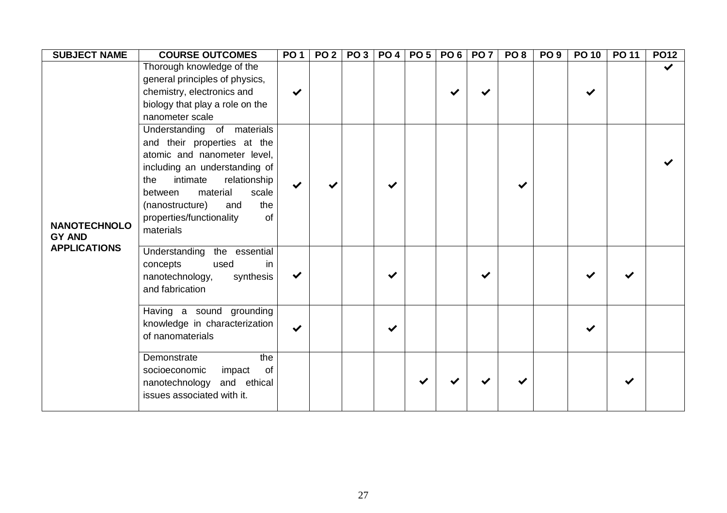| <b>SUBJECT NAME</b>                  | <b>COURSE OUTCOMES</b>                                                                                                                                                                                                                                                       | <b>PO1</b>   | PO 2   PO 3   PO 4   PO 5 |              | <b>PO 6</b> | <b>PO 7</b> | PO <sub>8</sub> | PO <sub>9</sub> | <b>PO 10</b> | <b>PO 11</b> | <b>PO12</b>  |
|--------------------------------------|------------------------------------------------------------------------------------------------------------------------------------------------------------------------------------------------------------------------------------------------------------------------------|--------------|---------------------------|--------------|-------------|-------------|-----------------|-----------------|--------------|--------------|--------------|
|                                      | Thorough knowledge of the<br>general principles of physics,<br>chemistry, electronics and<br>biology that play a role on the<br>nanometer scale                                                                                                                              | $\checkmark$ |                           |              |             |             |                 |                 |              |              | $\checkmark$ |
| <b>NANOTECHNOLO</b><br><b>GY AND</b> | Understanding of materials<br>and their properties at the<br>atomic and nanometer level,<br>including an understanding of<br>relationship<br>intimate<br>the<br>material<br>scale<br>between<br>the<br>(nanostructure)<br>and<br>properties/functionality<br>of<br>materials | $\checkmark$ |                           | $\checkmark$ |             |             |                 |                 |              |              |              |
| <b>APPLICATIONS</b>                  | Understanding the essential<br>concepts<br>used<br>in<br>synthesis<br>nanotechnology,<br>and fabrication                                                                                                                                                                     | $\checkmark$ |                           | $\checkmark$ |             |             |                 |                 |              |              |              |
|                                      | Having a sound grounding<br>knowledge in characterization<br>of nanomaterials                                                                                                                                                                                                | $\checkmark$ |                           | $\checkmark$ |             |             |                 |                 |              |              |              |
|                                      | the<br>Demonstrate<br>socioeconomic<br>impact<br><b>of</b><br>nanotechnology and ethical<br>issues associated with it.                                                                                                                                                       |              |                           |              |             |             |                 |                 |              |              |              |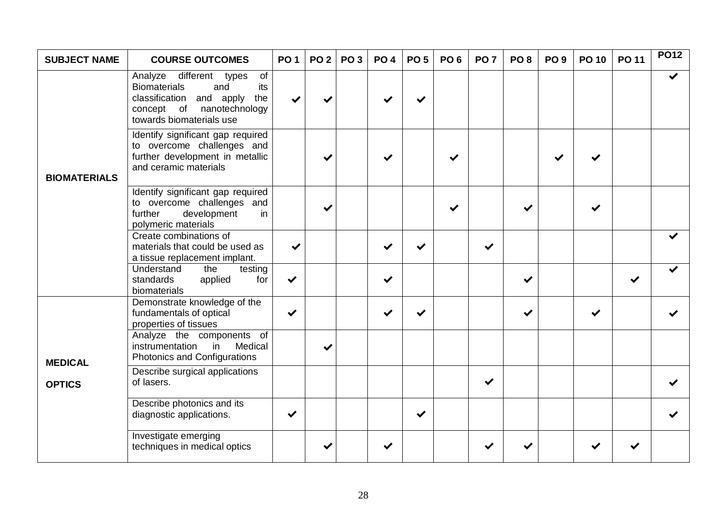| <b>SUBJECT NAME</b> | <b>COURSE OUTCOMES</b>                                                                                                                                         | <b>PO1</b>   | <b>PO 2</b> | <b>PO3</b> | <b>PO4</b> | PO <sub>5</sub> | PO <sub>6</sub> | PO <sub>7</sub> | PO <sub>8</sub> | PO <sub>9</sub> | <b>PO 10</b> | <b>PO 11</b> | <b>PO12</b>  |
|---------------------|----------------------------------------------------------------------------------------------------------------------------------------------------------------|--------------|-------------|------------|------------|-----------------|-----------------|-----------------|-----------------|-----------------|--------------|--------------|--------------|
|                     | Analyze different types<br>of<br><b>Biomaterials</b><br>and<br>its<br>classification and apply<br>the<br>concept of nanotechnology<br>towards biomaterials use |              |             |            |            |                 |                 |                 |                 |                 |              |              | $\checkmark$ |
| <b>BIOMATERIALS</b> | Identify significant gap required<br>to overcome challenges and<br>further development in metallic<br>and ceramic materials                                    |              |             |            |            |                 |                 |                 |                 |                 |              |              |              |
|                     | Identify significant gap required<br>to overcome challenges and<br>further<br>development<br>in<br>polymeric materials                                         |              |             |            |            |                 | ✔               |                 |                 |                 |              |              |              |
|                     | Create combinations of<br>materials that could be used as<br>a tissue replacement implant.                                                                     | $\checkmark$ |             |            |            |                 |                 | $\checkmark$    |                 |                 |              |              |              |
|                     | Understand<br>the<br>testing<br>standards<br>applied<br>for<br>biomaterials                                                                                    | $\checkmark$ |             |            | ✔          |                 |                 |                 |                 |                 |              | ✔            |              |
|                     | Demonstrate knowledge of the<br>fundamentals of optical<br>properties of tissues                                                                               | $\checkmark$ |             |            |            | $\checkmark$    |                 |                 |                 |                 |              |              |              |
| <b>MEDICAL</b>      | Analyze the components of<br>instrumentation<br>Medical<br>in<br>Photonics and Configurations                                                                  |              |             |            |            |                 |                 |                 |                 |                 |              |              |              |
| <b>OPTICS</b>       | Describe surgical applications<br>of lasers.                                                                                                                   |              |             |            |            |                 |                 | $\checkmark$    |                 |                 |              |              |              |
|                     | Describe photonics and its<br>diagnostic applications.                                                                                                         | $\checkmark$ |             |            |            | ✔               |                 |                 |                 |                 |              |              |              |
|                     | Investigate emerging<br>techniques in medical optics                                                                                                           |              |             |            |            |                 |                 |                 |                 |                 |              |              |              |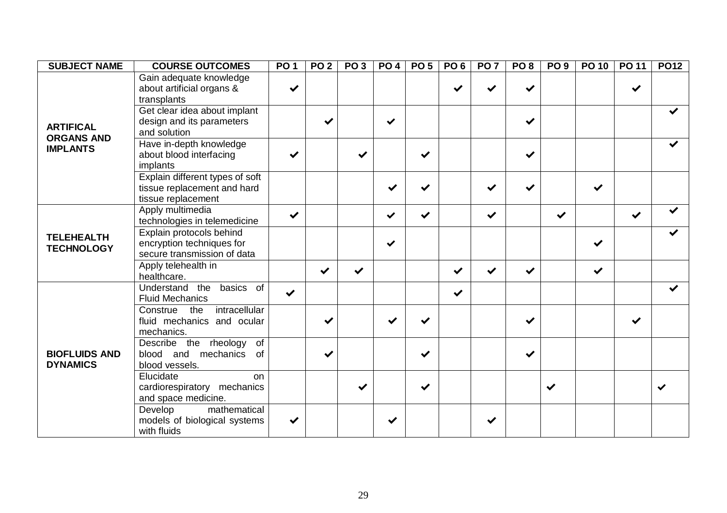| <b>SUBJECT NAME</b>                     | <b>COURSE OUTCOMES</b>                                                               | PO <sub>1</sub> | PO <sub>2</sub> | PO <sub>3</sub> | <b>PO 4</b>  | PO <sub>5</sub> | PO <sub>6</sub> | PO <sub>7</sub> | PO <sub>8</sub> | PO <sub>9</sub> | PO 10        | <b>PO 11</b> | <b>PO12</b>  |
|-----------------------------------------|--------------------------------------------------------------------------------------|-----------------|-----------------|-----------------|--------------|-----------------|-----------------|-----------------|-----------------|-----------------|--------------|--------------|--------------|
|                                         | Gain adequate knowledge<br>about artificial organs &<br>transplants                  | ✔               |                 |                 |              |                 |                 |                 | ✔               |                 |              | ✔            |              |
| <b>ARTIFICAL</b>                        | Get clear idea about implant<br>design and its parameters<br>and solution            |                 |                 |                 | ✔            |                 |                 |                 | ✔               |                 |              |              |              |
| <b>ORGANS AND</b><br><b>IMPLANTS</b>    | Have in-depth knowledge<br>about blood interfacing<br>implants                       | ✔               |                 | ✔               |              | $\checkmark$    |                 |                 | ✔               |                 |              |              |              |
|                                         | Explain different types of soft<br>tissue replacement and hard<br>tissue replacement |                 |                 |                 | ✔            |                 |                 | $\checkmark$    | $\checkmark$    |                 | ✔            |              |              |
|                                         | Apply multimedia<br>technologies in telemedicine                                     | $\checkmark$    |                 |                 | $\checkmark$ | $\checkmark$    |                 | $\checkmark$    |                 | $\checkmark$    |              | $\checkmark$ |              |
| <b>TELEHEALTH</b><br><b>TECHNOLOGY</b>  | Explain protocols behind<br>encryption techniques for<br>secure transmission of data |                 |                 |                 | $\checkmark$ |                 |                 |                 |                 |                 | ✔            |              |              |
|                                         | Apply telehealth in<br>healthcare.                                                   |                 | $\checkmark$    | $\checkmark$    |              |                 | ✔               | $\checkmark$    | $\checkmark$    |                 | $\checkmark$ |              |              |
|                                         | Understand the<br>basics of<br><b>Fluid Mechanics</b>                                | $\checkmark$    |                 |                 |              |                 | $\checkmark$    |                 |                 |                 |              |              |              |
|                                         | intracellular<br>Construe the<br>fluid mechanics and ocular<br>mechanics.            |                 |                 |                 |              |                 |                 |                 | ✔               |                 |              | ✔            |              |
| <b>BIOFLUIDS AND</b><br><b>DYNAMICS</b> | Describe the rheology<br>of<br>of<br>blood and mechanics<br>blood vessels.           |                 | ✔               |                 |              |                 |                 |                 | ✔               |                 |              |              |              |
|                                         | Elucidate<br><b>on</b><br>cardiorespiratory mechanics<br>and space medicine.         |                 |                 | ✔               |              | $\checkmark$    |                 |                 |                 | $\checkmark$    |              |              | $\checkmark$ |
|                                         | Develop<br>mathematical<br>models of biological systems<br>with fluids               | ✔               |                 |                 | ✔            |                 |                 | $\checkmark$    |                 |                 |              |              |              |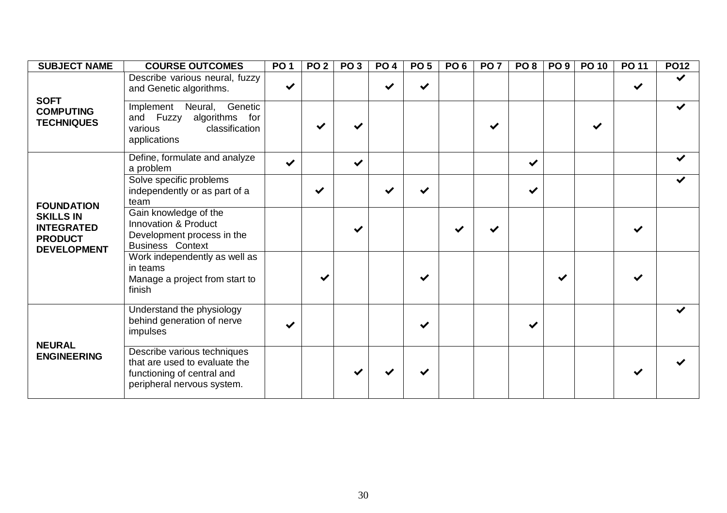| <b>SUBJECT NAME</b>                                                           | <b>COURSE OUTCOMES</b>                                                                                                   | PO <sub>1</sub> | PO <sub>2</sub> | PO <sub>3</sub> | PO <sub>4</sub> | PO <sub>5</sub> | PO <sub>6</sub> | PO <sub>7</sub> | PO <sub>8</sub> | PO 9 | <b>PO 10</b> | <b>PO 11</b> | <b>PO12</b>  |
|-------------------------------------------------------------------------------|--------------------------------------------------------------------------------------------------------------------------|-----------------|-----------------|-----------------|-----------------|-----------------|-----------------|-----------------|-----------------|------|--------------|--------------|--------------|
| <b>SOFT</b>                                                                   | Describe various neural, fuzzy<br>and Genetic algorithms.                                                                | $\checkmark$    |                 |                 |                 | $\checkmark$    |                 |                 |                 |      |              |              | $\checkmark$ |
| <b>COMPUTING</b><br><b>TECHNIQUES</b>                                         | Genetic<br>Implement Neural,<br>and Fuzzy algorithms for<br>classification<br>various<br>applications                    |                 |                 |                 |                 |                 |                 |                 |                 |      | ✔            |              | ✔            |
|                                                                               | Define, formulate and analyze<br>a problem                                                                               | $\checkmark$    |                 | ✔               |                 |                 |                 |                 | ✔               |      |              |              | $\checkmark$ |
| <b>FOUNDATION</b>                                                             | Solve specific problems<br>independently or as part of a<br>team                                                         |                 | $\checkmark$    |                 | ✔               | ✔               |                 |                 | ✔               |      |              |              | ✔            |
| <b>SKILLS IN</b><br><b>INTEGRATED</b><br><b>PRODUCT</b><br><b>DEVELOPMENT</b> | Gain knowledge of the<br>Innovation & Product<br>Development process in the<br><b>Business Context</b>                   |                 |                 |                 |                 |                 |                 |                 |                 |      |              |              |              |
|                                                                               | Work independently as well as<br>in teams<br>Manage a project from start to<br>finish                                    |                 |                 |                 |                 | ✔               |                 |                 |                 |      |              |              |              |
|                                                                               | Understand the physiology<br>behind generation of nerve<br>impulses                                                      |                 |                 |                 |                 | ✔               |                 |                 |                 |      |              |              |              |
| <b>NEURAL</b><br><b>ENGINEERING</b>                                           | Describe various techniques<br>that are used to evaluate the<br>functioning of central and<br>peripheral nervous system. |                 |                 |                 |                 |                 |                 |                 |                 |      |              |              |              |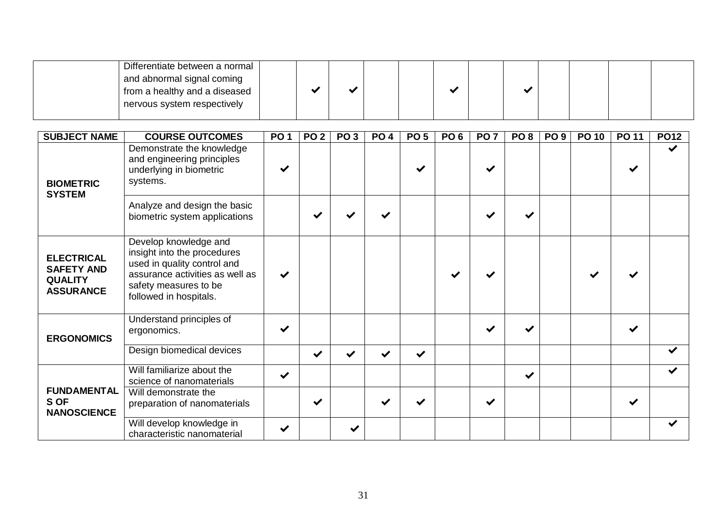| Differentiate between a normal ' |  |  |  |  |  |  |
|----------------------------------|--|--|--|--|--|--|
| and abnormal signal coming       |  |  |  |  |  |  |
| from a healthy and a diseased    |  |  |  |  |  |  |
| nervous system respectively      |  |  |  |  |  |  |
|                                  |  |  |  |  |  |  |

| <b>SUBJECT NAME</b>                                                          | <b>COURSE OUTCOMES</b>                                                                                                                                                    | <b>PO1</b>   | PO <sub>2</sub> | PO <sub>3</sub>      | <b>PO4</b>   | PO <sub>5</sub> | PO <sub>6</sub> | PO <sub>7</sub> | PO <sub>8</sub> | PO <sub>9</sub> | <b>PO 10</b> | <b>PO 11</b> | <b>PO12</b> |
|------------------------------------------------------------------------------|---------------------------------------------------------------------------------------------------------------------------------------------------------------------------|--------------|-----------------|----------------------|--------------|-----------------|-----------------|-----------------|-----------------|-----------------|--------------|--------------|-------------|
| <b>BIOMETRIC</b><br><b>SYSTEM</b>                                            | Demonstrate the knowledge<br>and engineering principles<br>underlying in biometric<br>systems.                                                                            | $\checkmark$ |                 |                      |              |                 |                 |                 |                 |                 |              |              | ✔           |
|                                                                              | Analyze and design the basic<br>biometric system applications                                                                                                             |              |                 |                      |              |                 |                 |                 |                 |                 |              |              |             |
| <b>ELECTRICAL</b><br><b>SAFETY AND</b><br><b>QUALITY</b><br><b>ASSURANCE</b> | Develop knowledge and<br>insight into the procedures<br>used in quality control and<br>assurance activities as well as<br>safety measures to be<br>followed in hospitals. | $\checkmark$ |                 |                      |              |                 |                 |                 |                 |                 |              |              |             |
| <b>ERGONOMICS</b>                                                            | Understand principles of<br>ergonomics.                                                                                                                                   | $\checkmark$ |                 |                      |              |                 |                 |                 |                 |                 |              |              |             |
|                                                                              | Design biomedical devices                                                                                                                                                 |              | $\checkmark$    | $\blacktriangledown$ | $\checkmark$ | $\checkmark$    |                 |                 |                 |                 |              |              |             |
|                                                                              | Will familiarize about the<br>science of nanomaterials                                                                                                                    | $\checkmark$ |                 |                      |              |                 |                 |                 | $\checkmark$    |                 |              |              |             |
| <b>FUNDAMENTAL</b><br>S OF<br><b>NANOSCIENCE</b>                             | Will demonstrate the<br>preparation of nanomaterials                                                                                                                      |              | ✔               |                      |              | ✔               |                 | ✔               |                 |                 |              | ✔            |             |
|                                                                              | Will develop knowledge in<br>characteristic nanomaterial                                                                                                                  | ✔            |                 | ✔                    |              |                 |                 |                 |                 |                 |              |              |             |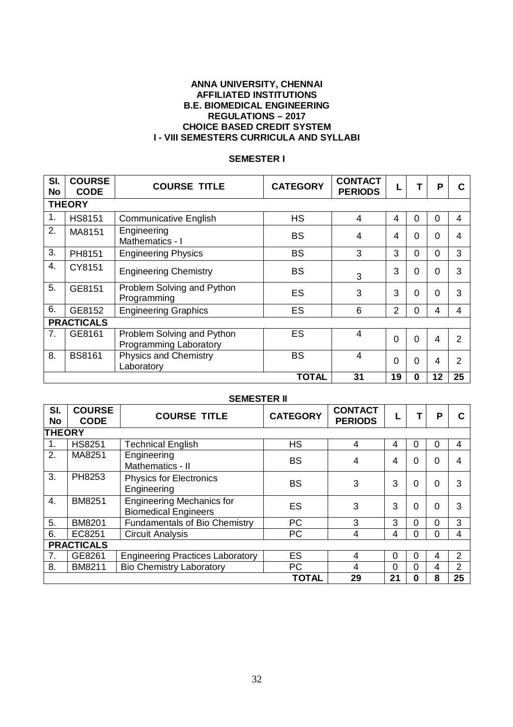#### **ANNA UNIVERSITY, CHENNAI AFFILIATED INSTITUTIONS B.E. BIOMEDICAL ENGINEERING REGULATIONS – 2017 CHOICE BASED CREDIT SYSTEM I - VIII SEMESTERS CURRICULA AND SYLLABI**

## **SEMESTER I**

| SI.<br><b>No</b> | <b>COURSE</b><br><b>CODE</b> | <b>COURSE TITLE</b>                                  | <b>CATEGORY</b> | <b>CONTACT</b><br><b>PERIODS</b> |                | т              | P        | С  |
|------------------|------------------------------|------------------------------------------------------|-----------------|----------------------------------|----------------|----------------|----------|----|
|                  | <b>THEORY</b>                |                                                      |                 |                                  |                |                |          |    |
| 1.               | <b>HS8151</b>                | <b>Communicative English</b>                         | <b>HS</b>       | 4                                | 4              | $\Omega$       | $\Omega$ | 4  |
| 2.               | MA8151                       | Engineering<br>Mathematics - I                       | BS              | 4                                | 4              | $\Omega$       | 0        | 4  |
| 3.               | PH8151                       | <b>Engineering Physics</b>                           | <b>BS</b>       | 3                                | 3              | $\Omega$       | 0        | 3  |
| $\overline{4}$ . | CY8151                       | <b>Engineering Chemistry</b>                         | <b>BS</b>       | 3                                | 3              | $\Omega$       | 0        | 3  |
| 5.               | GE8151                       | Problem Solving and Python<br>Programming            | ES              | 3                                | 3              | $\Omega$       | 0        | 3  |
| 6.               | GE8152                       | <b>Engineering Graphics</b>                          | ES              | 6                                | $\overline{2}$ | $\Omega$       | 4        | 4  |
|                  | <b>PRACTICALS</b>            |                                                      |                 |                                  |                |                |          |    |
| 7.               | GE8161                       | Problem Solving and Python<br>Programming Laboratory | ES              | $\overline{4}$                   | $\Omega$       | $\overline{0}$ | 4        | 2  |
| 8.               | <b>BS8161</b>                | <b>Physics and Chemistry</b><br>Laboratory           | <b>BS</b>       | 4                                | $\Omega$       | $\Omega$       | 4        | 2  |
|                  |                              |                                                      | <b>TOTAL</b>    | 31                               | 19             | $\bf{0}$       | 12       | 25 |

|               | <b>SEMESTER II</b>           |                                                                 |                 |                                  |          |          |   |                |  |  |  |  |  |
|---------------|------------------------------|-----------------------------------------------------------------|-----------------|----------------------------------|----------|----------|---|----------------|--|--|--|--|--|
| SI.<br>No     | <b>COURSE</b><br><b>CODE</b> | <b>COURSE TITLE</b>                                             | <b>CATEGORY</b> | <b>CONTACT</b><br><b>PERIODS</b> |          |          | P | C              |  |  |  |  |  |
| <b>THEORY</b> |                              |                                                                 |                 |                                  |          |          |   |                |  |  |  |  |  |
| 1.            | <b>HS8251</b>                | <b>Technical English</b>                                        | <b>HS</b>       | 4                                | 4        | $\Omega$ | Ω | 4              |  |  |  |  |  |
| 2.            | MA8251                       | Engineering<br>Mathematics - II                                 | <b>BS</b>       | 4                                | 4        | $\Omega$ | 0 | 4              |  |  |  |  |  |
| 3.            | PH8253                       | <b>Physics for Electronics</b><br>Engineering                   | <b>BS</b>       | 3                                | 3        | 0        | 0 | 3              |  |  |  |  |  |
| 4.            | <b>BM8251</b>                | <b>Engineering Mechanics for</b><br><b>Biomedical Engineers</b> | ES              | 3                                | 3        | 0        | 0 | 3              |  |  |  |  |  |
| 5.            | <b>BM8201</b>                | <b>Fundamentals of Bio Chemistry</b>                            | <b>PC</b>       | 3                                | 3        | $\Omega$ | 0 | 3              |  |  |  |  |  |
| 6.            | EC8251                       | <b>Circuit Analysis</b>                                         | PC              | 4                                | 4        | 0        | O | 4              |  |  |  |  |  |
|               | <b>PRACTICALS</b>            |                                                                 |                 |                                  |          |          |   |                |  |  |  |  |  |
| 7.            | GE8261                       | <b>Engineering Practices Laboratory</b>                         | ES              | 4                                | $\Omega$ | $\Omega$ | 4 | 2              |  |  |  |  |  |
| 8.            | BM8211                       | <b>Bio Chemistry Laboratory</b>                                 | <b>PC</b>       | 4                                | $\Omega$ | $\Omega$ | 4 | $\overline{2}$ |  |  |  |  |  |
|               |                              |                                                                 | <b>TOTAL</b>    | 29                               | 21       | 0        | 8 | 25             |  |  |  |  |  |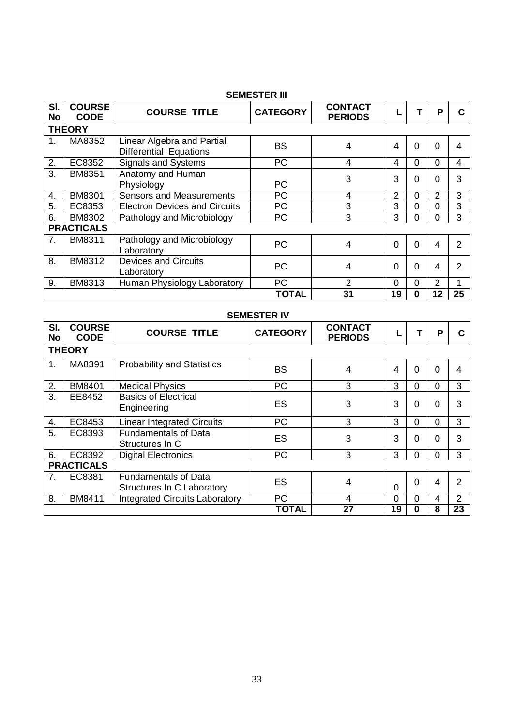|           | <b>SEMESTER III</b>          |                                                             |                 |                                  |                |          |    |    |  |  |  |  |  |
|-----------|------------------------------|-------------------------------------------------------------|-----------------|----------------------------------|----------------|----------|----|----|--|--|--|--|--|
| SI.<br>No | <b>COURSE</b><br><b>CODE</b> | <b>COURSE TITLE</b>                                         | <b>CATEGORY</b> | <b>CONTACT</b><br><b>PERIODS</b> |                |          | P  |    |  |  |  |  |  |
|           | <b>THEORY</b>                |                                                             |                 |                                  |                |          |    |    |  |  |  |  |  |
| 1.        | MA8352                       | Linear Algebra and Partial<br><b>Differential Equations</b> | BS              | 4                                | 4              | $\Omega$ | 0  | 4  |  |  |  |  |  |
| 2.        | EC8352                       | <b>Signals and Systems</b>                                  | <b>PC</b>       | 4                                | 4              | $\Omega$ | 0  | 4  |  |  |  |  |  |
| 3.        | <b>BM8351</b>                | Anatomy and Human<br>Physiology                             | <b>PC</b>       | 3                                | 3              | $\Omega$ | U  | 3  |  |  |  |  |  |
| 4.        | <b>BM8301</b>                | <b>Sensors and Measurements</b>                             | <b>PC</b>       | 4                                | $\overline{2}$ | $\Omega$ | 2  | 3  |  |  |  |  |  |
| 5.        | EC8353                       | <b>Electron Devices and Circuits</b>                        | <b>PC</b>       | 3                                | 3              | $\Omega$ | 0  | 3  |  |  |  |  |  |
| 6.        | <b>BM8302</b>                | Pathology and Microbiology                                  | <b>PC</b>       | 3                                | 3              | $\Omega$ | 0  | 3  |  |  |  |  |  |
|           | <b>PRACTICALS</b>            |                                                             |                 |                                  |                |          |    |    |  |  |  |  |  |
| 7.        | <b>BM8311</b>                | Pathology and Microbiology<br>Laboratory                    | <b>PC</b>       | 4                                | $\Omega$       | $\Omega$ | 4  | 2  |  |  |  |  |  |
| 8.        | <b>BM8312</b>                | <b>Devices and Circuits</b><br>Laboratory                   | <b>PC</b>       | 4                                | $\Omega$       | $\Omega$ | 4  | 2  |  |  |  |  |  |
| 9.        | <b>BM8313</b>                | Human Physiology Laboratory                                 | <b>PC</b>       | 2                                | $\Omega$       | $\Omega$ | 2  | 1  |  |  |  |  |  |
|           |                              |                                                             | TOTAL           | 31                               | 19             | 0        | 12 | 25 |  |  |  |  |  |

## **SEMESTER IV**

| SI.<br><b>No</b> | <b>COURSE</b><br><b>CODE</b> | <b>COURSE TITLE</b>                                       | <b>CATEGORY</b> | <b>CONTACT</b><br><b>PERIODS</b> |          | т        | P        |                |
|------------------|------------------------------|-----------------------------------------------------------|-----------------|----------------------------------|----------|----------|----------|----------------|
|                  | <b>THEORY</b>                |                                                           |                 |                                  |          |          |          |                |
| 1.               | MA8391                       | <b>Probability and Statistics</b>                         | <b>BS</b>       | 4                                | 4        | 0        | $\Omega$ | 4              |
| 2.               | BM8401                       | <b>Medical Physics</b>                                    | <b>PC</b>       | 3                                | 3        | $\Omega$ | $\Omega$ | 3              |
| 3.               | EE8452                       | <b>Basics of Electrical</b><br>Engineering                | ES              | 3                                | 3        | 0        | $\Omega$ | 3              |
| 4.               | EC8453                       | <b>Linear Integrated Circuits</b>                         | <b>PC</b>       | 3                                | 3        | $\Omega$ | $\Omega$ | 3              |
| 5.               | EC8393                       | <b>Fundamentals of Data</b><br>Structures In C            | ES              | 3                                | 3        | 0        | 0        | 3              |
| 6.               | EC8392                       | <b>Digital Electronics</b>                                | <b>PC</b>       | 3                                | 3        | 0        | 0        | 3              |
|                  | <b>PRACTICALS</b>            |                                                           |                 |                                  |          |          |          |                |
| 7.               | EC8381                       | <b>Fundamentals of Data</b><br>Structures In C Laboratory | ES              | 4                                | $\Omega$ | $\Omega$ | 4        | 2              |
| 8.               | <b>BM8411</b>                | <b>Integrated Circuits Laboratory</b>                     | PC              | 4                                | $\Omega$ | $\Omega$ | 4        | $\overline{2}$ |
|                  |                              |                                                           | <b>TOTAL</b>    | 27                               | 19       | 0        | 8        | 23             |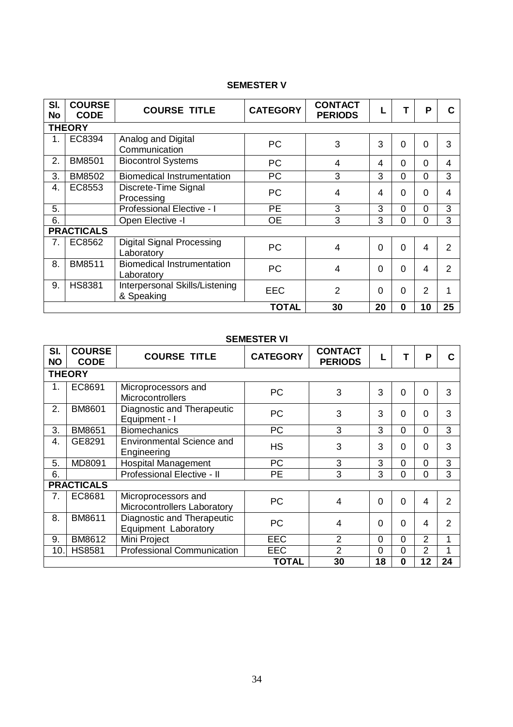# **SEMESTER V**

| SI.<br><b>No</b> | <b>COURSE</b><br><b>CODE</b> | <b>COURSE TITLE</b>                             | <b>CATEGORY</b> | <b>CONTACT</b><br><b>PERIODS</b> |                |                | P              | С              |
|------------------|------------------------------|-------------------------------------------------|-----------------|----------------------------------|----------------|----------------|----------------|----------------|
|                  | <b>THEORY</b>                |                                                 |                 |                                  |                |                |                |                |
| 1.               | EC8394                       | Analog and Digital<br>Communication             | <b>PC</b>       | 3                                | 3              | $\overline{0}$ | $\Omega$       | 3              |
| 2.               | <b>BM8501</b>                | <b>Biocontrol Systems</b>                       | PC              | 4                                | 4              | $\Omega$       | $\Omega$       | $\overline{4}$ |
| 3.               | <b>BM8502</b>                | <b>Biomedical Instrumentation</b>               | <b>PC</b>       | 3                                | 3              | 0              | 0              | 3              |
| 4.               | EC8553                       | Discrete-Time Signal<br>Processing              | <b>PC</b>       | 4                                | 4              | 0              | $\Omega$       | 4              |
| 5.               |                              | Professional Elective - I                       | <b>PE</b>       | 3                                | 3              | 0              | $\Omega$       | 3              |
| 6.               |                              | Open Elective -I                                | <b>OE</b>       | 3                                | 3              | 0              | $\Omega$       | 3              |
|                  | <b>PRACTICALS</b>            |                                                 |                 |                                  |                |                |                |                |
| 7.               | EC8562                       | <b>Digital Signal Processing</b><br>Laboratory  | <b>PC</b>       | 4                                | $\overline{0}$ | $\overline{0}$ | 4              | $\overline{2}$ |
| 8.               | BM8511                       | <b>Biomedical Instrumentation</b><br>Laboratory | <b>PC</b>       | 4                                | $\overline{0}$ | $\overline{0}$ | 4              | $\overline{2}$ |
| 9.               | <b>HS8381</b>                | Interpersonal Skills/Listening<br>& Speaking    | <b>EEC</b>      | 2                                | $\overline{0}$ | $\overline{0}$ | $\overline{2}$ | 1              |
|                  |                              |                                                 | <b>TOTAL</b>    | 30                               | 20             | $\bf{0}$       | 10             | 25             |

# **SEMESTER VI**

| SI.<br><b>NO</b> | <b>COURSE</b><br><b>CODE</b> | <b>COURSE TITLE</b>                                | <b>CATEGORY</b> | <b>CONTACT</b><br><b>PERIODS</b> |                |                | P              | C              |  |  |
|------------------|------------------------------|----------------------------------------------------|-----------------|----------------------------------|----------------|----------------|----------------|----------------|--|--|
|                  | <b>THEORY</b>                |                                                    |                 |                                  |                |                |                |                |  |  |
| 1.               | EC8691                       | Microprocessors and<br><b>Microcontrollers</b>     | <b>PC</b>       | 3                                | 3              | $\Omega$       | $\overline{0}$ | 3              |  |  |
| 2.               | <b>BM8601</b>                | Diagnostic and Therapeutic<br>Equipment - I        | <b>PC</b>       | 3                                | 3              | $\mathbf 0$    | $\mathbf 0$    | 3              |  |  |
| 3.               | <b>BM8651</b>                | <b>Biomechanics</b>                                | <b>PC</b>       | 3                                | 3              | $\Omega$       | $\overline{0}$ | 3              |  |  |
| 4.               | GE8291                       | <b>Environmental Science and</b><br>Engineering    | <b>HS</b>       | 3                                | 3              | $\Omega$       | $\Omega$       | 3              |  |  |
| 5.               | MD8091                       | Hospital Management                                | <b>PC</b>       | 3                                | 3              | $\overline{0}$ | $\overline{0}$ | 3              |  |  |
| 6.               |                              | Professional Elective - II                         | <b>PE</b>       | 3                                | 3              | $\overline{0}$ | $\overline{0}$ | 3              |  |  |
|                  | <b>PRACTICALS</b>            |                                                    |                 |                                  |                |                |                |                |  |  |
| 7.               | EC8681                       | Microprocessors and<br>Microcontrollers Laboratory | <b>PC</b>       | $\overline{4}$                   | $\overline{0}$ | $\Omega$       | $\overline{4}$ | $\overline{2}$ |  |  |
| 8.               | BM8611                       | Diagnostic and Therapeutic<br>Equipment Laboratory | <b>PC</b>       | 4                                | 0              | $\Omega$       | $\overline{4}$ | $\overline{2}$ |  |  |
| 9.               | BM8612                       | Mini Project                                       | <b>EEC</b>      | $\overline{2}$                   | $\overline{0}$ | $\overline{0}$ | 2              | 1              |  |  |
| 10.              | <b>HS8581</b>                | <b>Professional Communication</b>                  | <b>EEC</b>      | $\overline{2}$                   | $\overline{0}$ | $\overline{0}$ | $\overline{2}$ | 1              |  |  |
|                  |                              |                                                    | <b>TOTAL</b>    | 30                               | 18             | $\bf{0}$       | 12             | 24             |  |  |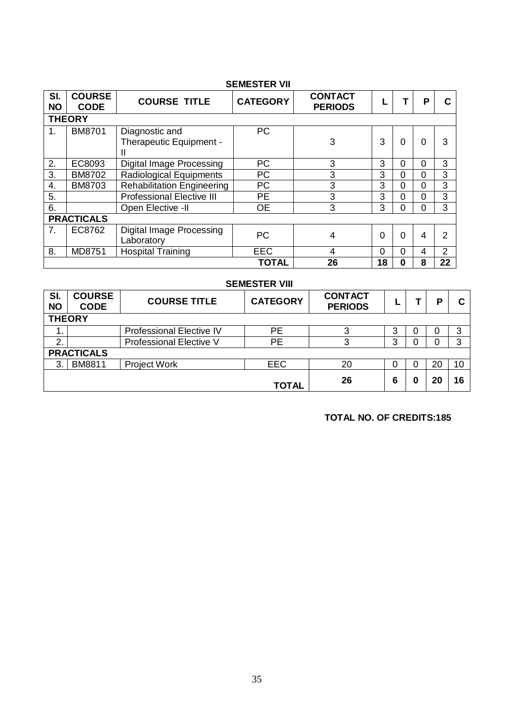| <b>SEMESTER VII</b> |                              |                                                |                 |                                  |          |          |          |                |  |
|---------------------|------------------------------|------------------------------------------------|-----------------|----------------------------------|----------|----------|----------|----------------|--|
| SI.<br><b>NO</b>    | <b>COURSE</b><br><b>CODE</b> | <b>COURSE TITLE</b>                            | <b>CATEGORY</b> | <b>CONTACT</b><br><b>PERIODS</b> |          |          | Р        |                |  |
|                     | <b>THEORY</b>                |                                                |                 |                                  |          |          |          |                |  |
| 1.                  | BM8701                       | Diagnostic and<br>Therapeutic Equipment -<br>н | <b>PC</b>       | 3                                | 3        | 0        | 0        | 3              |  |
| 2.                  | EC8093                       | <b>Digital Image Processing</b>                | <b>PC</b>       | 3                                | 3        | $\Omega$ | 0        | 3              |  |
| 3.                  | <b>BM8702</b>                | Radiological Equipments                        | <b>PC</b>       | 3                                | 3        | $\Omega$ | $\Omega$ | 3              |  |
| 4.                  | <b>BM8703</b>                | <b>Rehabilitation Engineering</b>              | <b>PC</b>       | 3                                | 3        | $\Omega$ | $\Omega$ | 3              |  |
| 5.                  |                              | <b>Professional Elective III</b>               | <b>PE</b>       | 3                                | 3        | $\Omega$ | 0        | 3              |  |
| 6.                  |                              | Open Elective -II                              | <b>OE</b>       | 3                                | 3        | 0        | $\Omega$ | 3              |  |
|                     | <b>PRACTICALS</b>            |                                                |                 |                                  |          |          |          |                |  |
| 7.                  | EC8762                       | Digital Image Processing<br>Laboratory         | <b>PC</b>       | 4                                | $\Omega$ | $\Omega$ | 4        | $\overline{2}$ |  |
| 8.                  | MD8751                       | <b>Hospital Training</b>                       | <b>EEC</b>      | 4                                | 0        | 0        | 4        | $\overline{2}$ |  |
|                     |                              |                                                | <b>TOTAL</b>    | 26                               | 18       | 0        | 8        | 22             |  |

| <b>SEMESTER VIII</b> |                              |                                 |                 |                                  |   |  |    |    |  |  |
|----------------------|------------------------------|---------------------------------|-----------------|----------------------------------|---|--|----|----|--|--|
| SI.<br><b>NO</b>     | <b>COURSE</b><br><b>CODE</b> | <b>COURSE TITLE</b>             | <b>CATEGORY</b> | <b>CONTACT</b><br><b>PERIODS</b> |   |  | Р  | C  |  |  |
|                      | <b>THEORY</b>                |                                 |                 |                                  |   |  |    |    |  |  |
|                      |                              | <b>Professional Elective IV</b> | <b>PE</b>       | 3                                | 3 |  |    | 3  |  |  |
| 2.                   |                              | Professional Elective V         | <b>PE</b>       | 3                                | 3 |  |    | 3  |  |  |
|                      | <b>PRACTICALS</b>            |                                 |                 |                                  |   |  |    |    |  |  |
| 3                    | <b>BM8811</b>                | <b>Project Work</b>             | <b>EEC</b>      | 20                               | 0 |  | 20 | 10 |  |  |
|                      |                              |                                 | TOTAL           | 26                               | 6 |  | 20 | 16 |  |  |

 **TOTAL NO. OF CREDITS:185**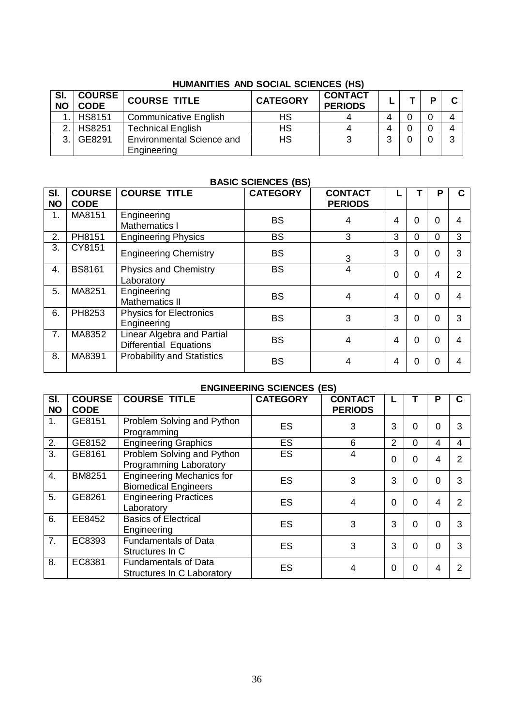# **HUMANITIES AND SOCIAL SCIENCES (HS)**

| SI.<br><b>NO</b> | <b>COURSE</b><br><b>CODE</b> | <b>COURSE TITLE</b>                             | <b>CATEGORY</b> | <b>CONTACT</b><br><b>PERIODS</b> |   |  |   |
|------------------|------------------------------|-------------------------------------------------|-----------------|----------------------------------|---|--|---|
|                  | <b>HS8151</b>                | <b>Communicative English</b>                    | HS              |                                  |   |  |   |
| $\mathcal{D}$    | <b>HS8251</b>                | <b>Technical English</b>                        | HS              |                                  |   |  |   |
| 2                | GE8291                       | <b>Environmental Science and</b><br>Engineering | <b>HS</b>       |                                  | ົ |  | ົ |

#### **BASIC SCIENCES (BS)**

| SI.<br><b>NO</b> | <b>COURSE</b><br><b>CODE</b> | <b>COURSE TITLE</b>                                         | <b>CATEGORY</b> | <b>CONTACT</b><br><b>PERIODS</b> |          |                | P        |   |
|------------------|------------------------------|-------------------------------------------------------------|-----------------|----------------------------------|----------|----------------|----------|---|
| 1.               | MA8151                       | Engineering<br><b>Mathematics I</b>                         | <b>BS</b>       | 4                                | 4        | $\Omega$       | 0        | 4 |
| 2.               | PH8151                       | <b>Engineering Physics</b>                                  | <b>BS</b>       | 3                                | 3        | $\overline{0}$ | 0        | 3 |
| 3.               | CY8151                       | <b>Engineering Chemistry</b>                                | <b>BS</b>       | 3                                | 3        | $\Omega$       | 0        | 3 |
| 4.               | <b>BS8161</b>                | <b>Physics and Chemistry</b><br>Laboratory                  | <b>BS</b>       | 4                                | $\Omega$ | $\Omega$       | 4        | 2 |
| 5.               | MA8251                       | Engineering<br>Mathematics II                               | <b>BS</b>       | 4                                | 4        | $\Omega$       | $\Omega$ | 4 |
| 6.               | PH8253                       | <b>Physics for Electronics</b><br>Engineering               | <b>BS</b>       | 3                                | 3        | $\Omega$       | 0        | 3 |
| 7.               | MA8352                       | Linear Algebra and Partial<br><b>Differential Equations</b> | <b>BS</b>       | 4                                | 4        | $\Omega$       | $\Omega$ | 4 |
| 8.               | MA8391                       | <b>Probability and Statistics</b>                           | <b>BS</b>       | 4                                | 4        | $\Omega$       | $\Omega$ | 4 |

# **ENGINEERING SCIENCES (ES)**

| SI.<br><b>NO</b> | <b>COURSE</b><br><b>CODE</b> | <b>COURSE TITLE</b>                                             | <b>CATEGORY</b> | <b>CONTACT</b><br><b>PERIODS</b> |                |   | P |   |
|------------------|------------------------------|-----------------------------------------------------------------|-----------------|----------------------------------|----------------|---|---|---|
| 1.               | GE8151                       | Problem Solving and Python<br>Programming                       | ES              | 3                                | 3              | 0 | 0 | 3 |
| 2.               | GE8152                       | <b>Engineering Graphics</b>                                     | <b>ES</b>       | 6                                | $\overline{2}$ | 0 | 4 | 4 |
| 3.               | GE8161                       | Problem Solving and Python<br>Programming Laboratory            | ES              | 4                                | $\Omega$       | 0 | 4 |   |
| $\overline{4}$ . | <b>BM8251</b>                | <b>Engineering Mechanics for</b><br><b>Biomedical Engineers</b> | <b>ES</b>       | 3                                | 3              | 0 | 0 |   |
| 5.               | GE8261                       | <b>Engineering Practices</b><br>Laboratory                      | ES              | 4                                | $\Omega$       | 0 | 4 |   |
| 6.               | EE8452                       | <b>Basics of Electrical</b><br>Engineering                      | <b>ES</b>       | 3                                | 3              | ი | 0 | 3 |
| 7.               | EC8393                       | <b>Fundamentals of Data</b><br>Structures In C                  | <b>ES</b>       | 3                                | 3              | 0 | 0 | 3 |
| 8.               | EC8381                       | <b>Fundamentals of Data</b><br>Structures In C Laboratory       | ES              | 4                                | $\Omega$       | Ω | 4 |   |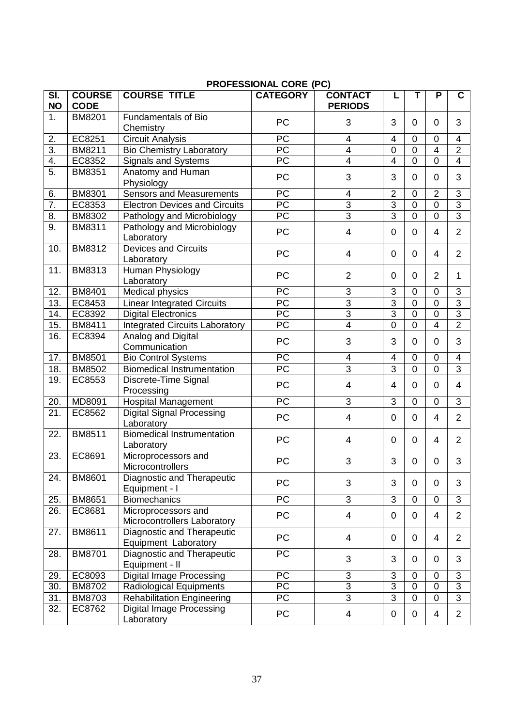|                                         |                              |                                                    | רמטרבססוטוזאב טטמב (רט)  |                                  |                         |                |                |                           |
|-----------------------------------------|------------------------------|----------------------------------------------------|--------------------------|----------------------------------|-------------------------|----------------|----------------|---------------------------|
| $\overline{\mathsf{SI}}$ .<br><b>NO</b> | <b>COURSE</b><br><b>CODE</b> | <b>COURSE TITLE</b>                                | <b>CATEGORY</b>          | <b>CONTACT</b><br><b>PERIODS</b> | L                       | T              | P              | C.                        |
| 1.                                      | <b>BM8201</b>                | <b>Fundamentals of Bio</b><br>Chemistry            | PC                       | 3                                | 3                       | 0              | $\mathbf 0$    | 3                         |
| 2.                                      | EC8251                       | <b>Circuit Analysis</b>                            | PC                       | $\overline{4}$                   | $\overline{\mathbf{4}}$ | $\mathbf 0$    | $\mathbf 0$    | 4                         |
| 3.                                      | BM8211                       | <b>Bio Chemistry Laboratory</b>                    | PC                       | 4                                | $\mathbf 0$             | $\mathbf 0$    | $\overline{4}$ | $\overline{2}$            |
| 4.                                      | EC8352                       | Signals and Systems                                | $\overline{\mathsf{PC}}$ | $\overline{4}$                   | $\overline{4}$          | $\overline{0}$ | $\Omega$       | $\overline{4}$            |
| $\overline{5}$ .                        | <b>BM8351</b>                | Anatomy and Human<br>Physiology                    | PC                       | 3                                | 3                       | 0              | 0              | 3                         |
| 6.                                      | <b>BM8301</b>                | <b>Sensors and Measurements</b>                    | PC                       | 4                                | $\overline{2}$          | 0              | $\overline{2}$ | $\ensuremath{\mathsf{3}}$ |
| 7.                                      | EC8353                       | <b>Electron Devices and Circuits</b>               | $\overline{PC}$          | $\overline{3}$                   | $\overline{3}$          | $\overline{0}$ | $\overline{0}$ | $\overline{3}$            |
| 8.                                      | <b>BM8302</b>                | Pathology and Microbiology                         | $\overline{PC}$          | $\overline{3}$                   | $\overline{3}$          | $\overline{0}$ | $\overline{0}$ | $\overline{3}$            |
| 9.                                      | BM8311                       | Pathology and Microbiology<br>Laboratory           | PC                       | $\overline{4}$                   | $\mathbf 0$             | 0              | 4              | $\overline{2}$            |
| 10.                                     | <b>BM8312</b>                | <b>Devices and Circuits</b><br>Laboratory          | PC                       | 4                                | $\mathbf 0$             | $\Omega$       | 4              | $\overline{2}$            |
| 11.                                     | <b>BM8313</b>                | Human Physiology<br>Laboratory                     | PC                       | $\overline{2}$                   | $\mathbf 0$             | $\mathbf 0$    | $\overline{2}$ | 1                         |
| 12.                                     | <b>BM8401</b>                | Medical physics                                    | $\overline{PC}$          | 3                                | 3                       | $\overline{0}$ | $\mathbf 0$    | 3                         |
| 13.                                     | EC8453                       | <b>Linear Integrated Circuits</b>                  | $\overline{PC}$          | $\overline{3}$                   | $\overline{3}$          | $\overline{0}$ | $\overline{0}$ | $\overline{3}$            |
| 14.                                     | EC8392                       | <b>Digital Electronics</b>                         | $\overline{PC}$          | $\overline{3}$                   | $\overline{3}$          | $\overline{0}$ | $\mathbf 0$    | $\overline{3}$            |
| 15.                                     | BM8411                       | <b>Integrated Circuits Laboratory</b>              | PC                       | $\overline{\mathbf{4}}$          | $\mathbf 0$             | $\mathbf 0$    | $\overline{4}$ | $\overline{2}$            |
| 16.                                     | EC8394                       | Analog and Digital<br>Communication                | PC                       | 3                                | 3                       | 0              | 0              | 3                         |
| 17.                                     | <b>BM8501</b>                | <b>Bio Control Systems</b>                         | PC                       | 4                                | $\overline{\mathbf{4}}$ | $\overline{0}$ | $\overline{0}$ | $\overline{\mathbf{4}}$   |
| 18.                                     | <b>BM8502</b>                | <b>Biomedical Instrumentation</b>                  | $\overline{PC}$          | $\overline{3}$                   | $\overline{3}$          | $\overline{0}$ | $\Omega$       | $\overline{3}$            |
| 19.                                     | EC8553                       | Discrete-Time Signal<br>Processing                 | PC                       | $\overline{4}$                   | 4                       | 0              | $\mathbf 0$    | 4                         |
| 20.                                     | MD8091                       | <b>Hospital Management</b>                         | PC                       | 3                                | 3                       | $\overline{0}$ | $\mathbf 0$    | 3                         |
| 21.                                     | EC8562                       | <b>Digital Signal Processing</b><br>Laboratory     | PC                       | $\overline{4}$                   | $\mathbf 0$             | 0              | 4              | $\overline{2}$            |
| 22.                                     | BM8511                       | <b>Biomedical Instrumentation</b><br>Laboratory    | PC                       | 4                                | $\mathbf 0$             | $\mathbf 0$    | 4              | $\overline{2}$            |
| 23.                                     | EC8691                       | Microprocessors and<br>Microcontrollers            | PC                       | 3                                | 3                       | 0              | 0              | 3                         |
| 24.                                     | <b>BM8601</b>                | Diagnostic and Therapeutic<br>Equipment - I        | PC                       | 3                                | 3                       | 0              | $\mathbf 0$    | 3                         |
| 25.                                     | <b>BM8651</b>                | <b>Biomechanics</b>                                | PC                       | 3                                | 3                       | $\mathbf 0$    | $\mathbf 0$    | 3                         |
| 26.                                     | EC8681                       | Microprocessors and<br>Microcontrollers Laboratory | <b>PC</b>                | $\overline{4}$                   | $\mathbf 0$             | $\Omega$       | 4              | $\overline{2}$            |
| 27.                                     | BM8611                       | Diagnostic and Therapeutic<br>Equipment Laboratory | PC                       | $\overline{4}$                   | $\mathbf 0$             | 0              | 4              | $\overline{2}$            |
| 28.                                     | BM8701                       | Diagnostic and Therapeutic<br>Equipment - II       | $\overline{PC}$          | 3                                | 3                       | 0              | 0              | 3                         |
| 29.                                     | EC8093                       | <b>Digital Image Processing</b>                    | <b>PC</b>                | 3                                | 3                       | $\overline{0}$ | $\mathbf 0$    | 3                         |
| 30.                                     | <b>BM8702</b>                | Radiological Equipments                            | $\overline{PC}$          | $\overline{3}$                   | $\overline{3}$          | $\overline{0}$ | $\overline{0}$ | $\overline{3}$            |
| 31.                                     | <b>BM8703</b>                | <b>Rehabilitation Engineering</b>                  | PC                       | 3                                | $\overline{3}$          | $\overline{0}$ | $\mathbf 0$    | 3                         |
| 32.                                     | EC8762                       | <b>Digital Image Processing</b><br>Laboratory      | PC                       | 4                                | 0                       | 0              | 4              | $\overline{2}$            |

# **PROFESSIONAL CORE (PC)**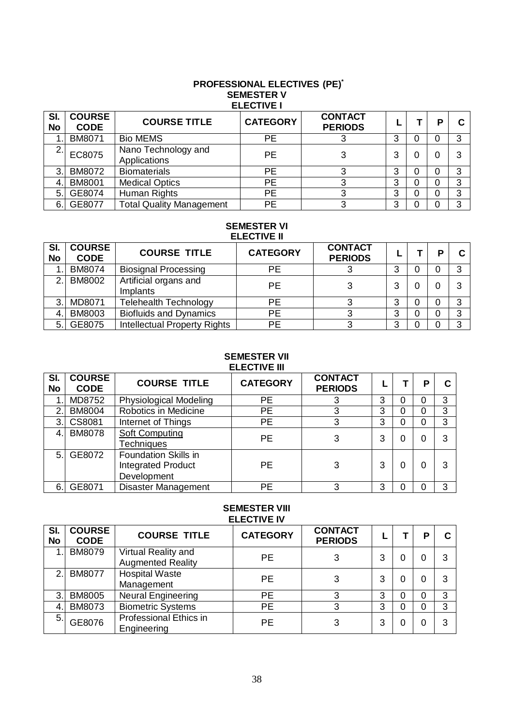#### **PROFESSIONAL ELECTIVES (PE)\* SEMESTER V ELECTIVE I**

| SI.<br><b>No</b> | <b>COURSE</b><br><b>CODE</b> | <b>COURSE TITLE</b>                 | <b>CATEGORY</b> | <b>CONTACT</b><br><b>PERIODS</b> |   |   | D |   |
|------------------|------------------------------|-------------------------------------|-----------------|----------------------------------|---|---|---|---|
|                  | <b>BM8071</b>                | <b>Bio MEMS</b>                     | PЕ              |                                  | 3 | 0 |   | ◠ |
| ◠                | EC8075                       | Nano Technology and<br>Applications | <b>PE</b>       | 3                                | 3 | O |   |   |
| 3.               | <b>BM8072</b>                | <b>Biomaterials</b>                 | PЕ              | っ                                | 3 | 0 |   | ◠ |
| 4                | <b>BM8001</b>                | <b>Medical Optics</b>               | <b>PE</b>       |                                  | 3 | 0 |   | ົ |
| 5.1              | GE8074                       | Human Rights                        | <b>PE</b>       |                                  | 3 | 0 |   | 3 |
| 6.               | GE8077                       | <b>Total Quality Management</b>     | PE              | っ                                | 3 |   |   | ົ |

#### **SEMESTER VI ELECTIVE II**

| SI.<br>No | <b>COURSE</b><br><b>CODE</b> | <b>COURSE TITLE</b>               | <b>CATEGORY</b> | <b>CONTACT</b><br><b>PERIODS</b> |   | в |   |
|-----------|------------------------------|-----------------------------------|-----------------|----------------------------------|---|---|---|
|           | <b>BM8074</b>                | <b>Biosignal Processing</b>       | PЕ              |                                  | 3 |   | 3 |
| 2         | <b>BM8002</b>                | Artificial organs and<br>Implants | <b>PE</b>       |                                  | 3 |   | 3 |
| 3.        | MD8071                       | <b>Telehealth Technology</b>      | PE              |                                  | 3 |   | 3 |
| 4.        | <b>BM8003</b>                | <b>Biofluids and Dynamics</b>     | PE              |                                  | 3 |   | 3 |
| 5         | GE8075                       | Intellectual Property Rights      | PE              |                                  | 3 |   | 3 |

#### **SEMESTER VII ELECTIVE III**

| SI.<br>No | <b>COURSE</b><br><b>CODE</b> | <b>COURSE TITLE</b>                                              | <b>CATEGORY</b> | <b>CONTACT</b><br><b>PERIODS</b> |   | D |   |
|-----------|------------------------------|------------------------------------------------------------------|-----------------|----------------------------------|---|---|---|
|           | MD8752                       | <b>Physiological Modeling</b>                                    | <b>PE</b>       |                                  | 3 |   | 3 |
| 2.        | <b>BM8004</b>                | Robotics in Medicine                                             | <b>PE</b>       | 3                                | 3 |   | 3 |
| 3.        | CS8081                       | Internet of Things                                               | <b>PE</b>       | 3                                | 3 |   | 3 |
| 4.        | <b>BM8078</b>                | Soft Computing<br><b>Techniques</b>                              | <b>PE</b>       | 3                                | 3 |   | 3 |
| 5.1       | GE8072                       | Foundation Skills in<br><b>Integrated Product</b><br>Development | <b>PE</b>       |                                  | 3 |   |   |
| 6.        | GE8071                       | <b>Disaster Management</b>                                       | PЕ              | ≏                                | 3 |   | 3 |

# **SEMESTER VIII ELECTIVE IV**

| SI.<br><b>No</b> | <b>COURSE</b><br><b>CODE</b> | <b>COURSE TITLE</b>                             | <b>CATEGORY</b> | <b>CONTACT</b><br><b>PERIODS</b> |   |  |   |
|------------------|------------------------------|-------------------------------------------------|-----------------|----------------------------------|---|--|---|
| 4                | <b>BM8079</b>                | Virtual Reality and<br><b>Augmented Reality</b> | <b>PE</b>       | 3                                | 3 |  |   |
| 2                | <b>BM8077</b>                | <b>Hospital Waste</b><br>Management             | <b>PE</b>       | 3                                | 3 |  | 3 |
| 3.               | <b>BM8005</b>                | <b>Neural Engineering</b>                       | <b>PE</b>       | ≏                                | 3 |  | 3 |
| 4                | <b>BM8073</b>                | <b>Biometric Systems</b>                        | <b>PE</b>       | ≏                                | 3 |  | 3 |
| 5.               | GE8076                       | Professional Ethics in<br>Engineering           | <b>PE</b>       | 3                                | 3 |  | 3 |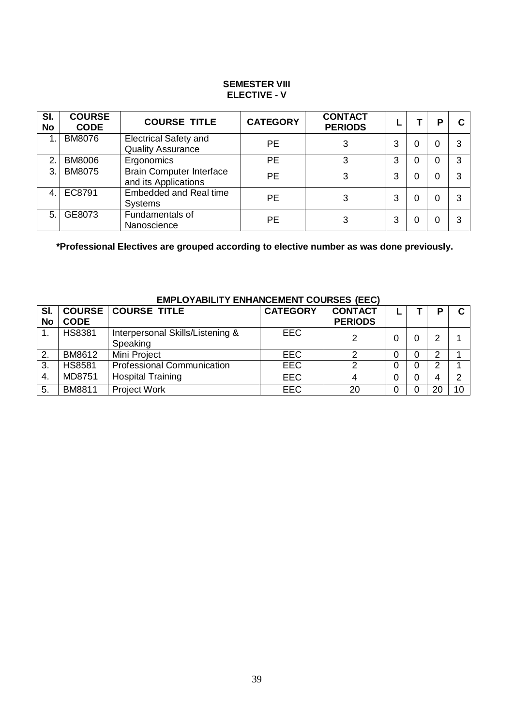#### **SEMESTER VIII ELECTIVE - V**

| SI.<br><b>No</b> | <b>COURSE</b><br><b>CODE</b> | <b>COURSE TITLE</b>                                      | <b>CATEGORY</b> | <b>CONTACT</b><br><b>PERIODS</b> |   |   | Р | C |
|------------------|------------------------------|----------------------------------------------------------|-----------------|----------------------------------|---|---|---|---|
| 1                | <b>BM8076</b>                | <b>Electrical Safety and</b><br><b>Quality Assurance</b> | PE              | 3                                | 3 | 0 |   |   |
| $\overline{2}$   | <b>BM8006</b>                | Ergonomics                                               | <b>PE</b>       |                                  | 3 | 0 |   | 3 |
| 3                | <b>BM8075</b>                | <b>Brain Computer Interface</b><br>and its Applications  | <b>PE</b>       | 3                                | 3 | 0 |   |   |
| 4.               | EC8791                       | <b>Embedded and Real time</b><br><b>Systems</b>          | PE              |                                  | 3 | 0 |   |   |
| 5                | GE8073                       | Fundamentals of<br>Nanoscience                           | <b>PE</b>       |                                  | 3 |   |   |   |

**\*Professional Electives are grouped according to elective number as was done previously.**

| SI.<br><b>No</b> | <b>CODE</b>   | <b>COURSE   COURSE TITLE</b>                 | <b>CATEGORY</b> | <b>CONTACT</b><br><b>PERIODS</b> |   |   | D |    |
|------------------|---------------|----------------------------------------------|-----------------|----------------------------------|---|---|---|----|
|                  | <b>HS8381</b> | Interpersonal Skills/Listening &<br>Speaking | <b>EEC</b>      |                                  |   |   | ⌒ |    |
| $\overline{2}$ . | BM8612        | Mini Project                                 | <b>EEC</b>      | ⌒                                | 0 |   | ⌒ |    |
| 3.               | <b>HS8581</b> | <b>Professional Communication</b>            | <b>EEC</b>      |                                  | 0 |   | ⌒ |    |
| 4.               | MD8751        | <b>Hospital Training</b>                     | <b>EEC</b>      |                                  | 0 | 0 |   |    |
| 5.               | BM8811        | <b>Project Work</b>                          | <b>EEC</b>      | 20                               | 0 |   |   | 10 |

# **EMPLOYABILITY ENHANCEMENT COURSES (EEC)**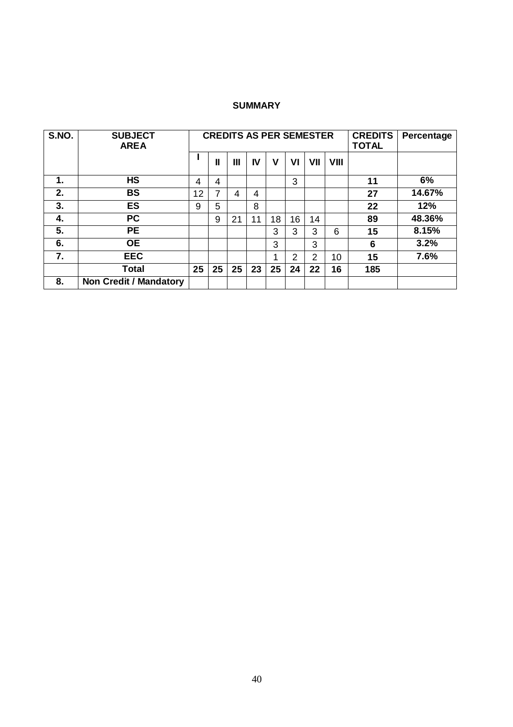### **SUMMARY**

| S.NO. | <b>SUBJECT</b><br><b>AREA</b> |    |    |    |    | <b>CREDITS AS PER SEMESTER</b> |    | <b>CREDITS</b><br><b>TOTAL</b> | Percentage |     |        |
|-------|-------------------------------|----|----|----|----|--------------------------------|----|--------------------------------|------------|-----|--------|
|       |                               |    | Ш  | Ш  | IV | ۷                              | VI | VII                            | VIII       |     |        |
| 1.    | <b>HS</b>                     | 4  | 4  |    |    |                                | 3  |                                |            | 11  | 6%     |
| 2.    | <b>BS</b>                     | 12 | 7  | 4  | 4  |                                |    |                                |            | 27  | 14.67% |
| 3.    | <b>ES</b>                     | 9  | 5  |    | 8  |                                |    |                                |            | 22  | 12%    |
| 4.    | <b>PC</b>                     |    | 9  | 21 | 11 | 18                             | 16 | 14                             |            | 89  | 48.36% |
| 5.    | <b>PE</b>                     |    |    |    |    | 3                              | 3  | 3                              | 6          | 15  | 8.15%  |
| 6.    | <b>OE</b>                     |    |    |    |    | 3                              |    | 3                              |            | 6   | 3.2%   |
| 7.    | <b>EEC</b>                    |    |    |    |    | 1                              | 2  | 2                              | 10         | 15  | 7.6%   |
|       | <b>Total</b>                  | 25 | 25 | 25 | 23 | 25                             | 24 | 22                             | 16         | 185 |        |
| 8.    | <b>Non Credit / Mandatory</b> |    |    |    |    |                                |    |                                |            |     |        |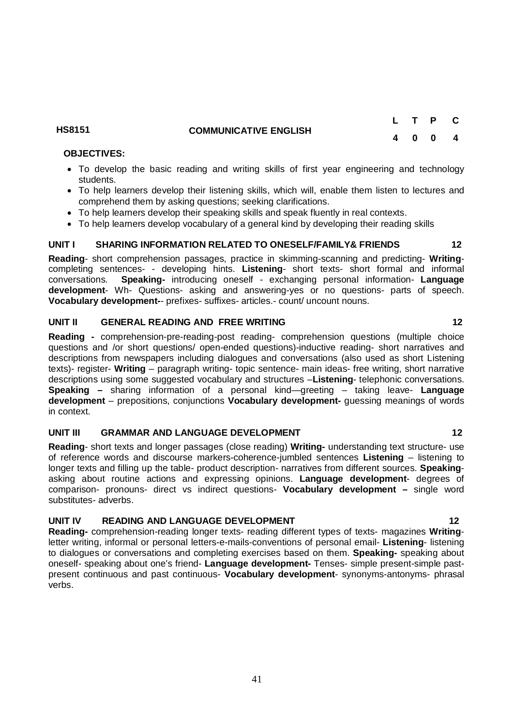### **HS8151 COMMUNICATIVE ENGLISH**

### **OBJECTIVES:**

- To develop the basic reading and writing skills of first year engineering and technology students.
- To help learners develop their listening skills, which will, enable them listen to lectures and comprehend them by asking questions; seeking clarifications.
- To help learners develop their speaking skills and speak fluently in real contexts.
- To help learners develop vocabulary of a general kind by developing their reading skills

# **UNIT I SHARING INFORMATION RELATED TO ONESELF/FAMILY& FRIENDS 12**

**Reading**- short comprehension passages, practice in skimming-scanning and predicting- **Writing**completing sentences- - developing hints. **Listening**- short texts- short formal and informal conversations. **Speaking-** introducing oneself - exchanging personal information- **Language development**- Wh- Questions- asking and answering-yes or no questions- parts of speech. **Vocabulary development-**- prefixes- suffixes- articles.- count/ uncount nouns.

#### **UNIT II GENERAL READING AND FREE WRITING 12**

**Reading -** comprehension-pre-reading-post reading- comprehension questions (multiple choice questions and /or short questions/ open-ended questions)-inductive reading- short narratives and descriptions from newspapers including dialogues and conversations (also used as short Listening texts)- register- **Writing** – paragraph writing- topic sentence- main ideas- free writing, short narrative descriptions using some suggested vocabulary and structures –**Listening**- telephonic conversations. **Speaking –** sharing information of a personal kind—greeting – taking leave- **Language development** – prepositions, conjunctions **Vocabulary development-** guessing meanings of words in context.

#### **UNIT III GRAMMAR AND LANGUAGE DEVELOPMENT 12**

**Reading**- short texts and longer passages (close reading) **Writing-** understanding text structure- use of reference words and discourse markers-coherence-jumbled sentences **Listening** – listening to longer texts and filling up the table- product description- narratives from different sources. **Speaking**asking about routine actions and expressing opinions. **Language development**- degrees of comparison- pronouns- direct vs indirect questions- **Vocabulary development –** single word substitutes- adverbs.

#### UNIT IV READING AND LANGUAGE DEVELOPMENT 12

**Reading-** comprehension-reading longer texts- reading different types of texts- magazines **Writing**letter writing, informal or personal letters-e-mails-conventions of personal email- **Listening**- listening to dialogues or conversations and completing exercises based on them. **Speaking-** speaking about oneself- speaking about one's friend- **Language development-** Tenses- simple present-simple pastpresent continuous and past continuous- **Vocabulary development**- synonyms-antonyms- phrasal verbs.

**L T P C 4 0 0 4**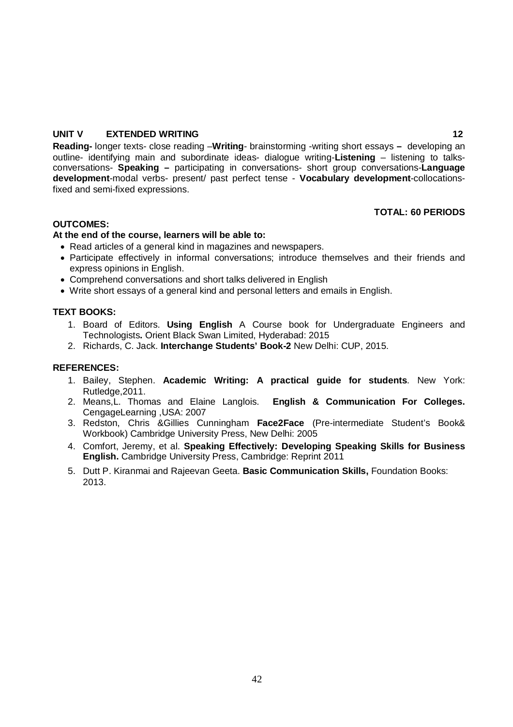#### **UNIT V EXTENDED WRITING 12**

**Reading-** longer texts- close reading –**Writing**- brainstorming -writing short essays **–** developing an outline- identifying main and subordinate ideas- dialogue writing-**Listening** – listening to talksconversations- **Speaking –** participating in conversations- short group conversations-**Language development**-modal verbs- present/ past perfect tense - **Vocabulary development**-collocationsfixed and semi-fixed expressions.

# **TOTAL: 60 PERIODS**

#### **OUTCOMES:**

#### **At the end of the course, learners will be able to:**

- Read articles of a general kind in magazines and newspapers.
- Participate effectively in informal conversations; introduce themselves and their friends and express opinions in English.
- Comprehend conversations and short talks delivered in English
- Write short essays of a general kind and personal letters and emails in English.

#### **TEXT BOOKS:**

- 1. Board of Editors. **Using English** A Course book for Undergraduate Engineers and Technologists**.** Orient Black Swan Limited, Hyderabad: 2015
- 2. Richards, C. Jack. **Interchange Students' Book-2** New Delhi: CUP, 2015.

#### **REFERENCES:**

- 1. Bailey, Stephen. **Academic Writing: A practical guide for students**. New York: Rutledge,2011.
- 2. Means,L. Thomas and Elaine Langlois. **English & Communication For Colleges.**  CengageLearning ,USA: 2007
- 3. Redston, Chris &Gillies Cunningham **Face2Face** (Pre-intermediate Student's Book& Workbook) Cambridge University Press, New Delhi: 2005
- 4. Comfort, Jeremy, et al. **Speaking Effectively: Developing Speaking Skills for Business English.** Cambridge University Press, Cambridge: Reprint 2011
- 5. Dutt P. Kiranmai and Rajeevan Geeta. **Basic Communication Skills,** Foundation Books: 2013.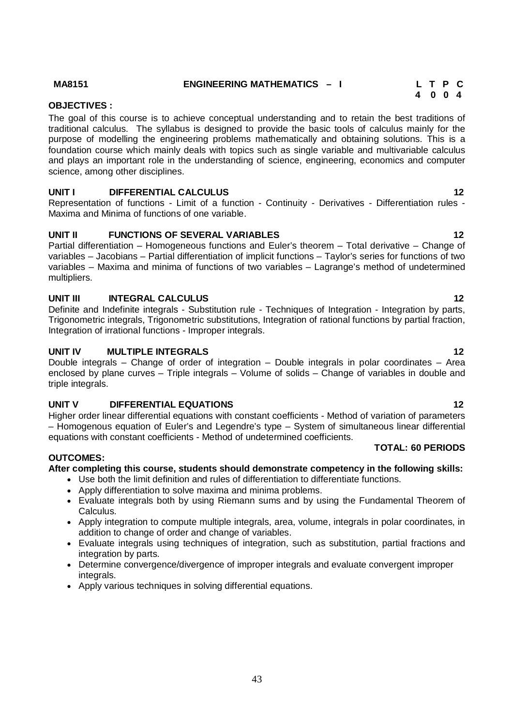#### **MA8151 ENGINEERING MATHEMATICS – I L T P C**

#### **4 0 0 4 OBJECTIVES :**

The goal of this course is to achieve conceptual understanding and to retain the best traditions of traditional calculus. The syllabus is designed to provide the basic tools of calculus mainly for the purpose of modelling the engineering problems mathematically and obtaining solutions. This is a foundation course which mainly deals with topics such as single variable and multivariable calculus and plays an important role in the understanding of science, engineering, economics and computer science, among other disciplines.

#### **UNIT I DIFFERENTIAL CALCULUS 12**

Representation of functions - Limit of a function - Continuity - Derivatives - Differentiation rules - Maxima and Minima of functions of one variable.

# **UNIT II FUNCTIONS OF SEVERAL VARIABLES 12**

Partial differentiation – Homogeneous functions and Euler's theorem – Total derivative – Change of variables – Jacobians – Partial differentiation of implicit functions – Taylor's series for functions of two variables – Maxima and minima of functions of two variables – Lagrange's method of undetermined multipliers.

#### **UNIT III INTEGRAL CALCULUS** 12

Definite and Indefinite integrals - Substitution rule - Techniques of Integration - Integration by parts, Trigonometric integrals, Trigonometric substitutions, Integration of rational functions by partial fraction, Integration of irrational functions - Improper integrals.

#### **UNIT IV MULTIPLE INTEGRALS** 12

Double integrals – Change of order of integration – Double integrals in polar coordinates – Area enclosed by plane curves – Triple integrals – Volume of solids – Change of variables in double and triple integrals.

#### **UNIT V DIFFERENTIAL EQUATIONS 12**

Higher order linear differential equations with constant coefficients - Method of variation of parameters – Homogenous equation of Euler's and Legendre's type – System of simultaneous linear differential equations with constant coefficients - Method of undetermined coefficients.

# **TOTAL: 60 PERIODS**

#### **OUTCOMES:**

# **After completing this course, students should demonstrate competency in the following skills:**

- Use both the limit definition and rules of differentiation to differentiate functions.
- Apply differentiation to solve maxima and minima problems.
- Evaluate integrals both by using Riemann sums and by using the Fundamental Theorem of Calculus.
- Apply integration to compute multiple integrals, area, volume, integrals in polar coordinates, in addition to change of order and change of variables.
- Evaluate integrals using techniques of integration, such as substitution, partial fractions and integration by parts.
- Determine convergence/divergence of improper integrals and evaluate convergent improper integrals.
- Apply various techniques in solving differential equations.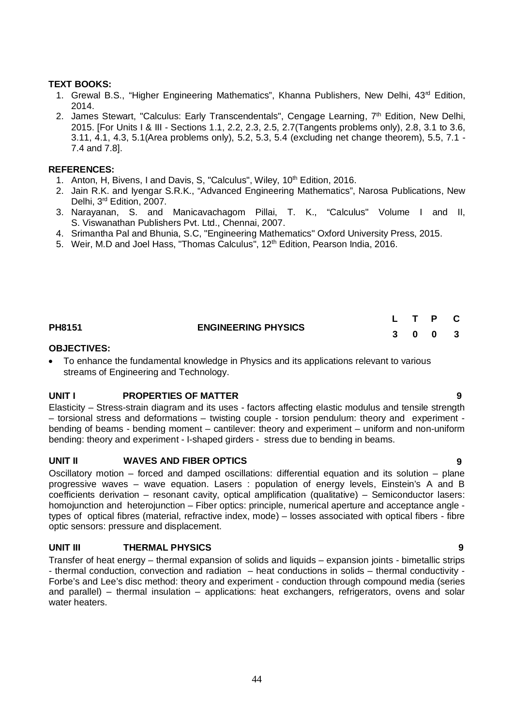#### **TEXT BOOKS:**

- 1. Grewal B.S., "Higher Engineering Mathematics", Khanna Publishers, New Delhi, 43<sup>rd</sup> Edition, 2014.
- 2. James Stewart, "Calculus: Early Transcendentals", Cengage Learning, 7<sup>th</sup> Edition, New Delhi, 2015. [For Units I & III - Sections 1.1, 2.2, 2.3, 2.5, 2.7(Tangents problems only), 2.8, 3.1 to 3.6, 3.11, 4.1, 4.3, 5.1(Area problems only), 5.2, 5.3, 5.4 (excluding net change theorem), 5.5, 7.1 - 7.4 and 7.8].

#### **REFERENCES:**

- 1. Anton, H, Bivens, I and Davis, S, "Calculus", Wiley, 10<sup>th</sup> Edition, 2016.
- 2. Jain R.K. and Iyengar S.R.K., "Advanced Engineering Mathematics", Narosa Publications, New Delhi, 3<sup>rd</sup> Edition, 2007.
- 3. Narayanan, S. and Manicavachagom Pillai, T. K., "Calculus" Volume I and II, S. Viswanathan Publishers Pvt. Ltd., Chennai, 2007.
- 4. Srimantha Pal and Bhunia, S.C, "Engineering Mathematics" Oxford University Press, 2015.
- 5. Weir, M.D and Joel Hass, "Thomas Calculus", 12<sup>th</sup> Edition, Pearson India, 2016.

|        |                            |         | TP C |  |
|--------|----------------------------|---------|------|--|
| PH8151 | <b>ENGINEERING PHYSICS</b> | 3 0 0 3 |      |  |

#### **OBJECTIVES:**

 To enhance the fundamental knowledge in Physics and its applications relevant to various streams of Engineering and Technology.

#### **UNIT I PROPERTIES OF MATTER 9**

Elasticity – Stress-strain diagram and its uses - factors affecting elastic modulus and tensile strength – torsional stress and deformations – twisting couple - torsion pendulum: theory and experiment bending of beams - bending moment – cantilever: theory and experiment – uniform and non-uniform bending: theory and experiment - I-shaped girders - stress due to bending in beams.

#### **UNIT II WAVES AND FIBER OPTICS 9**

Oscillatory motion – forced and damped oscillations: differential equation and its solution – plane progressive waves – wave equation. Lasers : population of energy levels, Einstein's A and B coefficients derivation – resonant cavity, optical amplification (qualitative) – Semiconductor lasers: homojunction and heterojunction – Fiber optics: principle, numerical aperture and acceptance angle types of optical fibres (material, refractive index, mode) – losses associated with optical fibers - fibre optic sensors: pressure and displacement.

#### **UNIT III THERMAL PHYSICS 9**

Transfer of heat energy – thermal expansion of solids and liquids – expansion joints - bimetallic strips - thermal conduction, convection and radiation – heat conductions in solids – thermal conductivity - Forbe's and Lee's disc method: theory and experiment - conduction through compound media (series and parallel) – thermal insulation – applications: heat exchangers, refrigerators, ovens and solar water heaters.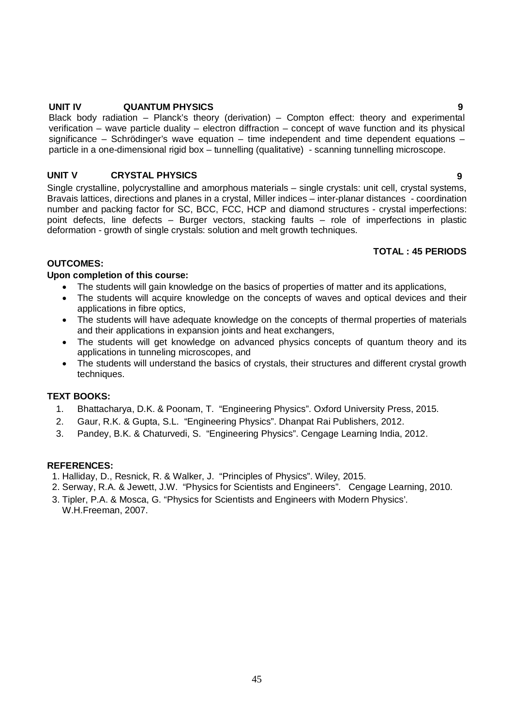#### **UNIT IV QUANTUM PHYSICS 9**

Black body radiation – Planck's theory (derivation) – Compton effect: theory and experimental verification – wave particle duality – electron diffraction – concept of wave function and its physical significance – Schrödinger's wave equation – time independent and time dependent equations – particle in a one-dimensional rigid box – tunnelling (qualitative) - scanning tunnelling microscope.

### **UNIT V CRYSTAL PHYSICS 9**

Single crystalline, polycrystalline and amorphous materials – single crystals: unit cell, crystal systems, Bravais lattices, directions and planes in a crystal, Miller indices – inter-planar distances - coordination number and packing factor for SC, BCC, FCC, HCP and diamond structures - crystal imperfections: point defects, line defects – Burger vectors, stacking faults – role of imperfections in plastic deformation - growth of single crystals: solution and melt growth techniques.

#### **TOTAL : 45 PERIODS**

# **OUTCOMES:**

#### **Upon completion of this course:**

- The students will gain knowledge on the basics of properties of matter and its applications,
- The students will acquire knowledge on the concepts of waves and optical devices and their applications in fibre optics,
- The students will have adequate knowledge on the concepts of thermal properties of materials and their applications in expansion joints and heat exchangers,
- The students will get knowledge on advanced physics concepts of quantum theory and its applications in tunneling microscopes, and
- The students will understand the basics of crystals, their structures and different crystal growth techniques.

### **TEXT BOOKS:**

- 1. Bhattacharya, D.K. & Poonam, T. "Engineering Physics". Oxford University Press, 2015.
- 2. Gaur, R.K. & Gupta, S.L. "Engineering Physics". Dhanpat Rai Publishers, 2012.
- 3. Pandey, B.K. & Chaturvedi, S. "Engineering Physics". Cengage Learning India, 2012.

#### **REFERENCES:**

- 1. Halliday, D., Resnick, R. & Walker, J. "Principles of Physics". Wiley, 2015.
- 2. Serway, R.A. & Jewett, J.W. "Physics for Scientists and Engineers". Cengage Learning, 2010.
- 3. Tipler, P.A. & Mosca, G. "Physics for Scientists and Engineers with Modern Physics'. W.H.Freeman, 2007.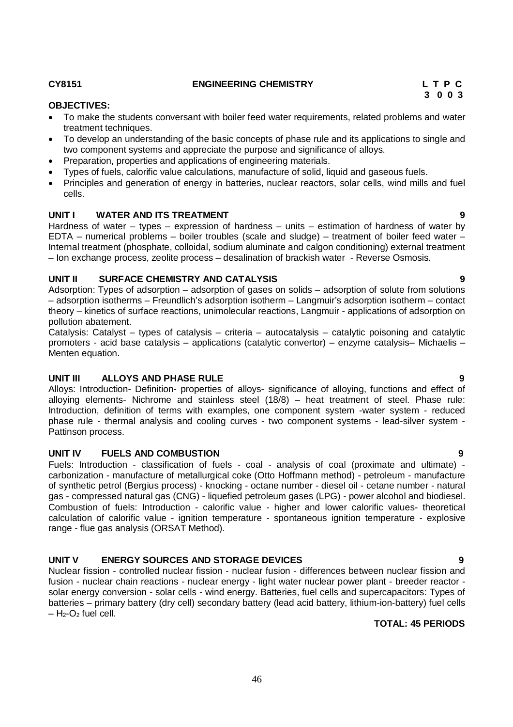#### **CY8151 ENGINEERING CHEMISTRY L T P C**

#### **OBJECTIVES:**

- To make the students conversant with boiler feed water requirements, related problems and water treatment techniques.
- To develop an understanding of the basic concepts of phase rule and its applications to single and two component systems and appreciate the purpose and significance of alloys.
- Preparation, properties and applications of engineering materials.
- Types of fuels, calorific value calculations, manufacture of solid, liquid and gaseous fuels.
- Principles and generation of energy in batteries, nuclear reactors, solar cells, wind mills and fuel cells.

#### **UNIT I WATER AND ITS TREATMENT 9**

Hardness of water – types – expression of hardness – units – estimation of hardness of water by EDTA – numerical problems – boiler troubles (scale and sludge) – treatment of boiler feed water – Internal treatment (phosphate, colloidal, sodium aluminate and calgon conditioning) external treatment – Ion exchange process, zeolite process – desalination of brackish water - Reverse Osmosis.

#### **UNIT II SURFACE CHEMISTRY AND CATALYSIS 9**

Adsorption: Types of adsorption – adsorption of gases on solids – adsorption of solute from solutions – adsorption isotherms – Freundlich's adsorption isotherm – Langmuir's adsorption isotherm – contact theory – kinetics of surface reactions, unimolecular reactions, Langmuir - applications of adsorption on pollution abatement.

Catalysis: Catalyst – types of catalysis – criteria – autocatalysis – catalytic poisoning and catalytic promoters - acid base catalysis – applications (catalytic convertor) – enzyme catalysis– Michaelis – Menten equation.

#### **UNIT III ALLOYS AND PHASE RULE 9**

Alloys: Introduction- Definition- properties of alloys- significance of alloying, functions and effect of alloying elements- Nichrome and stainless steel (18/8) – heat treatment of steel. Phase rule: Introduction, definition of terms with examples, one component system -water system - reduced phase rule - thermal analysis and cooling curves - two component systems - lead-silver system - Pattinson process.

#### **UNIT IV FUELS AND COMBUSTION 9**

Fuels: Introduction - classification of fuels - coal - analysis of coal (proximate and ultimate) carbonization - manufacture of metallurgical coke (Otto Hoffmann method) - petroleum - manufacture of synthetic petrol (Bergius process) - knocking - octane number - diesel oil - cetane number - natural gas - compressed natural gas (CNG) - liquefied petroleum gases (LPG) - power alcohol and biodiesel. Combustion of fuels: Introduction - calorific value - higher and lower calorific values- theoretical calculation of calorific value - ignition temperature - spontaneous ignition temperature - explosive range - flue gas analysis (ORSAT Method).

#### **UNIT V ENERGY SOURCES AND STORAGE DEVICES 9**

Nuclear fission - controlled nuclear fission - nuclear fusion - differences between nuclear fission and fusion - nuclear chain reactions - nuclear energy - light water nuclear power plant - breeder reactor solar energy conversion - solar cells - wind energy. Batteries, fuel cells and supercapacitors: Types of batteries – primary battery (dry cell) secondary battery (lead acid battery, lithium-ion-battery) fuel cells  $-$  H<sub>2</sub>-O<sub>2</sub> fuel cell.

### **TOTAL: 45 PERIODS**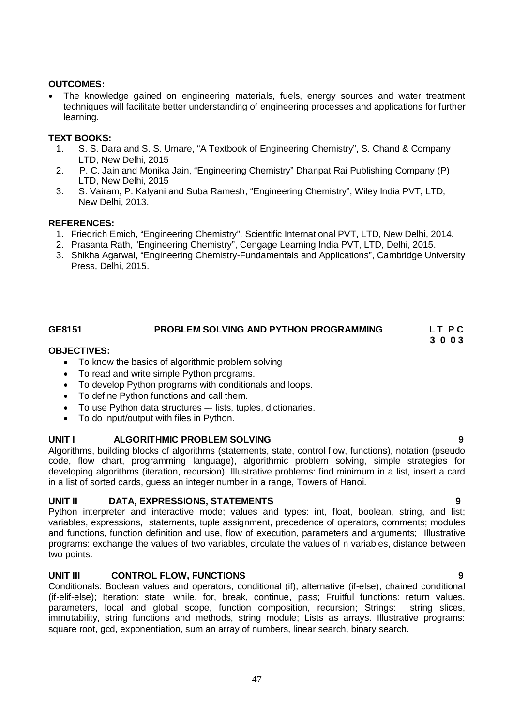### **OUTCOMES:**

 The knowledge gained on engineering materials, fuels, energy sources and water treatment techniques will facilitate better understanding of engineering processes and applications for further learning.

# **TEXT BOOKS:**

- 1. S. S. Dara and S. S. Umare, "A Textbook of Engineering Chemistry", S. Chand & Company LTD, New Delhi, 2015
- 2. P. C. Jain and Monika Jain, "Engineering Chemistry" Dhanpat Rai Publishing Company (P) LTD, New Delhi, 2015
- 3. S. Vairam, P. Kalyani and Suba Ramesh, "Engineering Chemistry", Wiley India PVT, LTD, New Delhi, 2013.

### **REFERENCES:**

- 1. Friedrich Emich, "Engineering Chemistry", Scientific International PVT, LTD, New Delhi, 2014.
- 2. Prasanta Rath, "Engineering Chemistry", Cengage Learning India PVT, LTD, Delhi, 2015.
- 3. Shikha Agarwal, "Engineering Chemistry-Fundamentals and Applications", Cambridge University Press, Delhi, 2015.

# GE8151 PROBLEM SOLVING AND PYTHON PROGRAMMING LTPC

 **3 0 0 3**

#### **OBJECTIVES:**

- To know the basics of algorithmic problem solving
- To read and write simple Python programs.
- To develop Python programs with conditionals and loops.
- To define Python functions and call them.
- To use Python data structures –- lists, tuples, dictionaries.
- To do input/output with files in Python.

#### **UNIT I ALGORITHMIC PROBLEM SOLVING 9**

Algorithms, building blocks of algorithms (statements, state, control flow, functions), notation (pseudo code, flow chart, programming language), algorithmic problem solving, simple strategies for developing algorithms (iteration, recursion). Illustrative problems: find minimum in a list, insert a card in a list of sorted cards, guess an integer number in a range, Towers of Hanoi.

#### **UNIT II DATA, EXPRESSIONS, STATEMENTS 9**

Python interpreter and interactive mode; values and types: int, float, boolean, string, and list; variables, expressions, statements, tuple assignment, precedence of operators, comments; modules and functions, function definition and use, flow of execution, parameters and arguments; Illustrative programs: exchange the values of two variables, circulate the values of n variables, distance between two points.

#### **UNIT III CONTROL FLOW, FUNCTIONS 9**

Conditionals: Boolean values and operators, conditional (if), alternative (if-else), chained conditional (if-elif-else); Iteration: state, while, for, break, continue, pass; Fruitful functions: return values, parameters, local and global scope, function composition, recursion; Strings: string slices, immutability, string functions and methods, string module; Lists as arrays. Illustrative programs: square root, gcd, exponentiation, sum an array of numbers, linear search, binary search.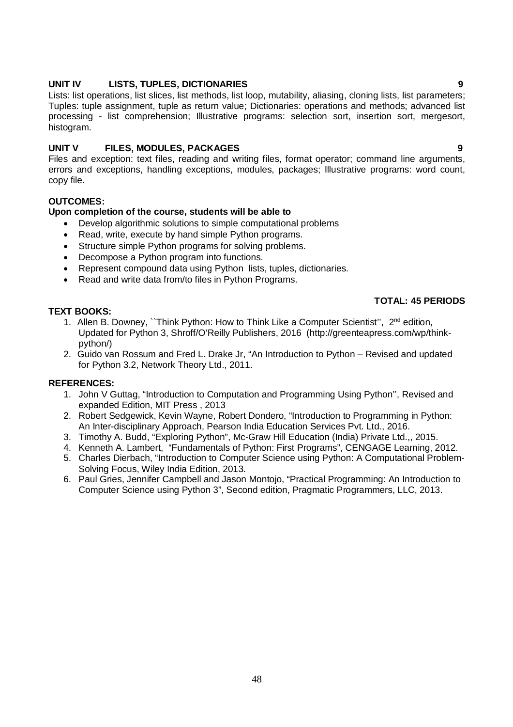### **UNIT IV LISTS, TUPLES, DICTIONARIES 9**

Lists: list operations, list slices, list methods, list loop, mutability, aliasing, cloning lists, list parameters; Tuples: tuple assignment, tuple as return value; Dictionaries: operations and methods; advanced list processing - list comprehension; Illustrative programs: selection sort, insertion sort, mergesort, histogram.

# **UNIT V FILES, MODULES, PACKAGES 9**

Files and exception: text files, reading and writing files, format operator; command line arguments, errors and exceptions, handling exceptions, modules, packages; Illustrative programs: word count, copy file.

#### **OUTCOMES:**

### **Upon completion of the course, students will be able to**

- Develop algorithmic solutions to simple computational problems
- Read, write, execute by hand simple Python programs.
- Structure simple Python programs for solving problems.
- Decompose a Python program into functions.
- Represent compound data using Python lists, tuples, dictionaries.
- Read and write data from/to files in Python Programs.

#### **TEXT BOOKS:**

#### **TOTAL: 45 PERIODS**

- 1. Allen B. Downey, "Think Python: How to Think Like a Computer Scientist", 2<sup>nd</sup> edition, Updated for Python 3, Shroff/O'Reilly Publishers, 2016 (http://greenteapress.com/wp/thinkpython/)
- 2. Guido van Rossum and Fred L. Drake Jr, "An Introduction to Python Revised and updated for Python 3.2, Network Theory Ltd., 2011.

#### **REFERENCES:**

- 1. John V Guttag, "Introduction to Computation and Programming Using Python'', Revised and expanded Edition, MIT Press , 2013
- 2. Robert Sedgewick, Kevin Wayne, Robert Dondero, "Introduction to Programming in Python: An Inter-disciplinary Approach, Pearson India Education Services Pvt. Ltd., 2016.
- 3. Timothy A. Budd, "Exploring Python", Mc-Graw Hill Education (India) Private Ltd.,, 2015.
- 4. Kenneth A. Lambert, "Fundamentals of Python: First Programs", CENGAGE Learning, 2012.
- 5. Charles Dierbach, "Introduction to Computer Science using Python: A Computational Problem-Solving Focus, Wiley India Edition, 2013.
- 6. Paul Gries, Jennifer Campbell and Jason Montojo, "Practical Programming: An Introduction to Computer Science using Python 3", Second edition, Pragmatic Programmers, LLC, 2013.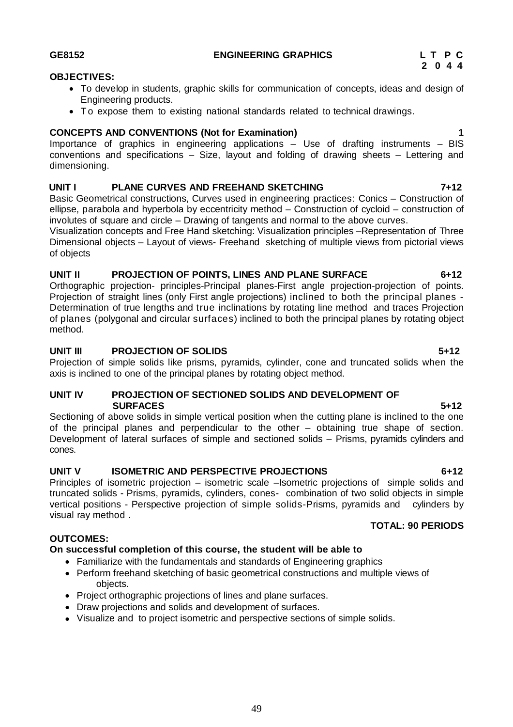#### **GE8152 ENGINEERING GRAPHICS L T P C**

### **OBJECTIVES:**

- To develop in students, graphic skills for communication of concepts, ideas and design of Engineering products.
- To expose them to existing national standards related to technical drawings.

# **CONCEPTS AND CONVENTIONS (Not for Examination) 1**

Importance of graphics in engineering applications – Use of drafting instruments – BIS conventions and specifications – Size, layout and folding of drawing sheets – Lettering and dimensioning.

# **UNIT I PLANE CURVES AND FREEHAND SKETCHING 7+12**

Basic Geometrical constructions, Curves used in engineering practices: Conics – Construction of ellipse, parabola and hyperbola by eccentricity method – Construction of cycloid – construction of involutes of square and circle – Drawing of tangents and normal to the above curves.

Visualization concepts and Free Hand sketching: Visualization principles –Representation of Three Dimensional objects – Layout of views- Freehand sketching of multiple views from pictorial views of objects

# **UNIT II PROJECTION OF POINTS, LINES AND PLANE SURFACE 6+12**

Orthographic projection- principles-Principal planes-First angle projection-projection of points. Projection of straight lines (only First angle projections) inclined to both the principal planes - Determination of true lengths and true inclinations by rotating line method and traces Projection of planes (polygonal and circular surfaces) inclined to both the principal planes by rotating object method.

# **UNIT III PROJECTION OF SOLIDS 5+12**

Projection of simple solids like prisms, pyramids, cylinder, cone and truncated solids when the axis is inclined to one of the principal planes by rotating object method.

### **UNIT IV PROJECTION OF SECTIONED SOLIDS AND DEVELOPMENT OF SURFACES** 5+12

Sectioning of above solids in simple vertical position when the cutting plane is inclined to the one of the principal planes and perpendicular to the other – obtaining true shape of section. Development of lateral surfaces of simple and sectioned solids – Prisms, pyramids cylinders and cones.

#### **UNIT V ISOMETRIC AND PERSPECTIVE PROJECTIONS 6+12**

Principles of isometric projection – isometric scale –Isometric projections of simple solids and truncated solids - Prisms, pyramids, cylinders, cones- combination of two solid objects in simple vertical positions - Perspective projection of simple solids-Prisms, pyramids and cylinders by visual ray method .

### **OUTCOMES:**

# **On successful completion of this course, the student will be able to**

- Familiarize with the fundamentals and standards of Engineering graphics
- Perform freehand sketching of basic geometrical constructions and multiple views of objects.
- Project orthographic projections of lines and plane surfaces.
- Draw projections and solids and development of surfaces.
- Visualize and to project isometric and perspective sections of simple solids.

 **TOTAL: 90 PERIODS**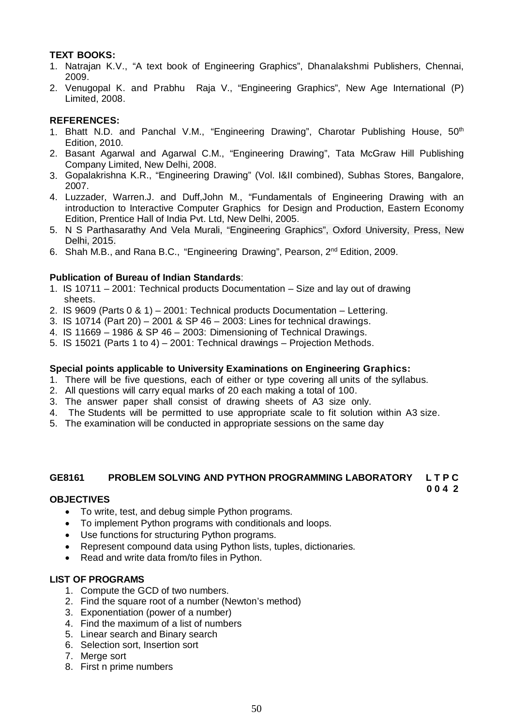# **TEXT BOOKS:**

- 1. Natrajan K.V., "A text book of Engineering Graphics", Dhanalakshmi Publishers, Chennai, 2009.
- 2. Venugopal K. and Prabhu Raja V., "Engineering Graphics", New Age International (P) Limited, 2008.

#### **REFERENCES:**

- 1. Bhatt N.D. and Panchal V.M., "Engineering Drawing", Charotar Publishing House, 50<sup>th</sup> Edition, 2010.
- 2. Basant Agarwal and Agarwal C.M., "Engineering Drawing", Tata McGraw Hill Publishing Company Limited, New Delhi, 2008.
- 3. Gopalakrishna K.R., "Engineering Drawing" (Vol. I&II combined), Subhas Stores, Bangalore, 2007.
- 4. Luzzader, Warren.J. and Duff,John M., "Fundamentals of Engineering Drawing with an introduction to Interactive Computer Graphics for Design and Production, Eastern Economy Edition, Prentice Hall of India Pvt. Ltd, New Delhi, 2005.
- 5. N S Parthasarathy And Vela Murali, "Engineering Graphics", Oxford University, Press, New Delhi, 2015.
- 6. Shah M.B., and Rana B.C., "Engineering Drawing", Pearson, 2nd Edition, 2009.

#### **Publication of Bureau of Indian Standards**:

- 1. IS 10711 2001: Technical products Documentation Size and lay out of drawing sheets.
- 2. IS 9609 (Parts 0 & 1) 2001: Technical products Documentation Lettering.
- 3. IS 10714 (Part 20) 2001 & SP 46 2003: Lines for technical drawings.
- 4. IS 11669 1986 & SP 46 2003: Dimensioning of Technical Drawings.
- 5. IS 15021 (Parts 1 to 4) 2001: Technical drawings Projection Methods.

#### **Special points applicable to University Examinations on Engineering Graphics:**

- 1. There will be five questions, each of either or type covering all units of the syllabus.
- 2. All questions will carry equal marks of 20 each making a total of 100.
- 3. The answer paper shall consist of drawing sheets of A3 size only.
- 4. The Students will be permitted to use appropriate scale to fit solution within A3 size.
- 5. The examination will be conducted in appropriate sessions on the same day

#### **GE8161 PROBLEM SOLVING AND PYTHON PROGRAMMING LABORATORY L T P C**

# **0 0 4 2**

#### **OBJECTIVES**

- To write, test, and debug simple Python programs.
- To implement Python programs with conditionals and loops.
- Use functions for structuring Python programs.
- Represent compound data using Python lists, tuples, dictionaries.
- Read and write data from/to files in Python.

#### **LIST OF PROGRAMS**

- 1. Compute the GCD of two numbers.
- 2. Find the square root of a number (Newton's method)
- 3. Exponentiation (power of a number)
- 4. Find the maximum of a list of numbers
- 5. Linear search and Binary search
- 6. Selection sort, Insertion sort
- 7. Merge sort
- 8. First n prime numbers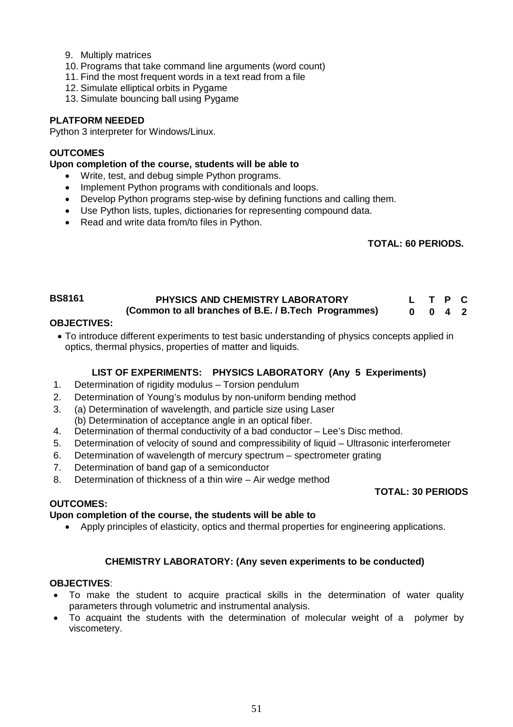- 9. Multiply matrices
- 10. Programs that take command line arguments (word count)
- 11. Find the most frequent words in a text read from a file
- 12. Simulate elliptical orbits in Pygame
- 13. Simulate bouncing ball using Pygame

# **PLATFORM NEEDED**

Python 3 interpreter for Windows/Linux.

### **OUTCOMES**

**Upon completion of the course, students will be able to**

- Write, test, and debug simple Python programs.
- Implement Python programs with conditionals and loops.
- Develop Python programs step-wise by defining functions and calling them.
- Use Python lists, tuples, dictionaries for representing compound data.
- Read and write data from/to files in Python.

# **TOTAL: 60 PERIODS.**

#### **BS8161 PHYSICS AND CHEMISTRY LABORATORY (Common to all branches of B.E. / B.Tech Programmes) L T P C 0 0 4 2**

# **OBJECTIVES:**

 To introduce different experiments to test basic understanding of physics concepts applied in optics, thermal physics, properties of matter and liquids.

# **LIST OF EXPERIMENTS: PHYSICS LABORATORY (Any 5 Experiments)**

- 1. Determination of rigidity modulus Torsion pendulum
- 2. Determination of Young's modulus by non-uniform bending method
- 3. (a) Determination of wavelength, and particle size using Laser
- (b) Determination of acceptance angle in an optical fiber.
- 4. Determination of thermal conductivity of a bad conductor Lee's Disc method.
- 5. Determination of velocity of sound and compressibility of liquid Ultrasonic interferometer
- 6. Determination of wavelength of mercury spectrum spectrometer grating
- 7. Determination of band gap of a semiconductor
- 8. Determination of thickness of a thin wire Air wedge method

#### **TOTAL: 30 PERIODS**

#### **OUTCOMES:**

# **Upon completion of the course, the students will be able to**

Apply principles of elasticity, optics and thermal properties for engineering applications.

# **CHEMISTRY LABORATORY: (Any seven experiments to be conducted)**

#### **OBJECTIVES**:

- To make the student to acquire practical skills in the determination of water quality parameters through volumetric and instrumental analysis.
- To acquaint the students with the determination of molecular weight of a polymer by viscometery.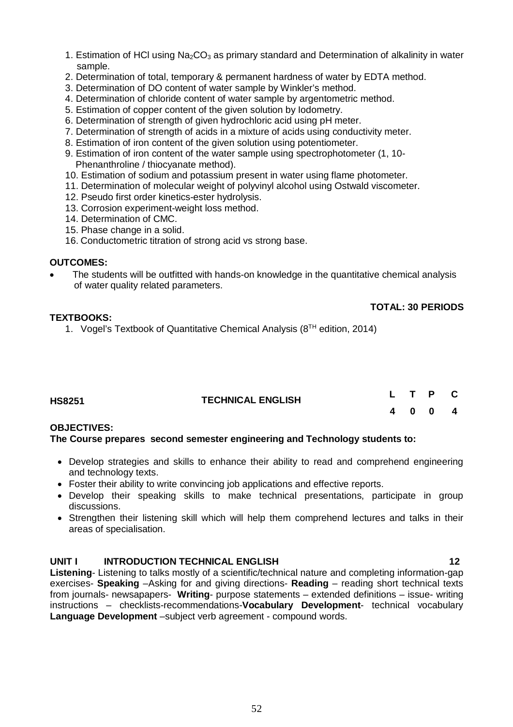- 1. Estimation of HCI using  $Na<sub>2</sub>CO<sub>3</sub>$  as primary standard and Determination of alkalinity in water sample.
- 2. Determination of total, temporary & permanent hardness of water by EDTA method.
- 3. Determination of DO content of water sample by Winkler's method.
- 4. Determination of chloride content of water sample by argentometric method.
- 5. Estimation of copper content of the given solution by Iodometry.
- 6. Determination of strength of given hydrochloric acid using pH meter.
- 7. Determination of strength of acids in a mixture of acids using conductivity meter.
- 8. Estimation of iron content of the given solution using potentiometer.
- 9. Estimation of iron content of the water sample using spectrophotometer (1, 10- Phenanthroline / thiocyanate method).
- 10. Estimation of sodium and potassium present in water using flame photometer.
- 11. Determination of molecular weight of polyvinyl alcohol using Ostwald viscometer.
- 12. Pseudo first order kinetics-ester hydrolysis.
- 13. Corrosion experiment-weight loss method.
- 14. Determination of CMC.
- 15. Phase change in a solid.
- 16. Conductometric titration of strong acid vs strong base.

#### **OUTCOMES:**

 The students will be outfitted with hands-on knowledge in the quantitative chemical analysis of water quality related parameters.

#### **TOTAL: 30 PERIODS**

#### **TEXTBOOKS:**

1. Vogel's Textbook of Quantitative Chemical Analysis (8<sup>TH</sup> edition, 2014)

| <b>HS8251</b> | <b>TECHNICAL ENGLISH</b> |  | L T P C |  |
|---------------|--------------------------|--|---------|--|
|               |                          |  | 4 0 0 4 |  |

#### **OBJECTIVES:**

**The Course prepares second semester engineering and Technology students to:**

- Develop strategies and skills to enhance their ability to read and comprehend engineering and technology texts.
- Foster their ability to write convincing job applications and effective reports.
- Develop their speaking skills to make technical presentations, participate in group discussions.
- Strengthen their listening skill which will help them comprehend lectures and talks in their areas of specialisation.

### **UNIT I INTRODUCTION TECHNICAL ENGLISH 12**

**Listening**- Listening to talks mostly of a scientific/technical nature and completing information-gap exercises- **Speaking** –Asking for and giving directions- **Reading** – reading short technical texts from journals- newsapapers- **Writing**- purpose statements – extended definitions – issue- writing instructions – checklists-recommendations-**Vocabulary Development**- technical vocabulary **Language Development** –subject verb agreement - compound words.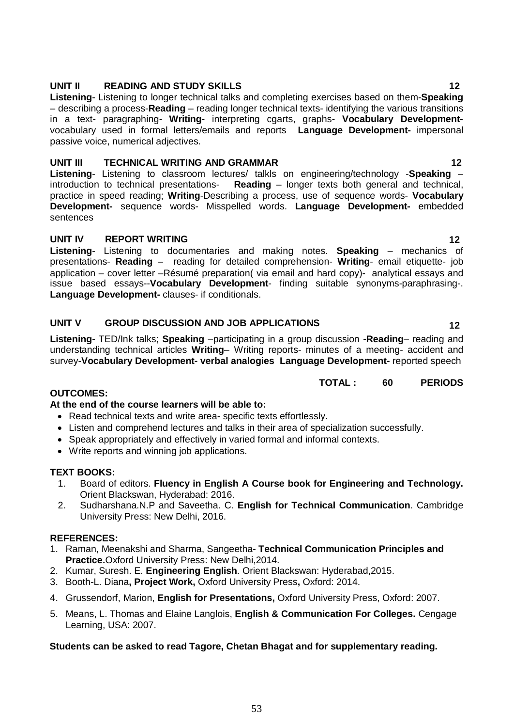# **UNIT II READING AND STUDY SKILLS 12**

**Listening**- Listening to longer technical talks and completing exercises based on them-**Speaking** – describing a process-**Reading** – reading longer technical texts- identifying the various transitions in a text- paragraphing- **Writing**- interpreting cgarts, graphs- **Vocabulary Development**vocabulary used in formal letters/emails and reports **Language Development-** impersonal passive voice, numerical adjectives.

# **UNIT III TECHNICAL WRITING AND GRAMMAR 12**

**Listening**- Listening to classroom lectures/ talkls on engineering/technology -**Speaking** – introduction to technical presentations- **Reading** – longer texts both general and technical, practice in speed reading; **Writing**-Describing a process, use of sequence words- **Vocabulary Development-** sequence words- Misspelled words. **Language Development-** embedded sentences

# **UNIT IV REPORT WRITING 12**

**Listening**- Listening to documentaries and making notes. **Speaking** – mechanics of presentations- **Reading** – reading for detailed comprehension- **Writing**- email etiquette- job application – cover letter –Résumé preparation( via email and hard copy)- analytical essays and issue based essays--**Vocabulary Development**- finding suitable synonyms-paraphrasing-. **Language Development-** clauses- if conditionals.

# **UNIT V GROUP DISCUSSION AND JOB APPLICATIONS 12**

**Listening**- TED/Ink talks; **Speaking** –participating in a group discussion -**Reading**– reading and understanding technical articles **Writing**– Writing reports- minutes of a meeting- accident and survey-**Vocabulary Development- verbal analogies Language Development-** reported speech

# **TOTAL : 60 PERIODS**

# **OUTCOMES:**

#### **At the end of the course learners will be able to:**

- Read technical texts and write area- specific texts effortlessly.
- Listen and comprehend lectures and talks in their area of specialization successfully.
- Speak appropriately and effectively in varied formal and informal contexts.
- Write reports and winning job applications.

#### **TEXT BOOKS:**

- 1. Board of editors. **Fluency in English A Course book for Engineering and Technology.**  Orient Blackswan, Hyderabad: 2016.
- 2. Sudharshana.N.P and Saveetha. C. **English for Technical Communication**. Cambridge University Press: New Delhi, 2016.

#### **REFERENCES:**

- 1. Raman, Meenakshi and Sharma, Sangeetha- **Technical Communication Principles and Practice.**Oxford University Press: New Delhi,2014.
- 2. Kumar, Suresh. E. **Engineering English**. Orient Blackswan: Hyderabad,2015.
- 3. Booth-L. Diana**, Project Work,** Oxford University Press**,** Oxford: 2014.
- 4. Grussendorf, Marion, **English for Presentations,** Oxford University Press, Oxford: 2007.
- 5. Means, L. Thomas and Elaine Langlois, **English & Communication For Colleges.** Cengage Learning, USA: 2007.

#### **Students can be asked to read Tagore, Chetan Bhagat and for supplementary reading.**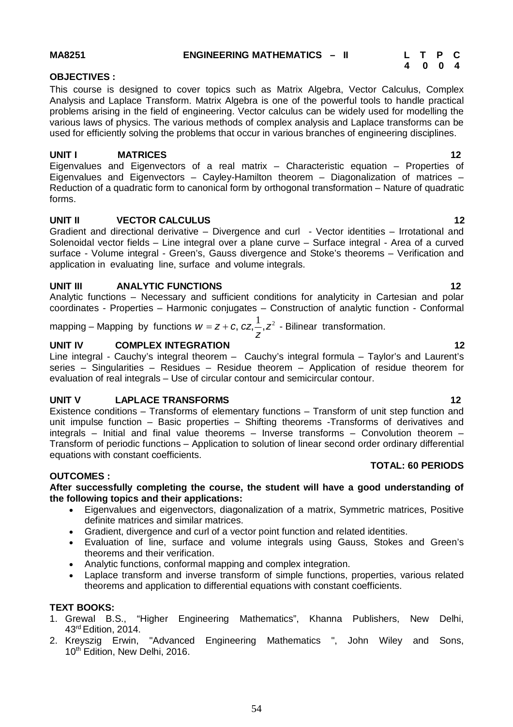**MA8251 ENGINEERING MATHEMATICS – II L T P C** 

### **OBJECTIVES :**

This course is designed to cover topics such as Matrix Algebra, Vector Calculus, Complex Analysis and Laplace Transform. Matrix Algebra is one of the powerful tools to handle practical problems arising in the field of engineering. Vector calculus can be widely used for modelling the various laws of physics. The various methods of complex analysis and Laplace transforms can be used for efficiently solving the problems that occur in various branches of engineering disciplines.

# **UNIT I** MATRICES 12

Eigenvalues and Eigenvectors of a real matrix – Characteristic equation – Properties of Eigenvalues and Eigenvectors – Cayley-Hamilton theorem – Diagonalization of matrices – Reduction of a quadratic form to canonical form by orthogonal transformation – Nature of quadratic forms.

# **UNIT II VECTOR CALCULUS 12**

Gradient and directional derivative – Divergence and curl - Vector identities – Irrotational and Solenoidal vector fields – Line integral over a plane curve – Surface integral - Area of a curved surface - Volume integral - Green's, Gauss divergence and Stoke's theorems – Verification and application in evaluating line, surface and volume integrals.

# **UNIT III ANALYTIC FUNCTIONS 12**

Analytic functions – Necessary and sufficient conditions for analyticity in Cartesian and polar coordinates - Properties – Harmonic conjugates – Construction of analytic function - Conformal

#### mapping – Mapping by functions  $w = z + c, \, cz, \frac{1}{z^2}$ *z*  $W = Z + C$ ,  $CZ, \frac{1}{2}$ ,  $Z^2$  - Bilinear transformation.

# **UNIT IV COMPLEX INTEGRATION 12**

Line integral - Cauchy's integral theorem – Cauchy's integral formula – Taylor's and Laurent's series – Singularities – Residues – Residue theorem – Application of residue theorem for evaluation of real integrals – Use of circular contour and semicircular contour.

# **UNIT V LAPLACE TRANSFORMS** 12

Existence conditions – Transforms of elementary functions – Transform of unit step function and unit impulse function – Basic properties – Shifting theorems -Transforms of derivatives and integrals – Initial and final value theorems – Inverse transforms – Convolution theorem – Transform of periodic functions – Application to solution of linear second order ordinary differential equations with constant coefficients.

#### **OUTCOMES :**

#### **After successfully completing the course, the student will have a good understanding of the following topics and their applications:**

- Eigenvalues and eigenvectors, diagonalization of a matrix, Symmetric matrices, Positive definite matrices and similar matrices.
- Gradient, divergence and curl of a vector point function and related identities.
- Evaluation of line, surface and volume integrals using Gauss, Stokes and Green's theorems and their verification.
- Analytic functions, conformal mapping and complex integration.
- Laplace transform and inverse transform of simple functions, properties, various related theorems and application to differential equations with constant coefficients.

### **TEXT BOOKS:**

- 1. Grewal B.S., "Higher Engineering Mathematics", Khanna Publishers, New Delhi, 43rd Edition, 2014.
- 2. Kreyszig Erwin, "Advanced Engineering Mathematics ", John Wiley and Sons, 10<sup>th</sup> Edition, New Delhi, 2016.

 **TOTAL: 60 PERIODS**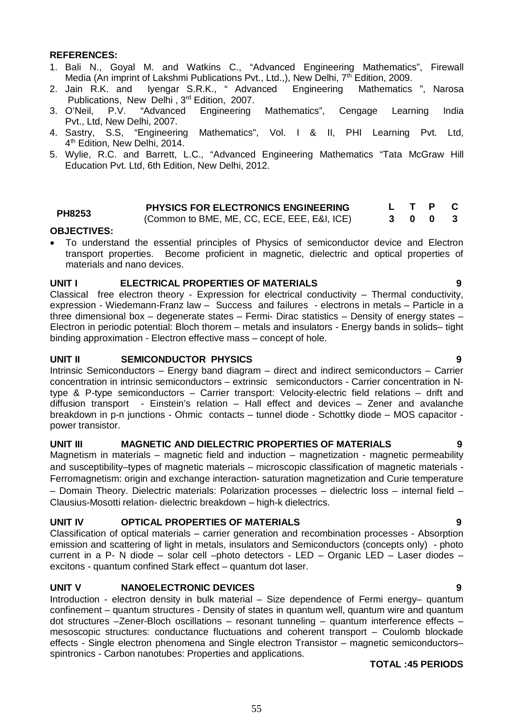# **REFERENCES:**

- 1. Bali N., Goyal M. and Watkins C., "Advanced Engineering Mathematics", Firewall Media (An imprint of Lakshmi Publications Pvt., Ltd.,), New Delhi, 7<sup>th</sup> Edition, 2009.
- 2. Jain R.K. and Iyengar S.R.K., " Advanced Engineering Mathematics ", Narosa Publications, New Delhi, 3<sup>rd</sup> Edition, 2007.<br>3. O'Neil. P.V. "Advanced Engineering
- Engineering Mathematics", Cengage Learning India Pvt., Ltd, New Delhi, 2007.
- 4. Sastry, S.S, "Engineering Mathematics", Vol. I & II, PHI Learning Pvt. Ltd, 4 th Edition, New Delhi, 2014.
- 5. Wylie, R.C. and Barrett, L.C., "Advanced Engineering Mathematics "Tata McGraw Hill Education Pvt. Ltd, 6th Edition, New Delhi, 2012.

|               | <b>PHYSICS FOR ELECTRONICS ENGINEERING</b>  |     |  |  |
|---------------|---------------------------------------------|-----|--|--|
| <b>PH8253</b> | (Common to BME, ME, CC, ECE, EEE, E&I, ICE) | 300 |  |  |

**3 0 0 3**

# **OBJECTIVES:**

 To understand the essential principles of Physics of semiconductor device and Electron transport properties. Become proficient in magnetic, dielectric and optical properties of materials and nano devices.

#### **UNIT I ELECTRICAL PROPERTIES OF MATERIALS 9**

Classical free electron theory - Expression for electrical conductivity – Thermal conductivity, expression - Wiedemann-Franz law – Success and failures - electrons in metals – Particle in a three dimensional box – degenerate states – Fermi- Dirac statistics – Density of energy states – Electron in periodic potential: Bloch thorem – metals and insulators - Energy bands in solids– tight binding approximation - Electron effective mass – concept of hole.

### **UNIT II SEMICONDUCTOR PHYSICS 9**

Intrinsic Semiconductors – Energy band diagram – direct and indirect semiconductors – Carrier concentration in intrinsic semiconductors – extrinsic semiconductors - Carrier concentration in Ntype & P-type semiconductors – Carrier transport: Velocity-electric field relations – drift and  $diffusion$  transport - Einstein's relation – Hall effect and devices – Zener and avalanche breakdown in p-n junctions - Ohmic contacts – tunnel diode - Schottky diode – MOS capacitor power transistor.

# UNIT III MAGNETIC AND DIELECTRIC PROPERTIES OF MATERIALS

Magnetism in materials – magnetic field and induction – magnetization - magnetic permeability and susceptibility–types of magnetic materials – microscopic classification of magnetic materials - Ferromagnetism: origin and exchange interaction- saturation magnetization and Curie temperature – Domain Theory. Dielectric materials: Polarization processes – dielectric loss – internal field – Clausius-Mosotti relation- dielectric breakdown – high-k dielectrics.

# **UNIT IV OPTICAL PROPERTIES OF MATERIALS 9**

Classification of optical materials – carrier generation and recombination processes - Absorption emission and scattering of light in metals, insulators and Semiconductors (concepts only) - photo current in a P- N diode – solar cell –photo detectors - LED – Organic LED – Laser diodes – excitons - quantum confined Stark effect – quantum dot laser.

#### **UNIT V NANOELECTRONIC DEVICES 9**

Introduction - electron density in bulk material – Size dependence of Fermi energy– quantum confinement – quantum structures - Density of states in quantum well, quantum wire and quantum dot structures –Zener-Bloch oscillations – resonant tunneling – quantum interference effects – mesoscopic structures: conductance fluctuations and coherent transport – Coulomb blockade effects - Single electron phenomena and Single electron Transistor – magnetic semiconductors– spintronics - Carbon nanotubes: Properties and applications.

#### **TOTAL :45 PERIODS**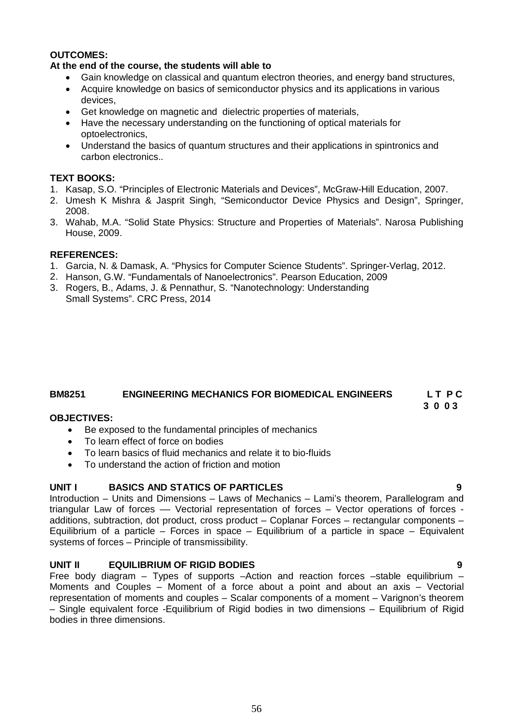### **OUTCOMES:**

#### **At the end of the course, the students will able to**

- Gain knowledge on classical and quantum electron theories, and energy band structures,
- Acquire knowledge on basics of semiconductor physics and its applications in various devices,
- Get knowledge on magnetic and dielectric properties of materials,
- Have the necessary understanding on the functioning of optical materials for optoelectronics,
- Understand the basics of quantum structures and their applications in spintronics and carbon electronics..

#### **TEXT BOOKS:**

- 1. Kasap, S.O. "Principles of Electronic Materials and Devices", McGraw-Hill Education, 2007.
- 2. Umesh K Mishra & Jasprit Singh, "Semiconductor Device Physics and Design", Springer, 2008.
- 3. Wahab, M.A. "Solid State Physics: Structure and Properties of Materials". Narosa Publishing House, 2009.

#### **REFERENCES:**

- 1. Garcia, N. & Damask, A. "Physics for Computer Science Students". Springer-Verlag, 2012.
- 2. Hanson, G.W. "Fundamentals of Nanoelectronics". Pearson Education, 2009
- 3. Rogers, B., Adams, J. & Pennathur, S. "Nanotechnology: Understanding Small Systems". CRC Press, 2014

# **BM8251 ENGINEERING MECHANICS FOR BIOMEDICAL ENGINEERS L T P C**

#### **3 0 0 3 OBJECTIVES:**

- Be exposed to the fundamental principles of mechanics
- To learn effect of force on bodies
- To learn basics of fluid mechanics and relate it to bio-fluids
- To understand the action of friction and motion

#### **UNIT I BASICS AND STATICS OF PARTICLES 9**

Introduction – Units and Dimensions – Laws of Mechanics – Lami's theorem, Parallelogram and triangular Law of forces –– Vectorial representation of forces – Vector operations of forces additions, subtraction, dot product, cross product – Coplanar Forces – rectangular components – Equilibrium of a particle – Forces in space – Equilibrium of a particle in space – Equivalent systems of forces – Principle of transmissibility.

#### **UNIT II EQUILIBRIUM OF RIGID BODIES 9**

Free body diagram – Types of supports –Action and reaction forces –stable equilibrium – Moments and Couples – Moment of a force about a point and about an axis – Vectorial representation of moments and couples – Scalar components of a moment – Varignon's theorem – Single equivalent force -Equilibrium of Rigid bodies in two dimensions – Equilibrium of Rigid bodies in three dimensions.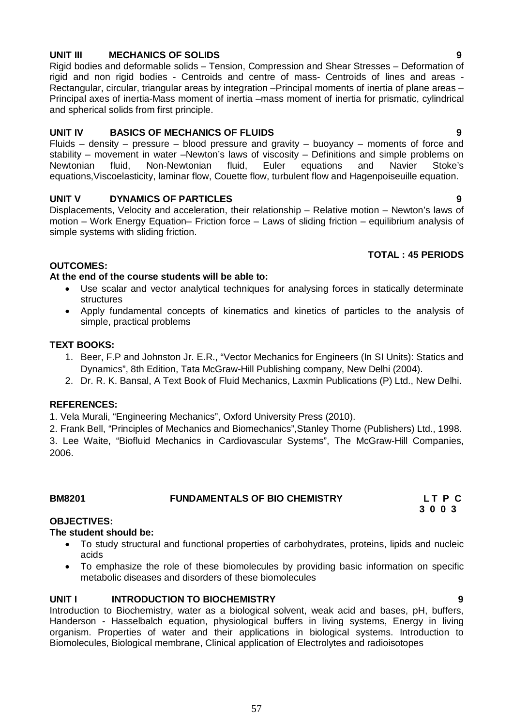# **UNIT III MECHANICS OF SOLIDS 9**

Rigid bodies and deformable solids – Tension, Compression and Shear Stresses – Deformation of rigid and non rigid bodies - Centroids and centre of mass- Centroids of lines and areas - Rectangular, circular, triangular areas by integration –Principal moments of inertia of plane areas – Principal axes of inertia-Mass moment of inertia –mass moment of inertia for prismatic, cylindrical and spherical solids from first principle.

# **UNIT IV BASICS OF MECHANICS OF FLUIDS 9**

Fluids – density – pressure – blood pressure and gravity – buoyancy – moments of force and stability – movement in water –Newton's laws of viscosity – Definitions and simple problems on<br>Newtonian fluid, Non-Newtonian fluid, Euler equations and Navier Stoke's fluid, Non-Newtonian fluid, Euler equations and Navier Stoke's equations,Viscoelasticity, laminar flow, Couette flow, turbulent flow and Hagenpoiseuille equation.

# **UNIT V DYNAMICS OF PARTICLES 9**

Displacements, Velocity and acceleration, their relationship – Relative motion – Newton's laws of motion – Work Energy Equation– Friction force – Laws of sliding friction – equilibrium analysis of simple systems with sliding friction.

#### **TOTAL : 45 PERIODS**

# **OUTCOMES:**

### **At the end of the course students will be able to:**

- Use scalar and vector analytical techniques for analysing forces in statically determinate structures
- Apply fundamental concepts of kinematics and kinetics of particles to the analysis of simple, practical problems

#### **TEXT BOOKS:**

- 1. Beer, F.P and Johnston Jr. E.R., "Vector Mechanics for Engineers (In SI Units): Statics and Dynamics", 8th Edition, Tata McGraw-Hill Publishing company, New Delhi (2004).
- 2. Dr. R. K. Bansal, A Text Book of Fluid Mechanics, Laxmin Publications (P) Ltd., New Delhi.

#### **REFERENCES:**

1. Vela Murali, "Engineering Mechanics", Oxford University Press (2010).

2. Frank Bell, "Principles of Mechanics and Biomechanics",Stanley Thorne (Publishers) Ltd., 1998.

3. Lee Waite, "Biofluid Mechanics in Cardiovascular Systems", The McGraw-Hill Companies, 2006.

# **BM8201 FUNDAMENTALS OF BIO CHEMISTRY L T P C**

 **3 0 0 3**

#### **OBJECTIVES:**

#### **The student should be:**

- To study structural and functional properties of carbohydrates, proteins, lipids and nucleic acids
- To emphasize the role of these biomolecules by providing basic information on specific metabolic diseases and disorders of these biomolecules

# **UNIT I** INTRODUCTION TO BIOCHEMISTRY **9**

Introduction to Biochemistry, water as a biological solvent, weak acid and bases, pH, buffers, Handerson - Hasselbalch equation, physiological buffers in living systems, Energy in living organism. Properties of water and their applications in biological systems. Introduction to Biomolecules, Biological membrane, Clinical application of Electrolytes and radioisotopes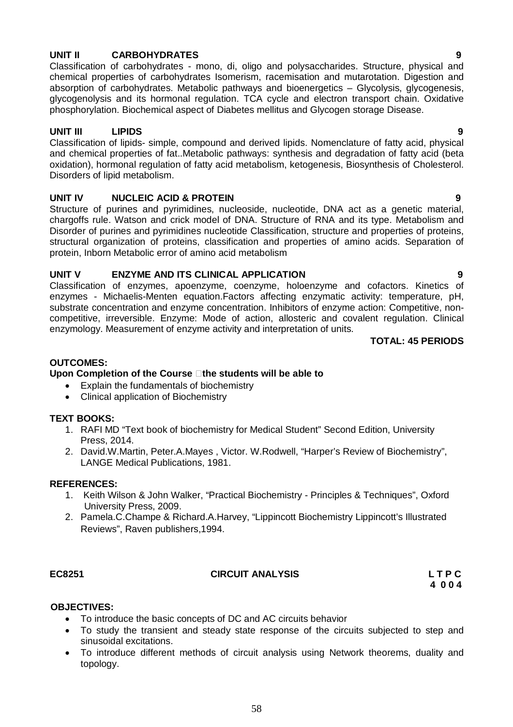# **UNIT II CARBOHYDRATES 9**

Classification of carbohydrates - mono, di, oligo and polysaccharides. Structure, physical and chemical properties of carbohydrates Isomerism, racemisation and mutarotation. Digestion and absorption of carbohydrates. Metabolic pathways and bioenergetics – Glycolysis, glycogenesis, glycogenolysis and its hormonal regulation. TCA cycle and electron transport chain. Oxidative phosphorylation. Biochemical aspect of Diabetes mellitus and Glycogen storage Disease.

# **UNIT III LIPIDS 9**

Classification of lipids- simple, compound and derived lipids. Nomenclature of fatty acid, physical and chemical properties of fat..Metabolic pathways: synthesis and degradation of fatty acid (beta oxidation), hormonal regulation of fatty acid metabolism, ketogenesis, Biosynthesis of Cholesterol. Disorders of lipid metabolism.

# **UNIT IV NUCLEIC ACID & PROTEIN 9**

Structure of purines and pyrimidines, nucleoside, nucleotide, DNA act as a genetic material, chargoffs rule. Watson and crick model of DNA. Structure of RNA and its type. Metabolism and Disorder of purines and pyrimidines nucleotide Classification, structure and properties of proteins, structural organization of proteins, classification and properties of amino acids. Separation of protein, Inborn Metabolic error of amino acid metabolism

# **UNIT V ENZYME AND ITS CLINICAL APPLICATION 9**

Classification of enzymes, apoenzyme, coenzyme, holoenzyme and cofactors. Kinetics of enzymes - Michaelis-Menten equation.Factors affecting enzymatic activity: temperature, pH, substrate concentration and enzyme concentration. Inhibitors of enzyme action: Competitive, noncompetitive, irreversible. Enzyme: Mode of action, allosteric and covalent regulation. Clinical enzymology. Measurement of enzyme activity and interpretation of units.

**TOTAL: 45 PERIODS**

### **OUTCOMES:**

#### **Upon Completion of the Course the students will be able to**

- Explain the fundamentals of biochemistry
- Clinical application of Biochemistry

#### **TEXT BOOKS:**

- 1. RAFI MD "Text book of biochemistry for Medical Student" Second Edition, University Press, 2014.
- 2. David.W.Martin, Peter.A.Mayes , Victor. W.Rodwell, "Harper's Review of Biochemistry", LANGE Medical Publications, 1981.

#### **REFERENCES:**

- 1. Keith Wilson & John Walker, "Practical Biochemistry Principles & Techniques", Oxford University Press, 2009.
- 2. Pamela.C.Champe & Richard.A.Harvey, "Lippincott Biochemistry Lippincott's Illustrated Reviews", Raven publishers,1994.

# **EC8251 CIRCUIT ANALYSIS L T P C**

 **4 0 0 4**

#### **OBJECTIVES:**

- To introduce the basic concepts of DC and AC circuits behavior
- To study the transient and steady state response of the circuits subjected to step and sinusoidal excitations.
- To introduce different methods of circuit analysis using Network theorems, duality and topology.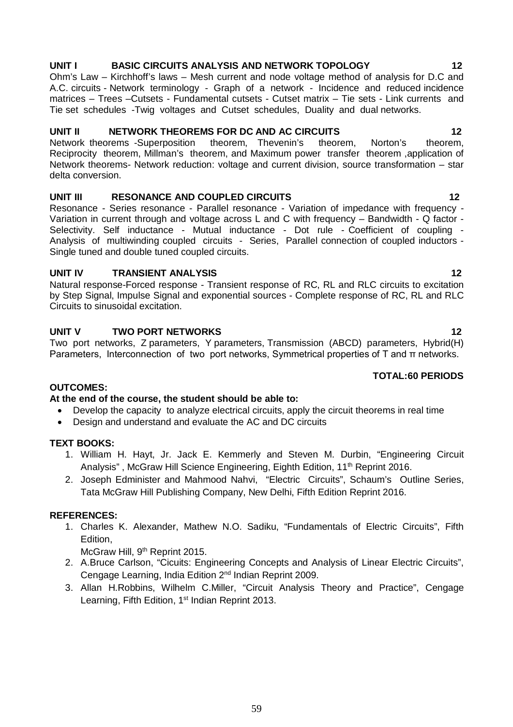# **UNIT I BASIC CIRCUITS ANALYSIS AND NETWORK TOPOLOGY 12**

Ohm's Law – Kirchhoff's laws – Mesh current and node voltage method of analysis for D.C and A.C. circuits - Network terminology - Graph of a network - Incidence and reduced incidence matrices – Trees –Cutsets - Fundamental cutsets - Cutset matrix – Tie sets - Link currents and Tie set schedules -Twig voltages and Cutset schedules, Duality and dual networks.

# **UNIT II NETWORK THEOREMS FOR DC AND AC CIRCUITS 12**

Network theorems -Superposition theorem, Thevenin's theorem, Norton's theorem, Reciprocity theorem, Millman's theorem, and Maximum power transfer theorem ,application of Network theorems- Network reduction: voltage and current division, source transformation – star delta conversion.

# **UNIT III RESONANCE AND COUPLED CIRCUITS 12**

Resonance - Series resonance - Parallel resonance - Variation of impedance with frequency - Variation in current through and voltage across L and C with frequency – Bandwidth - Q factor - Selectivity. Self inductance - Mutual inductance - Dot rule - Coefficient of coupling -Analysis of multiwinding coupled circuits - Series, Parallel connection of coupled inductors - Single tuned and double tuned coupled circuits.

# **UNIT IV TRANSIENT ANALYSIS 12**

Natural response-Forced response - Transient response of RC, RL and RLC circuits to excitation by Step Signal, Impulse Signal and exponential sources - Complete response of RC, RL and RLC Circuits to sinusoidal excitation.

# **UNIT V TWO PORT NETWORKS 12**

Two port networks, Z parameters, Y parameters, Transmission (ABCD) parameters, Hybrid(H) Parameters, Interconnection of two port networks, Symmetrical properties of T and π networks.

# **TOTAL:60 PERIODS**

# **OUTCOMES:**

# **At the end of the course, the student should be able to:**

- Develop the capacity to analyze electrical circuits, apply the circuit theorems in real time
- Design and understand and evaluate the AC and DC circuits

# **TEXT BOOKS:**

- 1. William H. Hayt, Jr. Jack E. Kemmerly and Steven M. Durbin, "Engineering Circuit Analysis", McGraw Hill Science Engineering, Eighth Edition, 11<sup>th</sup> Reprint 2016.
- 2. Joseph Edminister and Mahmood Nahvi, "Electric Circuits", Schaum's Outline Series, Tata McGraw Hill Publishing Company, New Delhi, Fifth Edition Reprint 2016.

# **REFERENCES:**

1. Charles K. Alexander, Mathew N.O. Sadiku, "Fundamentals of Electric Circuits", Fifth Edition,

McGraw Hill, 9<sup>th</sup> Reprint 2015.

- 2. A.Bruce Carlson, "Cicuits: Engineering Concepts and Analysis of Linear Electric Circuits", Cengage Learning, India Edition 2nd Indian Reprint 2009.
- 3. Allan H.Robbins, Wilhelm C.Miller, "Circuit Analysis Theory and Practice", Cengage Learning, Fifth Edition, 1<sup>st</sup> Indian Reprint 2013.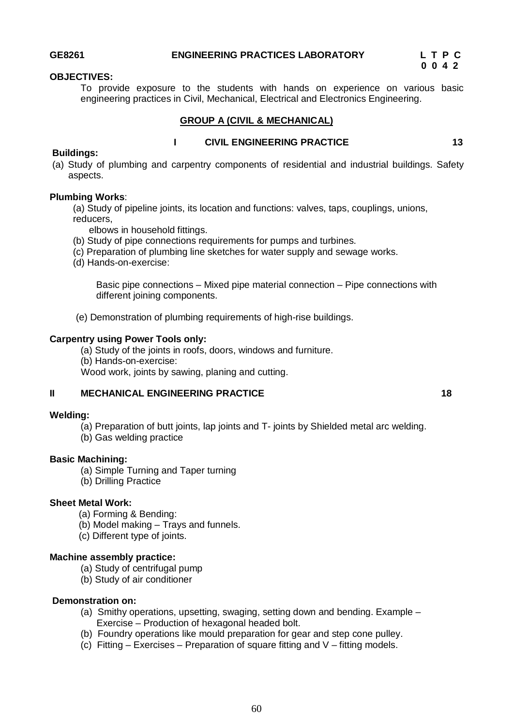#### **OBJECTIVES:**

To provide exposure to the students with hands on experience on various basic engineering practices in Civil, Mechanical, Electrical and Electronics Engineering.

#### **GROUP A (CIVIL & MECHANICAL)**

#### **Buildings:**

# **I** CIVIL ENGINEERING PRACTICE 13

(a) Study of plumbing and carpentry components of residential and industrial buildings. Safety aspects.

#### **Plumbing Works**:

(a) Study of pipeline joints, its location and functions: valves, taps, couplings, unions, reducers,

elbows in household fittings.

- (b) Study of pipe connections requirements for pumps and turbines.
- (c) Preparation of plumbing line sketches for water supply and sewage works.
- (d) Hands-on-exercise:

Basic pipe connections – Mixed pipe material connection – Pipe connections with different joining components.

(e) Demonstration of plumbing requirements of high-rise buildings.

#### **Carpentry using Power Tools only:**

(a) Study of the joints in roofs, doors, windows and furniture. (b) Hands-on-exercise: Wood work, joints by sawing, planing and cutting.

### **II MECHANICAL ENGINEERING PRACTICE 18**

#### **Welding:**

- (a) Preparation of butt joints, lap joints and T- joints by Shielded metal arc welding.
- (b) Gas welding practice

#### **Basic Machining:**

- (a) Simple Turning and Taper turning
- (b) Drilling Practice

#### **Sheet Metal Work:**

- (a) Forming & Bending:
- (b) Model making Trays and funnels.
- (c) Different type of joints.

#### **Machine assembly practice:**

- (a) Study of centrifugal pump
- (b) Study of air conditioner

#### **Demonstration on:**

- (a) Smithy operations, upsetting, swaging, setting down and bending. Example Exercise – Production of hexagonal headed bolt.
- (b) Foundry operations like mould preparation for gear and step cone pulley.
- (c) Fitting  $-$  Exercises Preparation of square fitting and V fitting models.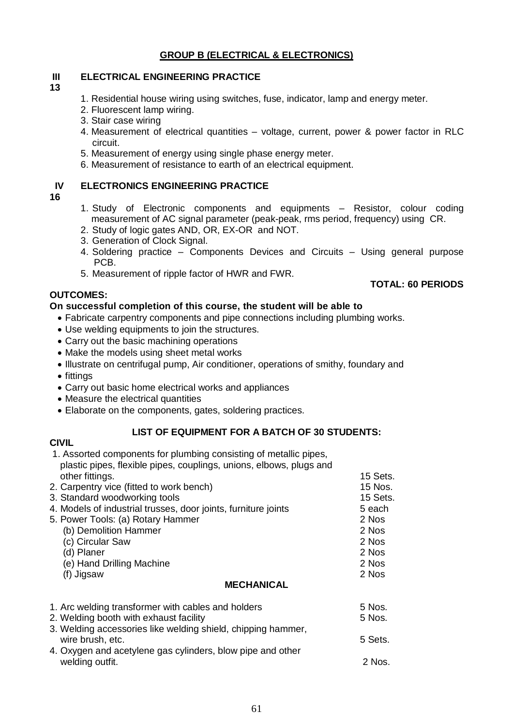# **GROUP B (ELECTRICAL & ELECTRONICS)**

# **III ELECTRICAL ENGINEERING PRACTICE**

#### **13**

- 1. Residential house wiring using switches, fuse, indicator, lamp and energy meter.
- 2. Fluorescent lamp wiring.
- 3. Stair case wiring
- 4. Measurement of electrical quantities voltage, current, power & power factor in RLC circuit.
- 5. Measurement of energy using single phase energy meter.
- 6. Measurement of resistance to earth of an electrical equipment.

### **IV ELECTRONICS ENGINEERING PRACTICE**

#### **16**

- 1. Study of Electronic components and equipments Resistor, colour coding measurement of AC signal parameter (peak-peak, rms period, frequency) using CR.
- 2. Study of logic gates AND, OR, EX-OR and NOT.
- 3. Generation of Clock Signal.
- 4. Soldering practice Components Devices and Circuits Using general purpose PCB.

**TOTAL: 60 PERIODS** 

5. Measurement of ripple factor of HWR and FWR.

#### **OUTCOMES:**

#### **On successful completion of this course, the student will be able to**

- Fabricate carpentry components and pipe connections including plumbing works.
- Use welding equipments to join the structures.
- Carry out the basic machining operations
- Make the models using sheet metal works
- Illustrate on centrifugal pump, Air conditioner, operations of smithy, foundary and
- fittings
- Carry out basic home electrical works and appliances
- Measure the electrical quantities
- Elaborate on the components, gates, soldering practices.

#### **LIST OF EQUIPMENT FOR A BATCH OF 30 STUDENTS:**

#### **CIVIL** 1. Assorted components for plumbing consisting of metallic pipes,

| plastic pipes, flexible pipes, couplings, unions, elbows, plugs and |          |
|---------------------------------------------------------------------|----------|
| other fittings.                                                     | 15 Sets. |
| 2. Carpentry vice (fitted to work bench)                            | 15 Nos.  |
| 3. Standard woodworking tools                                       | 15 Sets. |
| 4. Models of industrial trusses, door joints, furniture joints      | 5 each   |
| 5. Power Tools: (a) Rotary Hammer                                   | 2 Nos    |
| (b) Demolition Hammer                                               | 2 Nos    |
| (c) Circular Saw                                                    | 2 Nos    |
| (d) Planer                                                          | 2 Nos    |
| (e) Hand Drilling Machine                                           | 2 Nos    |
| (f) Jigsaw                                                          | 2 Nos    |
| <b>MECHANICAL</b>                                                   |          |
| 1. Arc welding transformer with cables and holders                  | 5 Nos.   |
| 2. Welding booth with exhaust facility                              | 5 Nos.   |
| 3. Welding accessories like welding shield, chipping hammer,        |          |
| wire brush, etc.                                                    | 5 Sets.  |
| 4. Oxygen and acetylene gas cylinders, blow pipe and other          |          |

welding outfit. A set of the set of the set of the set of the set of the set of the set of the set of the set of the set of the set of the set of the set of the set of the set of the set of the set of the set of the set of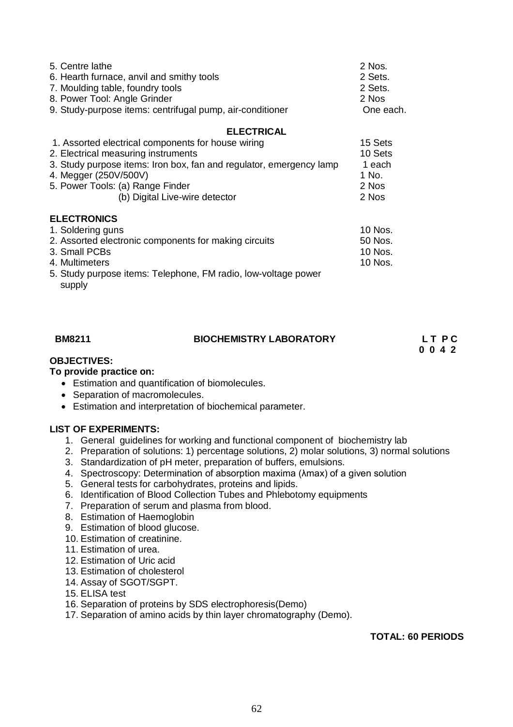| 5. Centre lathe<br>6. Hearth furnace, anvil and smithy tools<br>7. Moulding table, foundry tools<br>8. Power Tool: Angle Grinder<br>9. Study-purpose items: centrifugal pump, air-conditioner                                                                   | 2 Nos.<br>2 Sets.<br>2 Sets.<br>2 Nos<br>One each.      |
|-----------------------------------------------------------------------------------------------------------------------------------------------------------------------------------------------------------------------------------------------------------------|---------------------------------------------------------|
| <b>ELECTRICAL</b>                                                                                                                                                                                                                                               |                                                         |
| 1. Assorted electrical components for house wiring<br>2. Electrical measuring instruments<br>3. Study purpose items: Iron box, fan and regulator, emergency lamp<br>4. Megger (250V/500V)<br>5. Power Tools: (a) Range Finder<br>(b) Digital Live-wire detector | 15 Sets<br>10 Sets<br>1 each<br>1 No.<br>2 Nos<br>2 Nos |
| <b>ELECTRONICS</b>                                                                                                                                                                                                                                              |                                                         |
| 1. Soldering guns                                                                                                                                                                                                                                               | 10 Nos.                                                 |
| 2. Assorted electronic components for making circuits                                                                                                                                                                                                           | 50 Nos.                                                 |
| 3. Small PCBs                                                                                                                                                                                                                                                   | 10 Nos.                                                 |
| 4. Multimeters                                                                                                                                                                                                                                                  | 10 Nos.                                                 |
| 5. Study purpose items: Telephone, FM radio, low-voltage power<br>supply                                                                                                                                                                                        |                                                         |

### **BIOCHEMISTRY LABORATORY LET PC**

# **0 0 4 2**

# **OBJECTIVES:**

### **To provide practice on:**

- Estimation and quantification of biomolecules.
- Separation of macromolecules.
- Estimation and interpretation of biochemical parameter.

# **LIST OF EXPERIMENTS:**

- 1. General guidelines for working and functional component of biochemistry lab
- 2. Preparation of solutions: 1) percentage solutions, 2) molar solutions, 3) normal solutions
- 3. Standardization of pH meter, preparation of buffers, emulsions.
- 4. Spectroscopy: Determination of absorption maxima (λmax) of a given solution
- 5. General tests for carbohydrates, proteins and lipids.
- 6. Identification of Blood Collection Tubes and Phlebotomy equipments
- 7. Preparation of serum and plasma from blood.
- 8. Estimation of Haemoglobin
- 9. Estimation of blood glucose.
- 10. Estimation of creatinine.
- 11. Estimation of urea.
- 12. Estimation of Uric acid
- 13. Estimation of cholesterol
- 14. Assay of SGOT/SGPT.
- 15. ELISA test
- 16. Separation of proteins by SDS electrophoresis(Demo)
- 17. Separation of amino acids by thin layer chromatography (Demo).

#### **TOTAL: 60 PERIODS**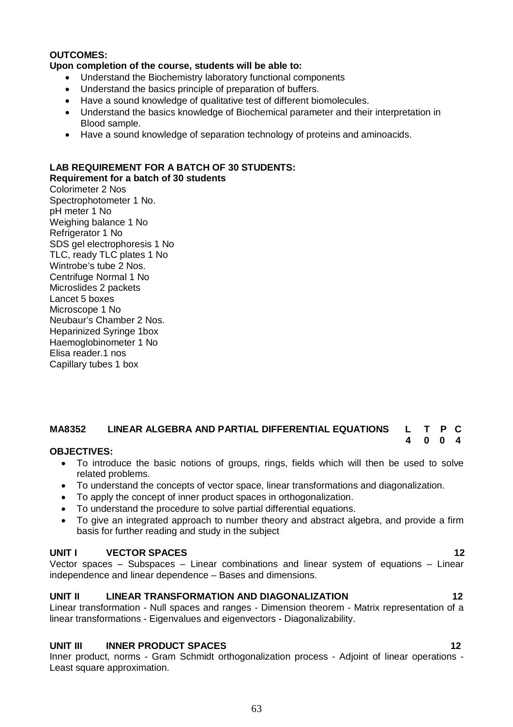#### **OUTCOMES:**

#### **Upon completion of the course, students will be able to:**

- Understand the Biochemistry laboratory functional components
- Understand the basics principle of preparation of buffers.
- Have a sound knowledge of qualitative test of different biomolecules.
- Understand the basics knowledge of Biochemical parameter and their interpretation in Blood sample.
- Have a sound knowledge of separation technology of proteins and aminoacids.

# **LAB REQUIREMENT FOR A BATCH OF 30 STUDENTS:**

**Requirement for a batch of 30 students** Colorimeter 2 Nos Spectrophotometer 1 No. pH meter 1 No Weighing balance 1 No Refrigerator 1 No SDS gel electrophoresis 1 No TLC, ready TLC plates 1 No Wintrobe's tube 2 Nos. Centrifuge Normal 1 No Microslides 2 packets Lancet 5 boxes Microscope 1 No Neubaur's Chamber 2 Nos. Heparinized Syringe 1box Haemoglobinometer 1 No Elisa reader.1 nos Capillary tubes 1 box

# **MA8352 LINEAR ALGEBRA AND PARTIAL DIFFERENTIAL EQUATIONS L T P C**

#### **4 0 0 4 OBJECTIVES:**

- To introduce the basic notions of groups, rings, fields which will then be used to solve related problems.
- To understand the concepts of vector space, linear transformations and diagonalization.
- To apply the concept of inner product spaces in orthogonalization.
- To understand the procedure to solve partial differential equations.
- To give an integrated approach to number theory and abstract algebra, and provide a firm basis for further reading and study in the subject

#### **UNIT I VECTOR SPACES 12**

Vector spaces – Subspaces – Linear combinations and linear system of equations – Linear independence and linear dependence – Bases and dimensions.

#### **UNIT II LINEAR TRANSFORMATION AND DIAGONALIZATION 12**

Linear transformation - Null spaces and ranges - Dimension theorem - Matrix representation of a linear transformations - Eigenvalues and eigenvectors - Diagonalizability.

#### **UNIT III INNER PRODUCT SPACES 12**

Inner product, norms - Gram Schmidt orthogonalization process - Adjoint of linear operations - Least square approximation.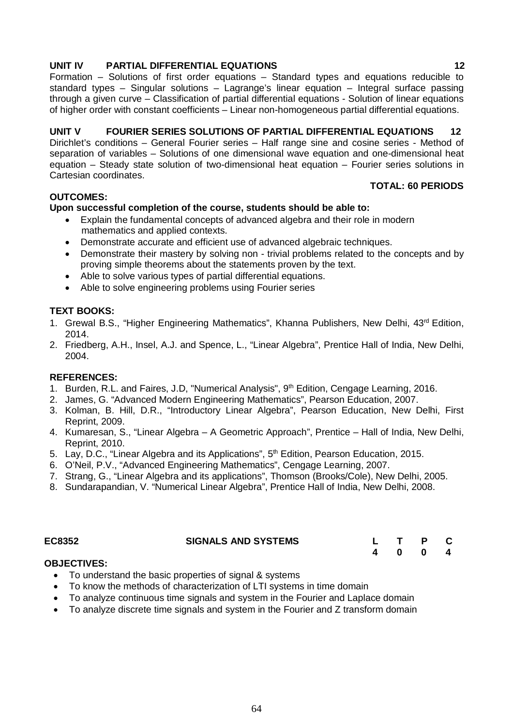# **UNIT IV PARTIAL DIFFERENTIAL EQUATIONS 12**

Formation – Solutions of first order equations – Standard types and equations reducible to standard types – Singular solutions – Lagrange's linear equation – Integral surface passing through a given curve – Classification of partial differential equations - Solution of linear equations of higher order with constant coefficients – Linear non-homogeneous partial differential equations.

#### **UNIT V FOURIER SERIES SOLUTIONS OF PARTIAL DIFFERENTIAL EQUATIONS 12** Dirichlet's conditions – General Fourier series – Half range sine and cosine series - Method of separation of variables – Solutions of one dimensional wave equation and one-dimensional heat equation – Steady state solution of two-dimensional heat equation – Fourier series solutions in Cartesian coordinates.

#### **OUTCOMES:**

# **Upon successful completion of the course, students should be able to:**

- Explain the fundamental concepts of advanced algebra and their role in modern mathematics and applied contexts.
- Demonstrate accurate and efficient use of advanced algebraic techniques.
- Demonstrate their mastery by solving non trivial problems related to the concepts and by proving simple theorems about the statements proven by the text.
- Able to solve various types of partial differential equations.
- Able to solve engineering problems using Fourier series

#### **TEXT BOOKS:**

- 1. Grewal B.S., "Higher Engineering Mathematics", Khanna Publishers, New Delhi, 43<sup>rd</sup> Edition, 2014.
- 2. Friedberg, A.H., Insel, A.J. and Spence, L., "Linear Algebra", Prentice Hall of India, New Delhi, 2004.

#### **REFERENCES:**

- 1. Burden, R.L. and Faires, J.D, "Numerical Analysis", 9<sup>th</sup> Edition, Cengage Learning, 2016.
- 2. James, G. "Advanced Modern Engineering Mathematics", Pearson Education, 2007.
- 3. Kolman, B. Hill, D.R., "Introductory Linear Algebra", Pearson Education, New Delhi, First Reprint, 2009.
- 4. Kumaresan, S., "Linear Algebra A Geometric Approach", Prentice Hall of India, New Delhi, Reprint, 2010.
- 5. Lay, D.C., "Linear Algebra and its Applications", 5<sup>th</sup> Edition, Pearson Education, 2015.
- 6. O'Neil, P.V., "Advanced Engineering Mathematics", Cengage Learning, 2007.
- 7. Strang, G., "Linear Algebra and its applications", Thomson (Brooks/Cole), New Delhi, 2005.
- 8. Sundarapandian, V. "Numerical Linear Algebra", Prentice Hall of India, New Delhi, 2008.

| EC8352 | <b>SIGNALS AND SYSTEMS</b> |  | L T P C |  |
|--------|----------------------------|--|---------|--|
|        |                            |  | 4 0 0 4 |  |

#### **OBJECTIVES:**

- To understand the basic properties of signal & systems
- To know the methods of characterization of LTI systems in time domain
- To analyze continuous time signals and system in the Fourier and Laplace domain
- To analyze discrete time signals and system in the Fourier and Z transform domain

**TOTAL: 60 PERIODS**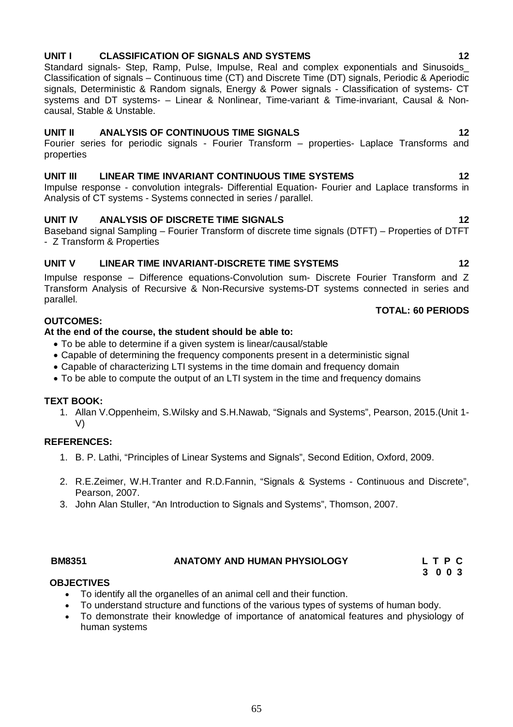# **UNIT I CLASSIFICATION OF SIGNALS AND SYSTEMS 12**

Standard signals- Step, Ramp, Pulse, Impulse, Real and complex exponentials and Sinusoids\_ Classification of signals – Continuous time (CT) and Discrete Time (DT) signals, Periodic & Aperiodic signals, Deterministic & Random signals, Energy & Power signals - Classification of systems- CT systems and DT systems- – Linear & Nonlinear, Time-variant & Time-invariant, Causal & Noncausal, Stable & Unstable.

#### **UNIT II ANALYSIS OF CONTINUOUS TIME SIGNALS 12**

Fourier series for periodic signals - Fourier Transform – properties- Laplace Transforms and properties

### **UNIT III LINEAR TIME INVARIANT CONTINUOUS TIME SYSTEMS 12**

Impulse response - convolution integrals- Differential Equation- Fourier and Laplace transforms in Analysis of CT systems - Systems connected in series / parallel.

#### **UNIT IV ANALYSIS OF DISCRETE TIME SIGNALS 12**

Baseband signal Sampling – Fourier Transform of discrete time signals (DTFT) – Properties of DTFT - Z Transform & Properties

### **UNIT V LINEAR TIME INVARIANT-DISCRETE TIME SYSTEMS 12**

Impulse response – Difference equations-Convolution sum- Discrete Fourier Transform and Z Transform Analysis of Recursive & Non-Recursive systems-DT systems connected in series and parallel.

#### **TOTAL: 60 PERIODS**

# **OUTCOMES:**

#### **At the end of the course, the student should be able to:**

- To be able to determine if a given system is linear/causal/stable
- Capable of determining the frequency components present in a deterministic signal
- Capable of characterizing LTI systems in the time domain and frequency domain
- To be able to compute the output of an LTI system in the time and frequency domains

#### **TEXT BOOK:**

1. Allan V.Oppenheim, S.Wilsky and S.H.Nawab, "Signals and Systems", Pearson, 2015.(Unit 1- V)

#### **REFERENCES:**

- 1. B. P. Lathi, "Principles of Linear Systems and Signals", Second Edition, Oxford, 2009.
- 2. R.E.Zeimer, W.H.Tranter and R.D.Fannin, "Signals & Systems Continuous and Discrete", Pearson, 2007.
- 3. John Alan Stuller, "An Introduction to Signals and Systems", Thomson, 2007.

# **BM8351 ANATOMY AND HUMAN PHYSIOLOGY L T P C**

# **3 0 0 3**

#### **OBJECTIVES**

- To identify all the organelles of an animal cell and their function.
- To understand structure and functions of the various types of systems of human body.
- To demonstrate their knowledge of importance of anatomical features and physiology of human systems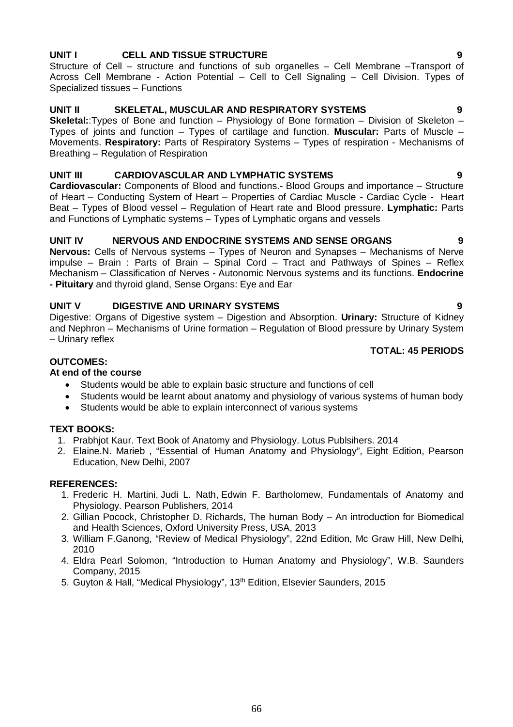# 66

# **UNIT I CELL AND TISSUE STRUCTURE 9**

Structure of Cell – structure and functions of sub organelles – Cell Membrane –Transport of Across Cell Membrane - Action Potential – Cell to Cell Signaling – Cell Division. Types of Specialized tissues – Functions

# **UNIT II SKELETAL, MUSCULAR AND RESPIRATORY SYSTEMS 9**

**Skeletal:**:Types of Bone and function – Physiology of Bone formation – Division of Skeleton – Types of joints and function – Types of cartilage and function. **Muscular:** Parts of Muscle – Movements. **Respiratory:** Parts of Respiratory Systems – Types of respiration - Mechanisms of Breathing – Regulation of Respiration

# **UNIT III CARDIOVASCULAR AND LYMPHATIC SYSTEMS 9**

**Cardiovascular:** Components of Blood and functions.- Blood Groups and importance – Structure of Heart – Conducting System of Heart – Properties of Cardiac Muscle - Cardiac Cycle - Heart Beat – Types of Blood vessel – Regulation of Heart rate and Blood pressure. **Lymphatic:** Parts and Functions of Lymphatic systems – Types of Lymphatic organs and vessels

# **UNIT IV NERVOUS AND ENDOCRINE SYSTEMS AND SENSE ORGANS 9**

**Nervous:** Cells of Nervous systems – Types of Neuron and Synapses – Mechanisms of Nerve impulse – Brain : Parts of Brain – Spinal Cord – Tract and Pathways of Spines – Reflex Mechanism – Classification of Nerves - Autonomic Nervous systems and its functions. **Endocrine - Pituitary** and thyroid gland, Sense Organs: Eye and Ear

# **UNIT V DIGESTIVE AND URINARY SYSTEMS 9**

Digestive: Organs of Digestive system – Digestion and Absorption. **Urinary:** Structure of Kidney and Nephron – Mechanisms of Urine formation – Regulation of Blood pressure by Urinary System – Urinary reflex

# **TOTAL: 45 PERIODS**

# **OUTCOMES:**

# **At end of the course**

- Students would be able to explain basic structure and functions of cell
- Students would be learnt about anatomy and physiology of various systems of human body
- Students would be able to explain interconnect of various systems

# **TEXT BOOKS:**

- 1. Prabhjot Kaur. Text Book of Anatomy and Physiology. Lotus Publsihers. 2014
- 2. Elaine.N. Marieb , "Essential of Human Anatomy and Physiology", Eight Edition, Pearson Education, New Delhi, 2007

# **REFERENCES:**

- 1. Frederic H. Martini, Judi L. Nath, Edwin F. Bartholomew, Fundamentals of Anatomy and Physiology. Pearson Publishers, 2014
- 2. Gillian Pocock, Christopher D. Richards, The human Body An introduction for Biomedical and Health Sciences, Oxford University Press, USA, 2013
- 3. William F.Ganong, "Review of Medical Physiology", 22nd Edition, Mc Graw Hill, New Delhi, 2010
- 4. Eldra Pearl Solomon, "Introduction to Human Anatomy and Physiology", W.B. Saunders Company, 2015
- 5. Guyton & Hall, "Medical Physiology", 13<sup>th</sup> Edition, Elsevier Saunders, 2015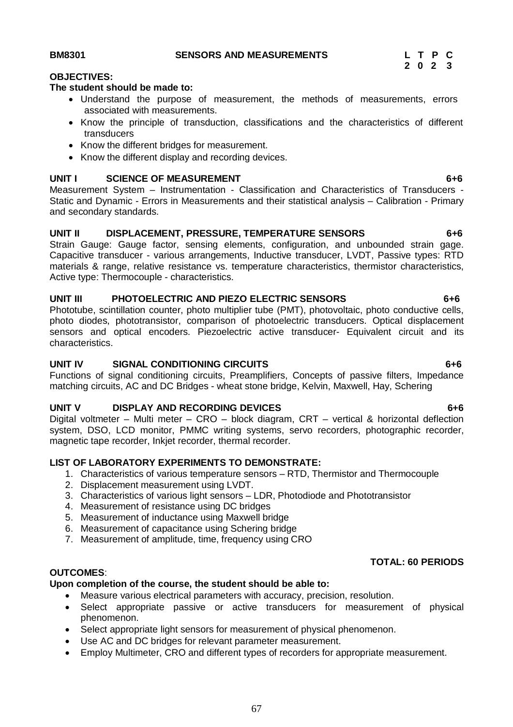**BM8301 SENSORS AND MEASUREMENTS L T P C**

 **2 0 2 3**

#### **OBJECTIVES:**

#### **The student should be made to:**

- Understand the purpose of measurement, the methods of measurements, errors associated with measurements.
- Know the principle of transduction, classifications and the characteristics of different transducers
- Know the different bridges for measurement.
- Know the different display and recording devices.

# UNIT I SCIENCE OF MEASUREMENT 6+6

Measurement System – Instrumentation - Classification and Characteristics of Transducers - Static and Dynamic - Errors in Measurements and their statistical analysis – Calibration - Primary and secondary standards.

# **UNIT II DISPLACEMENT, PRESSURE, TEMPERATURE SENSORS 6+6**

Strain Gauge: Gauge factor, sensing elements, configuration, and unbounded strain gage. Capacitive transducer - various arrangements, Inductive transducer, LVDT, Passive types: RTD materials & range, relative resistance vs. temperature characteristics, thermistor characteristics, Active type: Thermocouple - characteristics.

#### **UNIT III PHOTOELECTRIC AND PIEZO ELECTRIC SENSORS 6+6**

Phototube, scintillation counter, photo multiplier tube (PMT), photovoltaic, photo conductive cells, photo diodes, phototransistor, comparison of photoelectric transducers. Optical displacement sensors and optical encoders. Piezoelectric active transducer- Equivalent circuit and its characteristics.

#### **UNIT IV SIGNAL CONDITIONING CIRCUITS 6+6**

Functions of signal conditioning circuits, Preamplifiers, Concepts of passive filters, Impedance matching circuits, AC and DC Bridges - wheat stone bridge, Kelvin, Maxwell, Hay, Schering

#### **UNIT V DISPLAY AND RECORDING DEVICES 6+6**

Digital voltmeter – Multi meter – CRO – block diagram, CRT – vertical & horizontal deflection system, DSO, LCD monitor, PMMC writing systems, servo recorders, photographic recorder, magnetic tape recorder, Inkjet recorder, thermal recorder.

#### **LIST OF LABORATORY EXPERIMENTS TO DEMONSTRATE:**

- 1. Characteristics of various temperature sensors RTD, Thermistor and Thermocouple
- 2. Displacement measurement using LVDT.
- 3. Characteristics of various light sensors LDR, Photodiode and Phototransistor
- 4. Measurement of resistance using DC bridges
- 5. Measurement of inductance using Maxwell bridge
- 6. Measurement of capacitance using Schering bridge
- 7. Measurement of amplitude, time, frequency using CRO

### **OUTCOMES**:

#### **Upon completion of the course, the student should be able to:**

- Measure various electrical parameters with accuracy, precision, resolution.
- Select appropriate passive or active transducers for measurement of physical phenomenon.
- Select appropriate light sensors for measurement of physical phenomenon.
- Use AC and DC bridges for relevant parameter measurement.
- Employ Multimeter, CRO and different types of recorders for appropriate measurement.

# **TOTAL: 60 PERIODS**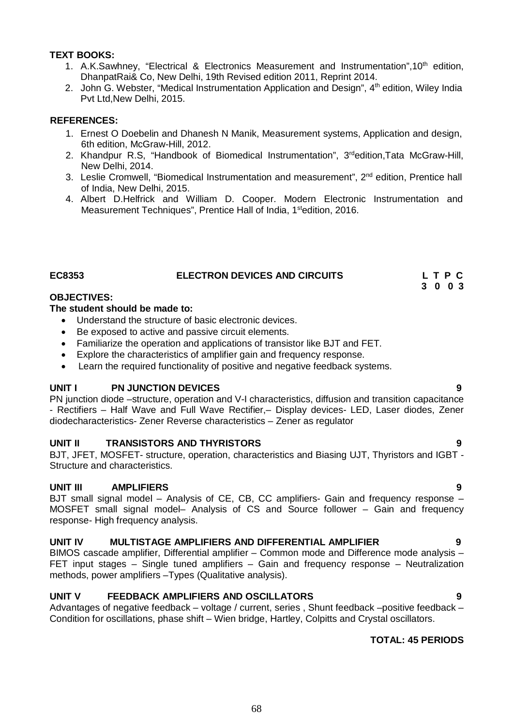### **TEXT BOOKS:**

- 1. A.K.Sawhney, "Electrical & Electronics Measurement and Instrumentation", 10<sup>th</sup> edition, DhanpatRai& Co, New Delhi, 19th Revised edition 2011, Reprint 2014.
- 2. John G. Webster, "Medical Instrumentation Application and Design", 4<sup>th</sup> edition, Wilev India Pvt Ltd,New Delhi, 2015.

#### **REFERENCES:**

- 1. Ernest O Doebelin and Dhanesh N Manik, Measurement systems, Application and design, 6th edition, McGraw-Hill, 2012.
- 2. Khandpur R.S, "Handbook of Biomedical Instrumentation". 3<sup>rd</sup>edition.Tata McGraw-Hill. New Delhi, 2014.
- 3. Leslie Cromwell, "Biomedical Instrumentation and measurement", 2<sup>nd</sup> edition, Prentice hall of India, New Delhi, 2015.
- 4. Albert D.Helfrick and William D. Cooper. Modern Electronic Instrumentation and Measurement Techniques", Prentice Hall of India, 1<sup>st</sup>edition, 2016.

#### **EC8353 ELECTRON DEVICES AND CIRCUITS L T P C**

#### **OBJECTIVES:**

#### **The student should be made to:**

- Understand the structure of basic electronic devices.
- Be exposed to active and passive circuit elements.
- Familiarize the operation and applications of transistor like BJT and FET.
- Explore the characteristics of amplifier gain and frequency response.
- Learn the required functionality of positive and negative feedback systems.

#### **UNIT I PN JUNCTION DEVICES 9**

PN junction diode –structure, operation and V-I characteristics, diffusion and transition capacitance - Rectifiers – Half Wave and Full Wave Rectifier,– Display devices- LED, Laser diodes, Zener diodecharacteristics- Zener Reverse characteristics – Zener as regulator

#### **UNIT II TRANSISTORS AND THYRISTORS 9**

BJT, JFET, MOSFET- structure, operation, characteristics and Biasing UJT, Thyristors and IGBT - Structure and characteristics.

#### **UNIT III AMPLIFIERS 9**

BJT small signal model – Analysis of CE, CB, CC amplifiers- Gain and frequency response – MOSFET small signal model– Analysis of CS and Source follower – Gain and frequency response- High frequency analysis.

#### **UNIT IV MULTISTAGE AMPLIFIERS AND DIFFERENTIAL AMPLIFIER 9**

BIMOS cascade amplifier, Differential amplifier – Common mode and Difference mode analysis – FET input stages – Single tuned amplifiers – Gain and frequency response – Neutralization methods, power amplifiers –Types (Qualitative analysis).

#### **UNIT V FEEDBACK AMPLIFIERS AND OSCILLATORS 9**

Advantages of negative feedback – voltage / current, series, Shunt feedback –positive feedback – Condition for oscillations, phase shift – Wien bridge, Hartley, Colpitts and Crystal oscillators.

#### **TOTAL: 45 PERIODS**

**3 0 0 3**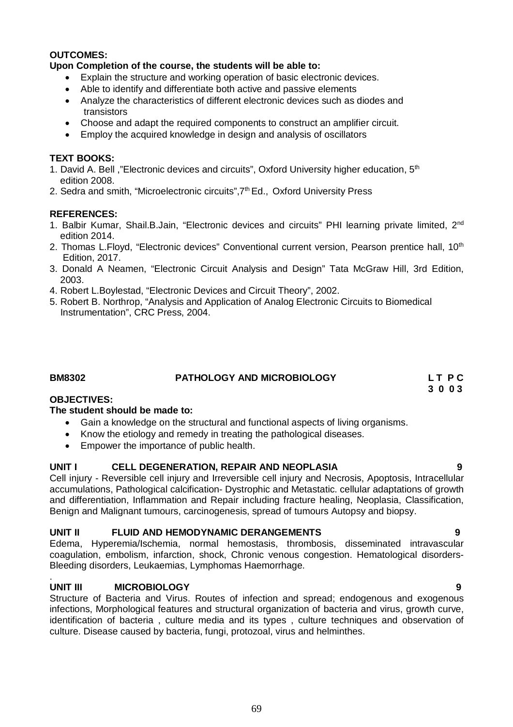#### **OUTCOMES:**

#### **Upon Completion of the course, the students will be able to:**

- Explain the structure and working operation of basic electronic devices.
- Able to identify and differentiate both active and passive elements
- Analyze the characteristics of different electronic devices such as diodes and transistors
- Choose and adapt the required components to construct an amplifier circuit.
- Employ the acquired knowledge in design and analysis of oscillators

#### **TEXT BOOKS:**

- 1. David A. Bell, "Electronic devices and circuits", Oxford University higher education, 5<sup>th</sup> edition 2008.
- 2. Sedra and smith, "Microelectronic circuits", 7<sup>th</sup> Ed., Oxford University Press

#### **REFERENCES:**

- 1. Balbir Kumar, Shail.B.Jain, "Electronic devices and circuits" PHI learning private limited, 2<sup>nd</sup> edition 2014.
- 2. Thomas L.Floyd, "Electronic devices" Conventional current version, Pearson prentice hall, 10<sup>th</sup> Edition, 2017.
- 3. Donald A Neamen, "Electronic Circuit Analysis and Design" Tata McGraw Hill, 3rd Edition, 2003.
- 4. Robert L.Boylestad, "Electronic Devices and Circuit Theory", 2002.
- 5. Robert B. Northrop, "Analysis and Application of Analog Electronic Circuits to Biomedical Instrumentation", CRC Press, 2004.

#### **BM8302 PATHOLOGY AND MICROBIOLOGY L T P C**

**OBJECTIVES:**

#### **The student should be made to:**

- Gain a knowledge on the structural and functional aspects of living organisms.
- Know the etiology and remedy in treating the pathological diseases.
- Empower the importance of public health.

#### **UNIT I CELL DEGENERATION, REPAIR AND NEOPLASIA 9**

Cell injury - Reversible cell injury and Irreversible cell injury and Necrosis, Apoptosis, Intracellular accumulations, Pathological calcification- Dystrophic and Metastatic. cellular adaptations of growth and differentiation, Inflammation and Repair including fracture healing, Neoplasia, Classification, Benign and Malignant tumours, carcinogenesis, spread of tumours Autopsy and biopsy.

#### **UNIT II FLUID AND HEMODYNAMIC DERANGEMENTS 9**

Edema, Hyperemia/Ischemia, normal hemostasis, thrombosis, disseminated intravascular coagulation, embolism, infarction, shock, Chronic venous congestion. Hematological disorders-Bleeding disorders, Leukaemias, Lymphomas Haemorrhage.

#### . **UNIT III MICROBIOLOGY 9**

Structure of Bacteria and Virus. Routes of infection and spread; endogenous and exogenous infections, Morphological features and structural organization of bacteria and virus, growth curve, identification of bacteria , culture media and its types , culture techniques and observation of culture. Disease caused by bacteria, fungi, protozoal, virus and helminthes.

 **3 0 0 3**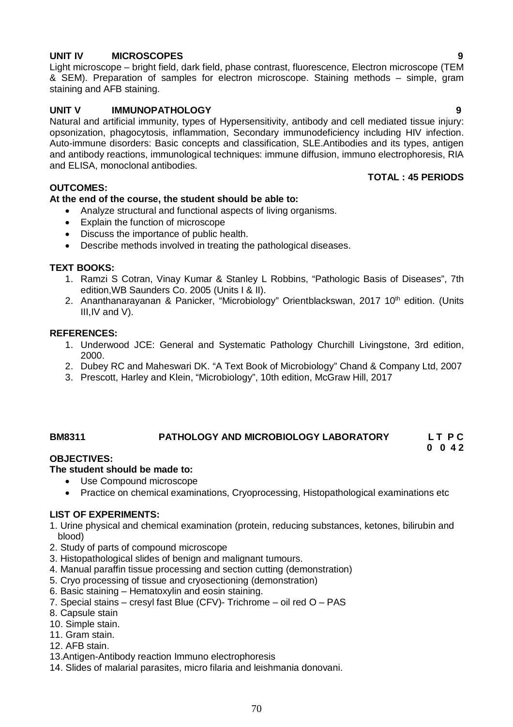# **UNIT IV MICROSCOPES 9**

Light microscope – bright field, dark field, phase contrast, fluorescence, Electron microscope (TEM & SEM). Preparation of samples for electron microscope. Staining methods – simple, gram staining and AFB staining.

# **UNIT V IMMUNOPATHOLOGY****9**

Natural and artificial immunity, types of Hypersensitivity, antibody and cell mediated tissue injury: opsonization, phagocytosis, inflammation, Secondary immunodeficiency including HIV infection. Auto-immune disorders: Basic concepts and classification, SLE.Antibodies and its types, antigen and antibody reactions, immunological techniques: immune diffusion, immuno electrophoresis, RIA and ELISA, monoclonal antibodies.

### **OUTCOMES:**

# **At the end of the course, the student should be able to:**

- Analyze structural and functional aspects of living organisms.
- Explain the function of microscope
- Discuss the importance of public health.
- Describe methods involved in treating the pathological diseases.

# **TEXT BOOKS:**

- 1. Ramzi S Cotran, Vinay Kumar & Stanley L Robbins, "Pathologic Basis of Diseases", 7th edition,WB Saunders Co. 2005 (Units I & II).
- 2. Ananthanarayanan & Panicker, "Microbiology" Orientblackswan, 2017 10<sup>th</sup> edition. (Units III,IV and V).

#### **REFERENCES:**

- 1. Underwood JCE: General and Systematic Pathology Churchill Livingstone, 3rd edition, 2000.
- 2. Dubey RC and Maheswari DK. "A Text Book of Microbiology" Chand & Company Ltd, 2007
- 3. Prescott, Harley and Klein, "Microbiology", 10th edition, McGraw Hill, 2017

# **BM8311 PATHOLOGY AND MICROBIOLOGY LABORATORY L T P C**

# **0 0 4 2**

# **OBJECTIVES:**

# **The student should be made to:**

- Use Compound microscope
	- Practice on chemical examinations, Cryoprocessing, Histopathological examinations etc

#### **LIST OF EXPERIMENTS:**

- 1. Urine physical and chemical examination (protein, reducing substances, ketones, bilirubin and blood)
- 2. Study of parts of compound microscope
- 3. Histopathological slides of benign and malignant tumours.
- 4. Manual paraffin tissue processing and section cutting (demonstration)
- 5. Cryo processing of tissue and cryosectioning (demonstration)
- 6. Basic staining Hematoxylin and eosin staining.
- 7. Special stains cresyl fast Blue (CFV)- Trichrome oil red O PAS
- 8. Capsule stain
- 10. Simple stain.
- 11. Gram stain.
- 12. AFB stain.
- 13.Antigen-Antibody reaction Immuno electrophoresis
- 14. Slides of malarial parasites, micro filaria and leishmania donovani.

**TOTAL : 45 PERIODS**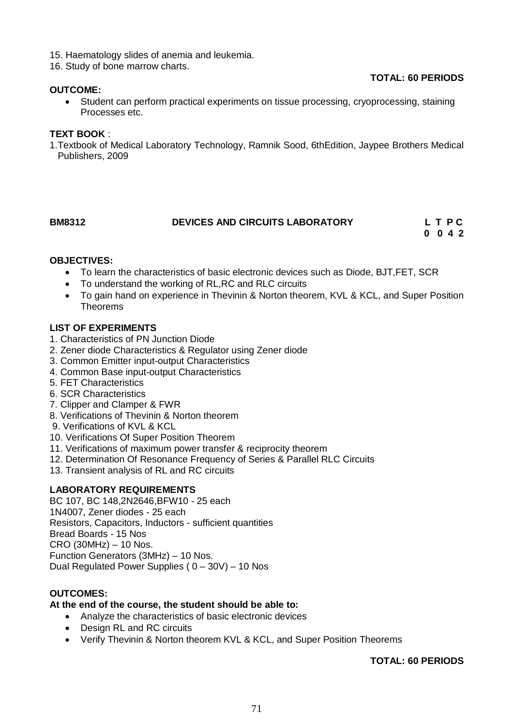- 15. Haematology slides of anemia and leukemia.
- 16. Study of bone marrow charts.

#### **OUTCOME:**

# **TOTAL: 60 PERIODS**

 Student can perform practical experiments on tissue processing, cryoprocessing, staining Processes etc.

#### **TEXT BOOK** :

1.Textbook of Medical Laboratory Technology, Ramnik Sood, 6thEdition, Jaypee Brothers Medical Publishers, 2009

#### **BM8312 DEVICES AND CIRCUITS LABORATORY L T P C**

**0 0 4 2**

# **OBJECTIVES:**

- To learn the characteristics of basic electronic devices such as Diode, BJT,FET, SCR
- To understand the working of RL,RC and RLC circuits
- To gain hand on experience in Thevinin & Norton theorem, KVL & KCL, and Super Position Theorems

#### **LIST OF EXPERIMENTS**

- 1. Characteristics of PN Junction Diode
- 2. Zener diode Characteristics & Regulator using Zener diode
- 3. Common Emitter input-output Characteristics
- 4. Common Base input-output Characteristics
- 5. FET Characteristics
- 6. SCR Characteristics
- 7. Clipper and Clamper & FWR
- 8. Verifications of Thevinin & Norton theorem
- 9. Verifications of KVL & KCL
- 10. Verifications Of Super Position Theorem
- 11. Verifications of maximum power transfer & reciprocity theorem
- 12. Determination Of Resonance Frequency of Series & Parallel RLC Circuits
- 13. Transient analysis of RL and RC circuits

#### **LABORATORY REQUIREMENTS**

BC 107, BC 148,2N2646,BFW10 - 25 each 1N4007, Zener diodes - 25 each Resistors, Capacitors, Inductors - sufficient quantities Bread Boards - 15 Nos CRO (30MHz) – 10 Nos. Function Generators (3MHz) – 10 Nos. Dual Regulated Power Supplies ( $0 - 30V$ ) – 10 Nos

#### **OUTCOMES:**

#### **At the end of the course, the student should be able to:**

- Analyze the characteristics of basic electronic devices
- Design RL and RC circuits
- Verify Thevinin & Norton theorem KVL & KCL, and Super Position Theorems

### **TOTAL: 60 PERIODS**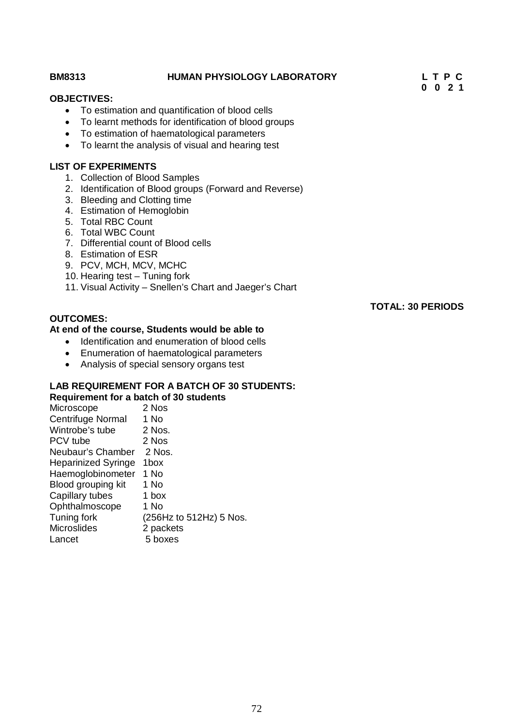| <b>BM8313</b>                                   | <b>HUMAN PHYSIOLOGY LABORATORY</b>                                                                                                                      | LTPC<br>$0 \t0 \t2 \t1$  |
|-------------------------------------------------|---------------------------------------------------------------------------------------------------------------------------------------------------------|--------------------------|
| <b>OBJECTIVES:</b>                              |                                                                                                                                                         |                          |
| $\bullet$<br>$\bullet$                          | • To estimation and quantification of blood cells<br>To learnt methods for identification of blood groups<br>To estimation of haematological parameters |                          |
| $\bullet$                                       | To learnt the analysis of visual and hearing test                                                                                                       |                          |
| <b>LIST OF EXPERIMENTS</b>                      |                                                                                                                                                         |                          |
|                                                 | 1. Collection of Blood Samples                                                                                                                          |                          |
|                                                 | 2. Identification of Blood groups (Forward and Reverse)<br>3. Bleeding and Clotting time                                                                |                          |
| 4. Estimation of Hemoglobin                     |                                                                                                                                                         |                          |
| 5. Total RBC Count                              |                                                                                                                                                         |                          |
| 6. Total WBC Count                              | 7. Differential count of Blood cells                                                                                                                    |                          |
| 8. Estimation of ESR                            |                                                                                                                                                         |                          |
| 9. PCV, MCH, MCV, MCHC                          |                                                                                                                                                         |                          |
|                                                 | 10. Hearing test - Tuning fork<br>11. Visual Activity – Snellen's Chart and Jaeger's Chart                                                              |                          |
|                                                 |                                                                                                                                                         |                          |
| <b>OUTCOMES:</b>                                |                                                                                                                                                         | <b>TOTAL: 30 PERIODS</b> |
|                                                 | At end of the course, Students would be able to                                                                                                         |                          |
|                                                 | Identification and enumeration of blood cells                                                                                                           |                          |
| $\bullet$                                       | Enumeration of haematological parameters                                                                                                                |                          |
| $\bullet$                                       | Analysis of special sensory organs test                                                                                                                 |                          |
|                                                 | <b>LAB REQUIREMENT FOR A BATCH OF 30 STUDENTS:</b>                                                                                                      |                          |
|                                                 | Requirement for a batch of 30 students                                                                                                                  |                          |
| Microscope<br>$Contribution$ Mormal $\Delta$ Ma | 2 Nos                                                                                                                                                   |                          |

| Microscope                 | 2 Nos                   |
|----------------------------|-------------------------|
| <b>Centrifuge Normal</b>   | 1 No                    |
| Wintrobe's tube            | 2 Nos.                  |
| PCV tube                   | 2 Nos                   |
| Neubaur's Chamber          | 2 Nos.                  |
| <b>Heparinized Syringe</b> | 1box                    |
| Haemoglobinometer          | 1 No                    |
| Blood grouping kit         | 1 No                    |
| Capillary tubes            | 1 box                   |
| Ophthalmoscope             | 1 No                    |
| Tuning fork                | (256Hz to 512Hz) 5 Nos. |
| <b>Microslides</b>         | 2 packets               |
| Lancet                     | 5 boxes                 |
|                            |                         |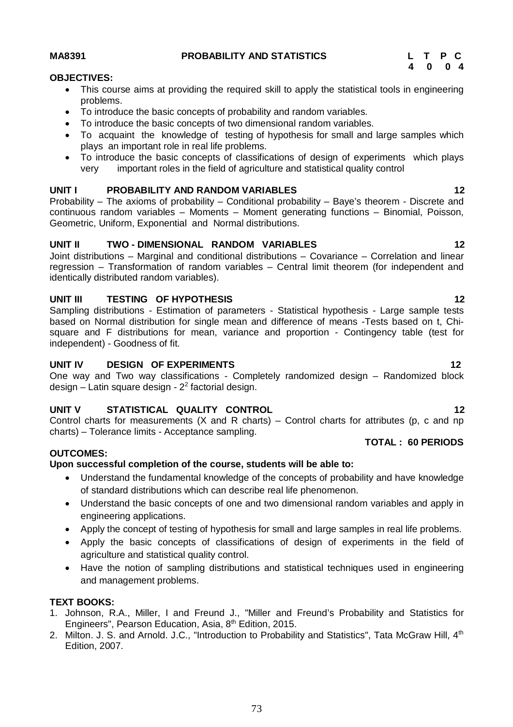### 73

# **MA8391 PROBABILITY AND STATISTICS L T P C**

### **OBJECTIVES:**

- This course aims at providing the required skill to apply the statistical tools in engineering problems.
- To introduce the basic concepts of probability and random variables.
- To introduce the basic concepts of two dimensional random variables.
- To acquaint the knowledge of testing of hypothesis for small and large samples which plays an important role in real life problems.
- To introduce the basic concepts of classifications of design of experiments which plays very important roles in the field of agriculture and statistical quality control

## **UNIT I PROBABILITY AND RANDOM VARIABLES 12**

Probability – The axioms of probability – Conditional probability – Baye's theorem - Discrete and continuous random variables - Moments - Moment generating functions - Binomial, Poisson, Geometric, Uniform, Exponential and Normal distributions.

## **UNIT II TWO - DIMENSIONAL RANDOM VARIABLES 12**

Joint distributions – Marginal and conditional distributions – Covariance – Correlation and linear regression – Transformation of random variables – Central limit theorem (for independent and identically distributed random variables).

## **UNIT III TESTING OF HYPOTHESIS 12**

Sampling distributions - Estimation of parameters - Statistical hypothesis - Large sample tests based on Normal distribution for single mean and difference of means -Tests based on t, Chisquare and F distributions for mean, variance and proportion - Contingency table (test for independent) - Goodness of fit.

### **UNIT IV DESIGN OF EXPERIMENTS** 12

One way and Two way classifications - Completely randomized design – Randomized block design – Latin square design - 2<sup>2</sup> factorial design.

## **UNIT V STATISTICAL QUALITY CONTROL 12**

Control charts for measurements  $(X \text{ and } R \text{ charts}) -$ Control charts for attributes (p, c and np charts) – Tolerance limits - Acceptance sampling.

### **OUTCOMES:**

## **Upon successful completion of the course, students will be able to:**

- Understand the fundamental knowledge of the concepts of probability and have knowledge of standard distributions which can describe real life phenomenon.
- Understand the basic concepts of one and two dimensional random variables and apply in engineering applications.
- Apply the concept of testing of hypothesis for small and large samples in real life problems.
- Apply the basic concepts of classifications of design of experiments in the field of agriculture and statistical quality control.
- Have the notion of sampling distributions and statistical techniques used in engineering and management problems.

### **TEXT BOOKS:**

- 1. Johnson, R.A., Miller, I and Freund J., "Miller and Freund's Probability and Statistics for Engineers", Pearson Education, Asia, 8<sup>th</sup> Edition, 2015.
- 2. Milton. J. S. and Arnold. J.C., "Introduction to Probability and Statistics", Tata McGraw Hill, 4<sup>th</sup> Edition, 2007.

# **TOTAL : 60 PERIODS**

 **4 0 0 4**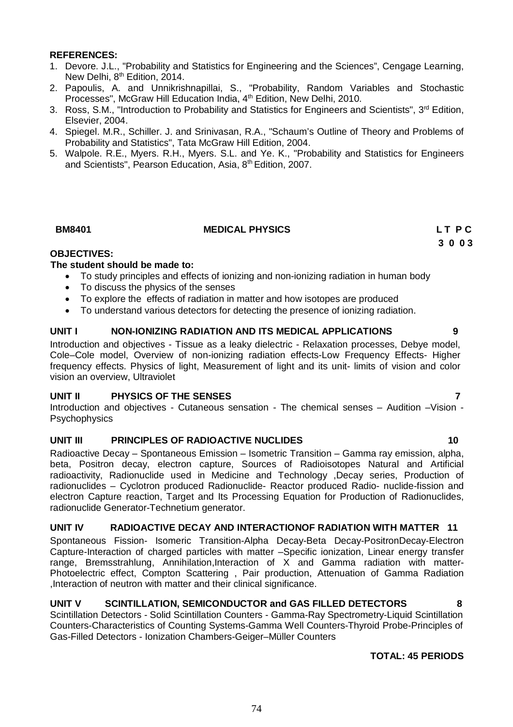### **REFERENCES:**

- 1. Devore. J.L., "Probability and Statistics for Engineering and the Sciences", Cengage Learning, New Delhi, 8<sup>th</sup> Edition, 2014.
- 2. Papoulis, A. and Unnikrishnapillai, S., "Probability, Random Variables and Stochastic Processes", McGraw Hill Education India, 4<sup>th</sup> Edition, New Delhi, 2010.
- 3. Ross, S.M., "Introduction to Probability and Statistics for Engineers and Scientists", 3<sup>rd</sup> Edition, Elsevier, 2004.
- 4. Spiegel. M.R., Schiller. J. and Srinivasan, R.A., "Schaum's Outline of Theory and Problems of Probability and Statistics", Tata McGraw Hill Edition, 2004.
- 5. Walpole. R.E., Myers. R.H., Myers. S.L. and Ye. K., "Probability and Statistics for Engineers and Scientists", Pearson Education, Asia, 8th Edition, 2007.

### **BM8401 MEDICAL PHYSICS L T P C**

 **3 0 0 3**

### **OBJECTIVES:**

### **The student should be made to:**

- To study principles and effects of ionizing and non-ionizing radiation in human body
- To discuss the physics of the senses
- To explore the effects of radiation in matter and how isotopes are produced
- To understand various detectors for detecting the presence of ionizing radiation.

### **UNIT I NON-IONIZING RADIATION AND ITS MEDICAL APPLICATIONS 9**

Introduction and objectives - Tissue as a leaky dielectric - Relaxation processes, Debye model, Cole–Cole model, Overview of non-ionizing radiation effects-Low Frequency Effects- Higher frequency effects. Physics of light, Measurement of light and its unit- limits of vision and color vision an overview, Ultraviolet

### **UNIT II PHYSICS OF THE SENSES 7**

Introduction and objectives - Cutaneous sensation - The chemical senses – Audition –Vision - **Psychophysics** 

### **UNIT III PRINCIPLES OF RADIOACTIVE NUCLIDES 10**

Radioactive Decay – Spontaneous Emission – Isometric Transition – Gamma ray emission, alpha, beta, Positron decay, electron capture, Sources of Radioisotopes Natural and Artificial radioactivity, Radionuclide used in Medicine and Technology ,Decay series, Production of radionuclides – Cyclotron produced Radionuclide- Reactor produced Radio- nuclide-fission and electron Capture reaction, Target and Its Processing Equation for Production of Radionuclides, radionuclide Generator-Technetium generator.

### **UNIT IV RADIOACTIVE DECAY AND INTERACTIONOF RADIATION WITH MATTER 11**

Spontaneous Fission- Isomeric Transition-Alpha Decay-Beta Decay-PositronDecay-Electron Capture-Interaction of charged particles with matter –Specific ionization, Linear energy transfer range, Bremsstrahlung, Annihilation,Interaction of X and Gamma radiation with matter-Photoelectric effect, Compton Scattering , Pair production, Attenuation of Gamma Radiation ,Interaction of neutron with matter and their clinical significance.

### **UNIT V SCINTILLATION, SEMICONDUCTOR and GAS FILLED DETECTORS 8**

Scintillation Detectors - Solid Scintillation Counters - Gamma-Ray Spectrometry-Liquid Scintillation Counters-Characteristics of Counting Systems-Gamma Well Counters-Thyroid Probe-Principles of Gas-Filled Detectors - Ionization Chambers-Geiger–Müller Counters

### **TOTAL: 45 PERIODS**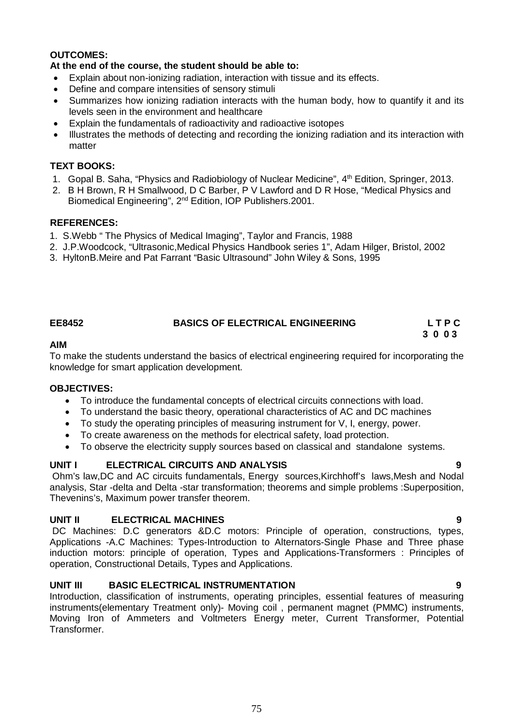### **OUTCOMES:**

### **At the end of the course, the student should be able to:**

- Explain about non-ionizing radiation, interaction with tissue and its effects.
- Define and compare intensities of sensory stimuli
- Summarizes how ionizing radiation interacts with the human body, how to quantify it and its levels seen in the environment and healthcare
- Explain the fundamentals of radioactivity and radioactive isotopes
- Illustrates the methods of detecting and recording the ionizing radiation and its interaction with matter

### **TEXT BOOKS:**

- 1. Gopal B. Saha, "Physics and Radiobiology of Nuclear Medicine", 4<sup>th</sup> Edition, Springer, 2013.
- 2. B H Brown, R H Smallwood, D C Barber, P V Lawford and D R Hose, "Medical Physics and Biomedical Engineering", 2nd Edition, IOP Publishers.2001.

### **REFERENCES:**

- 1. S.Webb " The Physics of Medical Imaging", Taylor and Francis, 1988
- 2. J.P.Woodcock, "Ultrasonic,Medical Physics Handbook series 1", Adam Hilger, Bristol, 2002
- 3. HyltonB.Meire and Pat Farrant "Basic Ultrasound" John Wiley & Sons, 1995

### **EE8452 BASICS OF ELECTRICAL ENGINEERING L T P C**

# **3 0 0 3**

### **AIM**

To make the students understand the basics of electrical engineering required for incorporating the knowledge for smart application development.

### **OBJECTIVES:**

- To introduce the fundamental concepts of electrical circuits connections with load.
- To understand the basic theory, operational characteristics of AC and DC machines
- To study the operating principles of measuring instrument for V, I, energy, power.
- To create awareness on the methods for electrical safety, load protection.
- To observe the electricity supply sources based on classical and standalone systems.

### **UNIT I ELECTRICAL CIRCUITS AND ANALYSIS 9**

Ohm's law,DC and AC circuits fundamentals, Energy sources,Kirchhoff's laws,Mesh and Nodal analysis, Star -delta and Delta -star transformation; theorems and simple problems :Superposition, Thevenins's, Maximum power transfer theorem.

### **UNIT II ELECTRICAL MACHINES 9**

DC Machines: D.C generators &D.C motors: Principle of operation, constructions, types, Applications -A.C Machines: Types-Introduction to Alternators-Single Phase and Three phase induction motors: principle of operation, Types and Applications-Transformers : Principles of operation, Constructional Details, Types and Applications.

## **UNIT III BASIC ELECTRICAL INSTRUMENTATION 9**

Introduction, classification of instruments, operating principles, essential features of measuring instruments(elementary Treatment only)- Moving coil , permanent magnet (PMMC) instruments, Moving Iron of Ammeters and Voltmeters Energy meter, Current Transformer, Potential Transformer.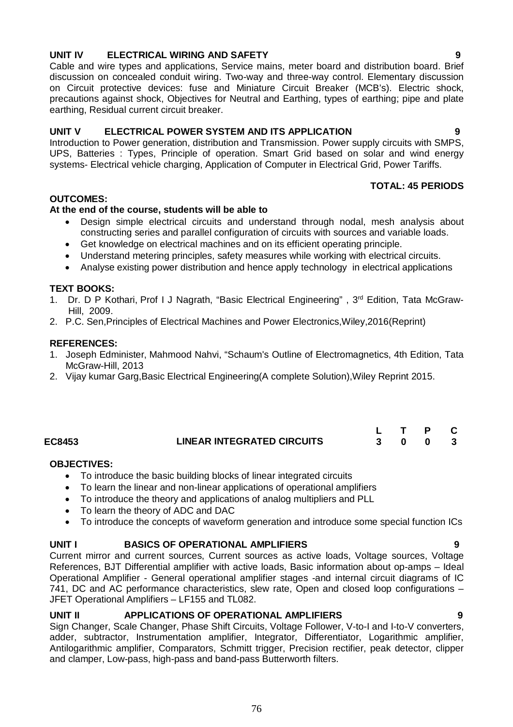# **UNIT IV ELECTRICAL WIRING AND SAFETY 9**

Cable and wire types and applications, Service mains, meter board and distribution board. Brief discussion on concealed conduit wiring. Two-way and three-way control. Elementary discussion on Circuit protective devices: fuse and Miniature Circuit Breaker (MCB's). Electric shock, precautions against shock, Objectives for Neutral and Earthing, types of earthing; pipe and plate earthing, Residual current circuit breaker.

### **UNIT V ELECTRICAL POWER SYSTEM AND ITS APPLICATION 9**

Introduction to Power generation, distribution and Transmission. Power supply circuits with SMPS, UPS, Batteries : Types, Principle of operation. Smart Grid based on solar and wind energy systems- Electrical vehicle charging, Application of Computer in Electrical Grid, Power Tariffs.

### **TOTAL: 45 PERIODS**

### **OUTCOMES:**

### **At the end of the course, students will be able to**

- Design simple electrical circuits and understand through nodal, mesh analysis about constructing series and parallel configuration of circuits with sources and variable loads.
- Get knowledge on electrical machines and on its efficient operating principle.
- Understand metering principles, safety measures while working with electrical circuits.
- Analyse existing power distribution and hence apply technology in electrical applications

### **TEXT BOOKS:**

- 1. Dr. D P Kothari, Prof I J Nagrath, "Basic Electrical Engineering", 3<sup>rd</sup> Edition, Tata McGraw-Hill, 2009.
- 2. P.C. Sen,Principles of Electrical Machines and Power Electronics,Wiley,2016(Reprint)

### **REFERENCES:**

- 1. Joseph Edminister, Mahmood Nahvi, "Schaum's Outline of Electromagnetics, 4th Edition, Tata McGraw-Hill, 2013
- 2. Vijay kumar Garg,Basic Electrical Engineering(A complete Solution),Wiley Reprint 2015.

| EC8453 | <b>LINEAR INTEGRATED CIRCUITS</b> |  |  |
|--------|-----------------------------------|--|--|

### **OBJECTIVES:**

- To introduce the basic building blocks of linear integrated circuits
- To learn the linear and non-linear applications of operational amplifiers
- To introduce the theory and applications of analog multipliers and PLL
- To learn the theory of ADC and DAC
- To introduce the concepts of waveform generation and introduce some special function ICs

### **UNIT I BASICS OF OPERATIONAL AMPLIFIERS 9**

Current mirror and current sources, Current sources as active loads, Voltage sources, Voltage References, BJT Differential amplifier with active loads, Basic information about op-amps – Ideal Operational Amplifier - General operational amplifier stages -and internal circuit diagrams of IC 741, DC and AC performance characteristics, slew rate, Open and closed loop configurations – JFET Operational Amplifiers – LF155 and TL082.

### **UNIT II APPLICATIONS OF OPERATIONAL AMPLIFIERS 9**

Sign Changer, Scale Changer, Phase Shift Circuits, Voltage Follower, V-to-I and I-to-V converters, adder, subtractor, Instrumentation amplifier, Integrator, Differentiator, Logarithmic amplifier, Antilogarithmic amplifier, Comparators, Schmitt trigger, Precision rectifier, peak detector, clipper and clamper, Low-pass, high-pass and band-pass Butterworth filters.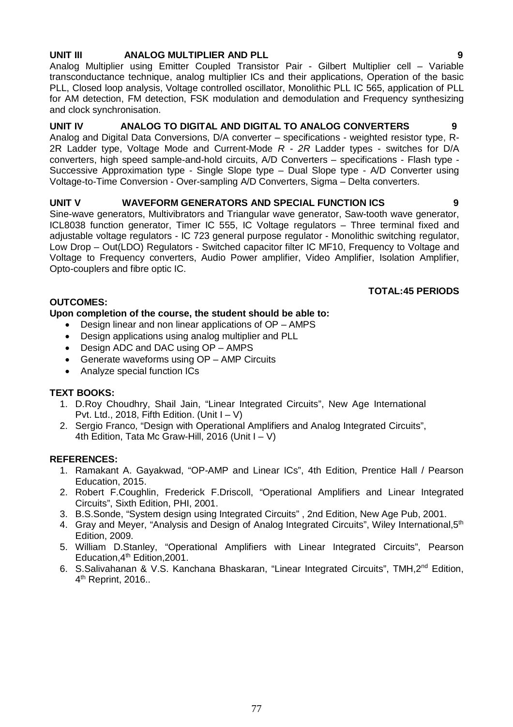# **UNIT III ANALOG MULTIPLIER AND PLL 9**

Analog Multiplier using Emitter Coupled Transistor Pair - Gilbert Multiplier cell – Variable transconductance technique, analog multiplier ICs and their applications, Operation of the basic PLL, Closed loop analysis, Voltage controlled oscillator, Monolithic PLL IC 565, application of PLL for AM detection, FM detection, FSK modulation and demodulation and Frequency synthesizing and clock synchronisation.

# **UNIT IV ANALOG TO DIGITAL AND DIGITAL TO ANALOG CONVERTERS 9**

Analog and Digital Data Conversions, D/A converter – specifications - weighted resistor type, R-2R Ladder type, Voltage Mode and Current-Mode *R* - *2R* Ladder types - switches for D/A converters, high speed sample-and-hold circuits, A/D Converters – specifications - Flash type - Successive Approximation type - Single Slope type – Dual Slope type - A/D Converter using Voltage-to-Time Conversion - Over-sampling A/D Converters, Sigma – Delta converters.

# UNIT V WAVEFORM GENERATORS AND SPECIAL FUNCTION ICS 9

Sine-wave generators, Multivibrators and Triangular wave generator, Saw-tooth wave generator, ICL8038 function generator, Timer IC 555, IC Voltage regulators – Three terminal fixed and adjustable voltage regulators - IC 723 general purpose regulator - Monolithic switching regulator, Low Drop – Out(LDO) Regulators - Switched capacitor filter IC MF10, Frequency to Voltage and Voltage to Frequency converters, Audio Power amplifier, Video Amplifier, Isolation Amplifier, Opto-couplers and fibre optic IC.

# **OUTCOMES:**

# **Upon completion of the course, the student should be able to:**

- Design linear and non linear applications of OP AMPS
- Design applications using analog multiplier and PLL
- Design ADC and DAC using OP AMPS
- Generate waveforms using OP AMP Circuits
- Analyze special function ICs

# **TEXT BOOKS:**

- 1. D.Roy Choudhry, Shail Jain, "Linear Integrated Circuits", New Age International Pvt. Ltd., 2018, Fifth Edition. (Unit  $I - V$ )
- 2. Sergio Franco, "Design with Operational Amplifiers and Analog Integrated Circuits", 4th Edition, Tata Mc Graw-Hill, 2016 (Unit  $I - V$ )

# **REFERENCES:**

- 1. Ramakant A. Gayakwad, "OP-AMP and Linear ICs", 4th Edition, Prentice Hall / Pearson Education, 2015.
- 2. Robert F.Coughlin, Frederick F.Driscoll, "Operational Amplifiers and Linear Integrated Circuits", Sixth Edition, PHI, 2001.
- 3. B.S.Sonde, "System design using Integrated Circuits" , 2nd Edition, New Age Pub, 2001.
- 4. Gray and Meyer, "Analysis and Design of Analog Integrated Circuits", Wiley International, 5<sup>th</sup> Edition, 2009.
- 5. William D.Stanley, "Operational Amplifiers with Linear Integrated Circuits", Pearson Education,4th Edition,2001.
- 6. S.Salivahanan & V.S. Kanchana Bhaskaran, "Linear Integrated Circuits", TMH,2nd Edition, 4<sup>th</sup> Reprint, 2016..

# **TOTAL:45 PERIODS**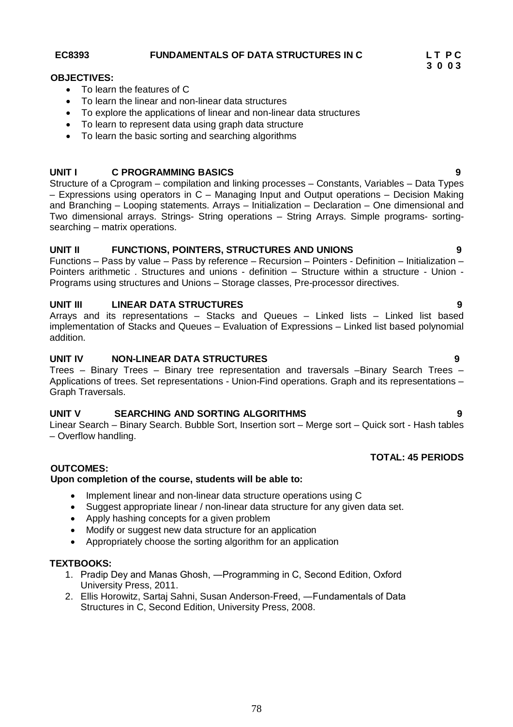**EC8393 FUNDAMENTALS OF DATA STRUCTURES IN C L T P C**

# **OBJECTIVES:**

- To learn the features of C
- To learn the linear and non-linear data structures
- To explore the applications of linear and non-linear data structures
- To learn to represent data using graph data structure
- To learn the basic sorting and searching algorithms

# **UNIT I C PROGRAMMING BASICS 9**

Structure of a Cprogram – compilation and linking processes – Constants, Variables – Data Types – Expressions using operators in C – Managing Input and Output operations – Decision Making and Branching – Looping statements. Arrays – Initialization – Declaration – One dimensional and Two dimensional arrays. Strings- String operations – String Arrays. Simple programs- sortingsearching – matrix operations.

# **UNIT II FUNCTIONS, POINTERS, STRUCTURES AND UNIONS 9**

Functions – Pass by value – Pass by reference – Recursion – Pointers - Definition – Initialization – Pointers arithmetic . Structures and unions - definition – Structure within a structure - Union - Programs using structures and Unions – Storage classes, Pre-processor directives.

# **UNIT III LINEAR DATA STRUCTURES 9**

Arrays and its representations – Stacks and Queues – Linked lists – Linked list based implementation of Stacks and Queues – Evaluation of Expressions – Linked list based polynomial addition.

# **UNIT IV NON-LINEAR DATA STRUCTURES 9**

Trees – Binary Trees – Binary tree representation and traversals –Binary Search Trees – Applications of trees. Set representations - Union-Find operations. Graph and its representations – Graph Traversals.

# **UNIT V SEARCHING AND SORTING ALGORITHMS 9**

Linear Search – Binary Search. Bubble Sort, Insertion sort – Merge sort – Quick sort - Hash tables – Overflow handling.

# **TOTAL: 45 PERIODS**

# **OUTCOMES:**

# **Upon completion of the course, students will be able to:**

- Implement linear and non-linear data structure operations using C
- Suggest appropriate linear / non-linear data structure for any given data set.
- Apply hashing concepts for a given problem
- Modify or suggest new data structure for an application
- Appropriately choose the sorting algorithm for an application

# **TEXTBOOKS:**

- 1. Pradip Dey and Manas Ghosh, ―Programming in C, Second Edition, Oxford University Press, 2011.
- 2. Ellis Horowitz, Sartaj Sahni, Susan Anderson-Freed, ―Fundamentals of Data Structures in C, Second Edition, University Press, 2008.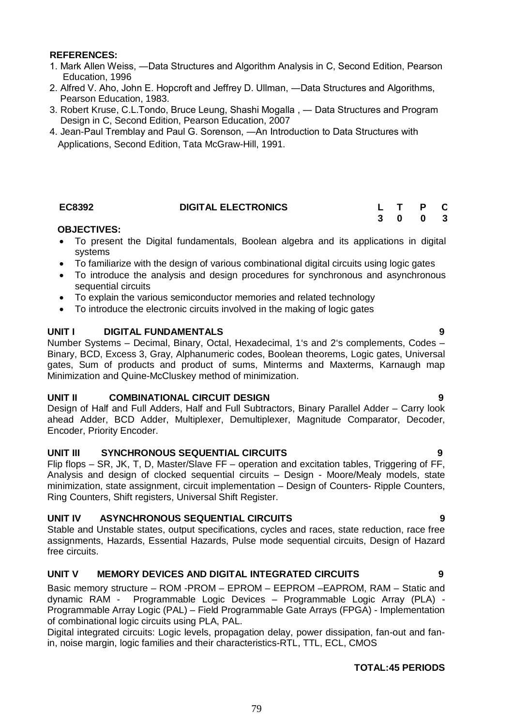### **REFERENCES:**

- 1. Mark Allen Weiss, ―Data Structures and Algorithm Analysis in C, Second Edition, Pearson Education, 1996
- 2. Alfred V. Aho, John E. Hopcroft and Jeffrey D. Ullman, ―Data Structures and Algorithms, Pearson Education, 1983.
- 3. Robert Kruse, C.L.Tondo, Bruce Leung, Shashi Mogalla , ― Data Structures and Program Design in C, Second Edition, Pearson Education, 2007
- 4. Jean-Paul Tremblay and Paul G. Sorenson, ―An Introduction to Data Structures with Applications, Second Edition, Tata McGraw-Hill, 1991.

### **EC8392 DIGITAL ELECTRONICS L T P C**

# **3 0 0 3**

### **OBJECTIVES:**

- To present the Digital fundamentals, Boolean algebra and its applications in digital systems
- To familiarize with the design of various combinational digital circuits using logic gates
- To introduce the analysis and design procedures for synchronous and asynchronous sequential circuits
- To explain the various semiconductor memories and related technology
- To introduce the electronic circuits involved in the making of logic gates

### **UNIT I DIGITAL FUNDAMENTALS 9**

Number Systems – Decimal, Binary, Octal, Hexadecimal, 1's and 2's complements, Codes – Binary, BCD, Excess 3, Gray, Alphanumeric codes, Boolean theorems, Logic gates, Universal gates, Sum of products and product of sums, Minterms and Maxterms, Karnaugh map Minimization and Quine-McCluskey method of minimization.

### **UNIT II COMBINATIONAL CIRCUIT DESIGN 9**

Design of Half and Full Adders, Half and Full Subtractors, Binary Parallel Adder – Carry look ahead Adder, BCD Adder, Multiplexer, Demultiplexer, Magnitude Comparator, Decoder, Encoder, Priority Encoder.

### **UNIT III SYNCHRONOUS SEQUENTIAL CIRCUITS 9**

Flip flops – SR, JK, T, D, Master/Slave FF – operation and excitation tables, Triggering of FF, Analysis and design of clocked sequential circuits – Design - Moore/Mealy models, state minimization, state assignment, circuit implementation – Design of Counters- Ripple Counters, Ring Counters, Shift registers, Universal Shift Register.

### **UNIT IV ASYNCHRONOUS SEQUENTIAL CIRCUITS 9**

Stable and Unstable states, output specifications, cycles and races, state reduction, race free assignments, Hazards, Essential Hazards, Pulse mode sequential circuits, Design of Hazard free circuits.

### **UNIT V MEMORY DEVICES AND DIGITAL INTEGRATED CIRCUITS 9**

Basic memory structure – ROM -PROM – EPROM – EEPROM –EAPROM, RAM – Static and dynamic RAM - Programmable Logic Devices – Programmable Logic Array (PLA) - Programmable Array Logic (PAL) – Field Programmable Gate Arrays (FPGA) - Implementation of combinational logic circuits using PLA, PAL.

Digital integrated circuits: Logic levels, propagation delay, power dissipation, fan-out and fanin, noise margin, logic families and their characteristics-RTL, TTL, ECL, CMOS

### **TOTAL:45 PERIODS**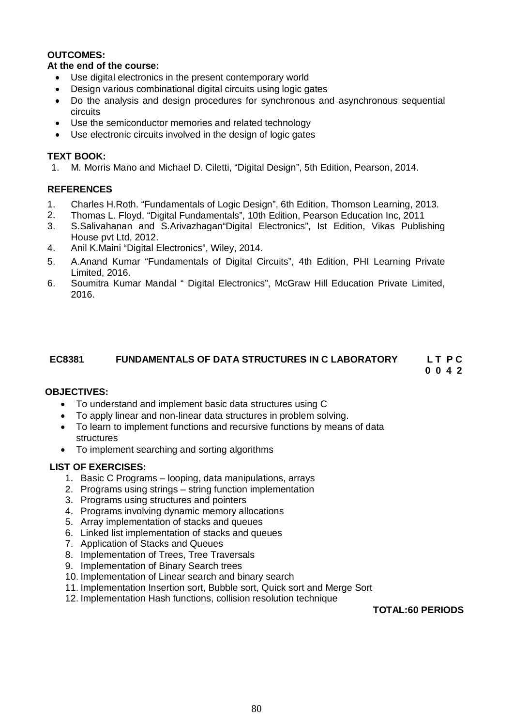### **OUTCOMES:**

### **At the end of the course:**

- Use digital electronics in the present contemporary world
- Design various combinational digital circuits using logic gates
- Do the analysis and design procedures for synchronous and asynchronous sequential circuits
- Use the semiconductor memories and related technology
- Use electronic circuits involved in the design of logic gates

### **TEXT BOOK:**

1. M. Morris Mano and Michael D. Ciletti, "Digital Design", 5th Edition, Pearson, 2014.

### **REFERENCES**

- 1. Charles H.Roth. "Fundamentals of Logic Design", 6th Edition, Thomson Learning, 2013.
- 2. Thomas L. Floyd, "Digital Fundamentals", 10th Edition, Pearson Education Inc, 2011
- 3. S.Salivahanan and S.Arivazhagan"Digital Electronics", Ist Edition, Vikas Publishing House pvt Ltd, 2012.
- 4. Anil K.Maini "Digital Electronics", Wiley, 2014.
- 5. A.Anand Kumar "Fundamentals of Digital Circuits", 4th Edition, PHI Learning Private Limited, 2016.
- 6. Soumitra Kumar Mandal " Digital Electronics", McGraw Hill Education Private Limited, 2016.

## **EC8381 FUNDAMENTALS OF DATA STRUCTURES IN C LABORATORY L T P C**

 **0 0 4 2**

### **OBJECTIVES:**

- To understand and implement basic data structures using C
- To apply linear and non-linear data structures in problem solving.
- To learn to implement functions and recursive functions by means of data structures
- To implement searching and sorting algorithms

### **LIST OF EXERCISES:**

- 1. Basic C Programs looping, data manipulations, arrays
- 2. Programs using strings string function implementation
- 3. Programs using structures and pointers
- 4. Programs involving dynamic memory allocations
- 5. Array implementation of stacks and queues
- 6. Linked list implementation of stacks and queues
- 7. Application of Stacks and Queues
- 8. Implementation of Trees, Tree Traversals
- 9. Implementation of Binary Search trees
- 10. Implementation of Linear search and binary search
- 11. Implementation Insertion sort, Bubble sort, Quick sort and Merge Sort
- 12. Implementation Hash functions, collision resolution technique

**TOTAL:60 PERIODS**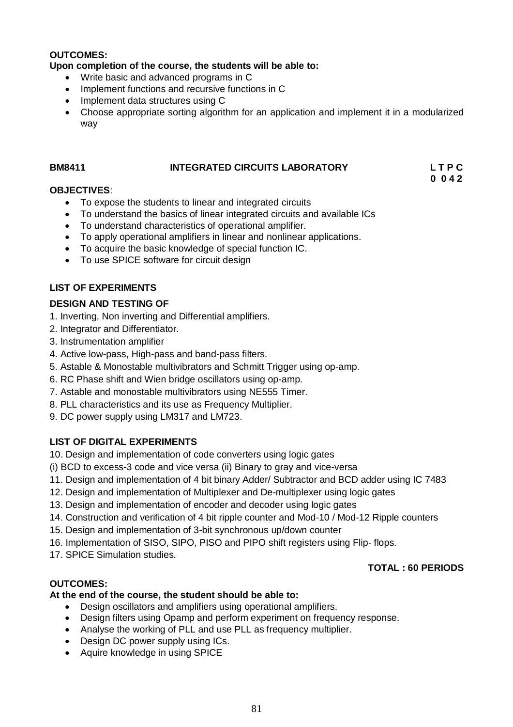### **OUTCOMES:**

### **Upon completion of the course, the students will be able to:**

- Write basic and advanced programs in C
- Implement functions and recursive functions in C
- Implement data structures using C
- Choose appropriate sorting algorithm for an application and implement it in a modularized way

### **BM8411 INTEGRATED CIRCUITS LABORATORY L T P C 0 0 4 2**

### **OBJECTIVES**:

- To expose the students to linear and integrated circuits
- To understand the basics of linear integrated circuits and available ICs
- To understand characteristics of operational amplifier.
- To apply operational amplifiers in linear and nonlinear applications.
- To acquire the basic knowledge of special function IC.
- To use SPICE software for circuit design

### **LIST OF EXPERIMENTS**

### **DESIGN AND TESTING OF**

- 1. Inverting, Non inverting and Differential amplifiers.
- 2. Integrator and Differentiator.
- 3. Instrumentation amplifier
- 4. Active low-pass, High-pass and band-pass filters.
- 5. Astable & Monostable multivibrators and Schmitt Trigger using op-amp.
- 6. RC Phase shift and Wien bridge oscillators using op-amp.
- 7. Astable and monostable multivibrators using NE555 Timer.
- 8. PLL characteristics and its use as Frequency Multiplier.
- 9. DC power supply using LM317 and LM723.

## **LIST OF DIGITAL EXPERIMENTS**

10. Design and implementation of code converters using logic gates

- (i) BCD to excess-3 code and vice versa (ii) Binary to gray and vice-versa
- 11. Design and implementation of 4 bit binary Adder/ Subtractor and BCD adder using IC 7483
- 12. Design and implementation of Multiplexer and De-multiplexer using logic gates
- 13. Design and implementation of encoder and decoder using logic gates
- 14. Construction and verification of 4 bit ripple counter and Mod-10 / Mod-12 Ripple counters
- 15. Design and implementation of 3-bit synchronous up/down counter
- 16. Implementation of SISO, SIPO, PISO and PIPO shift registers using Flip- flops.
- 17. SPICE Simulation studies.

## **TOTAL : 60 PERIODS**

## **OUTCOMES:**

### **At the end of the course, the student should be able to:**

- Design oscillators and amplifiers using operational amplifiers.
- Design filters using Opamp and perform experiment on frequency response.
- Analyse the working of PLL and use PLL as frequency multiplier.
- Design DC power supply using ICs.
- Aquire knowledge in using SPICE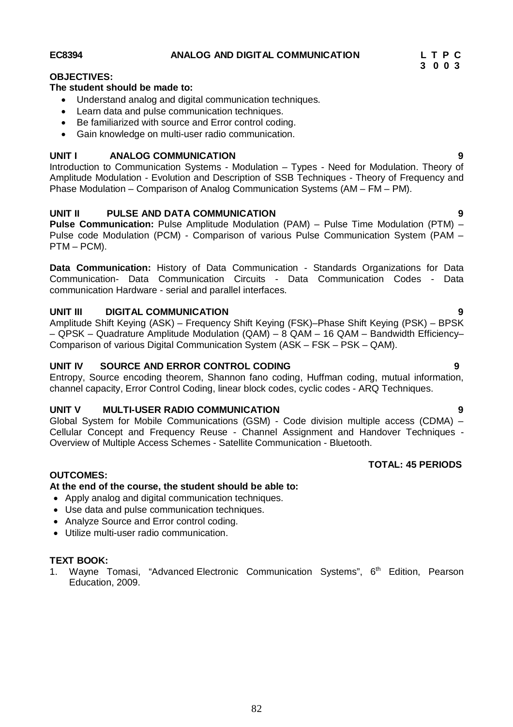### **EC8394 ANALOG AND DIGITAL COMMUNICATION L T P C**

### **OBJECTIVES:**

### **The student should be made to:**

- Understand analog and digital communication techniques.
- Learn data and pulse communication techniques.
- Be familiarized with source and Error control coding.
- Gain knowledge on multi-user radio communication.

### **UNIT I ANALOG COMMUNICATION 9**

Introduction to Communication Systems - Modulation – Types - Need for Modulation. Theory of Amplitude Modulation - Evolution and Description of SSB Techniques - Theory of Frequency and Phase Modulation – Comparison of Analog Communication Systems (AM – FM – PM).

## **UNIT II PULSE AND DATA COMMUNICATION 9**

**Pulse Communication:** Pulse Amplitude Modulation (PAM) – Pulse Time Modulation (PTM) – Pulse code Modulation (PCM) - Comparison of various Pulse Communication System (PAM – PTM – PCM).

**Data Communication:** History of Data Communication - Standards Organizations for Data Communication- Data Communication Circuits - Data Communication Codes - Data communication Hardware - serial and parallel interfaces.

### **UNIT III DIGITAL COMMUNICATION 9**

Amplitude Shift Keying (ASK) – Frequency Shift Keying (FSK)–Phase Shift Keying (PSK) – BPSK – QPSK – Quadrature Amplitude Modulation (QAM) – 8 QAM – 16 QAM – Bandwidth Efficiency– Comparison of various Digital Communication System (ASK – FSK – PSK – QAM).

### **UNIT IV SOURCE AND ERROR CONTROL CODING 9**

Entropy, Source encoding theorem, Shannon fano coding, Huffman coding, mutual information, channel capacity, Error Control Coding, linear block codes, cyclic codes - ARQ Techniques.

### **UNIT V MULTI-USER RADIO COMMUNICATION 9**

Global System for Mobile Communications (GSM) - Code division multiple access (CDMA) – Cellular Concept and Frequency Reuse - Channel Assignment and Handover Techniques - Overview of Multiple Access Schemes - Satellite Communication - Bluetooth.

## **TOTAL: 45 PERIODS**

### **OUTCOMES:**

### **At the end of the course, the student should be able to:**

- Apply analog and digital communication techniques.
- Use data and pulse communication techniques.
- Analyze Source and Error control coding.
- Utilize multi-user radio communication.

### **TEXT BOOK:**

1. Wayne Tomasi, "Advanced Electronic Communication Systems", 6<sup>th</sup> Edition, Pearson Education, 2009.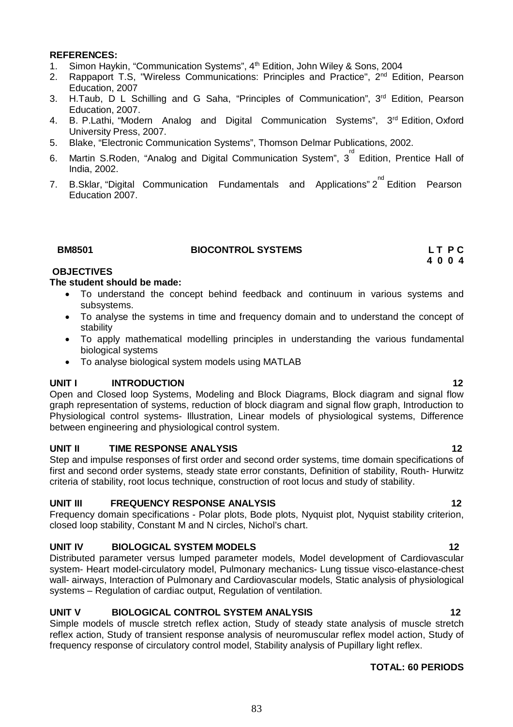### **REFERENCES:**

- 1. Simon Haykin, "Communication Systems", 4<sup>th</sup> Edition, John Wiley & Sons, 2004
- 2. Rappaport T.S, "Wireless Communications: Principles and Practice", 2<sup>nd</sup> Edition, Pearson Education, 2007
- 3. H.Taub, D L Schilling and G Saha, "Principles of Communication", 3<sup>rd</sup> Edition, Pearson Education, 2007.
- 4. B. P.Lathi, "Modern Analog and Digital Communication Systems", 3<sup>rd</sup> Edition, Oxford University Press, 2007.
- 5. Blake, "Electronic Communication Systems", Thomson Delmar Publications, 2002.
- 6. Martin S.Roden, "Analog and Digital Communication System",  $3^{\text{rd}}$  Edition, Prentice Hall of India, 2002.
- 7. B.Sklar, "Digital Communication Fundamentals and Applications" 2<sup>nd</sup> Edition Pearson Education 2007.

| 3M850 <sup>.</sup> |  |
|--------------------|--|
|                    |  |

### **BM8501** BIOCONTROL SYSTEMS **LT P C**

**4 0 0 4**

# **OBJECTIVES**

### **The student should be made:**

- To understand the concept behind feedback and continuum in various systems and subsystems.
- To analyse the systems in time and frequency domain and to understand the concept of stability
- To apply mathematical modelling principles in understanding the various fundamental biological systems
- To analyse biological system models using MATLAB

### **UNIT I INTRODUCTION 12**

Open and Closed loop Systems, Modeling and Block Diagrams, Block diagram and signal flow graph representation of systems, reduction of block diagram and signal flow graph, Introduction to Physiological control systems- Illustration, Linear models of physiological systems, Difference between engineering and physiological control system.

### **UNIT II TIME RESPONSE ANALYSIS 12** 12

Step and impulse responses of first order and second order systems, time domain specifications of first and second order systems, steady state error constants, Definition of stability, Routh- Hurwitz criteria of stability, root locus technique, construction of root locus and study of stability.

### UNIT III FREQUENCY RESPONSE ANALYSIS **12**

Frequency domain specifications - Polar plots, Bode plots, Nyquist plot, Nyquist stability criterion, closed loop stability, Constant M and N circles, Nichol's chart.

### **UNIT IV BIOLOGICAL SYSTEM MODELS 12**

Distributed parameter versus lumped parameter models, Model development of Cardiovascular system- Heart model-circulatory model, Pulmonary mechanics- Lung tissue visco-elastance-chest wall- airways, Interaction of Pulmonary and Cardiovascular models, Static analysis of physiological systems – Regulation of cardiac output, Regulation of ventilation.

# **UNIT V BIOLOGICAL CONTROL SYSTEM ANALYSIS** 12

Simple models of muscle stretch reflex action, Study of steady state analysis of muscle stretch reflex action, Study of transient response analysis of neuromuscular reflex model action, Study of frequency response of circulatory control model, Stability analysis of Pupillary light reflex.

### **TOTAL: 60 PERIODS**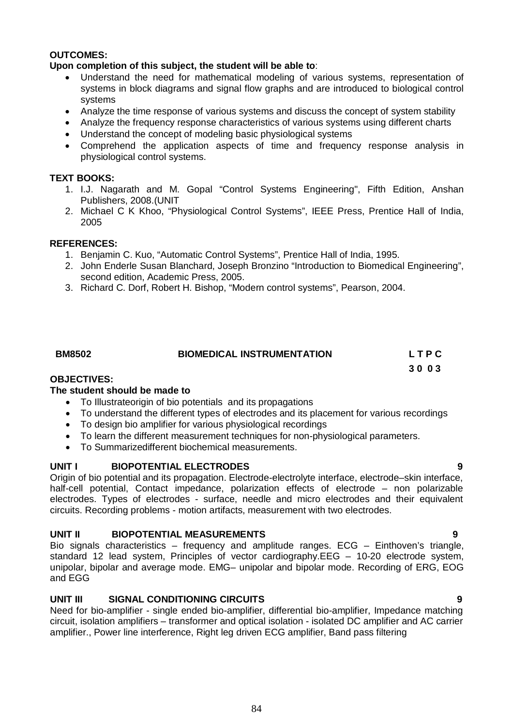### **OUTCOMES:**

### **Upon completion of this subject, the student will be able to**:

- Understand the need for mathematical modeling of various systems, representation of systems in block diagrams and signal flow graphs and are introduced to biological control systems
- Analyze the time response of various systems and discuss the concept of system stability
- Analyze the frequency response characteristics of various systems using different charts
- Understand the concept of modeling basic physiological systems
- Comprehend the application aspects of time and frequency response analysis in physiological control systems.

### **TEXT BOOKS:**

- 1. I.J. Nagarath and M. Gopal "Control Systems Engineering", Fifth Edition, Anshan Publishers, 2008.(UNIT
- 2. Michael C K Khoo, "Physiological Control Systems", IEEE Press, Prentice Hall of India, 2005

### **REFERENCES:**

- 1. Benjamin C. Kuo, "Automatic Control Systems", Prentice Hall of India, 1995.
- 2. John Enderle Susan Blanchard, Joseph Bronzino "Introduction to Biomedical Engineering", second edition, Academic Press, 2005.
- 3. Richard C. Dorf, Robert H. Bishop, "Modern control systems", Pearson, 2004.

# **BM8502 BIOMEDICAL INSTRUMENTATION L T P C 3 0 0 3**

### **OBJECTIVES:**

### **The student should be made to**

- To Illustrateorigin of bio potentials and its propagations
- To understand the different types of electrodes and its placement for various recordings
- To design bio amplifier for various physiological recordings
- To learn the different measurement techniques for non-physiological parameters.
- To Summarizedifferent biochemical measurements.

### **UNIT I BIOPOTENTIAL ELECTRODES 9**

Origin of bio potential and its propagation. Electrode-electrolyte interface, electrode–skin interface, half-cell potential, Contact impedance, polarization effects of electrode – non polarizable electrodes. Types of electrodes - surface, needle and micro electrodes and their equivalent circuits. Recording problems - motion artifacts, measurement with two electrodes.

### **UNIT II BIOPOTENTIAL MEASUREMENTS 9**

Bio signals characteristics – frequency and amplitude ranges. ECG – Einthoven's triangle, standard 12 lead system, Principles of vector cardiography.EEG – 10-20 electrode system, unipolar, bipolar and average mode. EMG– unipolar and bipolar mode. Recording of ERG, EOG and EGG

### **UNIT III SIGNAL CONDITIONING CIRCUITS 9**

Need for bio-amplifier - single ended bio-amplifier, differential bio-amplifier, Impedance matching circuit, isolation amplifiers – transformer and optical isolation - isolated DC amplifier and AC carrier amplifier., Power line interference, Right leg driven ECG amplifier, Band pass filtering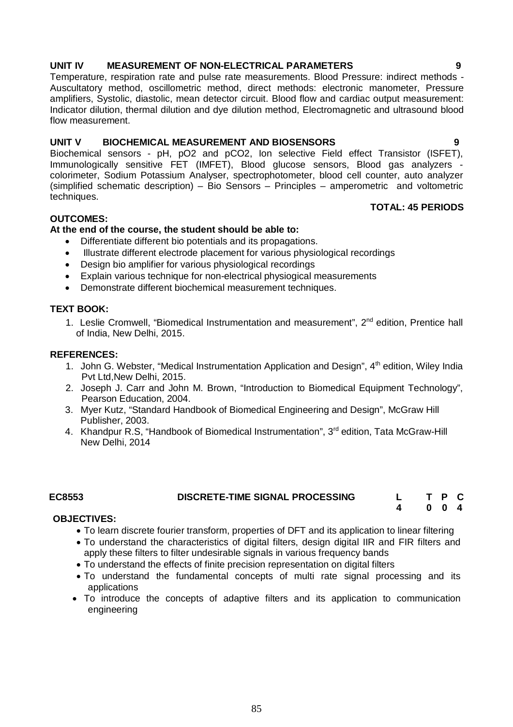### **UNIT IV MEASUREMENT OF NON-ELECTRICAL PARAMETERS 9**

Temperature, respiration rate and pulse rate measurements. Blood Pressure: indirect methods - Auscultatory method, oscillometric method, direct methods: electronic manometer, Pressure amplifiers, Systolic, diastolic, mean detector circuit. Blood flow and cardiac output measurement: Indicator dilution, thermal dilution and dye dilution method, Electromagnetic and ultrasound blood flow measurement.

### **UNIT V BIOCHEMICAL MEASUREMENT AND BIOSENSORS 9**

Biochemical sensors - pH, pO2 and pCO2, Ion selective Field effect Transistor (ISFET), Immunologically sensitive FET (IMFET), Blood glucose sensors, Blood gas analyzers colorimeter, Sodium Potassium Analyser, spectrophotometer, blood cell counter, auto analyzer (simplified schematic description) – Bio Sensors – Principles – amperometric and voltometric techniques.

### **TOTAL: 45 PERIODS**

### **OUTCOMES:**

### **At the end of the course, the student should be able to:**

- Differentiate different bio potentials and its propagations.
- Illustrate different electrode placement for various physiological recordings
- Design bio amplifier for various physiological recordings
- Explain various technique for non-electrical physiogical measurements
- Demonstrate different biochemical measurement techniques.

### **TEXT BOOK:**

1. Leslie Cromwell, "Biomedical Instrumentation and measurement", 2nd edition, Prentice hall of India, New Delhi, 2015.

### **REFERENCES:**

- 1. John G. Webster, "Medical Instrumentation Application and Design", 4<sup>th</sup> edition, Wiley India Pvt Ltd,New Delhi, 2015.
- 2. Joseph J. Carr and John M. Brown, "Introduction to Biomedical Equipment Technology", Pearson Education, 2004.
- 3. Myer Kutz, "Standard Handbook of Biomedical Engineering and Design", McGraw Hill Publisher, 2003.
- 4. Khandpur R.S, "Handbook of Biomedical Instrumentation", 3<sup>rd</sup> edition, Tata McGraw-Hill New Delhi, 2014

### **EC8553 DISCRETE-TIME SIGNAL PROCESSING L T P C 4 0 0 4**

### **OBJECTIVES:**

- To learn discrete fourier transform, properties of DFT and its application to linear filtering
- To understand the characteristics of digital filters, design digital IIR and FIR filters and apply these filters to filter undesirable signals in various frequency bands
- To understand the effects of finite precision representation on digital filters
- To understand the fundamental concepts of multi rate signal processing and its applications
- To introduce the concepts of adaptive filters and its application to communication engineering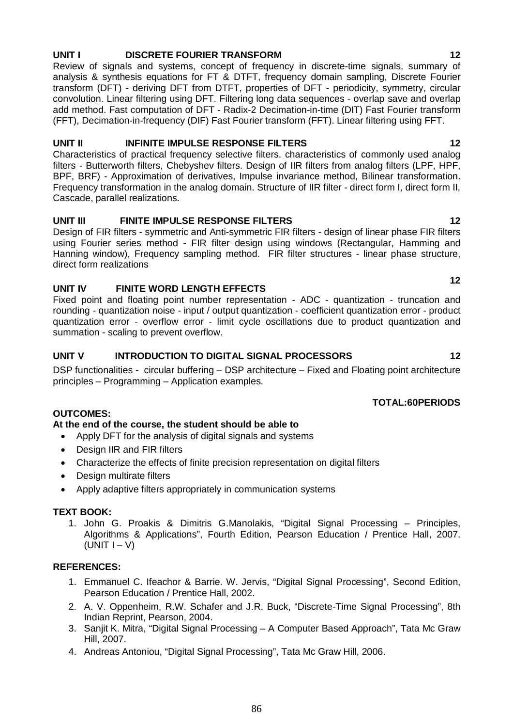# **UNIT I DISCRETE FOURIER TRANSFORM 12**

Review of signals and systems, concept of frequency in discrete-time signals, summary of analysis & synthesis equations for FT & DTFT, frequency domain sampling, Discrete Fourier transform (DFT) - deriving DFT from DTFT, properties of DFT - periodicity, symmetry, circular convolution. Linear filtering using DFT. Filtering long data sequences - overlap save and overlap add method. Fast computation of DFT - Radix-2 Decimation-in-time (DIT) Fast Fourier transform (FFT), Decimation-in-frequency (DIF) Fast Fourier transform (FFT). Linear filtering using FFT.

### **UNIT II INFINITE IMPULSE RESPONSE FILTERS** 12

Characteristics of practical frequency selective filters. characteristics of commonly used analog filters - Butterworth filters, Chebyshev filters. Design of IIR filters from analog filters (LPF, HPF, BPF, BRF) - Approximation of derivatives, Impulse invariance method, Bilinear transformation. Frequency transformation in the analog domain. Structure of IIR filter - direct form I, direct form II, Cascade, parallel realizations.

# **UNIT III FINITE IMPULSE RESPONSE FILTERS 12**

Design of FIR filters - symmetric and Anti-symmetric FIR filters - design of linear phase FIR filters using Fourier series method - FIR filter design using windows (Rectangular, Hamming and Hanning window), Frequency sampling method. FIR filter structures - linear phase structure, direct form realizations

## **UNIT IV FINITE WORD LENGTH EFFECTS**

Fixed point and floating point number representation - ADC - quantization - truncation and rounding - quantization noise - input / output quantization - coefficient quantization error - product quantization error - overflow error - limit cycle oscillations due to product quantization and summation - scaling to prevent overflow.

## **UNIT V INTRODUCTION TO DIGITAL SIGNAL PROCESSORS 12**

DSP functionalities - circular buffering – DSP architecture – Fixed and Floating point architecture principles – Programming – Application examples.

## **TOTAL:60PERIODS**

## **OUTCOMES:**

## **At the end of the course, the student should be able to**

- Apply DFT for the analysis of digital signals and systems
- Design IIR and FIR filters
- Characterize the effects of finite precision representation on digital filters
- Design multirate filters
- Apply adaptive filters appropriately in communication systems

### **TEXT BOOK:**

1. John G. Proakis & Dimitris G.Manolakis, "Digital Signal Processing – Principles, Algorithms & Applications", Fourth Edition, Pearson Education / Prentice Hall, 2007.  $(UNIT I - V)$ 

### **REFERENCES:**

- 1. Emmanuel C. Ifeachor & Barrie. W. Jervis, "Digital Signal Processing", Second Edition, Pearson Education / Prentice Hall, 2002.
- 2. A. V. Oppenheim, R.W. Schafer and J.R. Buck, "Discrete-Time Signal Processing", 8th Indian Reprint, Pearson, 2004.
- 3. Sanjit K. Mitra, "Digital Signal Processing A Computer Based Approach", Tata Mc Graw Hill, 2007.
- 4. Andreas Antoniou, "Digital Signal Processing", Tata Mc Graw Hill, 2006.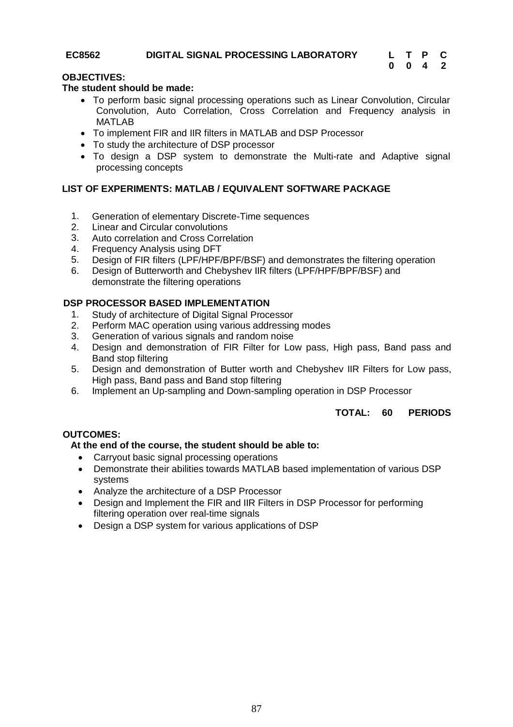### **EC8562 DIGITAL SIGNAL PROCESSING LABORATORY L T P C**

# **0 0 4 2**

### **OBJECTIVES:**

### **The student should be made:**

- To perform basic signal processing operations such as Linear Convolution, Circular Convolution, Auto Correlation, Cross Correlation and Frequency analysis in **MATLAB**
- To implement FIR and IIR filters in MATLAB and DSP Processor
- To study the architecture of DSP processor
- To design a DSP system to demonstrate the Multi-rate and Adaptive signal processing concepts

### **LIST OF EXPERIMENTS: MATLAB / EQUIVALENT SOFTWARE PACKAGE**

- 1. Generation of elementary Discrete-Time sequences
- 2. Linear and Circular convolutions
- 3. Auto correlation and Cross Correlation
- 4. Frequency Analysis using DFT
- 5. Design of FIR filters (LPF/HPF/BPF/BSF) and demonstrates the filtering operation
- 6. Design of Butterworth and Chebyshev IIR filters (LPF/HPF/BPF/BSF) and demonstrate the filtering operations

### **DSP PROCESSOR BASED IMPLEMENTATION**

- 1. Study of architecture of Digital Signal Processor
- 2. Perform MAC operation using various addressing modes
- 3. Generation of various signals and random noise
- 4. Design and demonstration of FIR Filter for Low pass, High pass, Band pass and Band stop filtering
- 5. Design and demonstration of Butter worth and Chebyshev IIR Filters for Low pass, High pass, Band pass and Band stop filtering
- 6. Implement an Up-sampling and Down-sampling operation in DSP Processor

### **TOTAL: 60 PERIODS**

### **OUTCOMES:**

### **At the end of the course, the student should be able to:**

- Carryout basic signal processing operations
- Demonstrate their abilities towards MATLAB based implementation of various DSP systems
- Analyze the architecture of a DSP Processor
- Design and Implement the FIR and IIR Filters in DSP Processor for performing filtering operation over real-time signals
- Design a DSP system for various applications of DSP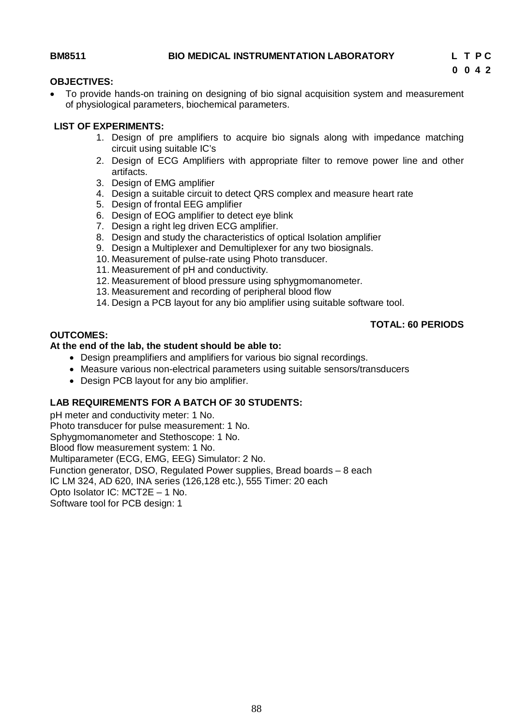### **OBJECTIVES:**

 To provide hands-on training on designing of bio signal acquisition system and measurement of physiological parameters, biochemical parameters.

### **LIST OF EXPERIMENTS:**

- 1. Design of pre amplifiers to acquire bio signals along with impedance matching circuit using suitable IC's
- 2. Design of ECG Amplifiers with appropriate filter to remove power line and other artifacts.
- 3. Design of EMG amplifier
- 4. Design a suitable circuit to detect QRS complex and measure heart rate
- 5. Design of frontal EEG amplifier
- 6. Design of EOG amplifier to detect eye blink
- 7. Design a right leg driven ECG amplifier.
- 8. Design and study the characteristics of optical Isolation amplifier
- 9. Design a Multiplexer and Demultiplexer for any two biosignals.
- 10. Measurement of pulse-rate using Photo transducer.
- 11. Measurement of pH and conductivity.
- 12. Measurement of blood pressure using sphygmomanometer.
- 13. Measurement and recording of peripheral blood flow
- 14. Design a PCB layout for any bio amplifier using suitable software tool.

### **TOTAL: 60 PERIODS**

### **OUTCOMES:**

### **At the end of the lab, the student should be able to:**

- Design preamplifiers and amplifiers for various bio signal recordings.
- Measure various non-electrical parameters using suitable sensors/transducers
- Design PCB layout for any bio amplifier.

### **LAB REQUIREMENTS FOR A BATCH OF 30 STUDENTS:**

pH meter and conductivity meter: 1 No. Photo transducer for pulse measurement: 1 No. Sphygmomanometer and Stethoscope: 1 No. Blood flow measurement system: 1 No. Multiparameter (ECG, EMG, EEG) Simulator: 2 No. Function generator, DSO, Regulated Power supplies, Bread boards – 8 each IC LM 324, AD 620, INA series (126,128 etc.), 555 Timer: 20 each Opto Isolator IC: MCT2E – 1 No. Software tool for PCB design: 1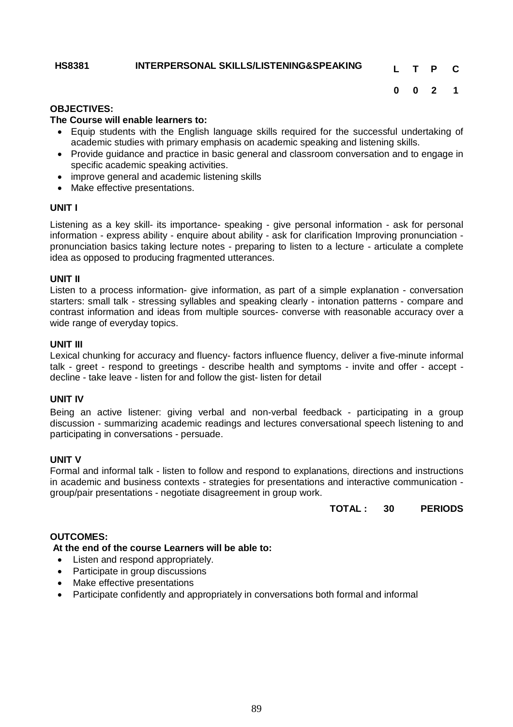### **HS8381 INTERPERSONAL SKILLS/LISTENING&SPEAKING L T P C**

### **OBJECTIVES:**

### **The Course will enable learners to:**

- Equip students with the English language skills required for the successful undertaking of academic studies with primary emphasis on academic speaking and listening skills.
- Provide guidance and practice in basic general and classroom conversation and to engage in specific academic speaking activities.
- improve general and academic listening skills
- Make effective presentations.

### **UNIT I**

Listening as a key skill- its importance- speaking - give personal information - ask for personal information - express ability - enquire about ability - ask for clarification Improving pronunciation pronunciation basics taking lecture notes - preparing to listen to a lecture - articulate a complete idea as opposed to producing fragmented utterances.

### **UNIT II**

Listen to a process information- give information, as part of a simple explanation - conversation starters: small talk - stressing syllables and speaking clearly - intonation patterns - compare and contrast information and ideas from multiple sources- converse with reasonable accuracy over a wide range of everyday topics.

### **UNIT III**

Lexical chunking for accuracy and fluency- factors influence fluency, deliver a five-minute informal talk - greet - respond to greetings - describe health and symptoms - invite and offer - accept decline - take leave - listen for and follow the gist- listen for detail

### **UNIT IV**

Being an active listener: giving verbal and non-verbal feedback - participating in a group discussion - summarizing academic readings and lectures conversational speech listening to and participating in conversations - persuade.

### **UNIT V**

Formal and informal talk - listen to follow and respond to explanations, directions and instructions in academic and business contexts - strategies for presentations and interactive communication group/pair presentations - negotiate disagreement in group work.

**TOTAL : 30 PERIODS**

### **OUTCOMES:**

### **At the end of the course Learners will be able to:**

- Listen and respond appropriately.
- Participate in group discussions
- Make effective presentations
- Participate confidently and appropriately in conversations both formal and informal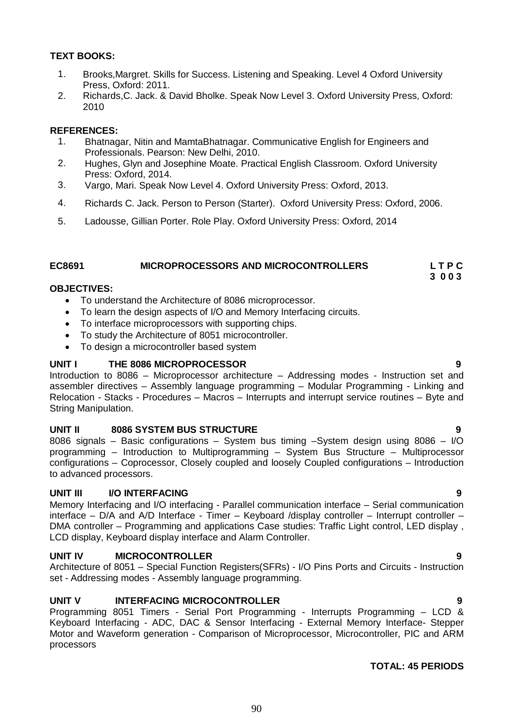### **TEXT BOOKS:**

- 1. Brooks,Margret. Skills for Success. Listening and Speaking. Level 4 Oxford University Press, Oxford: 2011.
- 2. Richards,C. Jack. & David Bholke. Speak Now Level 3. Oxford University Press, Oxford: 2010

### **REFERENCES:**

- 1. Bhatnagar, Nitin and MamtaBhatnagar. Communicative English for Engineers and Professionals. Pearson: New Delhi, 2010.
- 2. Hughes, Glyn and Josephine Moate. Practical English Classroom. Oxford University Press: Oxford, 2014.
- 3. Vargo, Mari. Speak Now Level 4. Oxford University Press: Oxford, 2013.
- 4. Richards C. Jack. Person to Person (Starter). Oxford University Press: Oxford, 2006.
- 5. Ladousse, Gillian Porter. Role Play. Oxford University Press: Oxford, 2014

### **EC8691 MICROPROCESSORS AND MICROCONTROLLERS L T P C**

 **3 0 0 3**

### **OBJECTIVES:**

- To understand the Architecture of 8086 microprocessor.
- To learn the design aspects of I/O and Memory Interfacing circuits.
- To interface microprocessors with supporting chips.
- To study the Architecture of 8051 microcontroller.
- To design a microcontroller based system

### **UNIT I THE 8086 MICROPROCESSOR**

Introduction to 8086 – Microprocessor architecture – Addressing modes - Instruction set and assembler directives – Assembly language programming – Modular Programming - Linking and Relocation - Stacks - Procedures – Macros – Interrupts and interrupt service routines – Byte and String Manipulation.

### **UNIT II 8086 SYSTEM BUS STRUCTURE 9**

8086 signals – Basic configurations – System bus timing –System design using  $8086 - I/O$ programming – Introduction to Multiprogramming – System Bus Structure – Multiprocessor configurations – Coprocessor, Closely coupled and loosely Coupled configurations – Introduction to advanced processors.

### **UNIT III I/O INTERFACING 9**

Memory Interfacing and I/O interfacing - Parallel communication interface – Serial communication interface – D/A and A/D Interface - Timer – Keyboard /display controller – Interrupt controller – DMA controller – Programming and applications Case studies: Traffic Light control, LED display , LCD display, Keyboard display interface and Alarm Controller.

### **UNIT IV MICROCONTROLLER 9**

Architecture of 8051 – Special Function Registers(SFRs) - I/O Pins Ports and Circuits - Instruction set - Addressing modes - Assembly language programming.

### **UNIT V INTERFACING MICROCONTROLLER 9**

Programming 8051 Timers - Serial Port Programming - Interrupts Programming – LCD & Keyboard Interfacing - ADC, DAC & Sensor Interfacing - External Memory Interface- Stepper Motor and Waveform generation - Comparison of Microprocessor, Microcontroller, PIC and ARM processors

### **TOTAL: 45 PERIODS**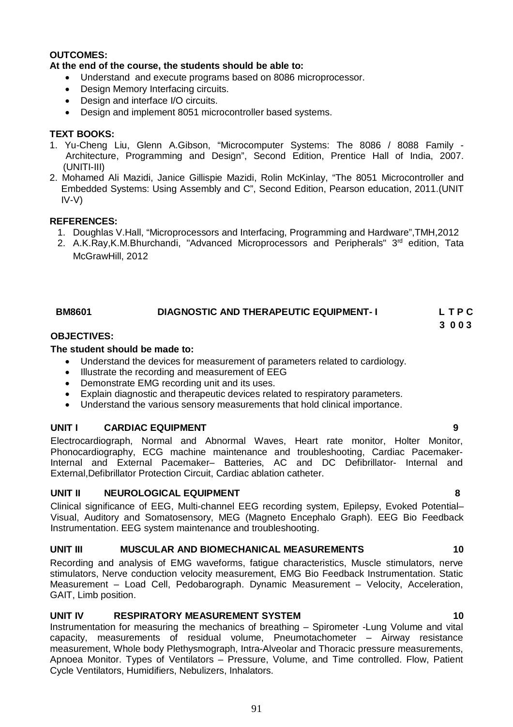### **OUTCOMES:**

### **At the end of the course, the students should be able to:**

- Understand and execute programs based on 8086 microprocessor.
- Design Memory Interfacing circuits.
- Design and interface I/O circuits.
- Design and implement 8051 microcontroller based systems.

### **TEXT BOOKS:**

- 1. Yu-Cheng Liu, Glenn A.Gibson, "Microcomputer Systems: The 8086 / 8088 Family Architecture, Programming and Design", Second Edition, Prentice Hall of India, 2007. (UNITI-III)
- 2. Mohamed Ali Mazidi, Janice Gillispie Mazidi, Rolin McKinlay, "The 8051 Microcontroller and Embedded Systems: Using Assembly and C", Second Edition, Pearson education, 2011.(UNIT IV-V)

### **REFERENCES:**

- 1. Doughlas V.Hall, "Microprocessors and Interfacing, Programming and Hardware",TMH,2012
- 2. A.K.Ray,K.M.Bhurchandi, "Advanced Microprocessors and Peripherals" 3<sup>rd</sup> edition, Tata McGrawHill, 2012

| <b>BM8601</b> | <b>DIAGNOSTIC AND THERAPEUTIC EQUIPMENT-1</b> | LTPC |
|---------------|-----------------------------------------------|------|
|               |                                               |      |

# **3 0 0 3**

### **OBJECTIVES:**

### **The student should be made to:**

- Understand the devices for measurement of parameters related to cardiology.
- $\bullet$  Illustrate the recording and measurement of EEG
- Demonstrate EMG recording unit and its uses.
- Explain diagnostic and therapeutic devices related to respiratory parameters.
- Understand the various sensory measurements that hold clinical importance.

### **UNIT I CARDIAC EQUIPMENT 9**

Electrocardiograph, Normal and Abnormal Waves, Heart rate monitor, Holter Monitor, Phonocardiography, ECG machine maintenance and troubleshooting, Cardiac Pacemaker-Internal and External Pacemaker– Batteries, AC and DC Defibrillator- Internal and External,Defibrillator Protection Circuit, Cardiac ablation catheter.

### **UNIT II NEUROLOGICAL EQUIPMENT 8**

Clinical significance of EEG, Multi-channel EEG recording system, Epilepsy, Evoked Potential– Visual, Auditory and Somatosensory, MEG (Magneto Encephalo Graph). EEG Bio Feedback Instrumentation. EEG system maintenance and troubleshooting.

### **UNIT III MUSCULAR AND BIOMECHANICAL MEASUREMENTS 10**

Recording and analysis of EMG waveforms, fatigue characteristics, Muscle stimulators, nerve stimulators, Nerve conduction velocity measurement, EMG Bio Feedback Instrumentation. Static Measurement – Load Cell, Pedobarograph. Dynamic Measurement – Velocity, Acceleration, GAIT, Limb position.

### **UNIT IV RESPIRATORY MEASUREMENT SYSTEM 10**

Instrumentation for measuring the mechanics of breathing – Spirometer -Lung Volume and vital capacity, measurements of residual volume, Pneumotachometer – Airway resistance measurement, Whole body Plethysmograph, Intra-Alveolar and Thoracic pressure measurements, Apnoea Monitor. Types of Ventilators – Pressure, Volume, and Time controlled. Flow, Patient Cycle Ventilators, Humidifiers, Nebulizers, Inhalators.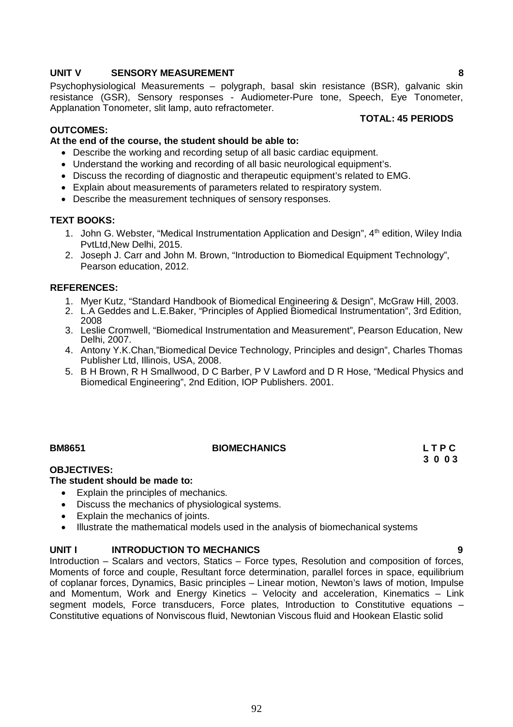## **UNIT V SENSORY MEASUREMENT 8**

Psychophysiological Measurements – polygraph, basal skin resistance (BSR), galvanic skin resistance (GSR), Sensory responses - Audiometer-Pure tone, Speech, Eye Tonometer, Applanation Tonometer, slit lamp, auto refractometer. **TOTAL: 45 PERIODS**

### **OUTCOMES:**

### **At the end of the course, the student should be able to:**

- Describe the working and recording setup of all basic cardiac equipment.
- Understand the working and recording of all basic neurological equipment's.
- Discuss the recording of diagnostic and therapeutic equipment's related to EMG.
- Explain about measurements of parameters related to respiratory system.
- Describe the measurement techniques of sensory responses.

### **TEXT BOOKS:**

- 1. John G. Webster, "Medical Instrumentation Application and Design", 4<sup>th</sup> edition, Wiley India PvtLtd,New Delhi, 2015.
- 2. Joseph J. Carr and John M. Brown, "Introduction to Biomedical Equipment Technology", Pearson education, 2012.

### **REFERENCES:**

- 1. Myer Kutz, "Standard Handbook of Biomedical Engineering & Design", McGraw Hill, 2003.
- 2. L.A Geddes and L.E.Baker, "Principles of Applied Biomedical Instrumentation", 3rd Edition, 2008
- 3. Leslie Cromwell, "Biomedical Instrumentation and Measurement", Pearson Education, New Delhi, 2007.
- 4. Antony Y.K.Chan,"Biomedical Device Technology, Principles and design", Charles Thomas Publisher Ltd, Illinois, USA, 2008.
- 5. B H Brown, R H Smallwood, D C Barber, P V Lawford and D R Hose, "Medical Physics and Biomedical Engineering", 2nd Edition, IOP Publishers. 2001.

# **BM8651 BIOMECHANICS L T P C**

 **3 0 0 3** 

### **OBJECTIVES:**

### **The student should be made to:**

- Explain the principles of mechanics.
- Discuss the mechanics of physiological systems.
- Explain the mechanics of joints.
- Illustrate the mathematical models used in the analysis of biomechanical systems

### **UNIT I INTRODUCTION TO MECHANICS 9**

Introduction – Scalars and vectors, Statics – Force types, Resolution and composition of forces, Moments of force and couple, Resultant force determination, parallel forces in space, equilibrium of coplanar forces, Dynamics, Basic principles – Linear motion, Newton's laws of motion, Impulse and Momentum, Work and Energy Kinetics – Velocity and acceleration, Kinematics – Link segment models, Force transducers, Force plates, Introduction to Constitutive equations – Constitutive equations of Nonviscous fluid, Newtonian Viscous fluid and Hookean Elastic solid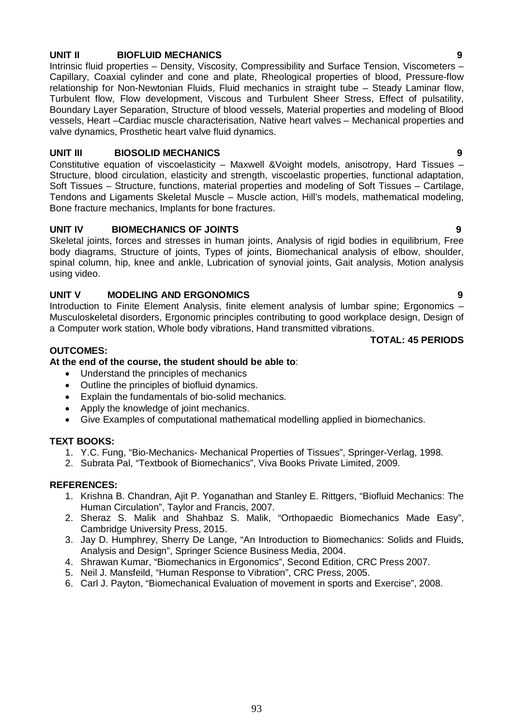### **UNIT II BIOFLUID MECHANICS 9**

Intrinsic fluid properties – Density, Viscosity, Compressibility and Surface Tension, Viscometers – Capillary, Coaxial cylinder and cone and plate, Rheological properties of blood, Pressure-flow relationship for Non-Newtonian Fluids, Fluid mechanics in straight tube – Steady Laminar flow, Turbulent flow, Flow development, Viscous and Turbulent Sheer Stress, Effect of pulsatility, Boundary Layer Separation, Structure of blood vessels, Material properties and modeling of Blood vessels, Heart –Cardiac muscle characterisation, Native heart valves – Mechanical properties and valve dynamics, Prosthetic heart valve fluid dynamics.

### **UNIT III BIOSOLID MECHANICS 9**

Constitutive equation of viscoelasticity – Maxwell &Voight models, anisotropy, Hard Tissues – Structure, blood circulation, elasticity and strength, viscoelastic properties, functional adaptation, Soft Tissues – Structure, functions, material properties and modeling of Soft Tissues – Cartilage, Tendons and Ligaments Skeletal Muscle – Muscle action, Hill's models, mathematical modeling, Bone fracture mechanics, Implants for bone fractures.

### **UNIT IV BIOMECHANICS OF JOINTS 9**

Skeletal joints, forces and stresses in human joints, Analysis of rigid bodies in equilibrium, Free body diagrams, Structure of joints, Types of joints, Biomechanical analysis of elbow, shoulder, spinal column, hip, knee and ankle, Lubrication of synovial joints, Gait analysis, Motion analysis using video.

### **UNIT V MODELING AND ERGONOMICS 9**

Introduction to Finite Element Analysis, finite element analysis of lumbar spine; Ergonomics – Musculoskeletal disorders, Ergonomic principles contributing to good workplace design, Design of a Computer work station, Whole body vibrations, Hand transmitted vibrations.

**TOTAL: 45 PERIODS**

### **OUTCOMES:**

### **At the end of the course, the student should be able to**:

- Understand the principles of mechanics
- Outline the principles of biofluid dynamics.
- Explain the fundamentals of bio-solid mechanics.
- Apply the knowledge of joint mechanics.
- Give Examples of computational mathematical modelling applied in biomechanics.

### **TEXT BOOKS:**

- 1. Y.C. Fung, "Bio-Mechanics- Mechanical Properties of Tissues", Springer-Verlag, 1998.
- 2. Subrata Pal, "Textbook of Biomechanics", Viva Books Private Limited, 2009.

### **REFERENCES:**

- 1. Krishna B. Chandran, Ajit P. Yoganathan and Stanley E. Rittgers, "Biofluid Mechanics: The Human Circulation", Taylor and Francis, 2007.
- 2. Sheraz S. Malik and Shahbaz S. Malik, "Orthopaedic Biomechanics Made Easy", Cambridge University Press, 2015.
- 3. Jay D. Humphrey, Sherry De Lange, "An Introduction to Biomechanics: Solids and Fluids, Analysis and Design", Springer Science Business Media, 2004.
- 4. Shrawan Kumar, "Biomechanics in Ergonomics", Second Edition, CRC Press 2007.
- 5. Neil J. Mansfeild, "Human Response to Vibration", CRC Press, 2005.
- 6. Carl J. Payton, "Biomechanical Evaluation of movement in sports and Exercise", 2008.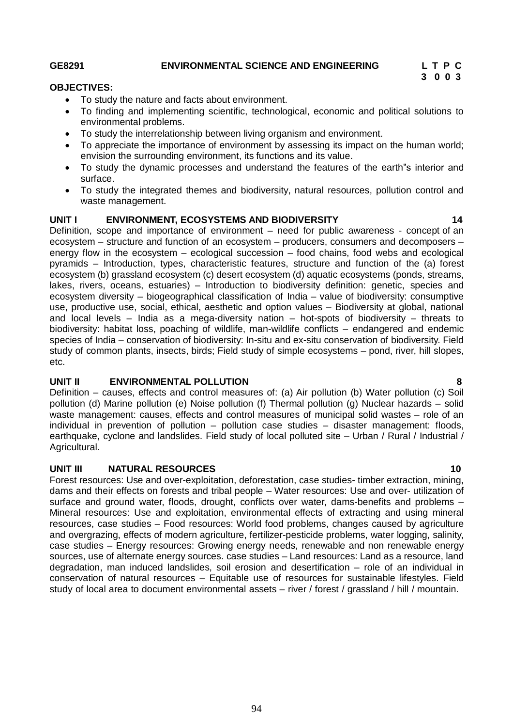# **GE8291 ENVIRONMENTAL SCIENCE AND ENGINEERING L T P C**

# **3 0 0 3**

### **OBJECTIVES:**

- To study the nature and facts about environment.
- To finding and implementing scientific, technological, economic and political solutions to environmental problems.
- To study the interrelationship between living organism and environment.
- To appreciate the importance of environment by assessing its impact on the human world; envision the surrounding environment, its functions and its value.
- To study the dynamic processes and understand the features of the earth"s interior and surface.
- To study the integrated themes and biodiversity, natural resources, pollution control and waste management.

### **UNIT I ENVIRONMENT, ECOSYSTEMS AND BIODIVERSITY 14**

Definition, scope and importance of environment – need for public awareness - concept of an ecosystem – structure and function of an ecosystem – producers, consumers and decomposers – energy flow in the ecosystem – ecological succession – food chains, food webs and ecological pyramids – Introduction, types, characteristic features, structure and function of the (a) forest ecosystem (b) grassland ecosystem (c) desert ecosystem (d) aquatic ecosystems (ponds, streams, lakes, rivers, oceans, estuaries) – Introduction to biodiversity definition: genetic, species and ecosystem diversity – biogeographical classification of India – value of biodiversity: consumptive use, productive use, social, ethical, aesthetic and option values – Biodiversity at global, national and local levels – India as a mega-diversity nation – hot-spots of biodiversity – threats to biodiversity: habitat loss, poaching of wildlife, man-wildlife conflicts – endangered and endemic species of India – conservation of biodiversity: In-situ and ex-situ conservation of biodiversity. Field study of common plants, insects, birds; Field study of simple ecosystems – pond, river, hill slopes, etc.

### **UNIT II ENVIRONMENTAL POLLUTION 8**

Definition – causes, effects and control measures of: (a) Air pollution (b) Water pollution (c) Soil pollution (d) Marine pollution (e) Noise pollution (f) Thermal pollution (g) Nuclear hazards – solid waste management: causes, effects and control measures of municipal solid wastes – role of an individual in prevention of pollution – pollution case studies – disaster management: floods, earthquake, cyclone and landslides. Field study of local polluted site – Urban / Rural / Industrial / Agricultural.

## **UNIT III NATURAL RESOURCES 10**

Forest resources: Use and over-exploitation, deforestation, case studies- timber extraction, mining, dams and their effects on forests and tribal people – Water resources: Use and over- utilization of surface and ground water, floods, drought, conflicts over water, dams-benefits and problems – Mineral resources: Use and exploitation, environmental effects of extracting and using mineral resources, case studies – Food resources: World food problems, changes caused by agriculture and overgrazing, effects of modern agriculture, fertilizer-pesticide problems, water logging, salinity, case studies – Energy resources: Growing energy needs, renewable and non renewable energy sources, use of alternate energy sources. case studies – Land resources: Land as a resource, land degradation, man induced landslides, soil erosion and desertification – role of an individual in conservation of natural resources – Equitable use of resources for sustainable lifestyles. Field study of local area to document environmental assets – river / forest / grassland / hill / mountain.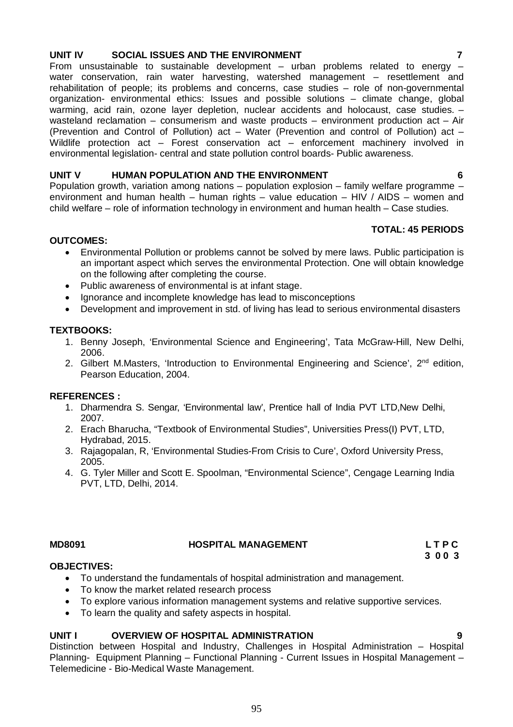# **UNIT IV SOCIAL ISSUES AND THE ENVIRONMENT 7**

From unsustainable to sustainable development  $-$  urban problems related to energy  $$ water conservation, rain water harvesting, watershed management – resettlement and rehabilitation of people; its problems and concerns, case studies – role of non-governmental organization- environmental ethics: Issues and possible solutions – climate change, global warming, acid rain, ozone layer depletion, nuclear accidents and holocaust, case studies. – wasteland reclamation – consumerism and waste products – environment production act – Air (Prevention and Control of Pollution) act – Water (Prevention and control of Pollution) act – Wildlife protection act – Forest conservation act – enforcement machinery involved in environmental legislation- central and state pollution control boards- Public awareness.

# **UNIT V HUMAN POPULATION AND THE ENVIRONMENT 6**

Population growth, variation among nations – population explosion – family welfare programme – environment and human health – human rights – value education – HIV / AIDS – women and child welfare – role of information technology in environment and human health – Case studies.

# **TOTAL: 45 PERIODS**

### **OUTCOMES:**

- Environmental Pollution or problems cannot be solved by mere laws. Public participation is an important aspect which serves the environmental Protection. One will obtain knowledge on the following after completing the course.
- Public awareness of environmental is at infant stage.
- Ignorance and incomplete knowledge has lead to misconceptions
- Development and improvement in std. of living has lead to serious environmental disasters

### **TEXTBOOKS:**

- 1. Benny Joseph, 'Environmental Science and Engineering', Tata McGraw-Hill, New Delhi, 2006.
- 2. Gilbert M.Masters, 'Introduction to Environmental Engineering and Science', 2<sup>nd</sup> edition, Pearson Education, 2004.

### **REFERENCES :**

- 1. Dharmendra S. Sengar, 'Environmental law', Prentice hall of India PVT LTD,New Delhi, 2007.
- 2. Erach Bharucha, "Textbook of Environmental Studies", Universities Press(I) PVT, LTD, Hydrabad, 2015.
- 3. Rajagopalan, R, 'Environmental Studies-From Crisis to Cure', Oxford University Press, 2005.
- 4. G. Tyler Miller and Scott E. Spoolman, "Environmental Science", Cengage Learning India PVT, LTD, Delhi, 2014.

### **MD8091 HOSPITAL MANAGEMENT L T P C**

**3 0 0 3**

### **OBJECTIVES:**

- To understand the fundamentals of hospital administration and management.
- To know the market related research process
- To explore various information management systems and relative supportive services.
- To learn the quality and safety aspects in hospital.

### UNIT I OVERVIEW OF HOSPITAL ADMINISTRATION

Distinction between Hospital and Industry, Challenges in Hospital Administration – Hospital Planning- Equipment Planning – Functional Planning - Current Issues in Hospital Management – Telemedicine - Bio-Medical Waste Management.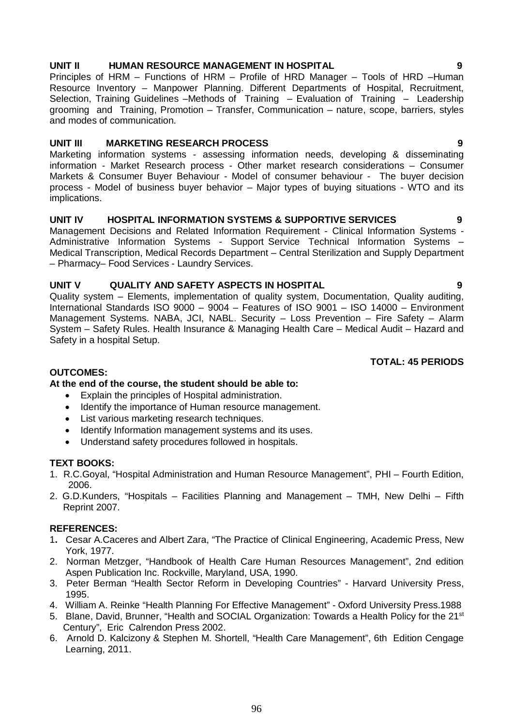## **UNIT II HUMAN RESOURCE MANAGEMENT IN HOSPITAL 9**

Principles of HRM – Functions of HRM – Profile of HRD Manager – Tools of HRD –Human Resource Inventory – Manpower Planning. Different Departments of Hospital, Recruitment, Selection, Training Guidelines –Methods of Training – Evaluation of Training – Leadership grooming and Training, Promotion – Transfer, Communication – nature, scope, barriers, styles and modes of communication.

### **UNIT III MARKETING RESEARCH PROCESS 9**

Marketing information systems - assessing information needs, developing & disseminating information - Market Research process - Other market research considerations – Consumer Markets & Consumer Buyer Behaviour - Model of consumer behaviour - The buyer decision process - Model of business buyer behavior – Major types of buying situations - WTO and its implications.

### **UNIT IV HOSPITAL INFORMATION SYSTEMS & SUPPORTIVE SERVICES 9**

Management Decisions and Related Information Requirement - Clinical Information Systems - Administrative Information Systems - Support Service Technical Information Systems – Medical Transcription, Medical Records Department – Central Sterilization and Supply Department – Pharmacy– Food Services - Laundry Services.

### **UNIT V QUALITY AND SAFETY ASPECTS IN HOSPITAL 9**

Quality system – Elements, implementation of quality system, Documentation, Quality auditing, International Standards ISO 9000 – 9004 – Features of ISO 9001 – ISO 14000 – Environment Management Systems. NABA, JCI, NABL. Security – Loss Prevention – Fire Safety – Alarm System – Safety Rules. Health Insurance & Managing Health Care – Medical Audit – Hazard and Safety in a hospital Setup.

### **TOTAL: 45 PERIODS**

### **OUTCOMES:**

## **At the end of the course, the student should be able to:**

- Explain the principles of Hospital administration.
- Identify the importance of Human resource management.
- List various marketing research techniques.
- Identify Information management systems and its uses.
- Understand safety procedures followed in hospitals.

### **TEXT BOOKS:**

- 1. R.C.Goyal, "Hospital Administration and Human Resource Management", PHI Fourth Edition, 2006.
- 2. G.D.Kunders, "Hospitals Facilities Planning and Management TMH, New Delhi Fifth Reprint 2007.

### **REFERENCES:**

- 1**.** Cesar A.Caceres and Albert Zara, "The Practice of Clinical Engineering, Academic Press, New York, 1977.
- 2. Norman Metzger, "Handbook of Health Care Human Resources Management", 2nd edition Aspen Publication Inc. Rockville, Maryland, USA, 1990.
- 3. Peter Berman "Health Sector Reform in Developing Countries" Harvard University Press, 1995.
- 4. William A. Reinke "Health Planning For Effective Management" Oxford University Press.1988
- 5. Blane, David, Brunner, "Health and SOCIAL Organization: Towards a Health Policy for the 21<sup>st</sup> Century", Eric Calrendon Press 2002.
- 6. Arnold D. Kalcizony & Stephen M. Shortell, "Health Care Management", 6th Edition Cengage Learning, 2011.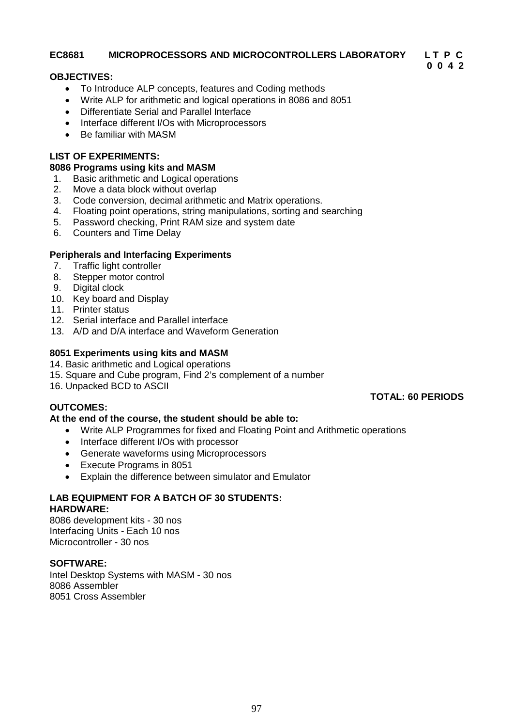### **EC8681 MICROPROCESSORS AND MICROCONTROLLERS LABORATORY L T P C**

### **OBJECTIVES:**

- To Introduce ALP concepts, features and Coding methods
- Write ALP for arithmetic and logical operations in 8086 and 8051
- Differentiate Serial and Parallel Interface
- Interface different I/Os with Microprocessors
- Be familiar with MASM

### **LIST OF EXPERIMENTS:**

### **8086 Programs using kits and MASM**

- 1. Basic arithmetic and Logical operations
- 2. Move a data block without overlap
- 3. Code conversion, decimal arithmetic and Matrix operations.
- 4. Floating point operations, string manipulations, sorting and searching
- 5. Password checking, Print RAM size and system date
- 6. Counters and Time Delay

### **Peripherals and Interfacing Experiments**

- 7. Traffic light controller
- 8. Stepper motor control
- 9. Digital clock
- 10. Key board and Display
- 11. Printer status
- 12. Serial interface and Parallel interface
- 13. A/D and D/A interface and Waveform Generation

### **8051 Experiments using kits and MASM**

- 14. Basic arithmetic and Logical operations
- 15. Square and Cube program, Find 2's complement of a number
- 16. Unpacked BCD to ASCII

### **OUTCOMES:**

### **At the end of the course, the student should be able to:**

- Write ALP Programmes for fixed and Floating Point and Arithmetic operations
- Interface different I/Os with processor
- Generate waveforms using Microprocessors
- Execute Programs in 8051
- Explain the difference between simulator and Emulator

# **LAB EQUIPMENT FOR A BATCH OF 30 STUDENTS:**

### **HARDWARE:**

8086 development kits - 30 nos Interfacing Units - Each 10 nos Microcontroller - 30 nos

### **SOFTWARE:**

Intel Desktop Systems with MASM - 30 nos 8086 Assembler 8051 Cross Assembler

### **TOTAL: 60 PERIODS**

**0 0 4 2**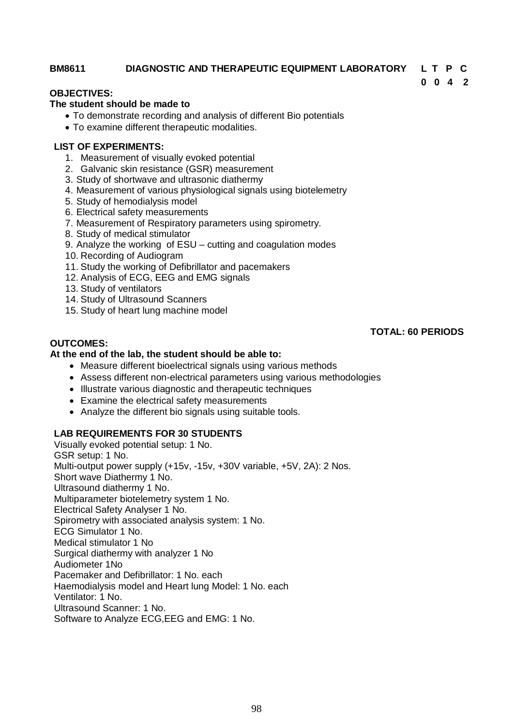### **BM8611 DIAGNOSTIC AND THERAPEUTIC EQUIPMENT LABORATORY L T P C**

**0 0 4 2**

## **OBJECTIVES:**

### **The student should be made to**

- To demonstrate recording and analysis of different Bio potentials
- To examine different therapeutic modalities.

### **LIST OF EXPERIMENTS:**

- 1. Measurement of visually evoked potential
- 2. Galvanic skin resistance (GSR) measurement
- 3. Study of shortwave and ultrasonic diathermy
- 4. Measurement of various physiological signals using biotelemetry
- 5. Study of hemodialysis model
- 6. Electrical safety measurements
- 7. Measurement of Respiratory parameters using spirometry.
- 8. Study of medical stimulator
- 9. Analyze the working of ESU cutting and coagulation modes
- 10. Recording of Audiogram
- 11. Study the working of Defibrillator and pacemakers
- 12. Analysis of ECG, EEG and EMG signals
- 13. Study of ventilators
- 14. Study of Ultrasound Scanners
- 15. Study of heart lung machine model

### **OUTCOMES:**

### **TOTAL: 60 PERIODS**

### **At the end of the lab, the student should be able to:**

- Measure different bioelectrical signals using various methods
- Assess different non-electrical parameters using various methodologies
- Illustrate various diagnostic and therapeutic techniques
- Examine the electrical safety measurements
- Analyze the different bio signals using suitable tools.

### **LAB REQUIREMENTS FOR 30 STUDENTS**

Visually evoked potential setup: 1 No. GSR setup: 1 No. Multi-output power supply (+15v, -15v, +30V variable, +5V, 2A): 2 Nos. Short wave Diathermy 1 No. Ultrasound diathermy 1 No. Multiparameter biotelemetry system 1 No. Electrical Safety Analyser 1 No. Spirometry with associated analysis system: 1 No. ECG Simulator 1 No. Medical stimulator 1 No Surgical diathermy with analyzer 1 No Audiometer 1No Pacemaker and Defibrillator: 1 No. each Haemodialysis model and Heart lung Model: 1 No. each Ventilator: 1 No. Ultrasound Scanner: 1 No. Software to Analyze ECG,EEG and EMG: 1 No.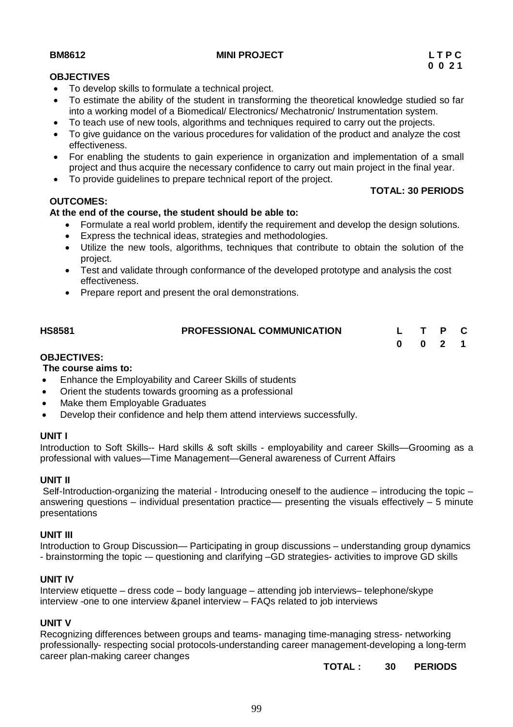### **BM8612** L T P C MINI PROJECT L T P C

### **OBJECTIVES**

- To develop skills to formulate a technical project.
- To estimate the ability of the student in transforming the theoretical knowledge studied so far into a working model of a Biomedical/ Electronics/ Mechatronic/ Instrumentation system.
- To teach use of new tools, algorithms and techniques required to carry out the projects.
- To give guidance on the various procedures for validation of the product and analyze the cost effectiveness.
- For enabling the students to gain experience in organization and implementation of a small project and thus acquire the necessary confidence to carry out main project in the final year.
- To provide guidelines to prepare technical report of the project.

### **OUTCOMES:**

### **At the end of the course, the student should be able to:**

- Formulate a real world problem, identify the requirement and develop the design solutions.
- Express the technical ideas, strategies and methodologies.
- Utilize the new tools, algorithms, techniques that contribute to obtain the solution of the project.
- Test and validate through conformance of the developed prototype and analysis the cost effectiveness.
- Prepare report and present the oral demonstrations.

| <b>HS8581</b>      | <b>PROFESSIONAL COMMUNICATION</b> | L T P C |  |  |
|--------------------|-----------------------------------|---------|--|--|
|                    |                                   | 0 0 2 1 |  |  |
| <b>OBJECTIVES:</b> |                                   |         |  |  |

## **The course aims to:**

- Enhance the Employability and Career Skills of students
- Orient the students towards grooming as a professional
- Make them Employable Graduates
- Develop their confidence and help them attend interviews successfully.

### **UNIT I**

Introduction to Soft Skills-- Hard skills & soft skills - employability and career Skills—Grooming as a professional with values—Time Management—General awareness of Current Affairs

### **UNIT II**

Self-Introduction-organizing the material - Introducing oneself to the audience – introducing the topic – answering questions – individual presentation practice— presenting the visuals effectively – 5 minute presentations

### **UNIT III**

Introduction to Group Discussion— Participating in group discussions – understanding group dynamics - brainstorming the topic -– questioning and clarifying –GD strategies- activities to improve GD skills

### **UNIT IV**

Interview etiquette – dress code – body language – attending job interviews– telephone/skype interview -one to one interview &panel interview – FAQs related to job interviews

### **UNIT V**

Recognizing differences between groups and teams- managing time-managing stress- networking professionally- respecting social protocols-understanding career management-developing a long-term career plan-making career changes

**TOTAL : 30 PERIODS**

**TOTAL: 30 PERIODS**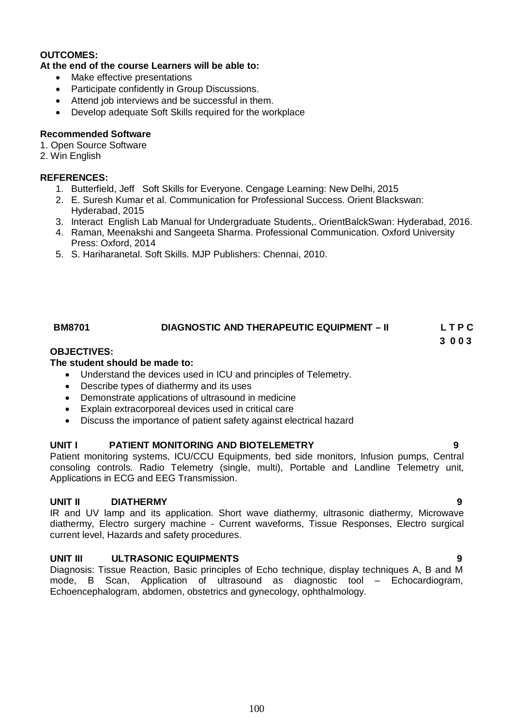### **OUTCOMES:**

### **At the end of the course Learners will be able to:**

- Make effective presentations
- Participate confidently in Group Discussions.
- Attend job interviews and be successful in them.
- Develop adequate Soft Skills required for the workplace

### **Recommended Software**

- 1. Open Source Software
- 2. Win English

## **REFERENCES:**

- 1. Butterfield, Jeff Soft Skills for Everyone. Cengage Learning: New Delhi, 2015
- 2. E. Suresh Kumar et al. Communication for Professional Success. Orient Blackswan: Hyderabad, 2015
- 3. Interact English Lab Manual for Undergraduate Students,. OrientBalckSwan: Hyderabad, 2016.
- 4. Raman, Meenakshi and Sangeeta Sharma. Professional Communication. Oxford University Press: Oxford, 2014
- 5. S. Hariharanetal. Soft Skills. MJP Publishers: Chennai, 2010.

# **BM8701 DIAGNOSTIC AND THERAPEUTIC EQUIPMENT – II L T P C**

**3 0 0 3**

### **OBJECTIVES:**

### **The student should be made to:**

- Understand the devices used in ICU and principles of Telemetry.
- Describe types of diathermy and its uses
- Demonstrate applications of ultrasound in medicine
- Explain extracorporeal devices used in critical care
- Discuss the importance of patient safety against electrical hazard

### **UNIT I PATIENT MONITORING AND BIOTELEMETRY 9**

Patient monitoring systems, ICU/CCU Equipments, bed side monitors, Infusion pumps, Central consoling controls. Radio Telemetry (single, multi), Portable and Landline Telemetry unit, Applications in ECG and EEG Transmission.

### **UNIT II DIATHERMY 9**

IR and UV lamp and its application. Short wave diathermy, ultrasonic diathermy, Microwave diathermy, Electro surgery machine - Current waveforms, Tissue Responses, Electro surgical current level, Hazards and safety procedures.

### **UNIT III ULTRASONIC EQUIPMENTS 9**

Diagnosis: Tissue Reaction, Basic principles of Echo technique, display techniques A, B and M mode, B Scan, Application of ultrasound as diagnostic tool – Echocardiogram, Echoencephalogram, abdomen, obstetrics and gynecology, ophthalmology.

### 100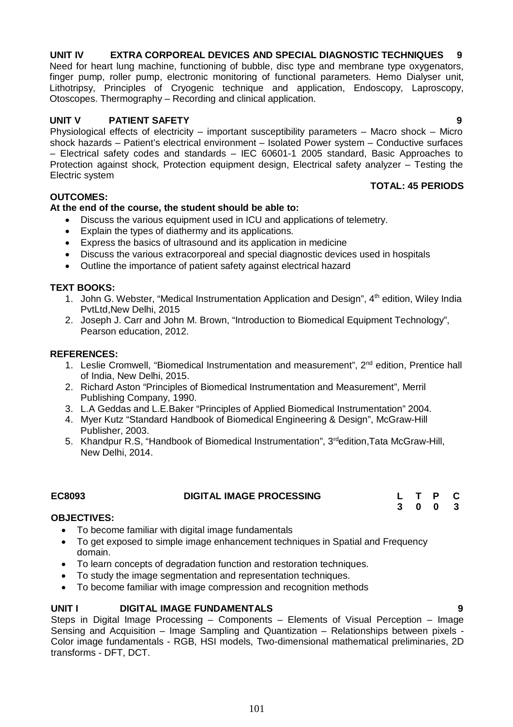# **UNIT IV EXTRA CORPOREAL DEVICES AND SPECIAL DIAGNOSTIC TECHNIQUES 9**

Need for heart lung machine, functioning of bubble, disc type and membrane type oxygenators, finger pump, roller pump, electronic monitoring of functional parameters. Hemo Dialyser unit, Lithotripsy, Principles of Cryogenic technique and application, Endoscopy, Laproscopy, Otoscopes. Thermography – Recording and clinical application.

### **UNIT V PATIENT SAFETY 9**

Physiological effects of electricity – important susceptibility parameters – Macro shock – Micro shock hazards – Patient's electrical environment – Isolated Power system – Conductive surfaces – Electrical safety codes and standards – IEC 60601-1 2005 standard, Basic Approaches to Protection against shock, Protection equipment design, Electrical safety analyzer – Testing the Electric system **TOTAL: 45 PERIODS**

### **OUTCOMES:**

### **At the end of the course, the student should be able to:**

- Discuss the various equipment used in ICU and applications of telemetry.
- Explain the types of diathermy and its applications.
- Express the basics of ultrasound and its application in medicine
- Discuss the various extracorporeal and special diagnostic devices used in hospitals
- Outline the importance of patient safety against electrical hazard

### **TEXT BOOKS:**

- 1. John G. Webster, "Medical Instrumentation Application and Design", 4<sup>th</sup> edition, Wiley India PvtLtd,New Delhi, 2015
- 2. Joseph J. Carr and John M. Brown, "Introduction to Biomedical Equipment Technology", Pearson education, 2012.

### **REFERENCES:**

- 1. Leslie Cromwell, "Biomedical Instrumentation and measurement", 2<sup>nd</sup> edition, Prentice hall of India, New Delhi, 2015.
- 2. Richard Aston "Principles of Biomedical Instrumentation and Measurement", Merril Publishing Company, 1990.
- 3. L.A Geddas and L.E.Baker "Principles of Applied Biomedical Instrumentation" 2004.
- 4. Myer Kutz "Standard Handbook of Biomedical Engineering & Design", McGraw-Hill Publisher, 2003.
- 5. Khandpur R.S, "Handbook of Biomedical Instrumentation", 3<sup>rd</sup>edition, Tata McGraw-Hill, New Delhi, 2014.

| EC8093 | <b>DIGITAL IMAGE PROCESSING</b> |  | L T P C |  |
|--------|---------------------------------|--|---------|--|
|        |                                 |  | 3 0 0 3 |  |

### **OBJECTIVES:**

- To become familiar with digital image fundamentals
- To get exposed to simple image enhancement techniques in Spatial and Frequency domain.
- To learn concepts of degradation function and restoration techniques.
- To study the image segmentation and representation techniques.
- To become familiar with image compression and recognition methods

# **UNIT I DIGITAL IMAGE FUNDAMENTALS 9**

Steps in Digital Image Processing – Components – Elements of Visual Perception – Image Sensing and Acquisition – Image Sampling and Quantization – Relationships between pixels - Color image fundamentals - RGB, HSI models, Two-dimensional mathematical preliminaries, 2D transforms - DFT, DCT.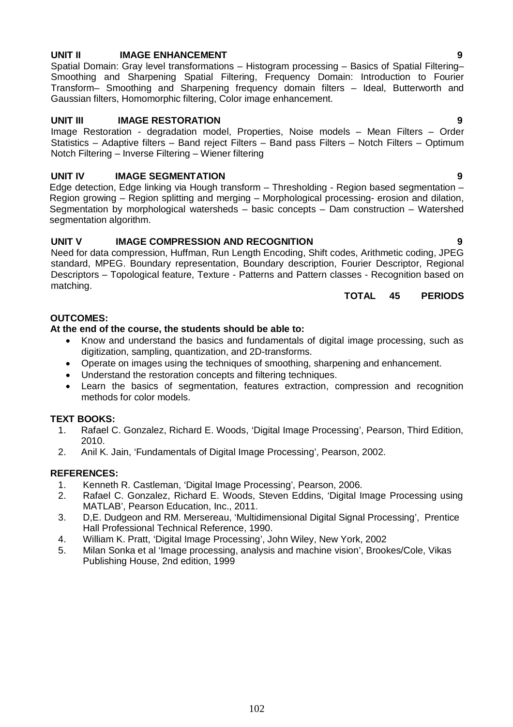# **UNIT II** IMAGE ENHANCEMENT **19** 9

Spatial Domain: Gray level transformations – Histogram processing – Basics of Spatial Filtering– Smoothing and Sharpening Spatial Filtering, Frequency Domain: Introduction to Fourier Transform– Smoothing and Sharpening frequency domain filters – Ideal, Butterworth and Gaussian filters, Homomorphic filtering, Color image enhancement.

### **UNIT III IMAGE RESTORATION 9**

Image Restoration - degradation model, Properties, Noise models – Mean Filters – Order Statistics – Adaptive filters – Band reject Filters – Band pass Filters – Notch Filters – Optimum Notch Filtering – Inverse Filtering – Wiener filtering

### **UNIT IV IMAGE SEGMENTATION 9**

Edge detection, Edge linking via Hough transform – Thresholding - Region based segmentation – Region growing – Region splitting and merging – Morphological processing- erosion and dilation, Segmentation by morphological watersheds – basic concepts – Dam construction – Watershed segmentation algorithm.

### **UNIT V IMAGE COMPRESSION AND RECOGNITION 9**

Need for data compression, Huffman, Run Length Encoding, Shift codes, Arithmetic coding, JPEG standard, MPEG. Boundary representation, Boundary description, Fourier Descriptor, Regional Descriptors – Topological feature, Texture - Patterns and Pattern classes - Recognition based on matching.

**TOTAL 45 PERIODS**

### **OUTCOMES:**

### **At the end of the course, the students should be able to:**

- Know and understand the basics and fundamentals of digital image processing, such as digitization, sampling, quantization, and 2D-transforms.
- Operate on images using the techniques of smoothing, sharpening and enhancement.
- Understand the restoration concepts and filtering techniques.
- Learn the basics of segmentation, features extraction, compression and recognition methods for color models.

## **TEXT BOOKS:**

- 1. Rafael C. Gonzalez, Richard E. Woods, 'Digital Image Processing', Pearson, Third Edition, 2010.
- 2. Anil K. Jain, 'Fundamentals of Digital Image Processing', Pearson, 2002.

### **REFERENCES:**

- 1. Kenneth R. Castleman, 'Digital Image Processing', Pearson, 2006.
- 2. Rafael C. Gonzalez, Richard E. Woods, Steven Eddins, 'Digital Image Processing using MATLAB', Pearson Education, Inc., 2011.
- 3. D,E. Dudgeon and RM. Mersereau, 'Multidimensional Digital Signal Processing', Prentice Hall Professional Technical Reference, 1990.
- 4. William K. Pratt, 'Digital Image Processing', John Wiley, New York, 2002
- 5. Milan Sonka et al 'Image processing, analysis and machine vision', Brookes/Cole, Vikas Publishing House, 2nd edition, 1999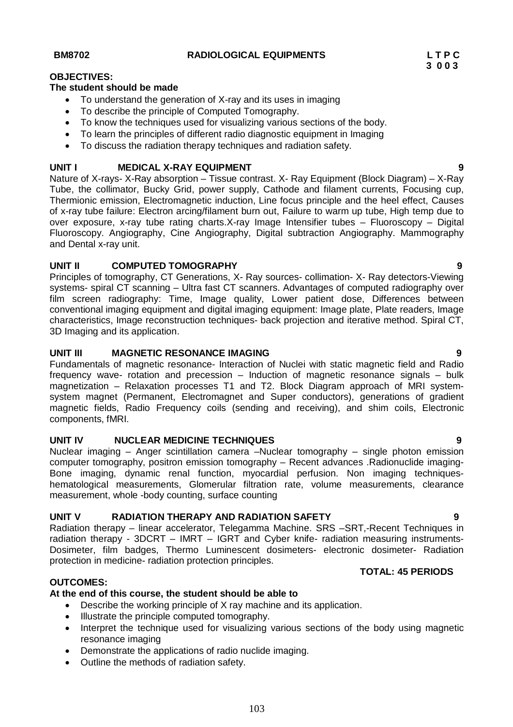### **BM8702 RADIOLOGICAL EQUIPMENTS L T P C**

### **OBJECTIVES:**

### **The student should be made**

- To understand the generation of X-ray and its uses in imaging
- To describe the principle of Computed Tomography.
- To know the techniques used for visualizing various sections of the body.
- To learn the principles of different radio diagnostic equipment in Imaging
- To discuss the radiation therapy techniques and radiation safety.

### **UNIT I MEDICAL X-RAY EQUIPMENT 9**

Nature of X-rays- X-Ray absorption – Tissue contrast. X- Ray Equipment (Block Diagram) – X-Ray Tube, the collimator, Bucky Grid, power supply, Cathode and filament currents, Focusing cup, Thermionic emission, Electromagnetic induction, Line focus principle and the heel effect, Causes of x-ray tube failure: Electron arcing/filament burn out, Failure to warm up tube, High temp due to over exposure, x-ray tube rating charts.X-ray Image Intensifier tubes – Fluoroscopy – Digital Fluoroscopy. Angiography, Cine Angiography, Digital subtraction Angiography. Mammography and Dental x-ray unit.

## **UNIT II COMPUTED TOMOGRAPHY 9**

Principles of tomography, CT Generations, X- Ray sources- collimation- X- Ray detectors-Viewing systems- spiral CT scanning – Ultra fast CT scanners. Advantages of computed radiography over film screen radiography: Time, Image quality, Lower patient dose, Differences between conventional imaging equipment and digital imaging equipment: Image plate, Plate readers, Image characteristics, Image reconstruction techniques- back projection and iterative method. Spiral CT, 3D Imaging and its application.

### **UNIT III MAGNETIC RESONANCE IMAGING 9**

Fundamentals of magnetic resonance- Interaction of Nuclei with static magnetic field and Radio frequency wave- rotation and precession – Induction of magnetic resonance signals – bulk magnetization – Relaxation processes T1 and T2. Block Diagram approach of MRI systemsystem magnet (Permanent, Electromagnet and Super conductors), generations of gradient magnetic fields, Radio Frequency coils (sending and receiving), and shim coils, Electronic components, fMRI.

## **UNIT IV NUCLEAR MEDICINE TECHNIQUES 9**

Nuclear imaging – Anger scintillation camera –Nuclear tomography – single photon emission computer tomography, positron emission tomography – Recent advances .Radionuclide imaging-Bone imaging, dynamic renal function, myocardial perfusion. Non imaging techniqueshematological measurements, Glomerular filtration rate, volume measurements, clearance measurement, whole -body counting, surface counting

## **UNIT V RADIATION THERAPY AND RADIATION SAFETY 9**

Radiation therapy – linear accelerator, Telegamma Machine. SRS –SRT,-Recent Techniques in radiation therapy - 3DCRT – IMRT – IGRT and Cyber knife- radiation measuring instruments-Dosimeter, film badges, Thermo Luminescent dosimeters- electronic dosimeter- Radiation protection in medicine- radiation protection principles.

### **OUTCOMES:**

## **At the end of this course, the student should be able to**

- Describe the working principle of X ray machine and its application.
- Illustrate the principle computed tomography.
- Interpret the technique used for visualizing various sections of the body using magnetic resonance imaging
- Demonstrate the applications of radio nuclide imaging.
- Outline the methods of radiation safety.

**TOTAL: 45 PERIODS**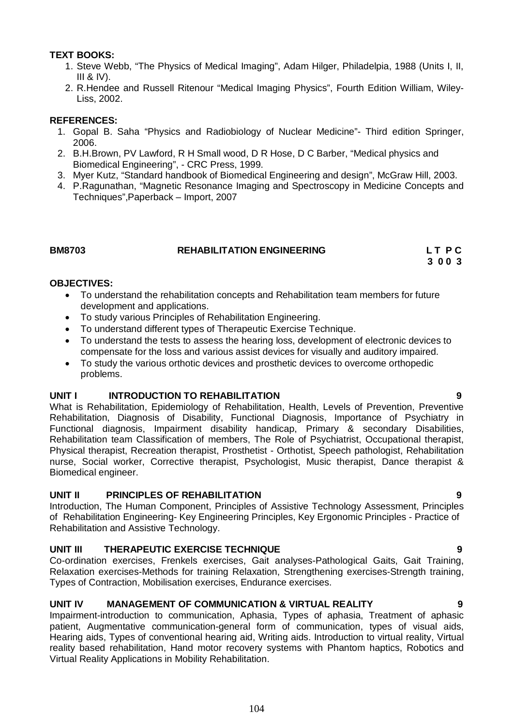### **TEXT BOOKS:**

- 1. Steve Webb, "The Physics of Medical Imaging", Adam Hilger, Philadelpia, 1988 (Units I, II,  $III & IV$ ).
- 2. R.Hendee and Russell Ritenour "Medical Imaging Physics", Fourth Edition William, Wiley-Liss, 2002.

### **REFERENCES:**

- 1. Gopal B. Saha "Physics and Radiobiology of Nuclear Medicine"- Third edition Springer, 2006.
- 2. B.H.Brown, PV Lawford, R H Small wood, D R Hose, D C Barber, "Medical physics and Biomedical Engineering", - CRC Press, 1999.
- 3. Myer Kutz, "Standard handbook of Biomedical Engineering and design", McGraw Hill, 2003.
- 4. P.Ragunathan, "Magnetic Resonance Imaging and Spectroscopy in Medicine Concepts and Techniques",Paperback – Import, 2007

### **BM8703 REHABILITATION ENGINEERING L T P C**

 **3 0 0 3**

### **OBJECTIVES:**

- To understand the rehabilitation concepts and Rehabilitation team members for future development and applications.
- To study various Principles of Rehabilitation Engineering.
- To understand different types of Therapeutic Exercise Technique.
- To understand the tests to assess the hearing loss, development of electronic devices to compensate for the loss and various assist devices for visually and auditory impaired.
- To study the various orthotic devices and prosthetic devices to overcome orthopedic problems.

### **UNIT I INTRODUCTION TO REHABILITATION 9**

What is Rehabilitation, Epidemiology of Rehabilitation, Health, Levels of Prevention, Preventive Rehabilitation, Diagnosis of Disability, Functional Diagnosis, Importance of Psychiatry in Functional diagnosis, Impairment disability handicap, Primary & secondary Disabilities, Rehabilitation team Classification of members, The Role of Psychiatrist, Occupational therapist, Physical therapist, Recreation therapist, Prosthetist - Orthotist, Speech pathologist, Rehabilitation nurse, Social worker, Corrective therapist, Psychologist, Music therapist, Dance therapist & Biomedical engineer.

## **UNIT II PRINCIPLES OF REHABILITATION 9**

Introduction, The Human Component, Principles of Assistive Technology Assessment, Principles of Rehabilitation Engineering- Key Engineering Principles, Key Ergonomic Principles - Practice of Rehabilitation and Assistive Technology.

## **UNIT III THERAPEUTIC EXERCISE TECHNIQUE 9**

Co-ordination exercises, Frenkels exercises, Gait analyses-Pathological Gaits, Gait Training, Relaxation exercises-Methods for training Relaxation, Strengthening exercises-Strength training, Types of Contraction, Mobilisation exercises, Endurance exercises.

### **UNIT IV MANAGEMENT OF COMMUNICATION & VIRTUAL REALITY 9**

Impairment-introduction to communication, Aphasia, Types of aphasia, Treatment of aphasic patient, Augmentative communication-general form of communication, types of visual aids, Hearing aids, Types of conventional hearing aid, Writing aids. Introduction to virtual reality, Virtual reality based rehabilitation, Hand motor recovery systems with Phantom haptics, Robotics and Virtual Reality Applications in Mobility Rehabilitation.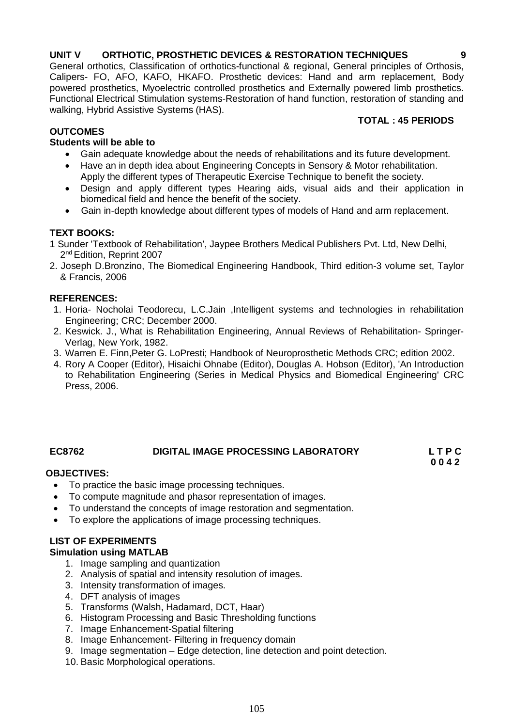### **UNIT V ORTHOTIC, PROSTHETIC DEVICES & RESTORATION TECHNIQUES 9**

General orthotics, Classification of orthotics-functional & regional, General principles of Orthosis, Calipers- FO, AFO, KAFO, HKAFO. Prosthetic devices: Hand and arm replacement, Body powered prosthetics, Myoelectric controlled prosthetics and Externally powered limb prosthetics. Functional Electrical Stimulation systems-Restoration of hand function, restoration of standing and walking, Hybrid Assistive Systems (HAS).

## **TOTAL : 45 PERIODS**

## **OUTCOMES**

### **Students will be able to**

- Gain adequate knowledge about the needs of rehabilitations and its future development.
- Have an in depth idea about Engineering Concepts in Sensory & Motor rehabilitation. Apply the different types of Therapeutic Exercise Technique to benefit the society.
- Design and apply different types Hearing aids, visual aids and their application in biomedical field and hence the benefit of the society.
- Gain in-depth knowledge about different types of models of Hand and arm replacement.

## **TEXT BOOKS:**

- 1 Sunder 'Textbook of Rehabilitation', Jaypee Brothers Medical Publishers Pvt. Ltd, New Delhi, 2<sup>nd</sup> Edition, Reprint 2007
- 2. Joseph D.Bronzino, The Biomedical Engineering Handbook, Third edition-3 volume set, Taylor & Francis, 2006

### **REFERENCES:**

- 1. Horia- Nocholai Teodorecu, L.C.Jain ,Intelligent systems and technologies in rehabilitation Engineering; CRC; December 2000.
- 2. Keswick. J., What is Rehabilitation Engineering, Annual Reviews of Rehabilitation- Springer-Verlag, New York, 1982.
- 3. Warren E. Finn,Peter G. LoPresti; Handbook of Neuroprosthetic Methods CRC; edition 2002.
- 4. Rory A Cooper (Editor), Hisaichi Ohnabe (Editor), Douglas A. Hobson (Editor), 'An Introduction to Rehabilitation Engineering (Series in Medical Physics and Biomedical Engineering' CRC Press, 2006.

## **EC8762 DIGITAL IMAGE PROCESSING LABORATORY L T P C**

 **0 0 4 2**

## **OBJECTIVES:**

- To practice the basic image processing techniques.
- To compute magnitude and phasor representation of images.
- To understand the concepts of image restoration and segmentation.
- To explore the applications of image processing techniques.

## **LIST OF EXPERIMENTS**

### **Simulation using MATLAB**

- 1. Image sampling and quantization
- 2. Analysis of spatial and intensity resolution of images.
- 3. Intensity transformation of images.
- 4. DFT analysis of images
- 5. Transforms (Walsh, Hadamard, DCT, Haar)
- 6. Histogram Processing and Basic Thresholding functions
- 7. Image Enhancement-Spatial filtering
- 8. Image Enhancement- Filtering in frequency domain
- 9. Image segmentation Edge detection, line detection and point detection.
- 10. Basic Morphological operations.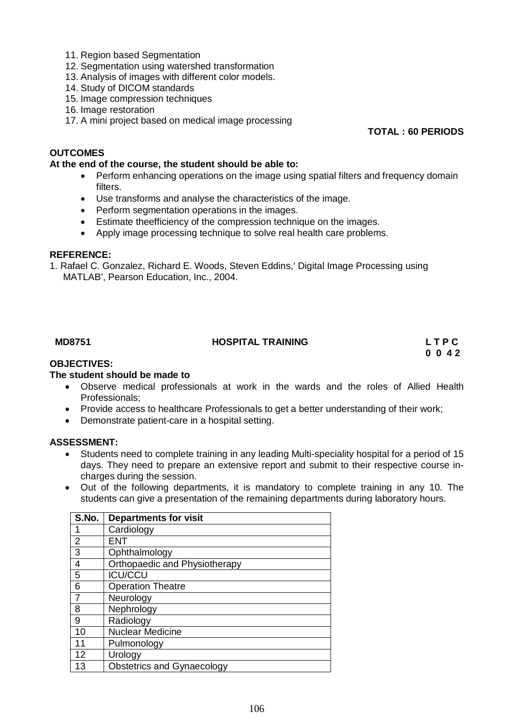- 11. Region based Segmentation
- 12. Segmentation using watershed transformation
- 13. Analysis of images with different color models.
- 14. Study of DICOM standards
- 15. Image compression techniques
- 16. Image restoration
- 17. A mini project based on medical image processing

### **TOTAL : 60 PERIODS**

### **OUTCOMES**

### **At the end of the course, the student should be able to:**

- Perform enhancing operations on the image using spatial filters and frequency domain filters.
- Use transforms and analyse the characteristics of the image.
- Perform segmentation operations in the images.
- Estimate theefficiency of the compression technique on the images.
- Apply image processing technique to solve real health care problems.

### **REFERENCE:**

1. Rafael C. Gonzalez, Richard E. Woods, Steven Eddins,' Digital Image Processing using MATLAB', Pearson Education, Inc., 2004.

# MD8751 **HOSPITAL TRAINING** L T P C **L** T P C **C** 0 0 4 2

 **0 0 4 2**

## **OBJECTIVES:**

### **The student should be made to**

- Observe medical professionals at work in the wards and the roles of Allied Health Professionals;
- Provide access to healthcare Professionals to get a better understanding of their work;
- Demonstrate patient-care in a hospital setting.

### **ASSESSMENT:**

- Students need to complete training in any leading Multi-speciality hospital for a period of 15 days. They need to prepare an extensive report and submit to their respective course incharges during the session.
- Out of the following departments, it is mandatory to complete training in any 10. The students can give a presentation of the remaining departments during laboratory hours.

| S.No.          | <b>Departments for visit</b>      |
|----------------|-----------------------------------|
|                | Cardiology                        |
| 2              | FNT                               |
| 3              | Ophthalmology                     |
| $\overline{4}$ | Orthopaedic and Physiotherapy     |
| 5              | <b>ICU/CCU</b>                    |
| 6              | <b>Operation Theatre</b>          |
|                | Neurology                         |
| 8              | Nephrology                        |
| 9              | Radiology                         |
| 10             | <b>Nuclear Medicine</b>           |
| 11             | Pulmonology                       |
| 12             | Urology                           |
| 13             | <b>Obstetrics and Gynaecology</b> |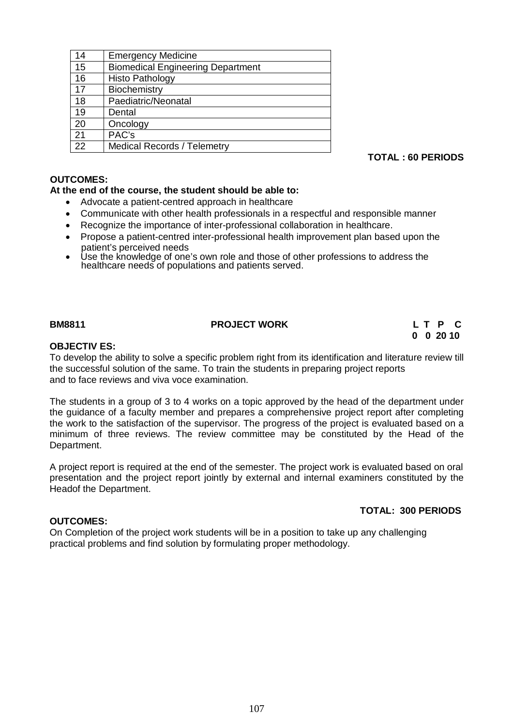| 14 | <b>Emergency Medicine</b>                |
|----|------------------------------------------|
| 15 | <b>Biomedical Engineering Department</b> |
| 16 | <b>Histo Pathology</b>                   |
| 17 | Biochemistry                             |
| 18 | Paediatric/Neonatal                      |
| 19 | Dental                                   |
| 20 | Oncology                                 |
| 21 | PAC's                                    |
| 22 | <b>Medical Records / Telemetry</b>       |
|    |                                          |

**TOTAL : 60 PERIODS**

### **OUTCOMES:**

### **At the end of the course, the student should be able to:**

- Advocate a patient-centred approach in healthcare
- Communicate with other health professionals in a respectful and responsible manner
- Recognize the importance of inter-professional collaboration in healthcare.
- Propose a patient-centred inter-professional health improvement plan based upon the patient's perceived needs
- Use the knowledge of one's own role and those of other professions to address the healthcare needs of populations and patients served.

### **BM8811 PROJECT WORK L T P C**

# **0 0 20 10**

### **OBJECTIV ES:**

To develop the ability to solve a specific problem right from its identification and literature review till the successful solution of the same. To train the students in preparing project reports and to face reviews and viva voce examination.

The students in a group of 3 to 4 works on a topic approved by the head of the department under the guidance of a faculty member and prepares a comprehensive project report after completing the work to the satisfaction of the supervisor. The progress of the project is evaluated based on a minimum of three reviews. The review committee may be constituted by the Head of the Department.

A project report is required at the end of the semester. The project work is evaluated based on oral presentation and the project report jointly by external and internal examiners constituted by the Headof the Department.

### **TOTAL: 300 PERIODS**

### **OUTCOMES:**

On Completion of the project work students will be in a position to take up any challenging practical problems and find solution by formulating proper methodology.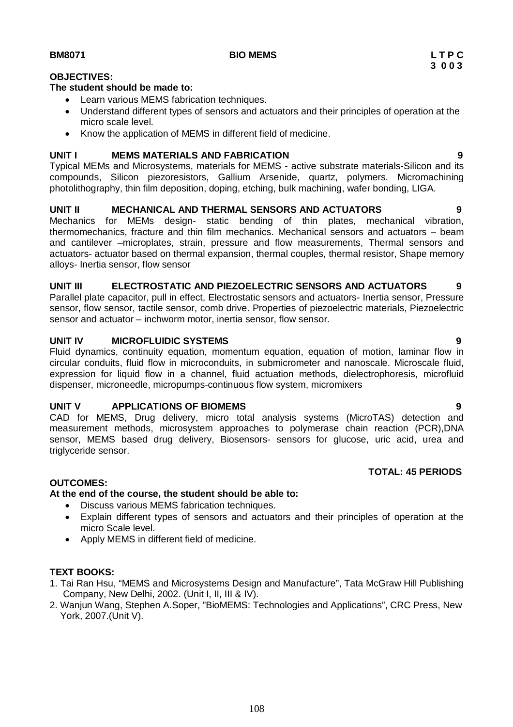### **OBJECTIVES:**

### **The student should be made to:**

- Learn various MEMS fabrication techniques.
- Understand different types of sensors and actuators and their principles of operation at the micro scale level.
- Know the application of MEMS in different field of medicine.

### **UNIT I MEMS MATERIALS AND FABRICATION 9**

Typical MEMs and Microsystems, materials for MEMS - active substrate materials-Silicon and its compounds, Silicon piezoresistors, Gallium Arsenide, quartz, polymers. Micromachining photolithography, thin film deposition, doping, etching, bulk machining, wafer bonding, LIGA.

### **UNIT II MECHANICAL AND THERMAL SENSORS AND ACTUATORS 9**

Mechanics for MEMs design- static bending of thin plates, mechanical vibration, thermomechanics, fracture and thin film mechanics. Mechanical sensors and actuators – beam and cantilever –microplates, strain, pressure and flow measurements, Thermal sensors and actuators- actuator based on thermal expansion, thermal couples, thermal resistor, Shape memory alloys- Inertia sensor, flow sensor

### **UNIT III ELECTROSTATIC AND PIEZOELECTRIC SENSORS AND ACTUATORS 9**

Parallel plate capacitor, pull in effect, Electrostatic sensors and actuators- Inertia sensor, Pressure sensor, flow sensor, tactile sensor, comb drive. Properties of piezoelectric materials, Piezoelectric sensor and actuator – inchworm motor, inertia sensor, flow sensor.

### **UNIT IV MICROFLUIDIC SYSTEMS 9**

Fluid dynamics, continuity equation, momentum equation, equation of motion, laminar flow in circular conduits, fluid flow in microconduits, in submicrometer and nanoscale. Microscale fluid, expression for liquid flow in a channel, fluid actuation methods, dielectrophoresis, microfluid dispenser, microneedle, micropumps-continuous flow system, micromixers

### **UNIT V APPLICATIONS OF BIOMEMS 9**

CAD for MEMS, Drug delivery, micro total analysis systems (MicroTAS) detection and measurement methods, microsystem approaches to polymerase chain reaction (PCR),DNA sensor, MEMS based drug delivery, Biosensors- sensors for glucose, uric acid, urea and triglyceride sensor.

### **OUTCOMES:**

### **At the end of the course, the student should be able to:**

- Discuss various MEMS fabrication techniques.
- Explain different types of sensors and actuators and their principles of operation at the micro Scale level.
- Apply MEMS in different field of medicine.

### **TEXT BOOKS:**

- 1. Tai Ran Hsu, "MEMS and Microsystems Design and Manufacture", Tata McGraw Hill Publishing Company, New Delhi, 2002. (Unit I, II, III & IV).
- 2. Wanjun Wang, Stephen A.Soper, "BioMEMS: Technologies and Applications", CRC Press, New York, 2007.(Unit V).

 **TOTAL: 45 PERIODS**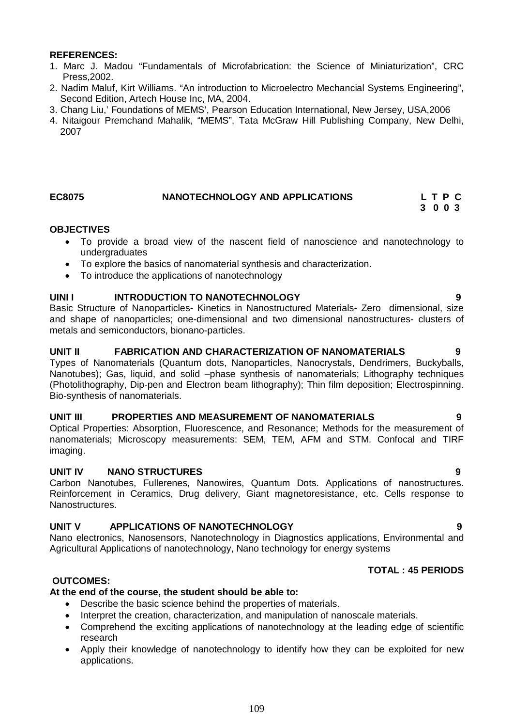# **REFERENCES:**

- 1. Marc J. Madou "Fundamentals of Microfabrication: the Science of Miniaturization", CRC Press,2002.
- 2. Nadim Maluf, Kirt Williams. "An introduction to Microelectro Mechancial Systems Engineering", Second Edition, Artech House Inc, MA, 2004.
- 3. Chang Liu,' Foundations of MEMS', Pearson Education International, New Jersey, USA,2006
- 4. Nitaigour Premchand Mahalik, "MEMS", Tata McGraw Hill Publishing Company, New Delhi, 2007

# **EC8075 NANOTECHNOLOGY AND APPLICATIONS L T P C**

# **3 0 0 3**

# **OBJECTIVES**

- To provide a broad view of the nascent field of nanoscience and nanotechnology to undergraduates
- To explore the basics of nanomaterial synthesis and characterization.
- To introduce the applications of nanotechnology

# **UINI I INTRODUCTION TO NANOTECHNOLOGY 9**

Basic Structure of Nanoparticles- Kinetics in Nanostructured Materials- Zero dimensional, size and shape of nanoparticles; one-dimensional and two dimensional nanostructures- clusters of metals and semiconductors, bionano-particles.

# **UNIT II FABRICATION AND CHARACTERIZATION OF NANOMATERIALS 9**

Types of Nanomaterials (Quantum dots, Nanoparticles, Nanocrystals, Dendrimers, Buckyballs, Nanotubes); Gas, liquid, and solid –phase synthesis of nanomaterials; Lithography techniques (Photolithography, Dip-pen and Electron beam lithography); Thin film deposition; Electrospinning. Bio-synthesis of nanomaterials.

### **UNIT III PROPERTIES AND MEASUREMENT OF NANOMATERIALS 9**

Optical Properties: Absorption, Fluorescence, and Resonance; Methods for the measurement of nanomaterials; Microscopy measurements: SEM, TEM, AFM and STM. Confocal and TIRF imaging.

# **UNIT IV NANO STRUCTURES 9**

Carbon Nanotubes, Fullerenes, Nanowires, Quantum Dots. Applications of nanostructures. Reinforcement in Ceramics, Drug delivery, Giant magnetoresistance, etc. Cells response to Nanostructures.

# **UNIT V APPLICATIONS OF NANOTECHNOLOGY 9**

Nano electronics, Nanosensors, Nanotechnology in Diagnostics applications, Environmental and Agricultural Applications of nanotechnology, Nano technology for energy systems

# **TOTAL : 45 PERIODS**

# **OUTCOMES:**

# **At the end of the course, the student should be able to:**

- Describe the basic science behind the properties of materials.
- Interpret the creation, characterization, and manipulation of nanoscale materials.
- Comprehend the exciting applications of nanotechnology at the leading edge of scientific research
- Apply their knowledge of nanotechnology to identify how they can be exploited for new applications.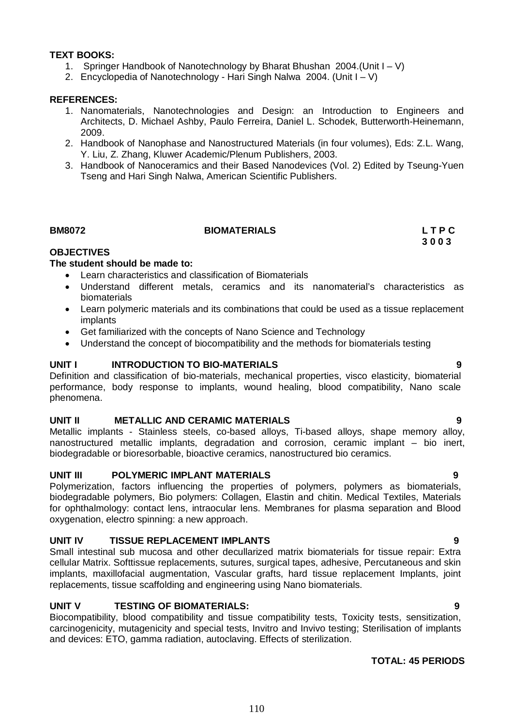# **TEXT BOOKS:**

- 1. Springer Handbook of Nanotechnology by Bharat Bhushan 2004.(Unit I V)
- 2. Encyclopedia of Nanotechnology Hari Singh Nalwa 2004. (Unit I V)

# **REFERENCES:**

- 1. Nanomaterials, Nanotechnologies and Design: an Introduction to Engineers and Architects, D. Michael Ashby, Paulo Ferreira, Daniel L. Schodek, Butterworth-Heinemann, 2009.
- 2. Handbook of Nanophase and Nanostructured Materials (in four volumes), Eds: Z.L. Wang, Y. Liu, Z. Zhang, Kluwer Academic/Plenum Publishers, 2003.
- 3. Handbook of Nanoceramics and their Based Nanodevices (Vol. 2) Edited by Tseung-Yuen Tseng and Hari Singh Nalwa, American Scientific Publishers.

# **BM8072 BIOMATERIALS L T P C**

 **3 0 0 3**

# **OBJECTIVES**

# **The student should be made to:**

- Learn characteristics and classification of Biomaterials
- Understand different metals, ceramics and its nanomaterial's characteristics as biomaterials
- Learn polymeric materials and its combinations that could be used as a tissue replacement implants
- Get familiarized with the concepts of Nano Science and Technology
- Understand the concept of biocompatibility and the methods for biomaterials testing

# **UNIT I INTRODUCTION TO BIO-MATERIALS 9**

Definition and classification of bio-materials, mechanical properties, visco elasticity, biomaterial performance, body response to implants, wound healing, blood compatibility, Nano scale phenomena.

# **UNIT II METALLIC AND CERAMIC MATERIALS 9**

Metallic implants - Stainless steels, co-based alloys, Ti-based alloys, shape memory alloy, nanostructured metallic implants, degradation and corrosion, ceramic implant – bio inert, biodegradable or bioresorbable, bioactive ceramics, nanostructured bio ceramics.

# **UNIT III POLYMERIC IMPLANT MATERIALS 9**

Polymerization, factors influencing the properties of polymers, polymers as biomaterials, biodegradable polymers, Bio polymers: Collagen, Elastin and chitin. Medical Textiles, Materials for ophthalmology: contact lens, intraocular lens. Membranes for plasma separation and Blood oxygenation, electro spinning: a new approach.

### **UNIT IV TISSUE REPLACEMENT IMPLANTS 9**

Small intestinal sub mucosa and other decullarized matrix biomaterials for tissue repair: Extra cellular Matrix. Softtissue replacements, sutures, surgical tapes, adhesive, Percutaneous and skin implants, maxillofacial augmentation, Vascular grafts, hard tissue replacement Implants, joint replacements, tissue scaffolding and engineering using Nano biomaterials.

# **UNIT V TESTING OF BIOMATERIALS: 9**

Biocompatibility, blood compatibility and tissue compatibility tests, Toxicity tests, sensitization, carcinogenicity, mutagenicity and special tests, Invitro and Invivo testing; Sterilisation of implants and devices: ETO, gamma radiation, autoclaving. Effects of sterilization.

# **TOTAL: 45 PERIODS**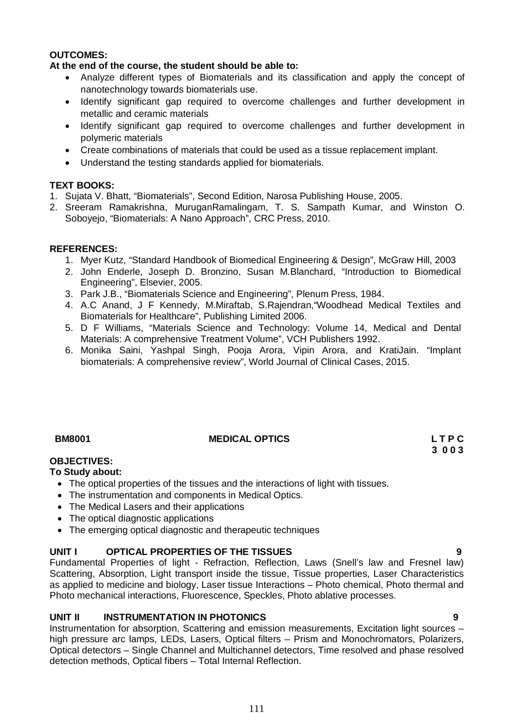# **OUTCOMES:**

# **At the end of the course, the student should be able to:**

- Analyze different types of Biomaterials and its classification and apply the concept of nanotechnology towards biomaterials use.
- Identify significant gap required to overcome challenges and further development in metallic and ceramic materials
- Identify significant gap required to overcome challenges and further development in polymeric materials
- Create combinations of materials that could be used as a tissue replacement implant.
- Understand the testing standards applied for biomaterials.

# **TEXT BOOKS:**

- 1. Sujata V. Bhatt, "Biomaterials", Second Edition, Narosa Publishing House, 2005.
- 2. Sreeram Ramakrishna, MuruganRamalingam, T. S. Sampath Kumar, and Winston O. Soboyejo, "Biomaterials: A Nano Approach", CRC Press, 2010.

# **REFERENCES:**

- 1. Myer Kutz, "Standard Handbook of Biomedical Engineering & Design", McGraw Hill, 2003
- 2. John Enderle, Joseph D. Bronzino, Susan M.Blanchard, "Introduction to Biomedical Engineering", Elsevier, 2005.
- 3. Park J.B., "Biomaterials Science and Engineering", Plenum Press, 1984.
- 4. A.C Anand, J F Kennedy, M.Miraftab, S.Rajendran,"Woodhead Medical Textiles and Biomaterials for Healthcare", Publishing Limited 2006.
- 5. D F Williams, "Materials Science and Technology: Volume 14, Medical and Dental Materials: A comprehensive Treatment Volume", VCH Publishers 1992.
- 6. Monika Saini, Yashpal Singh, Pooja Arora, Vipin Arora, and KratiJain. "Implant biomaterials: A comprehensive review", World Journal of Clinical Cases, 2015.

# **BM8001 MEDICAL OPTICS L T P C**

# **3 0 0 3**

# **OBJECTIVES:**

# **To Study about:**

- The optical properties of the tissues and the interactions of light with tissues.
- The instrumentation and components in Medical Optics.
- The Medical Lasers and their applications
- The optical diagnostic applications
- The emerging optical diagnostic and therapeutic techniques

# **UNIT I OPTICAL PROPERTIES OF THE TISSUES 9**

Fundamental Properties of light - Refraction, Reflection, Laws (Snell's law and Fresnel law) Scattering, Absorption, Light transport inside the tissue, Tissue properties, Laser Characteristics as applied to medicine and biology, Laser tissue Interactions – Photo chemical, Photo thermal and Photo mechanical interactions, Fluorescence, Speckles, Photo ablative processes.

# **UNIT II INSTRUMENTATION IN PHOTONICS 9**

Instrumentation for absorption, Scattering and emission measurements, Excitation light sources – high pressure arc lamps, LEDs, Lasers, Optical filters – Prism and Monochromators, Polarizers, Optical detectors – Single Channel and Multichannel detectors, Time resolved and phase resolved detection methods, Optical fibers – Total Internal Reflection.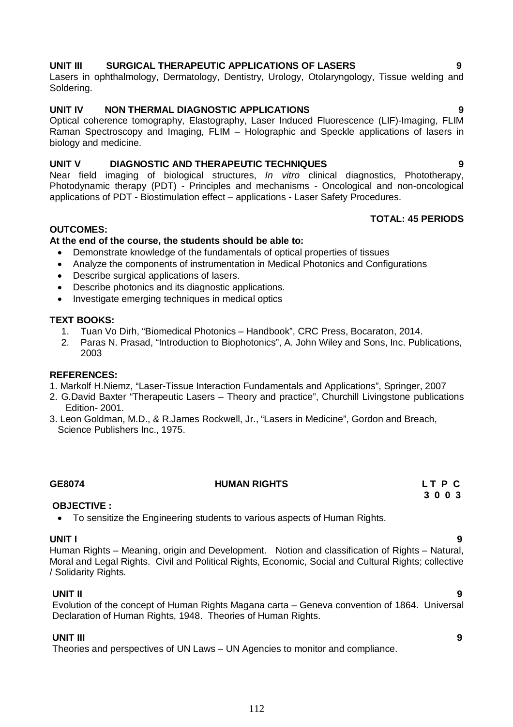# **UNIT III SURGICAL THERAPEUTIC APPLICATIONS OF LASERS 9**

Lasers in ophthalmology, Dermatology, Dentistry, Urology, Otolaryngology, Tissue welding and Soldering.

# **UNIT IV NON THERMAL DIAGNOSTIC APPLICATIONS 9**

Optical coherence tomography, Elastography, Laser Induced Fluorescence (LIF)-Imaging, FLIM Raman Spectroscopy and Imaging, FLIM – Holographic and Speckle applications of lasers in biology and medicine.

# **UNIT V DIAGNOSTIC AND THERAPEUTIC TECHNIQUES 9**

Near field imaging of biological structures, *In vitro* clinical diagnostics, Phototherapy, Photodynamic therapy (PDT) - Principles and mechanisms - Oncological and non-oncological applications of PDT - Biostimulation effect – applications - Laser Safety Procedures.

# **TOTAL: 45 PERIODS**

# **OUTCOMES:**

# **At the end of the course, the students should be able to:**

- Demonstrate knowledge of the fundamentals of optical properties of tissues
- Analyze the components of instrumentation in Medical Photonics and Configurations
- Describe surgical applications of lasers.
- Describe photonics and its diagnostic applications.
- Investigate emerging techniques in medical optics

# **TEXT BOOKS:**

- 1. Tuan Vo Dirh, "Biomedical Photonics Handbook", CRC Press, Bocaraton, 2014.
- 2. Paras N. Prasad, "Introduction to Biophotonics", A. John Wiley and Sons, Inc. Publications, 2003

# **REFERENCES:**

- 1. Markolf H.Niemz, "Laser-Tissue Interaction Fundamentals and Applications", Springer, 2007
- 2. G.David Baxter "Therapeutic Lasers Theory and practice", Churchill Livingstone publications Edition- 2001.
- 3. Leon Goldman, M.D., & R.James Rockwell, Jr., "Lasers in Medicine", Gordon and Breach, Science Publishers Inc., 1975.

# **GE8074 HUMAN RIGHTS L T P C**

# **OBJECTIVE :**

To sensitize the Engineering students to various aspects of Human Rights.

**UNIT I 9** Human Rights – Meaning, origin and Development. Notion and classification of Rights – Natural, Moral and Legal Rights. Civil and Political Rights, Economic, Social and Cultural Rights; collective / Solidarity Rights.

# **UNIT II 9**

Evolution of the concept of Human Rights Magana carta – Geneva convention of 1864. Universal Declaration of Human Rights, 1948. Theories of Human Rights.

# **UNIT III 9**

Theories and perspectives of UN Laws – UN Agencies to monitor and compliance.

# **3 0 0 3**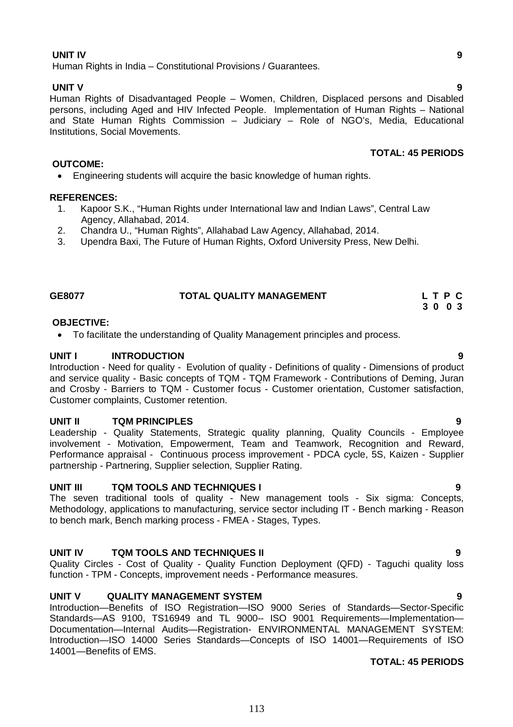# **UNIT IV 9**

Human Rights in India – Constitutional Provisions / Guarantees.

### **UNIT V 9**

Human Rights of Disadvantaged People – Women, Children, Displaced persons and Disabled persons, including Aged and HIV Infected People. Implementation of Human Rights – National and State Human Rights Commission – Judiciary – Role of NGO's, Media, Educational Institutions, Social Movements.

### **OUTCOME:**

Engineering students will acquire the basic knowledge of human rights.

### **REFERENCES:**

- 1. Kapoor S.K., "Human Rights under International law and Indian Laws", Central Law Agency, Allahabad, 2014.
- 2. Chandra U., "Human Rights", Allahabad Law Agency, Allahabad, 2014.
- 3. Upendra Baxi, The Future of Human Rights, Oxford University Press, New Delhi.

### **GE8077 TOTAL QUALITY MANAGEMENT L T P C**

### **OBJECTIVE:**

To facilitate the understanding of Quality Management principles and process.

### **UNIT I INTRODUCTION 9**

Introduction - Need for quality - Evolution of quality - Definitions of quality - Dimensions of product and service quality - Basic concepts of TQM - TQM Framework - Contributions of Deming, Juran and Crosby - Barriers to TQM - Customer focus - Customer orientation, Customer satisfaction, Customer complaints, Customer retention.

### **UNIT II TQM PRINCIPLES 9**

Leadership - Quality Statements, Strategic quality planning, Quality Councils - Employee involvement - Motivation, Empowerment, Team and Teamwork, Recognition and Reward, Performance appraisal - Continuous process improvement - PDCA cycle, 5S, Kaizen - Supplier partnership - Partnering, Supplier selection, Supplier Rating.

### **UNIT III TQM TOOLS AND TECHNIQUES I 9**

The seven traditional tools of quality - New management tools - Six sigma: Concepts, Methodology, applications to manufacturing, service sector including IT - Bench marking - Reason to bench mark, Bench marking process - FMEA - Stages, Types.

### **UNIT IV TQM TOOLS AND TECHNIQUES II 9**

Quality Circles - Cost of Quality - Quality Function Deployment (QFD) - Taguchi quality loss function - TPM - Concepts, improvement needs - Performance measures.

### **UNIT V QUALITY MANAGEMENT SYSTEM 9**

Introduction—Benefits of ISO Registration—ISO 9000 Series of Standards—Sector-Specific Standards—AS 9100, TS16949 and TL 9000-- ISO 9001 Requirements—Implementation— Documentation—Internal Audits—Registration- ENVIRONMENTAL MANAGEMENT SYSTEM: Introduction—ISO 14000 Series Standards—Concepts of ISO 14001—Requirements of ISO 14001—Benefits of EMS.

### **TOTAL: 45 PERIODS**

**TOTAL: 45 PERIODS**

 **3 0 0 3**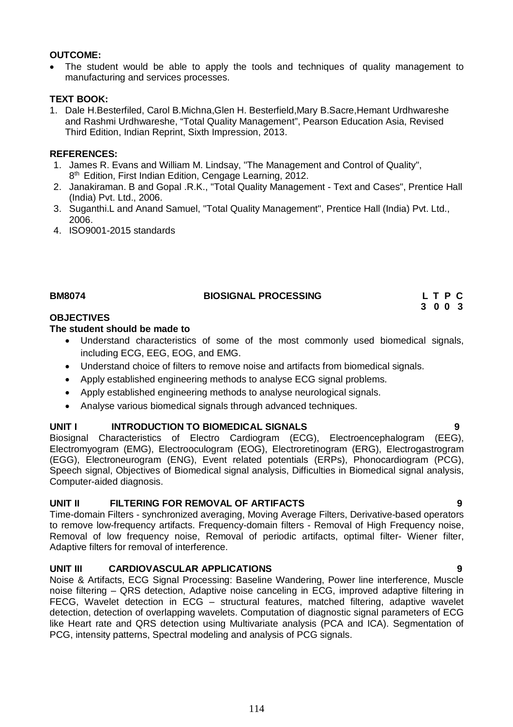# **OUTCOME:**

 The student would be able to apply the tools and techniques of quality management to manufacturing and services processes.

# **TEXT BOOK:**

1. Dale H.Besterfiled, Carol B.Michna,Glen H. Besterfield,Mary B.Sacre,Hemant Urdhwareshe and Rashmi Urdhwareshe, "Total Quality Management", Pearson Education Asia, Revised Third Edition, Indian Reprint, Sixth Impression, 2013.

# **REFERENCES:**

- 1. James R. Evans and William M. Lindsay, "The Management and Control of Quality", 8<sup>th</sup> Edition, First Indian Edition, Cengage Learning, 2012.
- 2. Janakiraman. B and Gopal .R.K., "Total Quality Management Text and Cases", Prentice Hall (India) Pvt. Ltd., 2006.
- 3. Suganthi.L and Anand Samuel, "Total Quality Management", Prentice Hall (India) Pvt. Ltd., 2006.
- 4. ISO9001-2015 standards

# BIOSIGNAL PROCESSING L T P C

 **3 0 0 3**

# **OBJECTIVES**

# **The student should be made to**

- Understand characteristics of some of the most commonly used biomedical signals, including ECG, EEG, EOG, and EMG.
- Understand choice of filters to remove noise and artifacts from biomedical signals.
- Apply established engineering methods to analyse ECG signal problems.
- Apply established engineering methods to analyse neurological signals.
- Analyse various biomedical signals through advanced techniques.

# **UNIT I INTRODUCTION TO BIOMEDICAL SIGNALS 9**

Biosignal Characteristics of Electro Cardiogram (ECG), Electroencephalogram (EEG), Electromyogram (EMG), Electrooculogram (EOG), Electroretinogram (ERG), Electrogastrogram (EGG), Electroneurogram (ENG), Event related potentials (ERPs), Phonocardiogram (PCG), Speech signal, Objectives of Biomedical signal analysis, Difficulties in Biomedical signal analysis, Computer-aided diagnosis.

# **UNIT II FILTERING FOR REMOVAL OF ARTIFACTS 9**

Time-domain Filters - synchronized averaging, Moving Average Filters, Derivative-based operators to remove low-frequency artifacts. Frequency-domain filters - Removal of High Frequency noise, Removal of low frequency noise, Removal of periodic artifacts, optimal filter- Wiener filter, Adaptive filters for removal of interference.

# **UNIT III CARDIOVASCULAR APPLICATIONS 9**

Noise & Artifacts, ECG Signal Processing: Baseline Wandering, Power line interference, Muscle noise filtering – QRS detection, Adaptive noise canceling in ECG, improved adaptive filtering in FECG, Wavelet detection in ECG – structural features, matched filtering, adaptive wavelet detection, detection of overlapping wavelets. Computation of diagnostic signal parameters of ECG like Heart rate and QRS detection using Multivariate analysis (PCA and ICA). Segmentation of PCG, intensity patterns, Spectral modeling and analysis of PCG signals.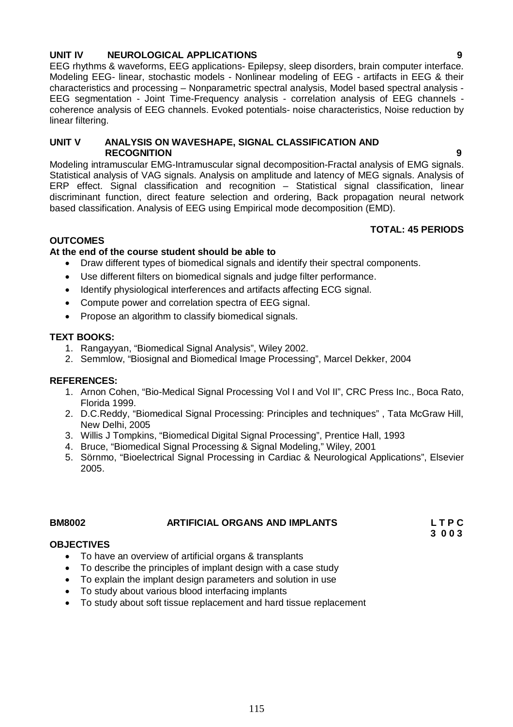# **UNIT IV NEUROLOGICAL APPLICATIONS 9**

EEG rhythms & waveforms, EEG applications- Epilepsy, sleep disorders, brain computer interface. Modeling EEG- linear, stochastic models - Nonlinear modeling of EEG - artifacts in EEG & their characteristics and processing – Nonparametric spectral analysis, Model based spectral analysis - EEG segmentation - Joint Time-Frequency analysis - correlation analysis of EEG channels coherence analysis of EEG channels. Evoked potentials- noise characteristics, Noise reduction by linear filtering.

# **UNIT V ANALYSIS ON WAVESHAPE, SIGNAL CLASSIFICATION AND RECOGNITION 9**

Modeling intramuscular EMG-Intramuscular signal decomposition-Fractal analysis of EMG signals. Statistical analysis of VAG signals. Analysis on amplitude and latency of MEG signals. Analysis of ERP effect. Signal classification and recognition – Statistical signal classification, linear discriminant function, direct feature selection and ordering, Back propagation neural network based classification. Analysis of EEG using Empirical mode decomposition (EMD).

# **TOTAL: 45 PERIODS**

# **OUTCOMES**

# **At the end of the course student should be able to**

- Draw different types of biomedical signals and identify their spectral components.
- Use different filters on biomedical signals and judge filter performance.
- Identify physiological interferences and artifacts affecting ECG signal.
- Compute power and correlation spectra of EEG signal.
- Propose an algorithm to classify biomedical signals.

# **TEXT BOOKS:**

- 1. Rangayyan, "Biomedical Signal Analysis", Wiley 2002.
- 2. Semmlow, "Biosignal and Biomedical Image Processing", Marcel Dekker, 2004

# **REFERENCES:**

- 1. Arnon Cohen, "Bio-Medical Signal Processing Vol I and Vol II", CRC Press Inc., Boca Rato, Florida 1999.
- 2. D.C.Reddy, "Biomedical Signal Processing: Principles and techniques" , Tata McGraw Hill, New Delhi, 2005
- 3. Willis J Tompkins, "Biomedical Digital Signal Processing", Prentice Hall, 1993
- 4. Bruce, "Biomedical Signal Processing & Signal Modeling," Wiley, 2001
- 5. Sörnmo, "Bioelectrical Signal Processing in Cardiac & Neurological Applications", Elsevier 2005.

# **BM8002 ARTIFICIAL ORGANS AND IMPLANTS L T P C**

 **3 0 0 3**

# **OBJECTIVES**

- To have an overview of artificial organs & transplants
- To describe the principles of implant design with a case study
- To explain the implant design parameters and solution in use
- To study about various blood interfacing implants
- To study about soft tissue replacement and hard tissue replacement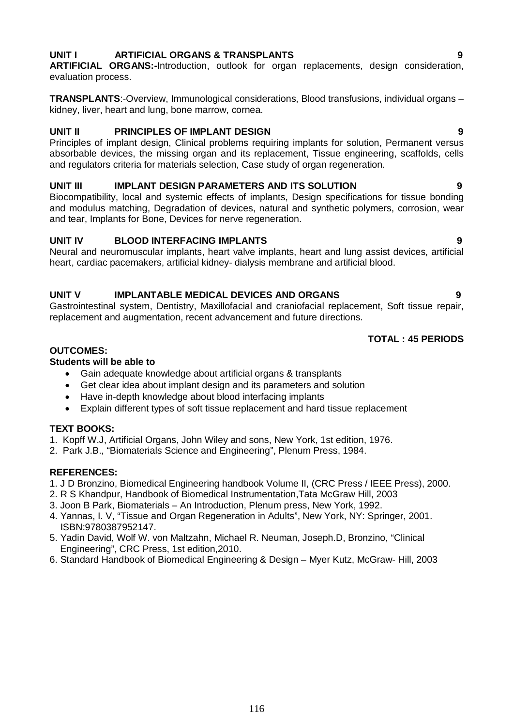# **UNIT I ARTIFICIAL ORGANS & TRANSPLANTS 9**

**ARTIFICIAL ORGANS:-**Introduction, outlook for organ replacements, design consideration, evaluation process.

**TRANSPLANTS**:-Overview, Immunological considerations, Blood transfusions, individual organs – kidney, liver, heart and lung, bone marrow, cornea.

# **UNIT II PRINCIPLES OF IMPLANT DESIGN 9**

Principles of implant design, Clinical problems requiring implants for solution, Permanent versus absorbable devices, the missing organ and its replacement, Tissue engineering, scaffolds, cells and regulators criteria for materials selection, Case study of organ regeneration.

# **UNIT III IMPLANT DESIGN PARAMETERS AND ITS SOLUTION 9**

Biocompatibility, local and systemic effects of implants, Design specifications for tissue bonding and modulus matching, Degradation of devices, natural and synthetic polymers, corrosion, wear and tear, Implants for Bone, Devices for nerve regeneration.

# **UNIT IV BLOOD INTERFACING IMPLANTS 9**

Neural and neuromuscular implants, heart valve implants, heart and lung assist devices, artificial heart, cardiac pacemakers, artificial kidney- dialysis membrane and artificial blood.

# **UNIT V IMPLANTABLE MEDICAL DEVICES AND ORGANS 9**

Gastrointestinal system, Dentistry, Maxillofacial and craniofacial replacement, Soft tissue repair, replacement and augmentation, recent advancement and future directions.

# **TOTAL : 45 PERIODS**

# **OUTCOMES:**

# **Students will be able to**

- Gain adequate knowledge about artificial organs & transplants
- Get clear idea about implant design and its parameters and solution
- Have in-depth knowledge about blood interfacing implants
- Explain different types of soft tissue replacement and hard tissue replacement

# **TEXT BOOKS:**

- 1. Kopff W.J, Artificial Organs, John Wiley and sons, New York, 1st edition, 1976.
- 2. Park J.B., "Biomaterials Science and Engineering", Plenum Press, 1984.

# **REFERENCES:**

- 1. J D Bronzino, Biomedical Engineering handbook Volume II, (CRC Press / IEEE Press), 2000.
- 2. R S Khandpur, Handbook of Biomedical Instrumentation,Tata McGraw Hill, 2003
- 3. Joon B Park, Biomaterials An Introduction, Plenum press, New York, 1992.
- 4. Yannas, I. V, "Tissue and Organ Regeneration in Adults", New York, NY: Springer, 2001. ISBN:9780387952147.
- 5. Yadin David, Wolf W. von Maltzahn, Michael R. Neuman, Joseph.D, Bronzino, "Clinical Engineering", CRC Press, 1st edition,2010.
- 6. Standard Handbook of Biomedical Engineering & Design Myer Kutz, McGraw- Hill, 2003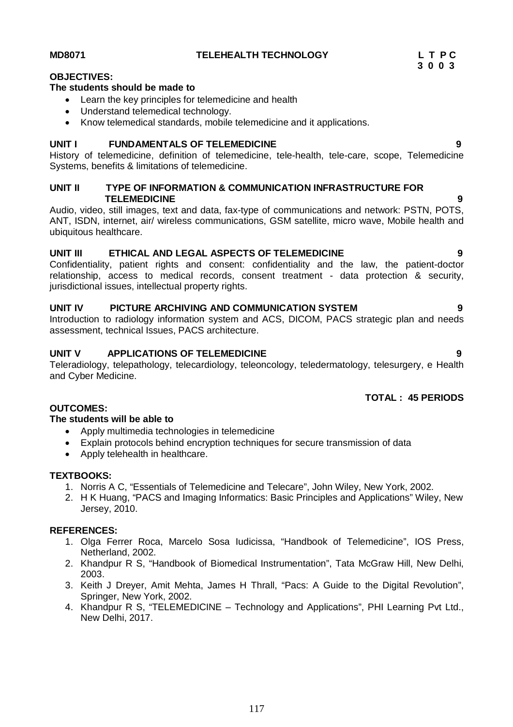# **OBJECTIVES:**

# **The students should be made to**

- Learn the key principles for telemedicine and health
- Understand telemedical technology.
- Know telemedical standards, mobile telemedicine and it applications.

# **UNIT I FUNDAMENTALS OF TELEMEDICINE 9**

History of telemedicine, definition of telemedicine, tele-health, tele-care, scope, Telemedicine Systems, benefits & limitations of telemedicine.

### **UNIT II TYPE OF INFORMATION & COMMUNICATION INFRASTRUCTURE FOR TELEMEDICINE 9**

Audio, video, still images, text and data, fax-type of communications and network: PSTN, POTS, ANT, ISDN, internet, air/ wireless communications, GSM satellite, micro wave, Mobile health and ubiquitous healthcare.

# **UNIT III ETHICAL AND LEGAL ASPECTS OF TELEMEDICINE 9**

Confidentiality, patient rights and consent: confidentiality and the law, the patient-doctor relationship, access to medical records, consent treatment - data protection & security, jurisdictional issues, intellectual property rights.

# **UNIT IV PICTURE ARCHIVING AND COMMUNICATION SYSTEM 9**

Introduction to radiology information system and ACS, DICOM, PACS strategic plan and needs assessment, technical Issues, PACS architecture.

# **UNIT V APPLICATIONS OF TELEMEDICINE 9**

Teleradiology, telepathology, telecardiology, teleoncology, teledermatology, telesurgery, e Health and Cyber Medicine.

### **TOTAL : 45 PERIODS**

# **OUTCOMES:**

# **The students will be able to**

- Apply multimedia technologies in telemedicine
- Explain protocols behind encryption techniques for secure transmission of data
- Apply telehealth in healthcare.

### **TEXTBOOKS:**

- 1. Norris A C, "Essentials of Telemedicine and Telecare", John Wiley, New York, 2002.
- 2. H K Huang, "PACS and Imaging Informatics: Basic Principles and Applications" Wiley, New Jersey, 2010.

### **REFERENCES:**

- 1. Olga Ferrer Roca, Marcelo Sosa Iudicissa, "Handbook of Telemedicine", IOS Press, Netherland, 2002.
- 2. Khandpur R S, "Handbook of Biomedical Instrumentation", Tata McGraw Hill, New Delhi, 2003.
- 3. Keith J Dreyer, Amit Mehta, James H Thrall, "Pacs: A Guide to the Digital Revolution", Springer, New York, 2002.
- 4. Khandpur R S, "TELEMEDICINE Technology and Applications", PHI Learning Pvt Ltd., New Delhi, 2017.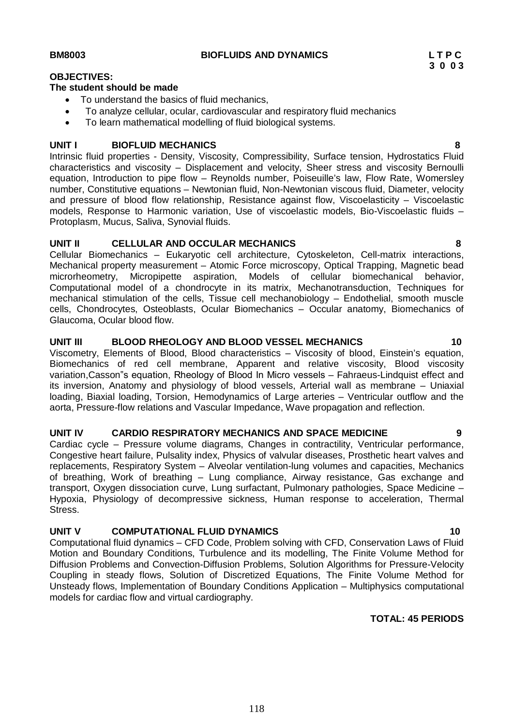# **OBJECTIVES:**

# **The student should be made**

- To understand the basics of fluid mechanics,
- To analyze cellular, ocular, cardiovascular and respiratory fluid mechanics
- To learn mathematical modelling of fluid biological systems.

# **UNIT I BIOFLUID MECHANICS 8**

Intrinsic fluid properties - Density, Viscosity, Compressibility, Surface tension, Hydrostatics Fluid characteristics and viscosity – Displacement and velocity, Sheer stress and viscosity Bernoulli equation, Introduction to pipe flow – Reynolds number, Poiseuille's law, Flow Rate, Womersley number, Constitutive equations – Newtonian fluid, Non-Newtonian viscous fluid, Diameter, velocity and pressure of blood flow relationship, Resistance against flow, Viscoelasticity – Viscoelastic models, Response to Harmonic variation, Use of viscoelastic models, Bio-Viscoelastic fluids – Protoplasm, Mucus, Saliva, Synovial fluids.

# **UNIT II CELLULAR AND OCCULAR MECHANICS 8**

Cellular Biomechanics – Eukaryotic cell architecture, Cytoskeleton, Cell-matrix interactions, Mechanical property measurement – Atomic Force microscopy, Optical Trapping, Magnetic bead microrheometry, Micropipette aspiration, Models of cellular biomechanical behavior, Computational model of a chondrocyte in its matrix, Mechanotransduction, Techniques for mechanical stimulation of the cells, Tissue cell mechanobiology – Endothelial, smooth muscle cells, Chondrocytes, Osteoblasts, Ocular Biomechanics – Occular anatomy, Biomechanics of Glaucoma, Ocular blood flow.

# **UNIT III BLOOD RHEOLOGY AND BLOOD VESSEL MECHANICS 10**

Viscometry, Elements of Blood, Blood characteristics – Viscosity of blood, Einstein's equation, Biomechanics of red cell membrane, Apparent and relative viscosity, Blood viscosity variation,Casson"s equation, Rheology of Blood In Micro vessels – Fahraeus-Lindquist effect and its inversion, Anatomy and physiology of blood vessels, Arterial wall as membrane – Uniaxial loading, Biaxial loading, Torsion, Hemodynamics of Large arteries – Ventricular outflow and the aorta, Pressure-flow relations and Vascular Impedance, Wave propagation and reflection.

# **UNIT IV CARDIO RESPIRATORY MECHANICS AND SPACE MEDICINE 9**

Cardiac cycle – Pressure volume diagrams, Changes in contractility, Ventricular performance, Congestive heart failure, Pulsality index, Physics of valvular diseases, Prosthetic heart valves and replacements, Respiratory System – Alveolar ventilation-lung volumes and capacities, Mechanics of breathing, Work of breathing – Lung compliance, Airway resistance, Gas exchange and transport, Oxygen dissociation curve, Lung surfactant, Pulmonary pathologies, Space Medicine – Hypoxia, Physiology of decompressive sickness, Human response to acceleration, Thermal Stress.

# **UNIT V COMPUTATIONAL FLUID DYNAMICS 10**

Computational fluid dynamics – CFD Code, Problem solving with CFD, Conservation Laws of Fluid Motion and Boundary Conditions, Turbulence and its modelling, The Finite Volume Method for Diffusion Problems and Convection-Diffusion Problems, Solution Algorithms for Pressure-Velocity Coupling in steady flows, Solution of Discretized Equations, The Finite Volume Method for Unsteady flows, Implementation of Boundary Conditions Application – Multiphysics computational models for cardiac flow and virtual cardiography.

# **TOTAL: 45 PERIODS**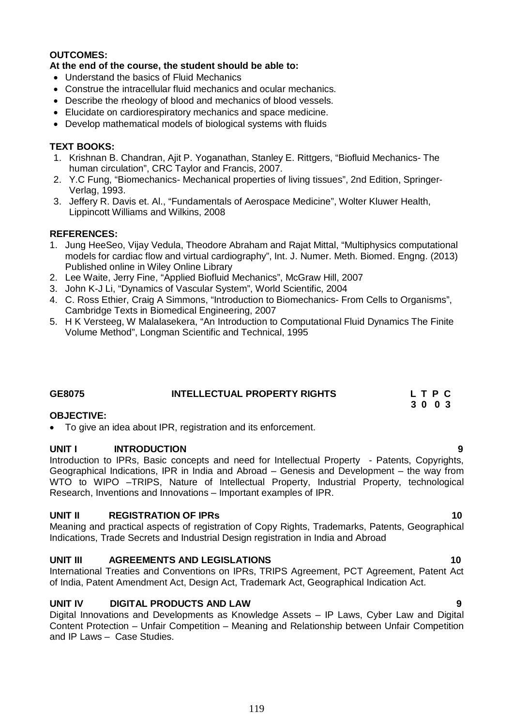# **OUTCOMES:**

# **At the end of the course, the student should be able to:**

- Understand the basics of Fluid Mechanics
- Construe the intracellular fluid mechanics and ocular mechanics.
- Describe the rheology of blood and mechanics of blood vessels.
- Elucidate on cardiorespiratory mechanics and space medicine.
- Develop mathematical models of biological systems with fluids

# **TEXT BOOKS:**

- 1. Krishnan B. Chandran, Ajit P. Yoganathan, Stanley E. Rittgers, "Biofluid Mechanics- The human circulation", CRC Taylor and Francis, 2007.
- 2. Y.C Fung, "Biomechanics- Mechanical properties of living tissues", 2nd Edition, Springer-Verlag, 1993.
- 3. Jeffery R. Davis et. Al., "Fundamentals of Aerospace Medicine", Wolter Kluwer Health, Lippincott Williams and Wilkins, 2008

# **REFERENCES:**

- 1. Jung HeeSeo, Vijay Vedula, Theodore Abraham and Rajat Mittal, "Multiphysics computational models for cardiac flow and virtual cardiography", Int. J. Numer. Meth. Biomed. Engng. (2013) Published online in Wiley Online Library
- 2. Lee Waite, Jerry Fine, "Applied Biofluid Mechanics", McGraw Hill, 2007
- 3. John K-J Li, "Dynamics of Vascular System", World Scientific, 2004
- 4. C. Ross Ethier, Craig A Simmons, "Introduction to Biomechanics- From Cells to Organisms", Cambridge Texts in Biomedical Engineering, 2007
- 5. H K Versteeg, W Malalasekera, "An Introduction to Computational Fluid Dynamics The Finite Volume Method", Longman Scientific and Technical, 1995

# **GE8075 INTELLECTUAL PROPERTY RIGHTS L T P C 3 0 0 3**

# **OBJECTIVE:**

• To give an idea about IPR, registration and its enforcement.

# **UNIT I INTRODUCTION 9**

Introduction to IPRs, Basic concepts and need for Intellectual Property - Patents, Copyrights, Geographical Indications, IPR in India and Abroad – Genesis and Development – the way from WTO to WIPO –TRIPS, Nature of Intellectual Property, Industrial Property, technological Research, Inventions and Innovations – Important examples of IPR.

# **UNIT II REGISTRATION OF IPRs 10**

Meaning and practical aspects of registration of Copy Rights, Trademarks, Patents, Geographical Indications, Trade Secrets and Industrial Design registration in India and Abroad

# **UNIT III AGREEMENTS AND LEGISLATIONS 10**

International Treaties and Conventions on IPRs, TRIPS Agreement, PCT Agreement, Patent Act of India, Patent Amendment Act, Design Act, Trademark Act, Geographical Indication Act.

# **UNIT IV DIGITAL PRODUCTS AND LAW 9**

Digital Innovations and Developments as Knowledge Assets – IP Laws, Cyber Law and Digital Content Protection – Unfair Competition – Meaning and Relationship between Unfair Competition and IP Laws – Case Studies.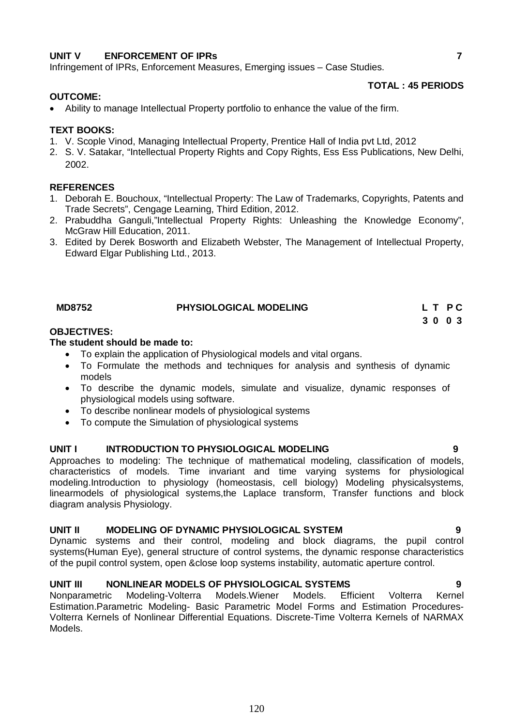# **UNIT V ENFORCEMENT OF IPRs 7**

Infringement of IPRs, Enforcement Measures, Emerging issues – Case Studies.

# **OUTCOME:**

# **TOTAL : 45 PERIODS**

Ability to manage Intellectual Property portfolio to enhance the value of the firm.

# **TEXT BOOKS:**

- 1. V. Scople Vinod, Managing Intellectual Property, Prentice Hall of India pvt Ltd, 2012
- 2. S. V. Satakar, "Intellectual Property Rights and Copy Rights, Ess Ess Publications, New Delhi, 2002.

# **REFERENCES**

- 1. Deborah E. Bouchoux, "Intellectual Property: The Law of Trademarks, Copyrights, Patents and Trade Secrets", Cengage Learning, Third Edition, 2012.
- 2. Prabuddha Ganguli,"Intellectual Property Rights: Unleashing the Knowledge Economy", McGraw Hill Education, 2011.
- 3. Edited by Derek Bosworth and Elizabeth Webster, The Management of Intellectual Property, Edward Elgar Publishing Ltd., 2013.

| <b>MD8752</b> | <b>PHYSIOLOGICAL MODELING</b> | L T PC |  |
|---------------|-------------------------------|--------|--|
|               |                               | 3003   |  |

# **OBJECTIVES:**

# **The student should be made to:**

- To explain the application of Physiological models and vital organs.
- To Formulate the methods and techniques for analysis and synthesis of dynamic models
- To describe the dynamic models, simulate and visualize, dynamic responses of physiological models using software.
- To describe nonlinear models of physiological systems
- To compute the Simulation of physiological systems

# UNIT I INTRODUCTION TO PHYSIOLOGICAL MODELING

Approaches to modeling: The technique of mathematical modeling, classification of models, characteristics of models. Time invariant and time varying systems for physiological modeling.Introduction to physiology (homeostasis, cell biology) Modeling physicalsystems, linearmodels of physiological systems,the Laplace transform, Transfer functions and block diagram analysis Physiology.

# **UNIT II MODELING OF DYNAMIC PHYSIOLOGICAL SYSTEM 9**

Dynamic systems and their control, modeling and block diagrams, the pupil control systems(Human Eye), general structure of control systems, the dynamic response characteristics of the pupil control system, open &close loop systems instability, automatic aperture control.

**UNIT III MONLINEAR MODELS OF PHYSIOLOGICAL SYSTEMS**<br>Nonparametric Modeling-Volterra Models.Wiener Models. Efficient Volterra Kernel Nonparametric Modeling-Volterra Models.Wiener Models. Efficient Volterra Estimation.Parametric Modeling- Basic Parametric Model Forms and Estimation Procedures-Volterra Kernels of Nonlinear Differential Equations. Discrete-Time Volterra Kernels of NARMAX Models.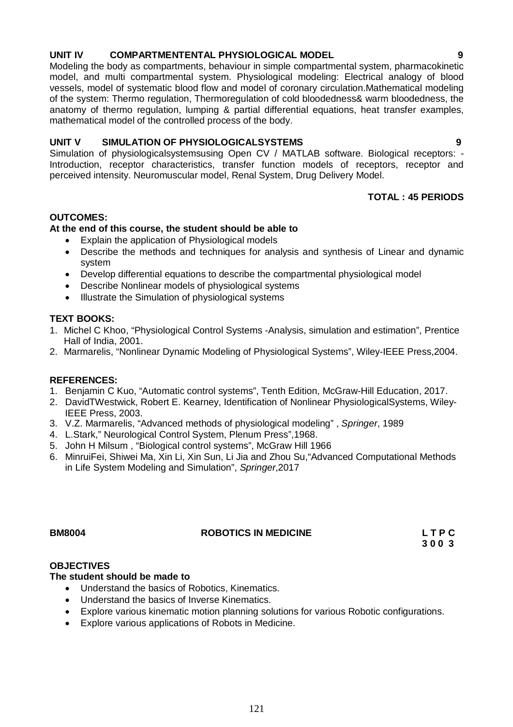# 121

# **UNIT IV COMPARTMENTENTAL PHYSIOLOGICAL MODEL 9**

Modeling the body as compartments, behaviour in simple compartmental system, pharmacokinetic model, and multi compartmental system. Physiological modeling: Electrical analogy of blood vessels, model of systematic blood flow and model of coronary circulation.Mathematical modeling of the system: Thermo regulation, Thermoregulation of cold bloodedness& warm bloodedness, the anatomy of thermo regulation, lumping & partial differential equations, heat transfer examples, mathematical model of the controlled process of the body.

# **UNIT V SIMULATION OF PHYSIOLOGICALSYSTEMS 9**

Simulation of physiologicalsystemsusing Open CV / MATLAB software. Biological receptors: - Introduction, receptor characteristics, transfer function models of receptors, receptor and perceived intensity. Neuromuscular model, Renal System, Drug Delivery Model.

# **TOTAL : 45 PERIODS**

**3 0 0 3** 

# **OUTCOMES:**

# **At the end of this course, the student should be able to**

- Explain the application of Physiological models
- Describe the methods and techniques for analysis and synthesis of Linear and dynamic system
- Develop differential equations to describe the compartmental physiological model
- Describe Nonlinear models of physiological systems
- Illustrate the Simulation of physiological systems

### **TEXT BOOKS:**

- 1. Michel C Khoo, "Physiological Control Systems -Analysis, simulation and estimation", Prentice Hall of India, 2001.
- 2. Marmarelis, "Nonlinear Dynamic Modeling of Physiological Systems", Wiley-IEEE Press,2004.

### **REFERENCES:**

- 1. Benjamin C Kuo, "Automatic control systems", Tenth Edition, McGraw-Hill Education, 2017.
- 2. DavidTWestwick, Robert E. Kearney, Identification of Nonlinear PhysiologicalSystems, Wiley-IEEE Press, 2003.
- 3. V.Z. Marmarelis, "Advanced methods of physiological modeling" , *Springer*, 1989
- 4. L.Stark," Neurological Control System, Plenum Press",1968.
- 5. John H Milsum , "Biological control systems", McGraw Hill 1966
- 6. MinruiFei, Shiwei Ma, Xin Li, Xin Sun, Li Jia and Zhou Su,"Advanced Computational Methods in Life System Modeling and Simulation", *Springer*,2017

# **BM8004 ROBOTICS IN MEDICINE L T P C**

# **OBJECTIVES**

# **The student should be made to**

- Understand the basics of Robotics, Kinematics.
- Understand the basics of Inverse Kinematics.
- Explore various kinematic motion planning solutions for various Robotic configurations.
- Explore various applications of Robots in Medicine.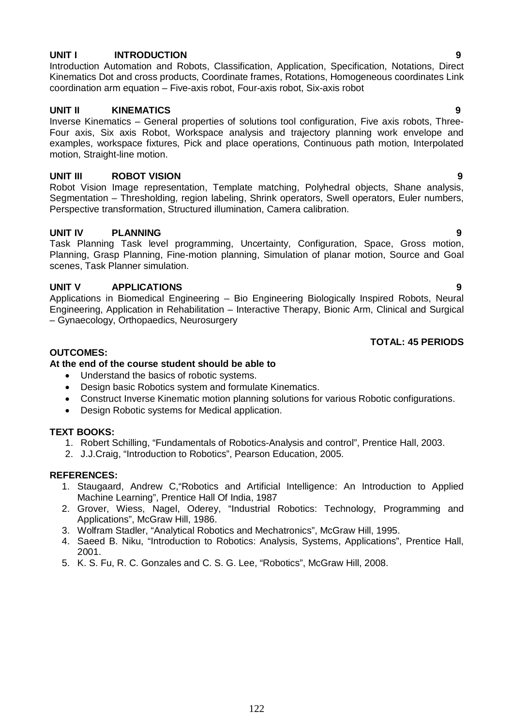# **UNIT I INTRODUCTION 9**

Introduction Automation and Robots, Classification, Application, Specification, Notations, Direct Kinematics Dot and cross products, Coordinate frames, Rotations, Homogeneous coordinates Link coordination arm equation – Five-axis robot, Four-axis robot, Six-axis robot

# **UNIT II KINEMATICS 9**

Inverse Kinematics – General properties of solutions tool configuration, Five axis robots, Three-Four axis, Six axis Robot, Workspace analysis and trajectory planning work envelope and examples, workspace fixtures, Pick and place operations, Continuous path motion, Interpolated motion, Straight-line motion.

# **UNIT III ROBOT VISION 9**

Robot Vision Image representation, Template matching, Polyhedral objects, Shane analysis, Segmentation – Thresholding, region labeling, Shrink operators, Swell operators, Euler numbers, Perspective transformation, Structured illumination, Camera calibration.

# **UNIT IV PLANNING 9**

Task Planning Task level programming, Uncertainty, Configuration, Space, Gross motion, Planning, Grasp Planning, Fine-motion planning, Simulation of planar motion, Source and Goal scenes, Task Planner simulation.

# **UNIT V APPLICATIONS 9**

Applications in Biomedical Engineering – Bio Engineering Biologically Inspired Robots, Neural Engineering, Application in Rehabilitation – Interactive Therapy, Bionic Arm, Clinical and Surgical – Gynaecology, Orthopaedics, Neurosurgery

# **TOTAL: 45 PERIODS**

# **OUTCOMES:**

# **At the end of the course student should be able to**

- Understand the basics of robotic systems.
- Design basic Robotics system and formulate Kinematics.
- Construct Inverse Kinematic motion planning solutions for various Robotic configurations.
- Design Robotic systems for Medical application.

# **TEXT BOOKS:**

- 1. Robert Schilling, "Fundamentals of Robotics-Analysis and control", Prentice Hall, 2003.
- 2. J.J.Craig, "Introduction to Robotics", Pearson Education, 2005.

### **REFERENCES:**

- 1. Staugaard, Andrew C,"Robotics and Artificial Intelligence: An Introduction to Applied Machine Learning", Prentice Hall Of India, 1987
- 2. Grover, Wiess, Nagel, Oderey, "Industrial Robotics: Technology, Programming and Applications", McGraw Hill, 1986.
- 3. Wolfram Stadler, "Analytical Robotics and Mechatronics", McGraw Hill, 1995.
- 4. Saeed B. Niku, "Introduction to Robotics: Analysis, Systems, Applications", Prentice Hall, 2001.

122

5. K. S. Fu, R. C. Gonzales and C. S. G. Lee, "Robotics", McGraw Hill, 2008.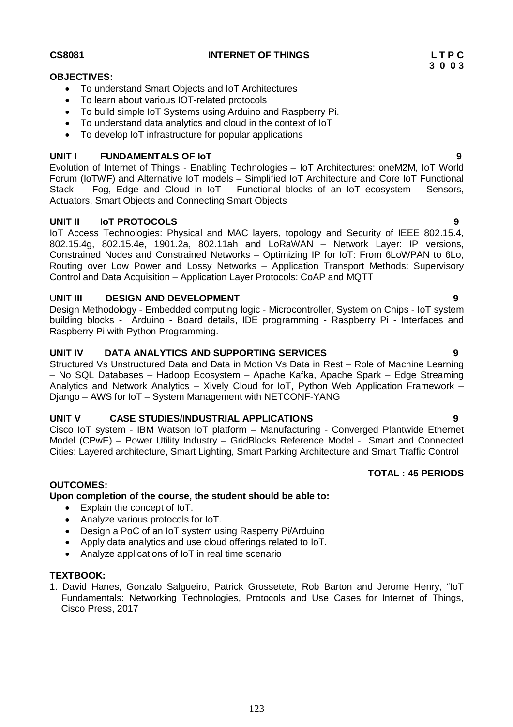# **CS8081 INTERNET OF THINGS L T P C**

# **OBJECTIVES:**

- To understand Smart Objects and IoT Architectures
- To learn about various IOT-related protocols
- To build simple IoT Systems using Arduino and Raspberry Pi.
- To understand data analytics and cloud in the context of IoT
- To develop IoT infrastructure for popular applications

# **UNIT I FUNDAMENTALS OF IoT 9**

Evolution of Internet of Things - Enabling Technologies – IoT Architectures: oneM2M, IoT World Forum (IoTWF) and Alternative IoT models – Simplified IoT Architecture and Core IoT Functional Stack  $-$  Fog, Edge and Cloud in IoT – Functional blocks of an IoT ecosystem – Sensors, Actuators, Smart Objects and Connecting Smart Objects

# **UNIT II IoT PROTOCOLS 9**

IoT Access Technologies: Physical and MAC layers, topology and Security of IEEE 802.15.4, 802.15.4g, 802.15.4e, 1901.2a, 802.11ah and LoRaWAN – Network Layer: IP versions, Constrained Nodes and Constrained Networks – Optimizing IP for IoT: From 6LoWPAN to 6Lo, Routing over Low Power and Lossy Networks – Application Transport Methods: Supervisory Control and Data Acquisition – Application Layer Protocols: CoAP and MQTT

# U**NIT III DESIGN AND DEVELOPMENT 9**

Design Methodology - Embedded computing logic - Microcontroller, System on Chips - IoT system building blocks - Arduino - Board details, IDE programming - Raspberry Pi - Interfaces and Raspberry Pi with Python Programming.

# **UNIT IV DATA ANALYTICS AND SUPPORTING SERVICES 9**

Structured Vs Unstructured Data and Data in Motion Vs Data in Rest – Role of Machine Learning – No SQL Databases – Hadoop Ecosystem – Apache Kafka, Apache Spark – Edge Streaming Analytics and Network Analytics – Xively Cloud for IoT, Python Web Application Framework – Django – AWS for IoT – System Management with NETCONF-YANG

# **UNIT V CASE STUDIES/INDUSTRIAL APPLICATIONS 9**

Cisco IoT system - IBM Watson IoT platform – Manufacturing - Converged Plantwide Ethernet Model (CPwE) – Power Utility Industry – GridBlocks Reference Model - Smart and Connected Cities: Layered architecture, Smart Lighting, Smart Parking Architecture and Smart Traffic Control

# **OUTCOMES:**

**Upon completion of the course, the student should be able to:** 

- Explain the concept of IoT.
- Analyze various protocols for IoT.
- Design a PoC of an IoT system using Rasperry Pi/Arduino
- Apply data analytics and use cloud offerings related to IoT.
- Analyze applications of IoT in real time scenario

### **TEXTBOOK:**

1. David Hanes, Gonzalo Salgueiro, Patrick Grossetete, Rob Barton and Jerome Henry, "IoT Fundamentals: Networking Technologies, Protocols and Use Cases for Internet of Things, Cisco Press, 2017

**TOTAL : 45 PERIODS**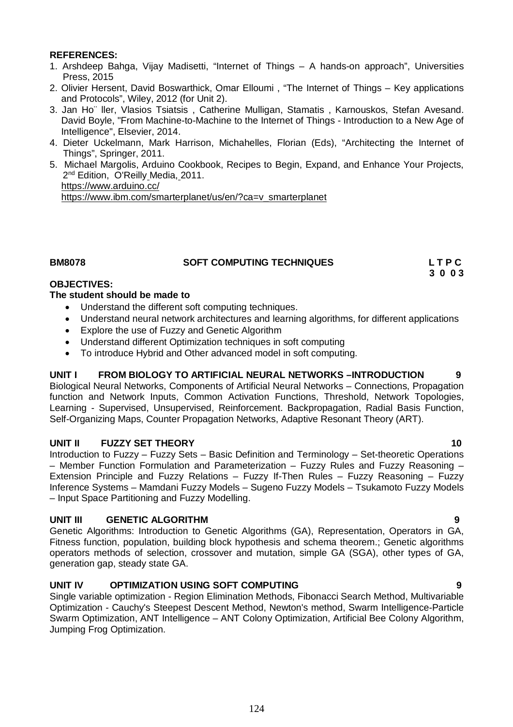# **REFERENCES:**

- 1. Arshdeep Bahga, Vijay Madisetti, "Internet of Things A hands-on approach", Universities Press, 2015
- 2. Olivier Hersent, David Boswarthick, Omar Elloumi , "The Internet of Things Key applications and Protocols", Wiley, 2012 (for Unit 2).
- 3. Jan Ho¨ ller, Vlasios Tsiatsis , Catherine Mulligan, Stamatis , Karnouskos, Stefan Avesand. David Boyle, "From Machine-to-Machine to the Internet of Things - Introduction to a New Age of Intelligence", Elsevier, 2014.
- 4. Dieter Uckelmann, Mark Harrison, Michahelles, Florian (Eds), "Architecting the Internet of Things", Springer, 2011.
- 5. Michael Margolis, Arduino Cookbook, Recipes to Begin, Expand, and Enhance Your Projects, 2<sup>nd</sup> Edition, O'Reilly Media, 2011. https://www.arduino.cc/

https://www.ibm.com/smarterplanet/us/en/?ca=v\_smarterplanet

# **BM8078 SOFT COMPUTING TECHNIQUES L T P C**

**3 0 0 3**

# **OBJECTIVES:**

# **The student should be made to**

- Understand the different soft computing techniques.
- Understand neural network architectures and learning algorithms, for different applications
- Explore the use of Fuzzy and Genetic Algorithm
- Understand different Optimization techniques in soft computing
- To introduce Hybrid and Other advanced model in soft computing.

# **UNIT I FROM BIOLOGY TO ARTIFICIAL NEURAL NETWORKS –INTRODUCTION 9**

Biological Neural Networks, Components of Artificial Neural Networks – Connections, Propagation function and Network Inputs, Common Activation Functions, Threshold, Network Topologies, Learning - Supervised, Unsupervised, Reinforcement. Backpropagation, Radial Basis Function, Self-Organizing Maps, Counter Propagation Networks, Adaptive Resonant Theory (ART).

# **UNIT II FUZZY SET THEORY 10**

Introduction to Fuzzy – Fuzzy Sets – Basic Definition and Terminology – Set-theoretic Operations – Member Function Formulation and Parameterization – Fuzzy Rules and Fuzzy Reasoning – Extension Principle and Fuzzy Relations – Fuzzy If-Then Rules – Fuzzy Reasoning – Fuzzy Inference Systems – Mamdani Fuzzy Models – Sugeno Fuzzy Models – Tsukamoto Fuzzy Models – Input Space Partitioning and Fuzzy Modelling.

# **UNIT III GENETIC ALGORITHM 9**

Genetic Algorithms: Introduction to Genetic Algorithms (GA), Representation, Operators in GA, Fitness function, population, building block hypothesis and schema theorem.; Genetic algorithms operators methods of selection, crossover and mutation, simple GA (SGA), other types of GA, generation gap, steady state GA.

# **UNIT IV OPTIMIZATION USING SOFT COMPUTING 9**

Single variable optimization - Region Elimination Methods, Fibonacci Search Method, Multivariable Optimization - Cauchy's Steepest Descent Method, Newton's method, Swarm Intelligence-Particle Swarm Optimization, ANT Intelligence – ANT Colony Optimization, Artificial Bee Colony Algorithm, Jumping Frog Optimization.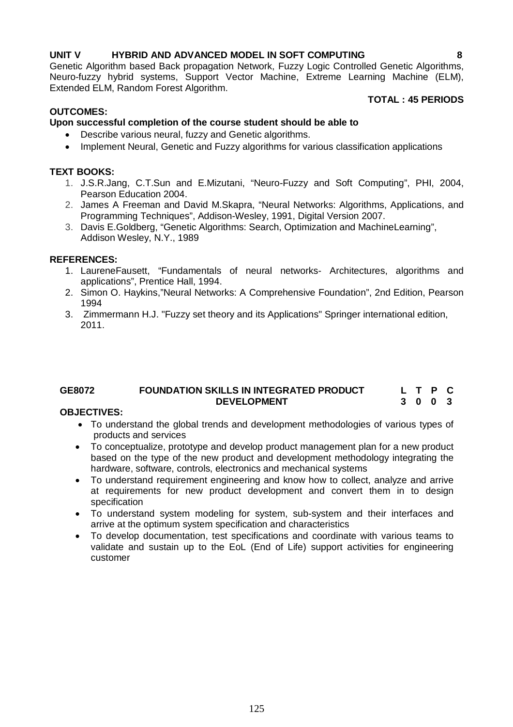# **UNIT V HYBRID AND ADVANCED MODEL IN SOFT COMPUTING 8**

Genetic Algorithm based Back propagation Network, Fuzzy Logic Controlled Genetic Algorithms, Neuro-fuzzy hybrid systems, Support Vector Machine, Extreme Learning Machine (ELM), Extended ELM, Random Forest Algorithm.

# **OUTCOMES:**

# **TOTAL : 45 PERIODS**

# **Upon successful completion of the course student should be able to**

- Describe various neural, fuzzy and Genetic algorithms.
- Implement Neural, Genetic and Fuzzy algorithms for various classification applications

# **TEXT BOOKS:**

- 1. J.S.R.Jang, C.T.Sun and E.Mizutani, "Neuro-Fuzzy and Soft Computing", PHI, 2004, Pearson Education 2004.
- 2. James A Freeman and David M.Skapra, "Neural Networks: Algorithms, Applications, and Programming Techniques", Addison-Wesley, 1991, Digital Version 2007.
- 3. Davis E.Goldberg, "Genetic Algorithms: Search, Optimization and MachineLearning", Addison Wesley, N.Y., 1989

# **REFERENCES:**

- 1. LaureneFausett, "Fundamentals of neural networks- Architectures, algorithms and applications", Prentice Hall, 1994.
- 2. Simon O. Haykins,"Neural Networks: A Comprehensive Foundation", 2nd Edition, Pearson 1994
- 3. Zimmermann H.J. "Fuzzy set theory and its Applications" Springer international edition, 2011.

### **GE8072 FOUNDATION SKILLS IN INTEGRATED PRODUCT DEVELOPMENT L T P C 3 0 0 3**

# **OBJECTIVES:**

- To understand the global trends and development methodologies of various types of products and services
- To conceptualize, prototype and develop product management plan for a new product based on the type of the new product and development methodology integrating the hardware, software, controls, electronics and mechanical systems
- To understand requirement engineering and know how to collect, analyze and arrive at requirements for new product development and convert them in to design specification
- To understand system modeling for system, sub-system and their interfaces and arrive at the optimum system specification and characteristics
- To develop documentation, test specifications and coordinate with various teams to validate and sustain up to the EoL (End of Life) support activities for engineering customer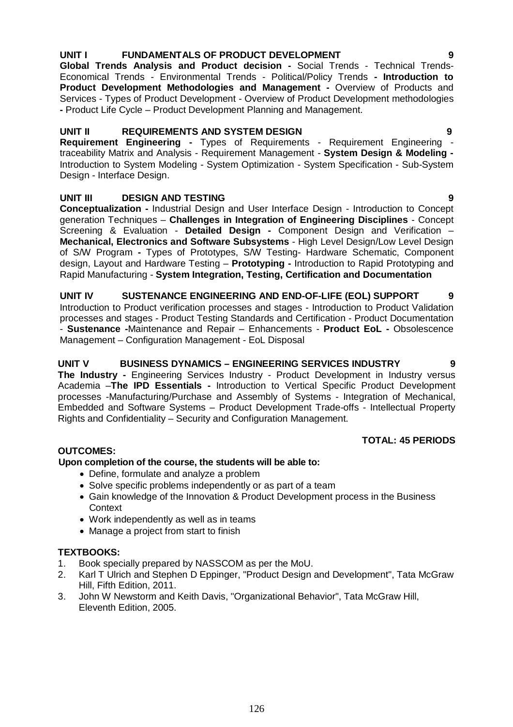# **UNIT I FUNDAMENTALS OF PRODUCT DEVELOPMENT 9**

**Global Trends Analysis and Product decision -** Social Trends - Technical Trends-Economical Trends - Environmental Trends - Political/Policy Trends **- Introduction to Product Development Methodologies and Management -** Overview of Products and Services - Types of Product Development - Overview of Product Development methodologies **-** Product Life Cycle – Product Development Planning and Management.

# **UNIT II REQUIREMENTS AND SYSTEM DESIGN 9**

**Requirement Engineering -** Types of Requirements - Requirement Engineering traceability Matrix and Analysis - Requirement Management - **System Design & Modeling -** Introduction to System Modeling - System Optimization - System Specification - Sub-System Design - Interface Design.

# **UNIT III DESIGN AND TESTING 9**

**Conceptualization -** Industrial Design and User Interface Design - Introduction to Concept generation Techniques – **Challenges in Integration of Engineering Disciplines** - Concept Screening & Evaluation - **Detailed Design -** Component Design and Verification – **Mechanical, Electronics and Software Subsystems** - High Level Design/Low Level Design of S/W Program **-** Types of Prototypes, S/W Testing- Hardware Schematic, Component design, Layout and Hardware Testing – **Prototyping -** Introduction to Rapid Prototyping and Rapid Manufacturing - **System Integration, Testing, Certification and Documentation**

**UNIT IV SUSTENANCE ENGINEERING AND END-OF-LIFE (EOL) SUPPORT 9** Introduction to Product verification processes and stages - Introduction to Product Validation processes and stages - Product Testing Standards and Certification - Product Documentation - **Sustenance -**Maintenance and Repair – Enhancements - **Product EoL -** Obsolescence Management – Configuration Management - EoL Disposal

**UNIT V BUSINESS DYNAMICS – ENGINEERING SERVICES INDUSTRY 9 The Industry -** Engineering Services Industry - Product Development in Industry versus Academia –**The IPD Essentials -** Introduction to Vertical Specific Product Development processes -Manufacturing/Purchase and Assembly of Systems - Integration of Mechanical, Embedded and Software Systems – Product Development Trade-offs - Intellectual Property Rights and Confidentiality – Security and Configuration Management.

# **TOTAL: 45 PERIODS**

# **OUTCOMES:**

# **Upon completion of the course, the students will be able to:**

- Define, formulate and analyze a problem
- Solve specific problems independently or as part of a team
- Gain knowledge of the Innovation & Product Development process in the Business Context
- Work independently as well as in teams
- Manage a project from start to finish

# **TEXTBOOKS:**

- 1. Book specially prepared by NASSCOM as per the MoU.
- 2. Karl T Ulrich and Stephen D Eppinger, "Product Design and Development", Tata McGraw Hill, Fifth Edition, 2011.
- 3. John W Newstorm and Keith Davis, "Organizational Behavior", Tata McGraw Hill, Eleventh Edition, 2005.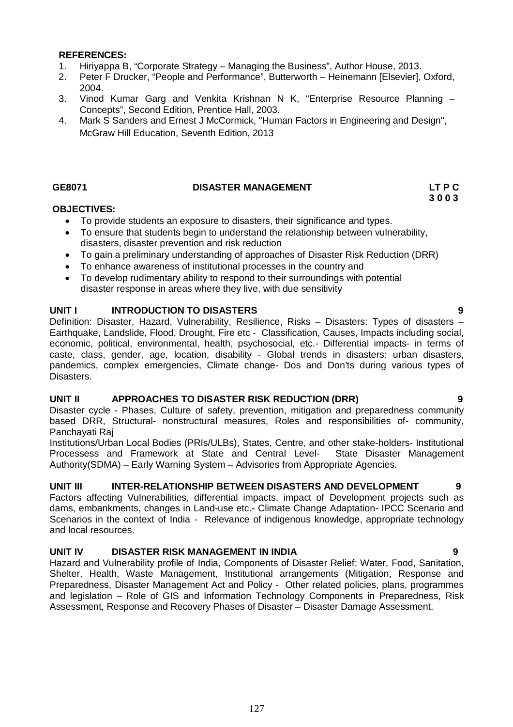### **REFERENCES:**

- 1. Hiriyappa B, "Corporate Strategy Managing the Business", Author House, 2013.
- 2. Peter F Drucker, "People and Performance", Butterworth Heinemann [Elsevier], Oxford, 2004.
- 3. Vinod Kumar Garg and Venkita Krishnan N K, "Enterprise Resource Planning Concepts", Second Edition, Prentice Hall, 2003.
- 4. Mark S Sanders and Ernest J McCormick, "Human Factors in Engineering and Design", McGraw Hill Education, Seventh Edition, 2013

# GE8071 DISASTER MANAGEMENT LT P C<br>3 0 0 3

# **3 0 0 3**

# **OBJECTIVES:**

- To provide students an exposure to disasters, their significance and types.
- To ensure that students begin to understand the relationship between vulnerability, disasters, disaster prevention and risk reduction
- To gain a preliminary understanding of approaches of Disaster Risk Reduction (DRR)
- To enhance awareness of institutional processes in the country and
- To develop rudimentary ability to respond to their surroundings with potential disaster response in areas where they live, with due sensitivity

# **UNIT I INTRODUCTION TO DISASTERS 9**

Definition: Disaster, Hazard, Vulnerability, Resilience, Risks – Disasters: Types of disasters – Earthquake, Landslide, Flood, Drought, Fire etc - Classification, Causes, Impacts including social, economic, political, environmental, health, psychosocial, etc.- Differential impacts- in terms of caste, class, gender, age, location, disability - Global trends in disasters: urban disasters, pandemics, complex emergencies, Climate change- Dos and Don'ts during various types of Disasters.

# **UNIT II APPROACHES TO DISASTER RISK REDUCTION (DRR) 9**

Disaster cycle - Phases, Culture of safety, prevention, mitigation and preparedness community based DRR, Structural- nonstructural measures, Roles and responsibilities of- community, Panchayati Raj

Institutions/Urban Local Bodies (PRIs/ULBs), States, Centre, and other stake-holders- Institutional Processess and Framework at State and Central Level- State Disaster Management Authority(SDMA) – Early Warning System – Advisories from Appropriate Agencies.

# **UNIT III INTER-RELATIONSHIP BETWEEN DISASTERS AND DEVELOPMENT 9**

Factors affecting Vulnerabilities, differential impacts, impact of Development projects such as dams, embankments, changes in Land-use etc.- Climate Change Adaptation- IPCC Scenario and Scenarios in the context of India - Relevance of indigenous knowledge, appropriate technology and local resources.

# **UNIT IV DISASTER RISK MANAGEMENT IN INDIA 9**

Hazard and Vulnerability profile of India, Components of Disaster Relief: Water, Food, Sanitation, Shelter, Health, Waste Management, Institutional arrangements (Mitigation, Response and Preparedness, Disaster Management Act and Policy - Other related policies, plans, programmes and legislation – Role of GIS and Information Technology Components in Preparedness, Risk Assessment, Response and Recovery Phases of Disaster – Disaster Damage Assessment.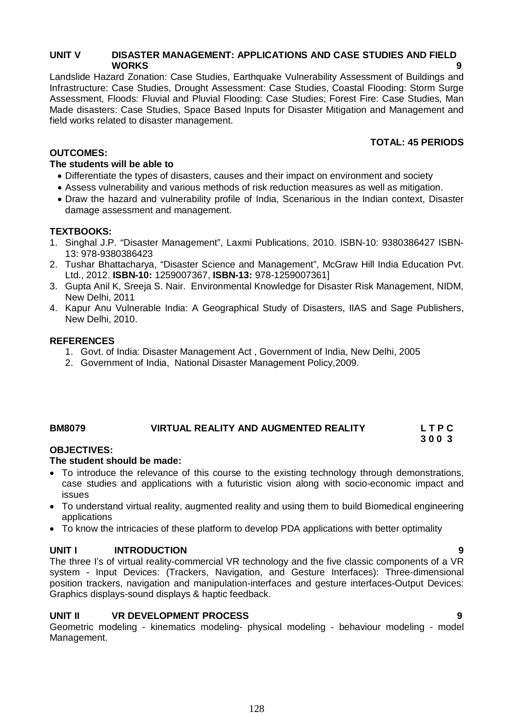# **UNIT V DISASTER MANAGEMENT: APPLICATIONS AND CASE STUDIES AND FIELD WORKS 9**

Landslide Hazard Zonation: Case Studies, Earthquake Vulnerability Assessment of Buildings and Infrastructure: Case Studies, Drought Assessment: Case Studies, Coastal Flooding: Storm Surge Assessment, Floods: Fluvial and Pluvial Flooding: Case Studies; Forest Fire: Case Studies, Man Made disasters: Case Studies, Space Based Inputs for Disaster Mitigation and Management and field works related to disaster management.

# **TOTAL: 45 PERIODS**

 **3 0 0 3**

# **OUTCOMES:**

# **The students will be able to**

- Differentiate the types of disasters, causes and their impact on environment and society
- Assess vulnerability and various methods of risk reduction measures as well as mitigation.
- Draw the hazard and vulnerability profile of India, Scenarious in the Indian context, Disaster damage assessment and management.

# **TEXTBOOKS:**

- 1. Singhal J.P. "Disaster Management", Laxmi Publications, 2010. ISBN-10: 9380386427 ISBN-13: 978-9380386423
- 2. Tushar Bhattacharya, "Disaster Science and Management", McGraw Hill India Education Pvt. Ltd., 2012. **ISBN-10:** 1259007367, **ISBN-13:** 978-1259007361]
- 3. Gupta Anil K, Sreeja S. Nair. Environmental Knowledge for Disaster Risk Management, NIDM, New Delhi, 2011
- 4. Kapur Anu Vulnerable India: A Geographical Study of Disasters, IIAS and Sage Publishers, New Delhi, 2010.

# **REFERENCES**

- 1. Govt. of India: Disaster Management Act , Government of India, New Delhi, 2005
- 2. Government of India, National Disaster Management Policy,2009.

# **BM8079 VIRTUAL REALITY AND AUGMENTED REALITY L T P C**

# **OBJECTIVES:**

# **The student should be made:**

- To introduce the relevance of this course to the existing technology through demonstrations, case studies and applications with a futuristic vision along with socio-economic impact and issues
- To understand virtual reality, augmented reality and using them to build Biomedical engineering applications
- To know the intricacies of these platform to develop PDA applications with better optimality

# **UNIT I INTRODUCTION 9**

The three I's of virtual reality-commercial VR technology and the five classic components of a VR system - Input Devices: (Trackers, Navigation, and Gesture Interfaces): Three-dimensional position trackers, navigation and manipulation-interfaces and gesture interfaces-Output Devices: Graphics displays-sound displays & haptic feedback.

# **UNIT II VR DEVELOPMENT PROCESS 9**

Geometric modeling - kinematics modeling- physical modeling - behaviour modeling - model Management.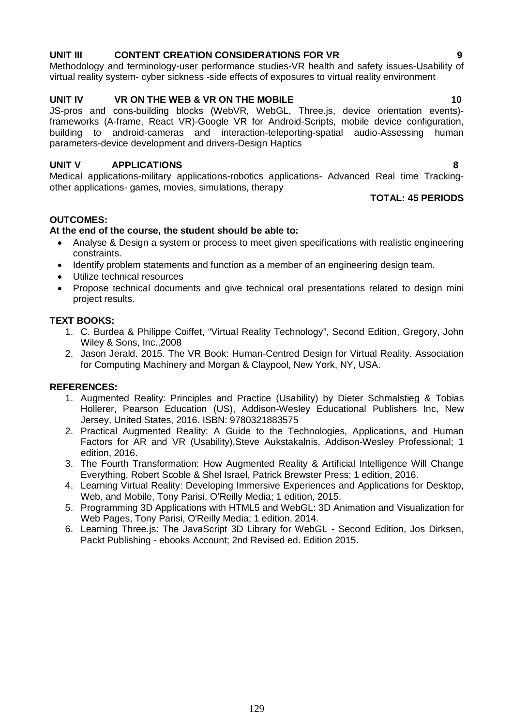# 129

# **UNIT III CONTENT CREATION CONSIDERATIONS FOR VR 9**

Methodology and terminology-user performance studies-VR health and safety issues-Usability of virtual reality system- cyber sickness -side effects of exposures to virtual reality environment

# **UNIT IV VR ON THE WEB & VR ON THE MOBILE 10**

JS-pros and cons-building blocks (WebVR, WebGL, Three.js, device orientation events) frameworks (A-frame, React VR)-Google VR for Android-Scripts, mobile device configuration, building to android-cameras and interaction-teleporting-spatial audio-Assessing human parameters-device development and drivers-Design Haptics

# **UNIT V APPLICATIONS 8**

Medical applications-military applications-robotics applications- Advanced Real time Trackingother applications- games, movies, simulations, therapy

# **TOTAL: 45 PERIODS**

# **OUTCOMES:**

# **At the end of the course, the student should be able to:**

- Analyse & Design a system or process to meet given specifications with realistic engineering constraints.
- Identify problem statements and function as a member of an engineering design team.
- Utilize technical resources
- Propose technical documents and give technical oral presentations related to design mini project results.

### **TEXT BOOKS:**

- 1. C. Burdea & Philippe Coiffet, "Virtual Reality Technology", Second Edition, Gregory, John Wiley & Sons, Inc.,2008
- 2. Jason Jerald. 2015. The VR Book: Human-Centred Design for Virtual Reality. Association for Computing Machinery and Morgan & Claypool, New York, NY, USA.

### **REFERENCES:**

- 1. Augmented Reality: Principles and Practice (Usability) by Dieter Schmalstieg & Tobias Hollerer, Pearson Education (US), Addison-Wesley Educational Publishers Inc, New Jersey, United States, 2016. ISBN: 9780321883575
- 2. Practical Augmented Reality: A Guide to the Technologies, Applications, and Human Factors for AR and VR (Usability),Steve Aukstakalnis, Addison-Wesley Professional; 1 edition, 2016.
- 3. The Fourth Transformation: How Augmented Reality & Artificial Intelligence Will Change Everything, Robert Scoble & Shel Israel, Patrick Brewster Press; 1 edition, 2016.
- 4. Learning Virtual Reality: Developing Immersive Experiences and Applications for Desktop, Web, and Mobile, Tony Parisi, O'Reilly Media; 1 edition, 2015.
- 5. Programming 3D Applications with HTML5 and WebGL: 3D Animation and Visualization for Web Pages, Tony Parisi, O'Reilly Media; 1 edition, 2014.
- 6. Learning Three.js: The JavaScript 3D Library for WebGL Second Edition, Jos Dirksen, Packt Publishing - ebooks Account; 2nd Revised ed. Edition 2015.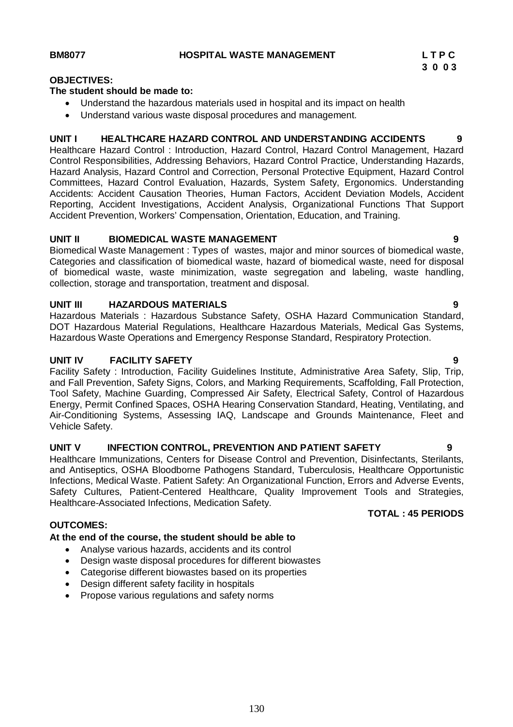### **OBJECTIVES:**

# **The student should be made to:**

- Understand the hazardous materials used in hospital and its impact on health
- Understand various waste disposal procedures and management.

# **UNIT I HEALTHCARE HAZARD CONTROL AND UNDERSTANDING ACCIDENTS 9**

Healthcare Hazard Control : Introduction, Hazard Control, Hazard Control Management, Hazard Control Responsibilities, Addressing Behaviors, Hazard Control Practice, Understanding Hazards, Hazard Analysis, Hazard Control and Correction, Personal Protective Equipment, Hazard Control Committees, Hazard Control Evaluation, Hazards, System Safety, Ergonomics. Understanding Accidents: Accident Causation Theories, Human Factors, Accident Deviation Models, Accident Reporting, Accident Investigations, Accident Analysis, Organizational Functions That Support Accident Prevention, Workers' Compensation, Orientation, Education, and Training.

# **UNIT II BIOMEDICAL WASTE MANAGEMENT 9**

Biomedical Waste Management : Types of wastes, major and minor sources of biomedical waste, Categories and classification of biomedical waste, hazard of biomedical waste, need for disposal of biomedical waste, waste minimization, waste segregation and labeling, waste handling, collection, storage and transportation, treatment and disposal.

# **UNIT III HAZARDOUS MATERIALS 9**

Hazardous Materials : Hazardous Substance Safety, OSHA Hazard Communication Standard, DOT Hazardous Material Regulations, Healthcare Hazardous Materials, Medical Gas Systems, Hazardous Waste Operations and Emergency Response Standard, Respiratory Protection.

# **UNIT IV FACILITY SAFETY 9**

Facility Safety : Introduction, Facility Guidelines Institute, Administrative Area Safety, Slip, Trip, and Fall Prevention, Safety Signs, Colors, and Marking Requirements, Scaffolding, Fall Protection, Tool Safety, Machine Guarding, Compressed Air Safety, Electrical Safety, Control of Hazardous Energy, Permit Confined Spaces, OSHA Hearing Conservation Standard, Heating, Ventilating, and Air-Conditioning Systems, Assessing IAQ, Landscape and Grounds Maintenance, Fleet and Vehicle Safety.

# **UNIT V INFECTION CONTROL, PREVENTION AND PATIENT SAFETY 9**

Healthcare Immunizations, Centers for Disease Control and Prevention, Disinfectants, Sterilants, and Antiseptics, OSHA Bloodborne Pathogens Standard, Tuberculosis, Healthcare Opportunistic Infections, Medical Waste. Patient Safety: An Organizational Function, Errors and Adverse Events, Safety Cultures, Patient-Centered Healthcare, Quality Improvement Tools and Strategies, Healthcare-Associated Infections, Medication Safety.

# **OUTCOMES:**

# **At the end of the course, the student should be able to**

- Analyse various hazards, accidents and its control
- Design waste disposal procedures for different biowastes
- Categorise different biowastes based on its properties
- Design different safety facility in hospitals
- Propose various regulations and safety norms

# **TOTAL : 45 PERIODS**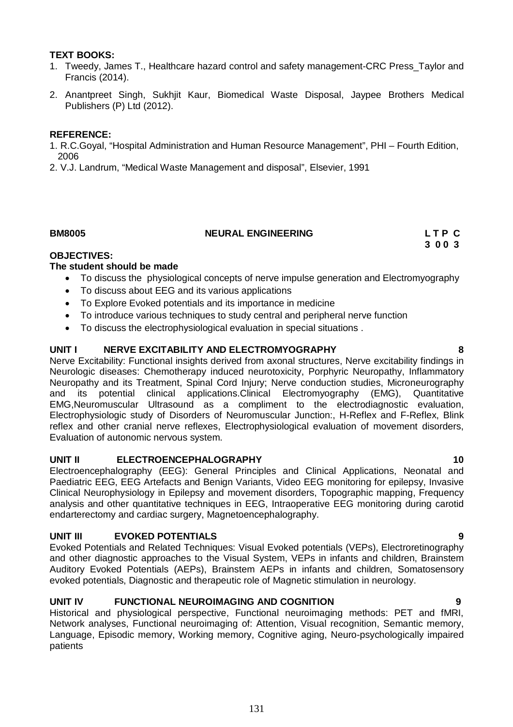# **TEXT BOOKS:**

- 1. Tweedy, James T., Healthcare hazard control and safety management-CRC Press\_Taylor and Francis (2014).
- 2. Anantpreet Singh, Sukhjit Kaur, Biomedical Waste Disposal, Jaypee Brothers Medical Publishers (P) Ltd (2012).

# **REFERENCE:**

- 1. R.C.Goyal, "Hospital Administration and Human Resource Management", PHI Fourth Edition, 2006
- 2. V.J. Landrum, "Medical Waste Management and disposal", Elsevier, 1991

### **BM8005 NEURAL ENGINEERING L T P C**

**3 0 0 3**

# **OBJECTIVES:**

# **The student should be made**

- To discuss the physiological concepts of nerve impulse generation and Electromyography
- To discuss about EEG and its various applications
- To Explore Evoked potentials and its importance in medicine
- To introduce various techniques to study central and peripheral nerve function
- To discuss the electrophysiological evaluation in special situations .

# **UNIT I NERVE EXCITABILITY AND ELECTROMYOGRAPHY 8**

Nerve Excitability: Functional insights derived from axonal structures, Nerve excitability findings in Neurologic diseases: Chemotherapy induced neurotoxicity, Porphyric Neuropathy, Inflammatory Neuropathy and its Treatment, Spinal Cord Injury; Nerve conduction studies, Microneurography and its potential clinical applications.Clinical Electromyography (EMG), Quantitative EMG,Neuromuscular Ultrasound as a compliment to the electrodiagnostic evaluation, Electrophysiologic study of Disorders of Neuromuscular Junction:, H-Reflex and F-Reflex, Blink reflex and other cranial nerve reflexes, Electrophysiological evaluation of movement disorders, Evaluation of autonomic nervous system.

# **UNIT II ELECTROENCEPHALOGRAPHY 10**

Electroencephalography (EEG): General Principles and Clinical Applications, Neonatal and Paediatric EEG, EEG Artefacts and Benign Variants, Video EEG monitoring for epilepsy, Invasive Clinical Neurophysiology in Epilepsy and movement disorders, Topographic mapping, Frequency analysis and other quantitative techniques in EEG, Intraoperative EEG monitoring during carotid endarterectomy and cardiac surgery, Magnetoencephalography.

# **UNIT III EVOKED POTENTIALS 9**

Evoked Potentials and Related Techniques: Visual Evoked potentials (VEPs), Electroretinography and other diagnostic approaches to the Visual System, VEPs in infants and children, Brainstem Auditory Evoked Potentials (AEPs), Brainstem AEPs in infants and children, Somatosensory evoked potentials, Diagnostic and therapeutic role of Magnetic stimulation in neurology.

# **UNIT IV FUNCTIONAL NEUROIMAGING AND COGNITION 9**

Historical and physiological perspective, Functional neuroimaging methods: PET and fMRI, Network analyses, Functional neuroimaging of: Attention, Visual recognition, Semantic memory, Language, Episodic memory, Working memory, Cognitive aging, Neuro-psychologically impaired patients

# 131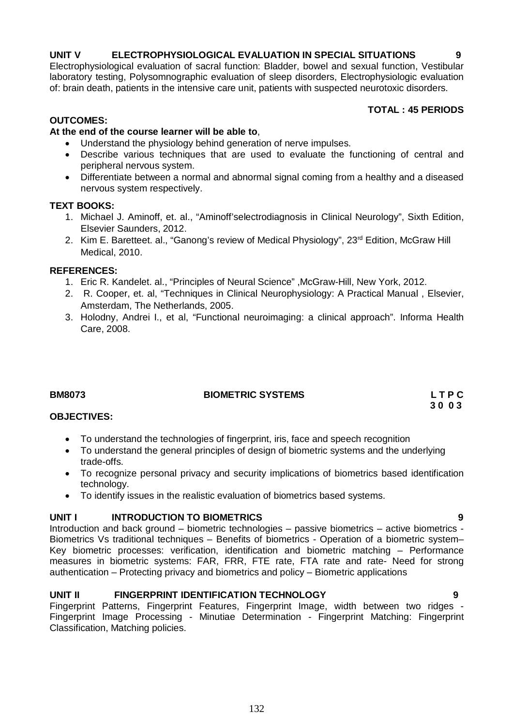Fingerprint Patterns, Fingerprint Features, Fingerprint Image, width between two ridges - Fingerprint Image Processing - Minutiae Determination - Fingerprint Matching: Fingerprint Classification, Matching policies.

**UNIT V ELECTROPHYSIOLOGICAL EVALUATION IN SPECIAL SITUATIONS 9**

Electrophysiological evaluation of sacral function: Bladder, bowel and sexual function, Vestibular laboratory testing, Polysomnographic evaluation of sleep disorders, Electrophysiologic evaluation of: brain death, patients in the intensive care unit, patients with suspected neurotoxic disorders.

# **TOTAL : 45 PERIODS**

# **OUTCOMES:**

# **At the end of the course learner will be able to**,

- Understand the physiology behind generation of nerve impulses.
- Describe various techniques that are used to evaluate the functioning of central and peripheral nervous system.
- Differentiate between a normal and abnormal signal coming from a healthy and a diseased nervous system respectively.

# **TEXT BOOKS:**

- 1. Michael J. Aminoff, et. al., "Aminoff'selectrodiagnosis in Clinical Neurology", Sixth Edition, Elsevier Saunders, 2012.
- 2. Kim E. Baretteet. al., "Ganong's review of Medical Physiology", 23<sup>rd</sup> Edition, McGraw Hill Medical, 2010.

# **REFERENCES:**

- 1. Eric R. Kandelet. al., "Principles of Neural Science" ,McGraw-Hill, New York, 2012.
- 2. R. Cooper, et. al, "Techniques in Clinical Neurophysiology: A Practical Manual , Elsevier, Amsterdam, The Netherlands, 2005.
- 3. Holodny, Andrei I., et al, "Functional neuroimaging: a clinical approach". Informa Health Care, 2008.

# **BM8073 BIOMETRIC SYSTEMS L T P C**

**OBJECTIVES:**

- To understand the technologies of fingerprint, iris, face and speech recognition<br>• To understand the general principles of design of biometric systems and the un
- To understand the general principles of design of biometric systems and the underlying trade-offs.
- To recognize personal privacy and security implications of biometrics based identification technology.
- To identify issues in the realistic evaluation of biometrics based systems.

# **UNIT I INTRODUCTION TO BIOMETRICS 9**

Introduction and back ground – biometric technologies – passive biometrics – active biometrics - Biometrics Vs traditional techniques – Benefits of biometrics - Operation of a biometric system– Key biometric processes: verification, identification and biometric matching – Performance measures in biometric systems: FAR, FRR, FTE rate, FTA rate and rate- Need for strong authentication – Protecting privacy and biometrics and policy – Biometric applications

# UNIT II FINGERPRINT IDENTIFICATION TECHNOLOGY 9

132

 **3 0 0 3**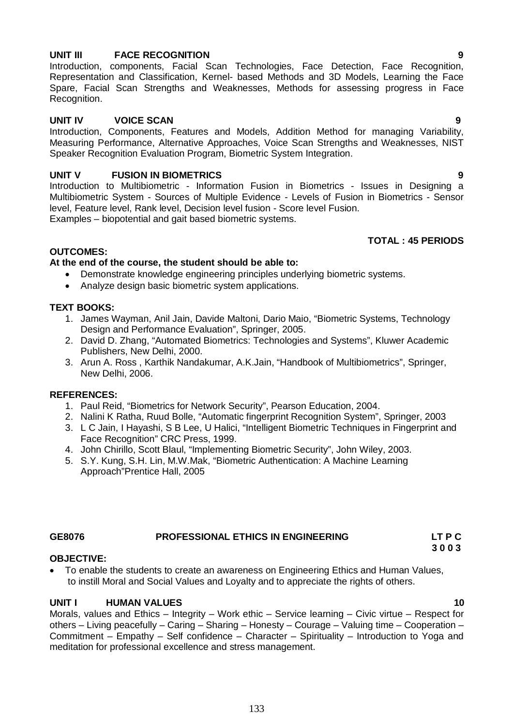# **UNIT III FACE RECOGNITION 9**

# Introduction, components, Facial Scan Technologies, Face Detection, Face Recognition, Representation and Classification, Kernel- based Methods and 3D Models, Learning the Face Spare, Facial Scan Strengths and Weaknesses, Methods for assessing progress in Face Recognition.

# **UNIT IV VOICE SCAN 9**

Introduction, Components, Features and Models, Addition Method for managing Variability, Measuring Performance, Alternative Approaches, Voice Scan Strengths and Weaknesses, NIST Speaker Recognition Evaluation Program, Biometric System Integration.

# **UNIT V FUSION IN BIOMETRICS 9**

Introduction to Multibiometric - Information Fusion in Biometrics - Issues in Designing a Multibiometric System - Sources of Multiple Evidence - Levels of Fusion in Biometrics - Sensor level, Feature level, Rank level, Decision level fusion - Score level Fusion. Examples – biopotential and gait based biometric systems.

# **TOTAL : 45 PERIODS**

# **OUTCOMES:**

# **At the end of the course, the student should be able to:**

- Demonstrate knowledge engineering principles underlying biometric systems.
- Analyze design basic biometric system applications.

# **TEXT BOOKS:**

- 1. James Wayman, Anil Jain, Davide Maltoni, Dario Maio, "Biometric Systems, Technology Design and Performance Evaluation", Springer, 2005.
- 2. David D. Zhang, "Automated Biometrics: Technologies and Systems", Kluwer Academic Publishers, New Delhi, 2000.
- 3. Arun A. Ross , Karthik Nandakumar, A.K.Jain, "Handbook of Multibiometrics", Springer, New Delhi, 2006.

# **REFERENCES:**

- 1. Paul Reid, "Biometrics for Network Security", Pearson Education, 2004.
- 2. Nalini K Ratha, Ruud Bolle, "Automatic fingerprint Recognition System", Springer, 2003
- 3. L C Jain, I Hayashi, S B Lee, U Halici, "Intelligent Biometric Techniques in Fingerprint and Face Recognition" CRC Press, 1999.
- 4. John Chirillo, Scott Blaul, "Implementing Biometric Security", John Wiley, 2003.
- 5. S.Y. Kung, S.H. Lin, M.W.Mak, "Biometric Authentication: A Machine Learning Approach"Prentice Hall, 2005

# **GE8076 PROFESSIONAL ETHICS IN ENGINEERING LT P C**

### **3 0 0 3 OBJECTIVE:**

 To enable the students to create an awareness on Engineering Ethics and Human Values, to instill Moral and Social Values and Loyalty and to appreciate the rights of others.

# **UNIT I HUMAN VALUES 10**

Morals, values and Ethics – Integrity – Work ethic – Service learning – Civic virtue – Respect for others – Living peacefully – Caring – Sharing – Honesty – Courage – Valuing time – Cooperation – Commitment – Empathy – Self confidence – Character – Spirituality – Introduction to Yoga and meditation for professional excellence and stress management.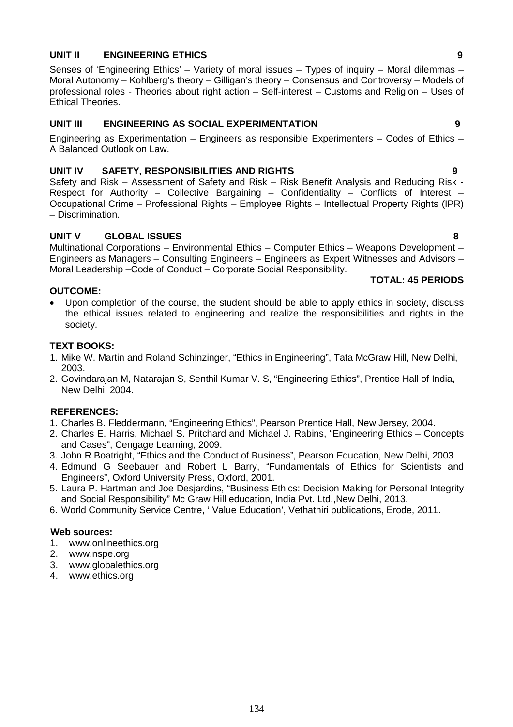# **UNIT II ENGINEERING ETHICS 9**

Senses of 'Engineering Ethics' – Variety of moral issues – Types of inquiry – Moral dilemmas – Moral Autonomy – Kohlberg's theory – Gilligan's theory – Consensus and Controversy – Models of professional roles - Theories about right action – Self-interest – Customs and Religion – Uses of Ethical Theories.

# **UNIT III ENGINEERING AS SOCIAL EXPERIMENTATION 9**

Engineering as Experimentation – Engineers as responsible Experimenters – Codes of Ethics – A Balanced Outlook on Law.

# **UNIT IV SAFETY, RESPONSIBILITIES AND RIGHTS 9**

Safety and Risk – Assessment of Safety and Risk – Risk Benefit Analysis and Reducing Risk - Respect for Authority – Collective Bargaining – Confidentiality – Conflicts of Interest – Occupational Crime – Professional Rights – Employee Rights – Intellectual Property Rights (IPR) – Discrimination.

# **UNIT V GLOBAL ISSUES 8**

Multinational Corporations – Environmental Ethics – Computer Ethics – Weapons Development – Engineers as Managers – Consulting Engineers – Engineers as Expert Witnesses and Advisors – Moral Leadership –Code of Conduct – Corporate Social Responsibility.

# **TOTAL: 45 PERIODS**

# **OUTCOME:**

 Upon completion of the course, the student should be able to apply ethics in society, discuss the ethical issues related to engineering and realize the responsibilities and rights in the society.

# **TEXT BOOKS:**

- 1. Mike W. Martin and Roland Schinzinger, "Ethics in Engineering", Tata McGraw Hill, New Delhi, 2003.
- 2. Govindarajan M, Natarajan S, Senthil Kumar V. S, "Engineering Ethics", Prentice Hall of India, New Delhi, 2004.

# **REFERENCES:**

- 1. Charles B. Fleddermann, "Engineering Ethics", Pearson Prentice Hall, New Jersey, 2004.
- 2. Charles E. Harris, Michael S. Pritchard and Michael J. Rabins, "Engineering Ethics Concepts and Cases", Cengage Learning, 2009.
- 3. John R Boatright, "Ethics and the Conduct of Business", Pearson Education, New Delhi, 2003
- 4. Edmund G Seebauer and Robert L Barry, "Fundamentals of Ethics for Scientists and Engineers", Oxford University Press, Oxford, 2001.
- 5. Laura P. Hartman and Joe Desjardins, "Business Ethics: Decision Making for Personal Integrity and Social Responsibility" Mc Graw Hill education, India Pvt. Ltd., New Delhi. 2013.
- 6. World Community Service Centre, ' Value Education', Vethathiri publications, Erode, 2011.

### **Web sources:**

- 1. www.onlineethics.org
- 2. www.nspe.org
- 3. www.globalethics.org
- 4. www.ethics.org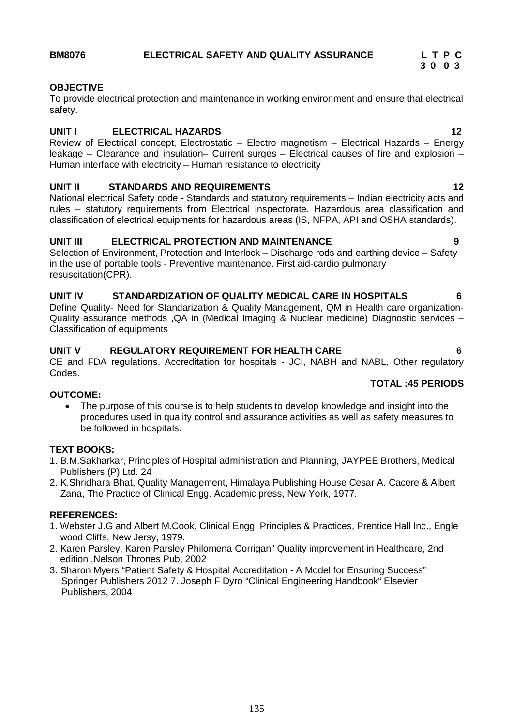# **3 0 0 3**

# **OBJECTIVE**

To provide electrical protection and maintenance in working environment and ensure that electrical safety.

# **UNIT I ELECTRICAL HAZARDS 12**

Review of Electrical concept, Electrostatic – Electro magnetism – Electrical Hazards – Energy leakage – Clearance and insulation– Current surges – Electrical causes of fire and explosion – Human interface with electricity – Human resistance to electricity

# **UNIT II STANDARDS AND REQUIREMENTS 12**

National electrical Safety code - Standards and statutory requirements – Indian electricity acts and rules – statutory requirements from Electrical inspectorate. Hazardous area classification and classification of electrical equipments for hazardous areas (IS, NFPA, API and OSHA standards).

# **UNIT III ELECTRICAL PROTECTION AND MAINTENANCE 9**

Selection of Environment, Protection and Interlock – Discharge rods and earthing device – Safety in the use of portable tools - Preventive maintenance. First aid-cardio pulmonary resuscitation(CPR).

# **UNIT IV STANDARDIZATION OF QUALITY MEDICAL CARE IN HOSPITALS 6**

Define Quality- Need for Standarization & Quality Management, QM in Health care organization-Quality assurance methods ,QA in (Medical Imaging & Nuclear medicine) Diagnostic services – Classification of equipments

# **UNIT V REGULATORY REQUIREMENT FOR HEALTH CARE 6**

CE and FDA regulations, Accreditation for hospitals - JCI, NABH and NABL, Other regulatory Codes.

# **TOTAL :45 PERIODS**

# **OUTCOME:**

 The purpose of this course is to help students to develop knowledge and insight into the procedures used in quality control and assurance activities as well as safety measures to be followed in hospitals.

# **TEXT BOOKS:**

- 1. B.M.Sakharkar, Principles of Hospital administration and Planning, JAYPEE Brothers, Medical Publishers (P) Ltd. 24
- 2. K.Shridhara Bhat, Quality Management, Himalaya Publishing House Cesar A. Cacere & Albert Zana, The Practice of Clinical Engg. Academic press, New York, 1977.

# **REFERENCES:**

- 1. Webster J.G and Albert M.Cook, Clinical Engg, Principles & Practices, Prentice Hall Inc., Engle wood Cliffs, New Jersy, 1979.
- 2. Karen Parsley, Karen Parsley Philomena Corrigan" Quality improvement in Healthcare, 2nd edition ,Nelson Thrones Pub, 2002
- 3. Sharon Myers "Patient Safety & Hospital Accreditation A Model for Ensuring Success" Springer Publishers 2012 7. Joseph F Dyro "Clinical Engineering Handbook" Elsevier Publishers, 2004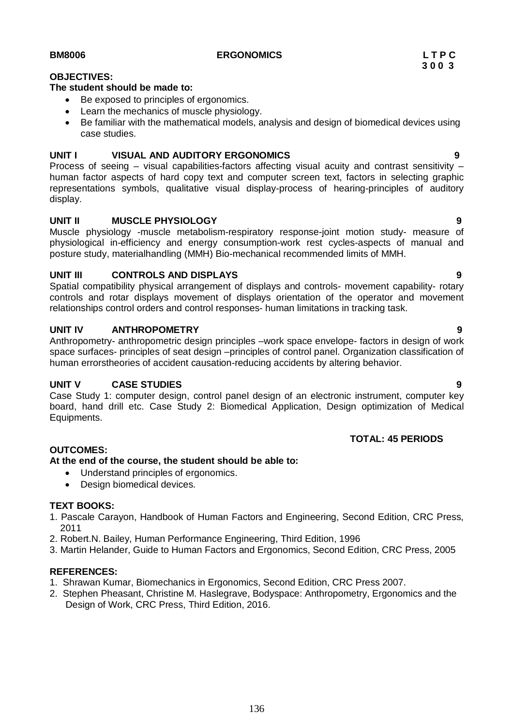# **BM8006 ERGONOMICS L T P C**

# **OBJECTIVES:**

# **The student should be made to:**

- Be exposed to principles of ergonomics.
- Learn the mechanics of muscle physiology.
- Be familiar with the mathematical models, analysis and design of biomedical devices using case studies.

# **UNIT I VISUAL AND AUDITORY ERGONOMICS 9**

Process of seeing – visual capabilities-factors affecting visual acuity and contrast sensitivity – human factor aspects of hard copy text and computer screen text, factors in selecting graphic representations symbols, qualitative visual display-process of hearing-principles of auditory display.

# **UNIT II MUSCLE PHYSIOLOGY 9**

Muscle physiology -muscle metabolism-respiratory response-joint motion study- measure of physiological in-efficiency and energy consumption-work rest cycles-aspects of manual and posture study, materialhandling (MMH) Bio-mechanical recommended limits of MMH.

# **UNIT III CONTROLS AND DISPLAYS 9**

Spatial compatibility physical arrangement of displays and controls- movement capability- rotary controls and rotar displays movement of displays orientation of the operator and movement relationships control orders and control responses- human limitations in tracking task.

# **UNIT IV ANTHROPOMETRY 9**

Anthropometry- anthropometric design principles –work space envelope- factors in design of work space surfaces- principles of seat design –principles of control panel. Organization classification of human errorstheories of accident causation-reducing accidents by altering behavior.

# **UNIT V CASE STUDIES 9**

Case Study 1: computer design, control panel design of an electronic instrument, computer key board, hand drill etc. Case Study 2: Biomedical Application, Design optimization of Medical Equipments.

# **OUTCOMES:**

# **At the end of the course, the student should be able to:**

- Understand principles of ergonomics.
- Design biomedical devices.

### **TEXT BOOKS:**

- 1. Pascale Carayon, Handbook of Human Factors and Engineering, Second Edition, CRC Press, 2011
- 2. Robert.N. Bailey, Human Performance Engineering, Third Edition, 1996
- 3. Martin Helander, Guide to Human Factors and Ergonomics, Second Edition, CRC Press, 2005

# **REFERENCES:**

- 1. Shrawan Kumar, Biomechanics in Ergonomics, Second Edition, CRC Press 2007.
- 2. Stephen Pheasant, Christine M. Haslegrave, Bodyspace: Anthropometry, Ergonomics and the Design of Work, CRC Press, Third Edition, 2016.

 **TOTAL: 45 PERIODS**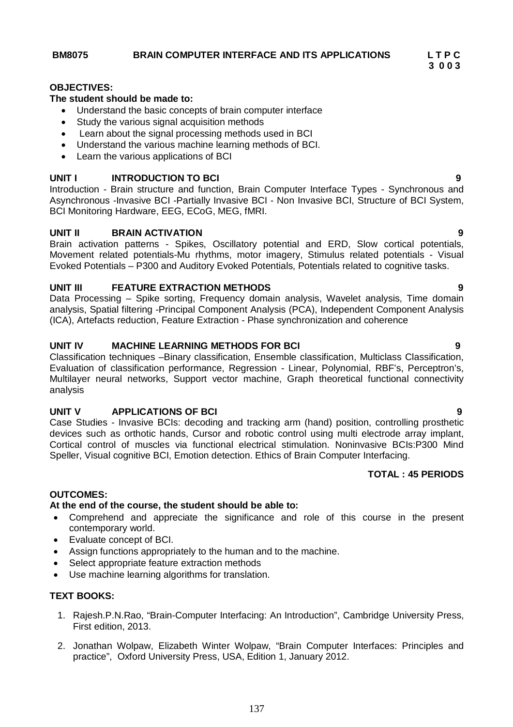# **3 0 0 3**

# **OBJECTIVES:**

# **The student should be made to:**

- Understand the basic concepts of brain computer interface
- Study the various signal acquisition methods
- Learn about the signal processing methods used in BCI
- Understand the various machine learning methods of BCI.
- Learn the various applications of BCI

# **UNIT I INTRODUCTION TO BCI 9**

Introduction - Brain structure and function, Brain Computer Interface Types - Synchronous and Asynchronous -Invasive BCI -Partially Invasive BCI - Non Invasive BCI, Structure of BCI System, BCI Monitoring Hardware, EEG, ECoG, MEG, fMRI.

# **UNIT II BRAIN ACTIVATION 9**

Brain activation patterns - Spikes, Oscillatory potential and ERD, Slow cortical potentials, Movement related potentials-Mu rhythms, motor imagery, Stimulus related potentials - Visual Evoked Potentials – P300 and Auditory Evoked Potentials, Potentials related to cognitive tasks.

# **UNIT III FEATURE EXTRACTION METHODS 9**

Data Processing – Spike sorting, Frequency domain analysis, Wavelet analysis, Time domain analysis, Spatial filtering -Principal Component Analysis (PCA), Independent Component Analysis (ICA), Artefacts reduction, Feature Extraction - Phase synchronization and coherence

# **UNIT IV MACHINE LEARNING METHODS FOR BCI 9**

Classification techniques –Binary classification, Ensemble classification, Multiclass Classification, Evaluation of classification performance, Regression - Linear, Polynomial, RBF's, Perceptron's, Multilayer neural networks, Support vector machine, Graph theoretical functional connectivity analysis

# **UNIT V APPLICATIONS OF BCI 9**

Case Studies - Invasive BCIs: decoding and tracking arm (hand) position, controlling prosthetic devices such as orthotic hands, Cursor and robotic control using multi electrode array implant, Cortical control of muscles via functional electrical stimulation. Noninvasive BCIs:P300 Mind Speller, Visual cognitive BCI, Emotion detection. Ethics of Brain Computer Interfacing.

# **TOTAL : 45 PERIODS**

### **OUTCOMES:**

### **At the end of the course, the student should be able to:**

- Comprehend and appreciate the significance and role of this course in the present contemporary world.
- Evaluate concept of BCI.
- Assign functions appropriately to the human and to the machine.
- Select appropriate feature extraction methods
- Use machine learning algorithms for translation.

### **TEXT BOOKS:**

- 1. Rajesh.P.N.Rao, "Brain-Computer Interfacing: An Introduction", Cambridge University Press, First edition, 2013.
- 2. Jonathan Wolpaw, Elizabeth Winter Wolpaw, "Brain Computer Interfaces: Principles and practice", Oxford University Press, USA, Edition 1, January 2012.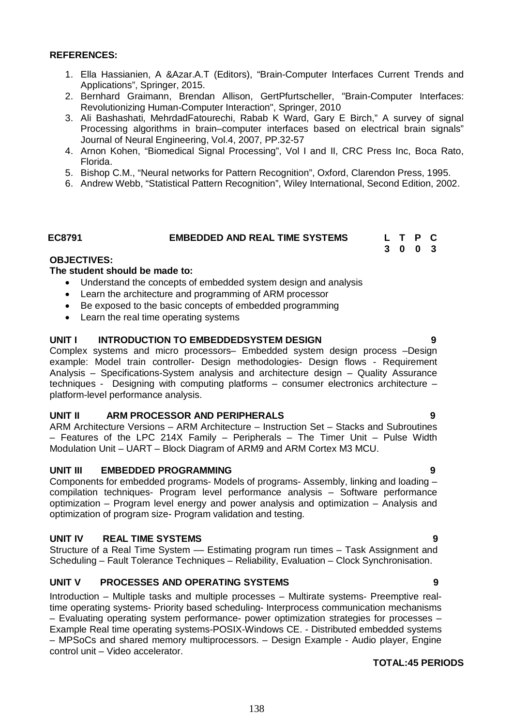# **REFERENCES:**

- 1. Ella Hassianien, A &Azar.A.T (Editors), "Brain-Computer Interfaces Current Trends and Applications", Springer, 2015.
- 2. Bernhard Graimann, Brendan Allison, GertPfurtscheller, "Brain-Computer Interfaces: Revolutionizing Human-Computer Interaction", Springer, 2010
- 3. Ali Bashashati, MehrdadFatourechi, Rabab K Ward, Gary E Birch," A survey of signal Processing algorithms in brain–computer interfaces based on electrical brain signals" Journal of Neural Engineering, Vol.4, 2007, PP.32-57
- 4. Arnon Kohen, "Biomedical Signal Processing", Vol I and II, CRC Press Inc, Boca Rato, Florida.
- 5. Bishop C.M., "Neural networks for Pattern Recognition", Oxford, Clarendon Press, 1995.
- 6. Andrew Webb, "Statistical Pattern Recognition", Wiley International, Second Edition, 2002.

# **EC8791 EMBEDDED AND REAL TIME SYSTEMS L T P C**

**3 0 0 3**

# **OBJECTIVES:**

# **The student should be made to:**

- Understand the concepts of embedded system design and analysis
- Learn the architecture and programming of ARM processor
- Be exposed to the basic concepts of embedded programming
- Learn the real time operating systems

# **UNIT I INTRODUCTION TO EMBEDDEDSYSTEM DESIGN 9**

Complex systems and micro processors– Embedded system design process –Design example: Model train controller- Design methodologies- Design flows - Requirement Analysis – Specifications-System analysis and architecture design – Quality Assurance techniques - Designing with computing platforms – consumer electronics architecture – platform-level performance analysis.

### **UNIT II ARM PROCESSOR AND PERIPHERALS 9**

ARM Architecture Versions – ARM Architecture – Instruction Set – Stacks and Subroutines – Features of the LPC 214X Family – Peripherals – The Timer Unit – Pulse Width Modulation Unit – UART – Block Diagram of ARM9 and ARM Cortex M3 MCU.

# **UNIT III EMBEDDED PROGRAMMING 9**

Components for embedded programs- Models of programs- Assembly, linking and loading – compilation techniques- Program level performance analysis – Software performance optimization – Program level energy and power analysis and optimization – Analysis and optimization of program size- Program validation and testing.

# **UNIT IV REAL TIME SYSTEMS 9**

Structure of a Real Time System –– Estimating program run times – Task Assignment and Scheduling – Fault Tolerance Techniques – Reliability, Evaluation – Clock Synchronisation.

# **UNIT V PROCESSES AND OPERATING SYSTEMS 9**

Introduction – Multiple tasks and multiple processes – Multirate systems- Preemptive realtime operating systems- Priority based scheduling- Interprocess communication mechanisms – Evaluating operating system performance- power optimization strategies for processes – Example Real time operating systems-POSIX-Windows CE. - Distributed embedded systems – MPSoCs and shared memory multiprocessors. – Design Example - Audio player, Engine control unit – Video accelerator.

# **TOTAL:45 PERIODS**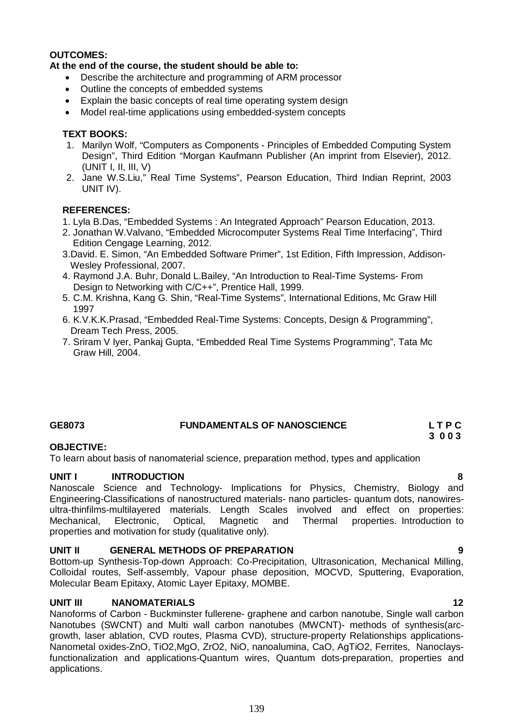# **OUTCOMES:**

# **At the end of the course, the student should be able to:**

- Describe the architecture and programming of ARM processor
- Outline the concepts of embedded systems
- Explain the basic concepts of real time operating system design
- Model real-time applications using embedded-system concepts

# **TEXT BOOKS:**

- 1. Marilyn Wolf, "Computers as Components Principles of Embedded Computing System Design", Third Edition "Morgan Kaufmann Publisher (An imprint from Elsevier), 2012. (UNIT I, II, III, V)
- 2. Jane W.S.Liu," Real Time Systems", Pearson Education, Third Indian Reprint, 2003 UNIT IV).

# **REFERENCES:**

- 1. Lyla B.Das, "Embedded Systems : An Integrated Approach" Pearson Education, 2013.
- 2. Jonathan W.Valvano, "Embedded Microcomputer Systems Real Time Interfacing", Third Edition Cengage Learning, 2012.
- 3.David. E. Simon, "An Embedded Software Primer", 1st Edition, Fifth Impression, Addison- Wesley Professional, 2007.
- 4. Raymond J.A. Buhr, Donald L.Bailey, "An Introduction to Real-Time Systems- From Design to Networking with C/C++", Prentice Hall, 1999.
- 5. C.M. Krishna, Kang G. Shin, "Real-Time Systems", International Editions, Mc Graw Hill 1997
- 6. K.V.K.K.Prasad, "Embedded Real-Time Systems: Concepts, Design & Programming", Dream Tech Press, 2005.
- 7. Sriram V Iyer, Pankaj Gupta, "Embedded Real Time Systems Programming", Tata Mc Graw Hill, 2004.

# **GE8073 FUNDAMENTALS OF NANOSCIENCE L T P C**

# **3 0 0 3**

# **OBJECTIVE:**

To learn about basis of nanomaterial science, preparation method, types and application

# **UNIT I INTRODUCTION 8**

Nanoscale Science and Technology- Implications for Physics, Chemistry, Biology and Engineering-Classifications of nanostructured materials- nano particles- quantum dots, nanowiresultra-thinfilms-multilayered materials. Length Scales involved and effect on properties: Mechanical, Electronic, Optical, Magnetic and Thermal properties. Introduction to properties and motivation for study (qualitative only).

# **UNIT II GENERAL METHODS OF PREPARATION 9**

Bottom-up Synthesis-Top-down Approach: Co-Precipitation, Ultrasonication, Mechanical Milling, Colloidal routes, Self-assembly, Vapour phase deposition, MOCVD, Sputtering, Evaporation, Molecular Beam Epitaxy, Atomic Layer Epitaxy, MOMBE.

# **UNIT III NANOMATERIALS 12**

Nanoforms of Carbon - Buckminster fullerene- graphene and carbon nanotube, Single wall carbon Nanotubes (SWCNT) and Multi wall carbon nanotubes (MWCNT)- methods of synthesis(arcgrowth, laser ablation, CVD routes, Plasma CVD), structure-property Relationships applications-Nanometal oxides-ZnO, TiO2,MgO, ZrO2, NiO, nanoalumina, CaO, AgTiO2, Ferrites, Nanoclaysfunctionalization and applications-Quantum wires, Quantum dots-preparation, properties and applications.